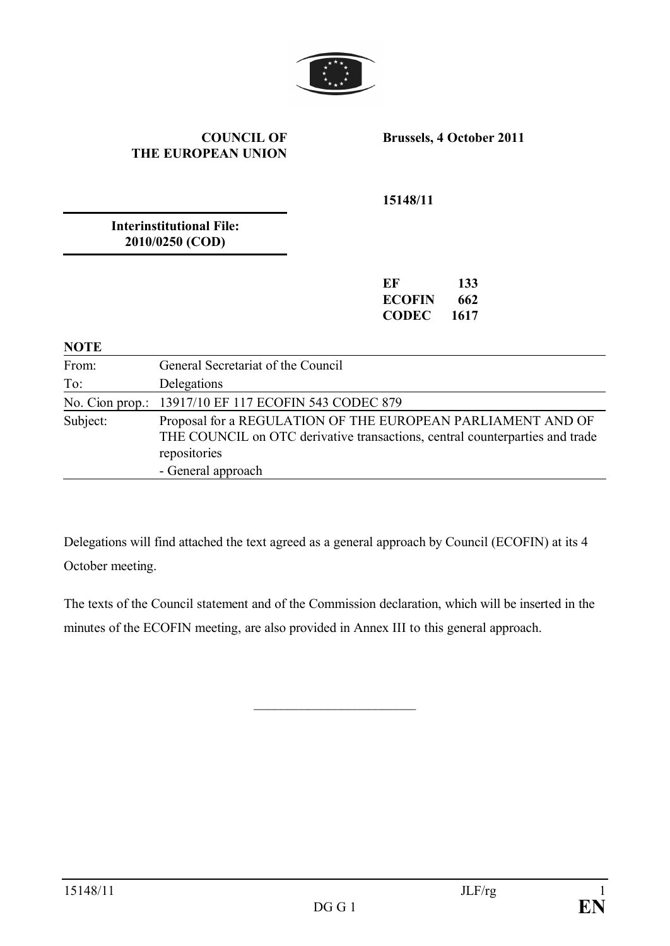

### **COUNCIL OF THE EUROPEAN UNION**

**Brussels, 4 October 2011**

**15148/11**

**Interinstitutional File: 2010/0250 (COD)**

| EF     | 133  |
|--------|------|
| ECOFIN | 662  |
| CODEC  | 1617 |

#### **NOTE**

| From:    | General Secretariat of the Council                                                                                                                                                |
|----------|-----------------------------------------------------------------------------------------------------------------------------------------------------------------------------------|
| To:      | Delegations                                                                                                                                                                       |
|          | No. Cion prop.: 13917/10 EF 117 ECOFIN 543 CODEC 879                                                                                                                              |
| Subject: | Proposal for a REGULATION OF THE EUROPEAN PARLIAMENT AND OF<br>THE COUNCIL on OTC derivative transactions, central counterparties and trade<br>repositories<br>- General approach |

Delegations will find attached the text agreed as a general approach by Council (ECOFIN) at its 4 October meeting.

The texts of the Council statement and of the Commission declaration, which will be inserted in the minutes of the ECOFIN meeting, are also provided in Annex III to this general approach.

\_\_\_\_\_\_\_\_\_\_\_\_\_\_\_\_\_\_\_\_\_\_\_\_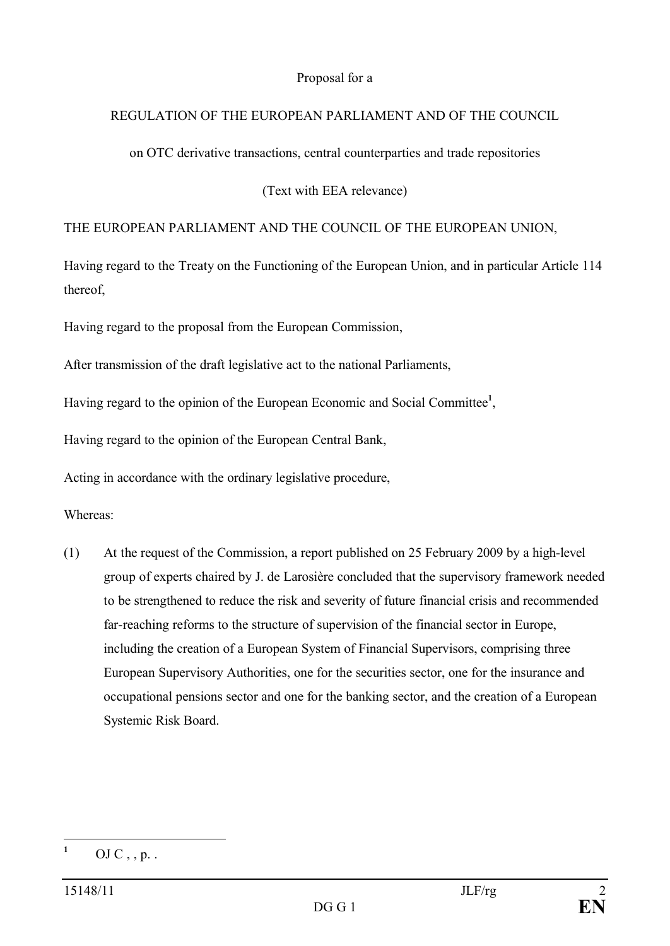### Proposal for a

### REGULATION OF THE EUROPEAN PARLIAMENT AND OF THE COUNCIL

on OTC derivative transactions, central counterparties and trade repositories

(Text with EEA relevance)

### THE EUROPEAN PARLIAMENT AND THE COUNCIL OF THE EUROPEAN UNION,

Having regard to the Treaty on the Functioning of the European Union, and in particular Article 114 thereof,

Having regard to the proposal from the European Commission,

After transmission of the draft legislative act to the national Parliaments,

Having regard to the opinion of the European Economic and Social Committee**<sup>1</sup>** ,

Having regard to the opinion of the European Central Bank,

Acting in accordance with the ordinary legislative procedure,

Whereas:

(1) At the request of the Commission, a report published on 25 February 2009 by a high-level group of experts chaired by J. de Larosière concluded that the supervisory framework needed to be strengthened to reduce the risk and severity of future financial crisis and recommended far-reaching reforms to the structure of supervision of the financial sector in Europe, including the creation of a European System of Financial Supervisors, comprising three European Supervisory Authorities, one for the securities sector, one for the insurance and occupational pensions sector and one for the banking sector, and the creation of a European Systemic Risk Board.

 $^{1}$  OJ C , , p. .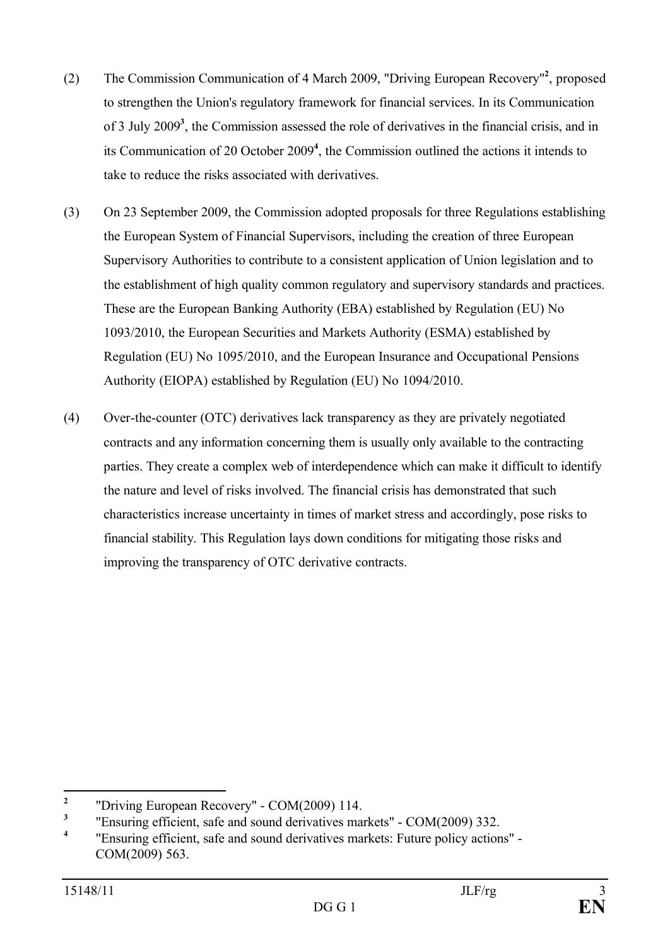- (2) The Commission Communication of 4 March 2009, "Driving European Recovery"**<sup>2</sup>** , proposed to strengthen the Union's regulatory framework for financial services. In its Communication of 3 July 2009**<sup>3</sup>** , the Commission assessed the role of derivatives in the financial crisis, and in its Communication of 20 October 2009**<sup>4</sup>** , the Commission outlined the actions it intends to take to reduce the risks associated with derivatives.
- (3) On 23 September 2009, the Commission adopted proposals for three Regulations establishing the European System of Financial Supervisors, including the creation of three European Supervisory Authorities to contribute to a consistent application of Union legislation and to the establishment of high quality common regulatory and supervisory standards and practices. These are the European Banking Authority (EBA) established by Regulation (EU) No 1093/2010, the European Securities and Markets Authority (ESMA) established by Regulation (EU) No 1095/2010, and the European Insurance and Occupational Pensions Authority (EIOPA) established by Regulation (EU) No 1094/2010.
- (4) Over-the-counter (OTC) derivatives lack transparency as they are privately negotiated contracts and any information concerning them is usually only available to the contracting parties. They create a complex web of interdependence which can make it difficult to identify the nature and level of risks involved. The financial crisis has demonstrated that such characteristics increase uncertainty in times of market stress and accordingly, pose risks to financial stability. This Regulation lays down conditions for mitigating those risks and improving the transparency of OTC derivative contracts.

**<sup>2</sup>** "Driving European Recovery" - COM(2009) 114.

**<sup>3</sup>** "Ensuring efficient, safe and sound derivatives markets" - COM(2009) 332.

**<sup>4</sup>** "Ensuring efficient, safe and sound derivatives markets: Future policy actions" - COM(2009) 563.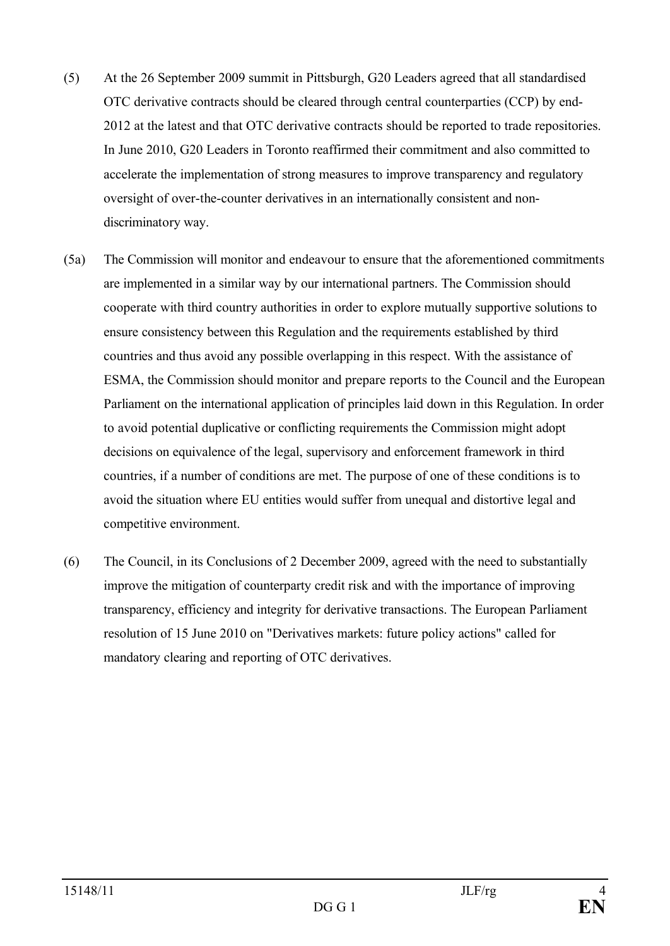- (5) At the 26 September 2009 summit in Pittsburgh, G20 Leaders agreed that all standardised OTC derivative contracts should be cleared through central counterparties (CCP) by end-2012 at the latest and that OTC derivative contracts should be reported to trade repositories. In June 2010, G20 Leaders in Toronto reaffirmed their commitment and also committed to accelerate the implementation of strong measures to improve transparency and regulatory oversight of over-the-counter derivatives in an internationally consistent and nondiscriminatory way.
- (5a) The Commission will monitor and endeavour to ensure that the aforementioned commitments are implemented in a similar way by our international partners. The Commission should cooperate with third country authorities in order to explore mutually supportive solutions to ensure consistency between this Regulation and the requirements established by third countries and thus avoid any possible overlapping in this respect. With the assistance of ESMA, the Commission should monitor and prepare reports to the Council and the European Parliament on the international application of principles laid down in this Regulation. In order to avoid potential duplicative or conflicting requirements the Commission might adopt decisions on equivalence of the legal, supervisory and enforcement framework in third countries, if a number of conditions are met. The purpose of one of these conditions is to avoid the situation where EU entities would suffer from unequal and distortive legal and competitive environment.
- (6) The Council, in its Conclusions of 2 December 2009, agreed with the need to substantially improve the mitigation of counterparty credit risk and with the importance of improving transparency, efficiency and integrity for derivative transactions. The European Parliament resolution of 15 June 2010 on "Derivatives markets: future policy actions" called for mandatory clearing and reporting of OTC derivatives.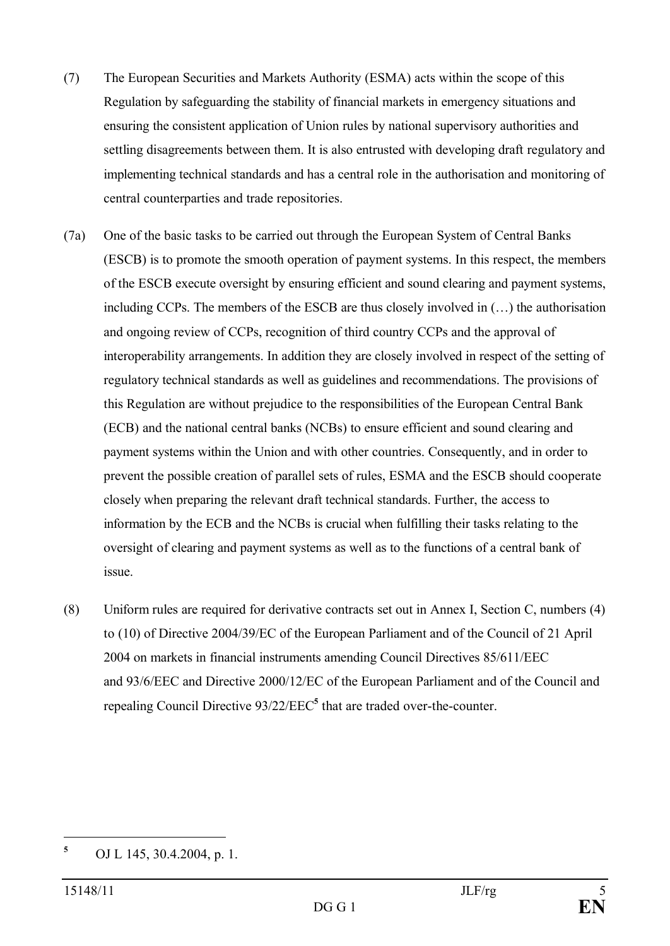- (7) The European Securities and Markets Authority (ESMA) acts within the scope of this Regulation by safeguarding the stability of financial markets in emergency situations and ensuring the consistent application of Union rules by national supervisory authorities and settling disagreements between them. It is also entrusted with developing draft regulatory and implementing technical standards and has a central role in the authorisation and monitoring of central counterparties and trade repositories.
- (7a) One of the basic tasks to be carried out through the European System of Central Banks (ESCB) is to promote the smooth operation of payment systems. In this respect, the members of the ESCB execute oversight by ensuring efficient and sound clearing and payment systems, including CCPs. The members of the ESCB are thus closely involved in (…) the authorisation and ongoing review of CCPs, recognition of third country CCPs and the approval of interoperability arrangements. In addition they are closely involved in respect of the setting of regulatory technical standards as well as guidelines and recommendations. The provisions of this Regulation are without prejudice to the responsibilities of the European Central Bank (ECB) and the national central banks (NCBs) to ensure efficient and sound clearing and payment systems within the Union and with other countries. Consequently, and in order to prevent the possible creation of parallel sets of rules, ESMA and the ESCB should cooperate closely when preparing the relevant draft technical standards. Further, the access to information by the ECB and the NCBs is crucial when fulfilling their tasks relating to the oversight of clearing and payment systems as well as to the functions of a central bank of issue.
- (8) Uniform rules are required for derivative contracts set out in Annex I, Section C, numbers (4) to (10) of Directive 2004/39/EC of the European Parliament and of the Council of 21 April 2004 on markets in financial instruments amending Council Directives 85/611/EEC and 93/6/EEC and Directive 2000/12/EC of the European Parliament and of the Council and repealing Council Directive 93/22/EEC**<sup>5</sup>** that are traded over-the-counter.

**<sup>5</sup>** OJ L 145, 30.4.2004, p. 1.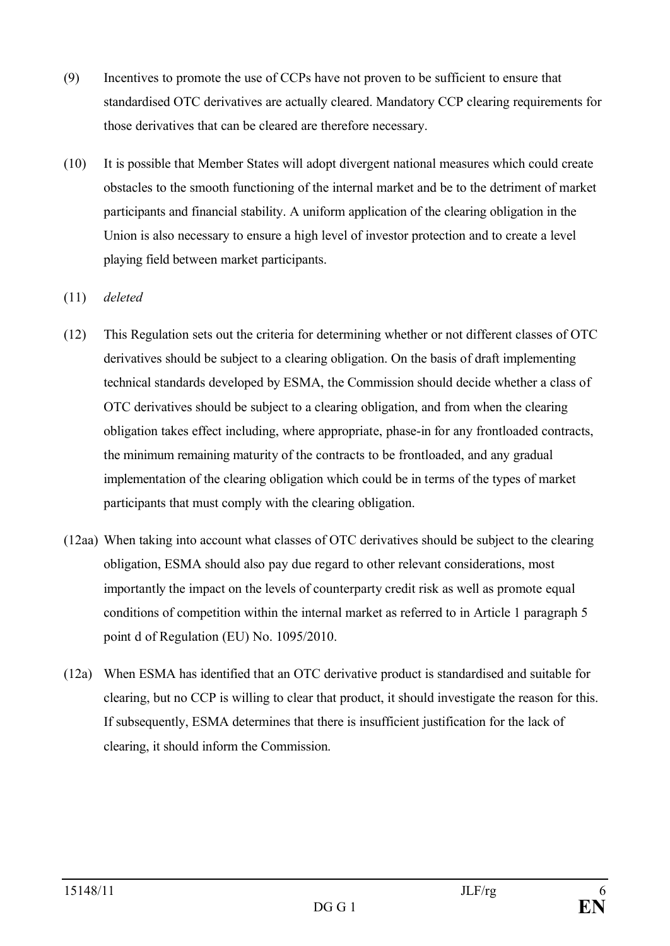- (9) Incentives to promote the use of CCPs have not proven to be sufficient to ensure that standardised OTC derivatives are actually cleared. Mandatory CCP clearing requirements for those derivatives that can be cleared are therefore necessary.
- (10) It is possible that Member States will adopt divergent national measures which could create obstacles to the smooth functioning of the internal market and be to the detriment of market participants and financial stability. A uniform application of the clearing obligation in the Union is also necessary to ensure a high level of investor protection and to create a level playing field between market participants.
- (11) *deleted*
- (12) This Regulation sets out the criteria for determining whether or not different classes of OTC derivatives should be subject to a clearing obligation. On the basis of draft implementing technical standards developed by ESMA, the Commission should decide whether a class of OTC derivatives should be subject to a clearing obligation, and from when the clearing obligation takes effect including, where appropriate, phase-in for any frontloaded contracts, the minimum remaining maturity of the contracts to be frontloaded, and any gradual implementation of the clearing obligation which could be in terms of the types of market participants that must comply with the clearing obligation.
- (12aa) When taking into account what classes of OTC derivatives should be subject to the clearing obligation, ESMA should also pay due regard to other relevant considerations, most importantly the impact on the levels of counterparty credit risk as well as promote equal conditions of competition within the internal market as referred to in Article 1 paragraph 5 point d of Regulation (EU) No. 1095/2010.
- (12a) When ESMA has identified that an OTC derivative product is standardised and suitable for clearing, but no CCP is willing to clear that product, it should investigate the reason for this. If subsequently, ESMA determines that there is insufficient justification for the lack of clearing, it should inform the Commission.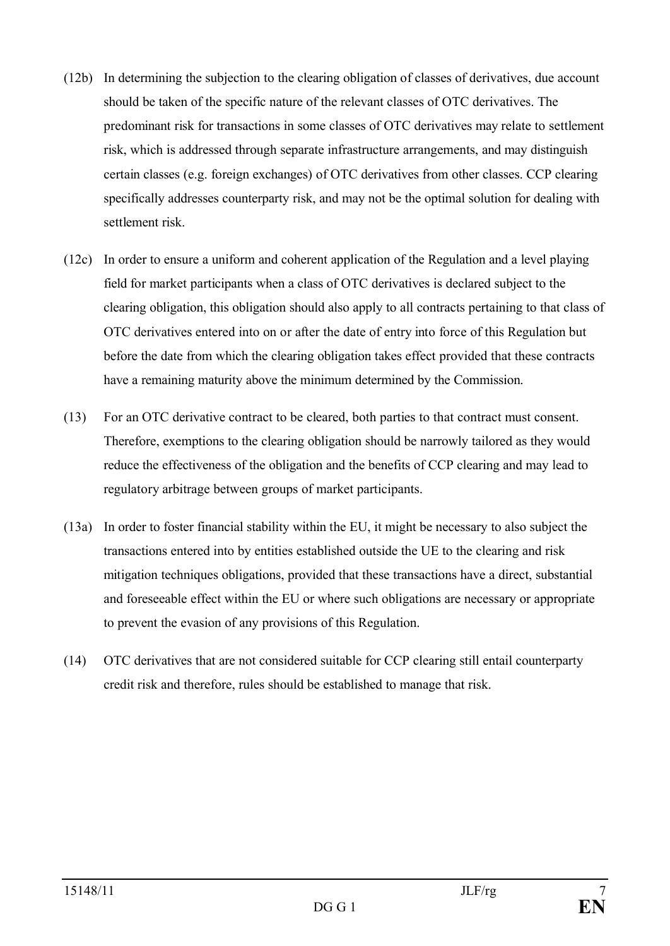- (12b) In determining the subjection to the clearing obligation of classes of derivatives, due account should be taken of the specific nature of the relevant classes of OTC derivatives. The predominant risk for transactions in some classes of OTC derivatives may relate to settlement risk, which is addressed through separate infrastructure arrangements, and may distinguish certain classes (e.g. foreign exchanges) of OTC derivatives from other classes. CCP clearing specifically addresses counterparty risk, and may not be the optimal solution for dealing with settlement risk.
- (12c) In order to ensure a uniform and coherent application of the Regulation and a level playing field for market participants when a class of OTC derivatives is declared subject to the clearing obligation, this obligation should also apply to all contracts pertaining to that class of OTC derivatives entered into on or after the date of entry into force of this Regulation but before the date from which the clearing obligation takes effect provided that these contracts have a remaining maturity above the minimum determined by the Commission.
- (13) For an OTC derivative contract to be cleared, both parties to that contract must consent. Therefore, exemptions to the clearing obligation should be narrowly tailored as they would reduce the effectiveness of the obligation and the benefits of CCP clearing and may lead to regulatory arbitrage between groups of market participants.
- (13a) In order to foster financial stability within the EU, it might be necessary to also subject the transactions entered into by entities established outside the UE to the clearing and risk mitigation techniques obligations, provided that these transactions have a direct, substantial and foreseeable effect within the EU or where such obligations are necessary or appropriate to prevent the evasion of any provisions of this Regulation.
- (14) OTC derivatives that are not considered suitable for CCP clearing still entail counterparty credit risk and therefore, rules should be established to manage that risk.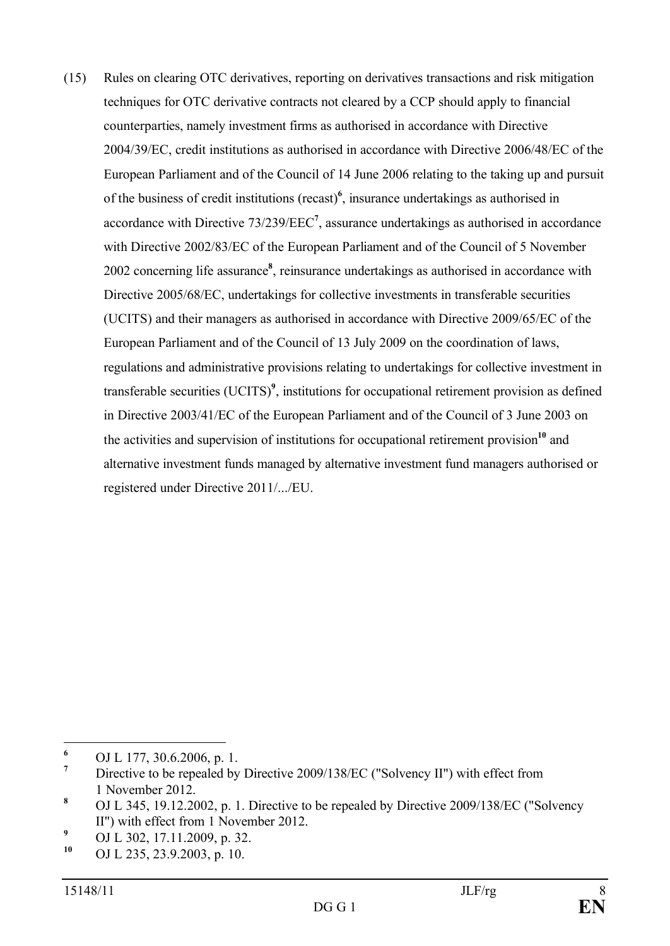(15) Rules on clearing OTC derivatives, reporting on derivatives transactions and risk mitigation techniques for OTC derivative contracts not cleared by a CCP should apply to financial counterparties, namely investment firms as authorised in accordance with Directive 2004/39/EC, credit institutions as authorised in accordance with Directive 2006/48/EC of the European Parliament and of the Council of 14 June 2006 relating to the taking up and pursuit of the business of credit institutions (recast)**<sup>6</sup>** , insurance undertakings as authorised in accordance with Directive 73/239/EEC**<sup>7</sup>** , assurance undertakings as authorised in accordance with Directive 2002/83/EC of the European Parliament and of the Council of 5 November 2002 concerning life assurance<sup>8</sup>, reinsurance undertakings as authorised in accordance with Directive 2005/68/EC, undertakings for collective investments in transferable securities (UCITS) and their managers as authorised in accordance with Directive 2009/65/EC of the European Parliament and of the Council of 13 July 2009 on the coordination of laws, regulations and administrative provisions relating to undertakings for collective investment in transferable securities (UCITS)<sup>9</sup>, institutions for occupational retirement provision as defined in Directive 2003/41/EC of the European Parliament and of the Council of 3 June 2003 on the activities and supervision of institutions for occupational retirement provision**<sup>10</sup>** and alternative investment funds managed by alternative investment fund managers authorised or registered under Directive 2011/.../EU.

**<sup>6</sup>** OJ L 177, 30.6.2006, p. 1.

**<sup>7</sup>** Directive to be repealed by Directive 2009/138/EC ("Solvency II") with effect from 1 November 2012.

**<sup>8</sup>** OJ L 345, 19.12.2002, p. 1. Directive to be repealed by Directive 2009/138/EC ("Solvency II") with effect from 1 November 2012.

<sup>&</sup>lt;sup>9</sup> OJ L 302, 17.11.2009, p. 32.<br><sup>10</sup> OJ L 325, 32.9.2002, p. 10.

**<sup>10</sup>** OJ L 235, 23.9.2003, p. 10.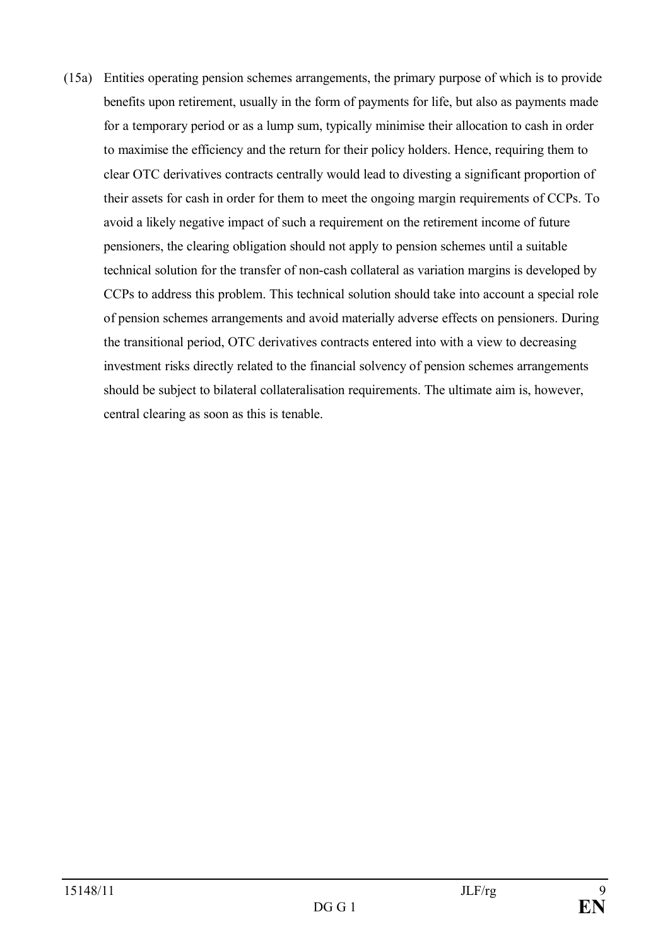(15a) Entities operating pension schemes arrangements, the primary purpose of which is to provide benefits upon retirement, usually in the form of payments for life, but also as payments made for a temporary period or as a lump sum, typically minimise their allocation to cash in order to maximise the efficiency and the return for their policy holders. Hence, requiring them to clear OTC derivatives contracts centrally would lead to divesting a significant proportion of their assets for cash in order for them to meet the ongoing margin requirements of CCPs. To avoid a likely negative impact of such a requirement on the retirement income of future pensioners, the clearing obligation should not apply to pension schemes until a suitable technical solution for the transfer of non-cash collateral as variation margins is developed by CCPs to address this problem. This technical solution should take into account a special role of pension schemes arrangements and avoid materially adverse effects on pensioners. During the transitional period, OTC derivatives contracts entered into with a view to decreasing investment risks directly related to the financial solvency of pension schemes arrangements should be subject to bilateral collateralisation requirements. The ultimate aim is, however, central clearing as soon as this is tenable.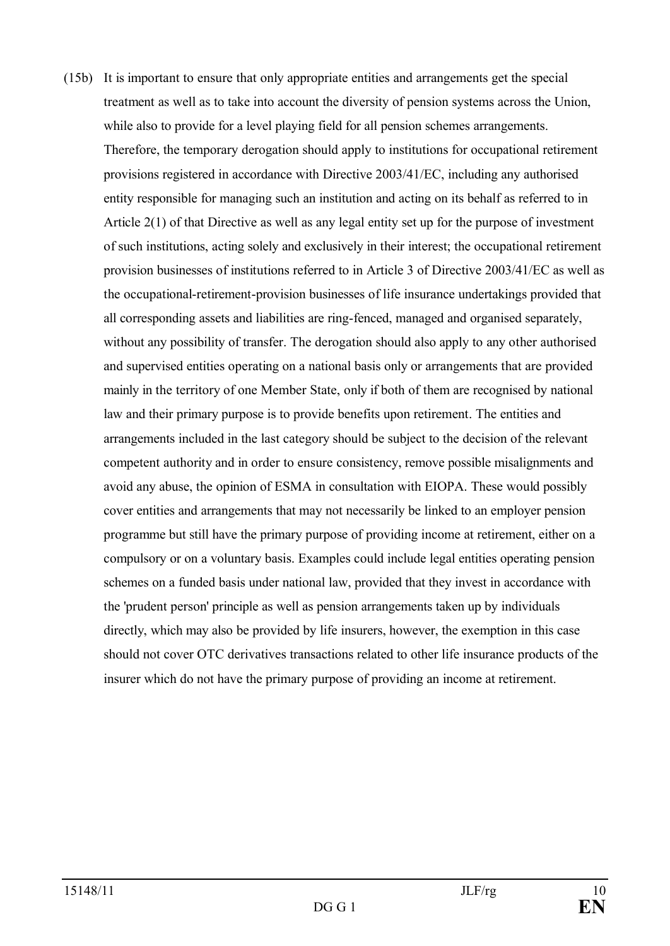(15b) It is important to ensure that only appropriate entities and arrangements get the special treatment as well as to take into account the diversity of pension systems across the Union, while also to provide for a level playing field for all pension schemes arrangements. Therefore, the temporary derogation should apply to institutions for occupational retirement provisions registered in accordance with Directive 2003/41/EC, including any authorised entity responsible for managing such an institution and acting on its behalf as referred to in Article 2(1) of that Directive as well as any legal entity set up for the purpose of investment of such institutions, acting solely and exclusively in their interest; the occupational retirement provision businesses of institutions referred to in Article 3 of Directive 2003/41/EC as well as the occupational-retirement-provision businesses of life insurance undertakings provided that all corresponding assets and liabilities are ring-fenced, managed and organised separately, without any possibility of transfer. The derogation should also apply to any other authorised and supervised entities operating on a national basis only or arrangements that are provided mainly in the territory of one Member State, only if both of them are recognised by national law and their primary purpose is to provide benefits upon retirement. The entities and arrangements included in the last category should be subject to the decision of the relevant competent authority and in order to ensure consistency, remove possible misalignments and avoid any abuse, the opinion of ESMA in consultation with EIOPA. These would possibly cover entities and arrangements that may not necessarily be linked to an employer pension programme but still have the primary purpose of providing income at retirement, either on a compulsory or on a voluntary basis. Examples could include legal entities operating pension schemes on a funded basis under national law, provided that they invest in accordance with the 'prudent person' principle as well as pension arrangements taken up by individuals directly, which may also be provided by life insurers, however, the exemption in this case should not cover OTC derivatives transactions related to other life insurance products of the insurer which do not have the primary purpose of providing an income at retirement.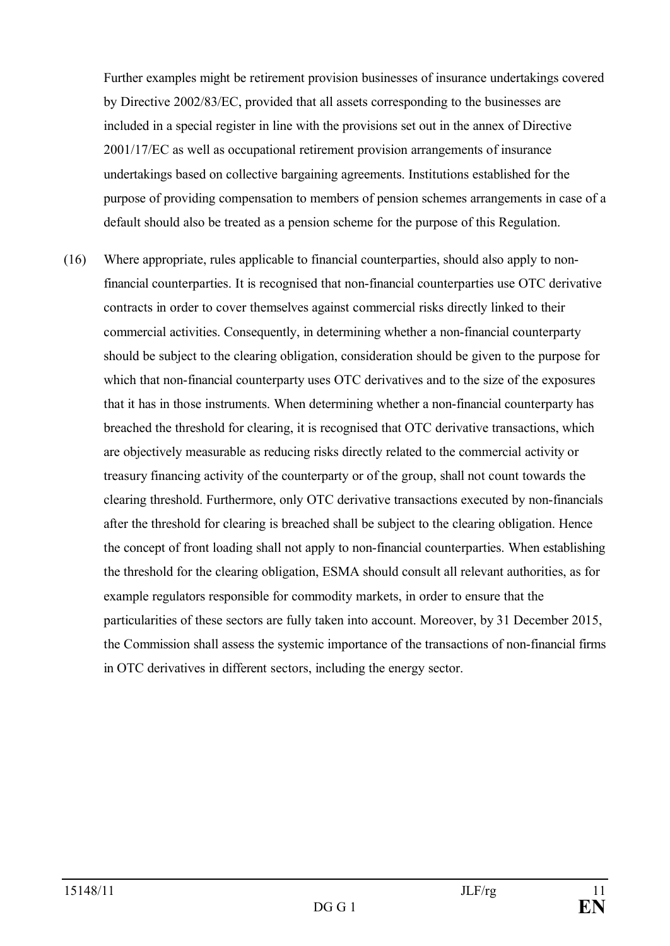Further examples might be retirement provision businesses of insurance undertakings covered by Directive 2002/83/EC, provided that all assets corresponding to the businesses are included in a special register in line with the provisions set out in the annex of Directive 2001/17/EC as well as occupational retirement provision arrangements of insurance undertakings based on collective bargaining agreements. Institutions established for the purpose of providing compensation to members of pension schemes arrangements in case of a default should also be treated as a pension scheme for the purpose of this Regulation.

(16) Where appropriate, rules applicable to financial counterparties, should also apply to nonfinancial counterparties. It is recognised that non-financial counterparties use OTC derivative contracts in order to cover themselves against commercial risks directly linked to their commercial activities. Consequently, in determining whether a non-financial counterparty should be subject to the clearing obligation, consideration should be given to the purpose for which that non-financial counterparty uses OTC derivatives and to the size of the exposures that it has in those instruments. When determining whether a non-financial counterparty has breached the threshold for clearing, it is recognised that OTC derivative transactions, which are objectively measurable as reducing risks directly related to the commercial activity or treasury financing activity of the counterparty or of the group, shall not count towards the clearing threshold. Furthermore, only OTC derivative transactions executed by non-financials after the threshold for clearing is breached shall be subject to the clearing obligation. Hence the concept of front loading shall not apply to non-financial counterparties. When establishing the threshold for the clearing obligation, ESMA should consult all relevant authorities, as for example regulators responsible for commodity markets, in order to ensure that the particularities of these sectors are fully taken into account. Moreover, by 31 December 2015, the Commission shall assess the systemic importance of the transactions of non-financial firms in OTC derivatives in different sectors, including the energy sector.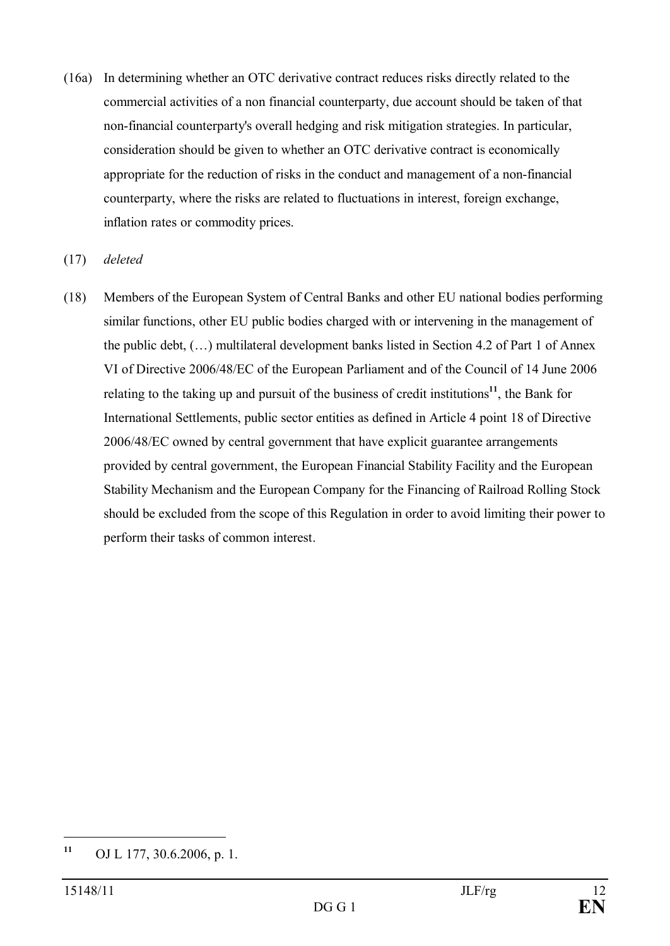(16a) In determining whether an OTC derivative contract reduces risks directly related to the commercial activities of a non financial counterparty, due account should be taken of that non-financial counterparty's overall hedging and risk mitigation strategies. In particular, consideration should be given to whether an OTC derivative contract is economically appropriate for the reduction of risks in the conduct and management of a non-financial counterparty, where the risks are related to fluctuations in interest, foreign exchange, inflation rates or commodity prices.

### (17) *deleted*

(18) Members of the European System of Central Banks and other EU national bodies performing similar functions, other EU public bodies charged with or intervening in the management of the public debt, (…) multilateral development banks listed in Section 4.2 of Part 1 of Annex VI of Directive 2006/48/EC of the European Parliament and of the Council of 14 June 2006 relating to the taking up and pursuit of the business of credit institutions**<sup>11</sup>** , the Bank for International Settlements, public sector entities as defined in Article 4 point 18 of Directive 2006/48/EC owned by central government that have explicit guarantee arrangements provided by central government, the European Financial Stability Facility and the European Stability Mechanism and the European Company for the Financing of Railroad Rolling Stock should be excluded from the scope of this Regulation in order to avoid limiting their power to perform their tasks of common interest.

**<sup>11</sup>** OJ L 177, 30.6.2006, p. 1.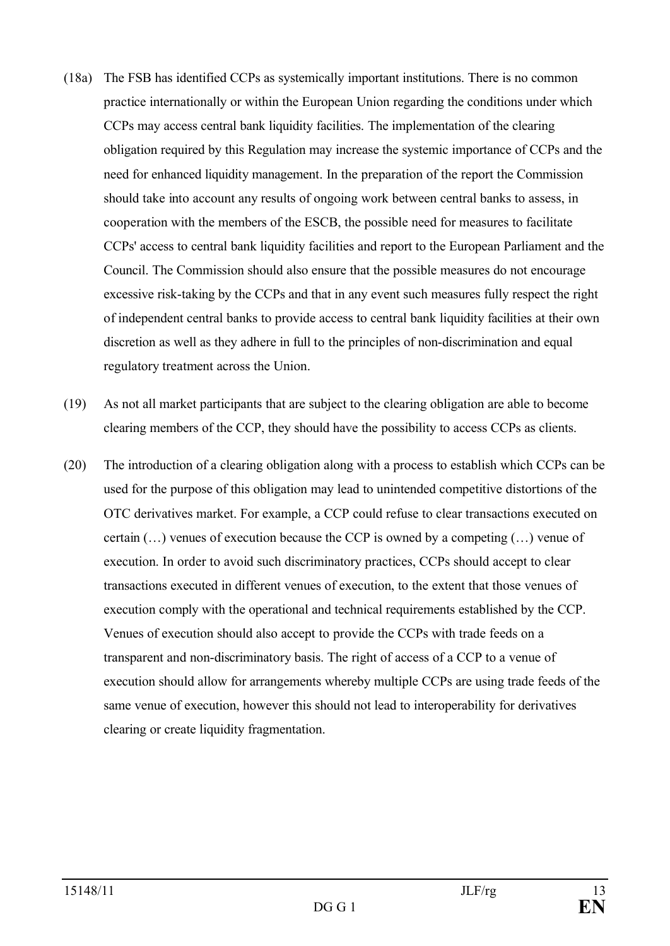- (18a) The FSB has identified CCPs as systemically important institutions. There is no common practice internationally or within the European Union regarding the conditions under which CCPs may access central bank liquidity facilities. The implementation of the clearing obligation required by this Regulation may increase the systemic importance of CCPs and the need for enhanced liquidity management. In the preparation of the report the Commission should take into account any results of ongoing work between central banks to assess, in cooperation with the members of the ESCB, the possible need for measures to facilitate CCPs' access to central bank liquidity facilities and report to the European Parliament and the Council. The Commission should also ensure that the possible measures do not encourage excessive risk-taking by the CCPs and that in any event such measures fully respect the right of independent central banks to provide access to central bank liquidity facilities at their own discretion as well as they adhere in full to the principles of non-discrimination and equal regulatory treatment across the Union.
- (19) As not all market participants that are subject to the clearing obligation are able to become clearing members of the CCP, they should have the possibility to access CCPs as clients.
- (20) The introduction of a clearing obligation along with a process to establish which CCPs can be used for the purpose of this obligation may lead to unintended competitive distortions of the OTC derivatives market. For example, a CCP could refuse to clear transactions executed on certain (…) venues of execution because the CCP is owned by a competing (…) venue of execution. In order to avoid such discriminatory practices, CCPs should accept to clear transactions executed in different venues of execution, to the extent that those venues of execution comply with the operational and technical requirements established by the CCP. Venues of execution should also accept to provide the CCPs with trade feeds on a transparent and non-discriminatory basis. The right of access of a CCP to a venue of execution should allow for arrangements whereby multiple CCPs are using trade feeds of the same venue of execution, however this should not lead to interoperability for derivatives clearing or create liquidity fragmentation.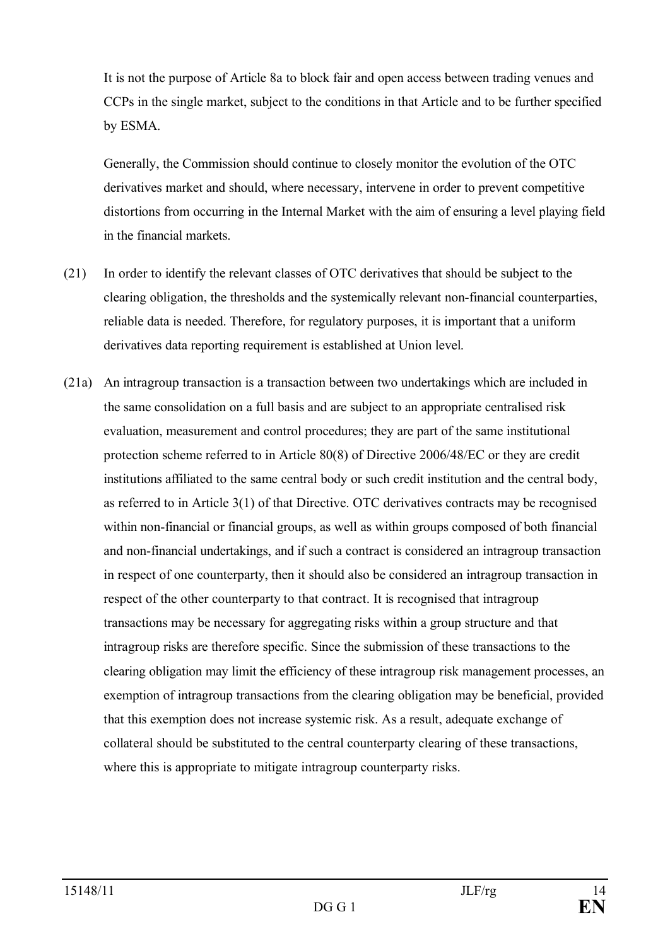It is not the purpose of Article 8a to block fair and open access between trading venues and CCPs in the single market, subject to the conditions in that Article and to be further specified by ESMA.

Generally, the Commission should continue to closely monitor the evolution of the OTC derivatives market and should, where necessary, intervene in order to prevent competitive distortions from occurring in the Internal Market with the aim of ensuring a level playing field in the financial markets.

- (21) In order to identify the relevant classes of OTC derivatives that should be subject to the clearing obligation, the thresholds and the systemically relevant non-financial counterparties, reliable data is needed. Therefore, for regulatory purposes, it is important that a uniform derivatives data reporting requirement is established at Union level.
- (21a) An intragroup transaction is a transaction between two undertakings which are included in the same consolidation on a full basis and are subject to an appropriate centralised risk evaluation, measurement and control procedures; they are part of the same institutional protection scheme referred to in Article 80(8) of Directive 2006/48/EC or they are credit institutions affiliated to the same central body or such credit institution and the central body, as referred to in Article 3(1) of that Directive. OTC derivatives contracts may be recognised within non-financial or financial groups, as well as within groups composed of both financial and non-financial undertakings, and if such a contract is considered an intragroup transaction in respect of one counterparty, then it should also be considered an intragroup transaction in respect of the other counterparty to that contract. It is recognised that intragroup transactions may be necessary for aggregating risks within a group structure and that intragroup risks are therefore specific. Since the submission of these transactions to the clearing obligation may limit the efficiency of these intragroup risk management processes, an exemption of intragroup transactions from the clearing obligation may be beneficial, provided that this exemption does not increase systemic risk. As a result, adequate exchange of collateral should be substituted to the central counterparty clearing of these transactions, where this is appropriate to mitigate intragroup counterparty risks.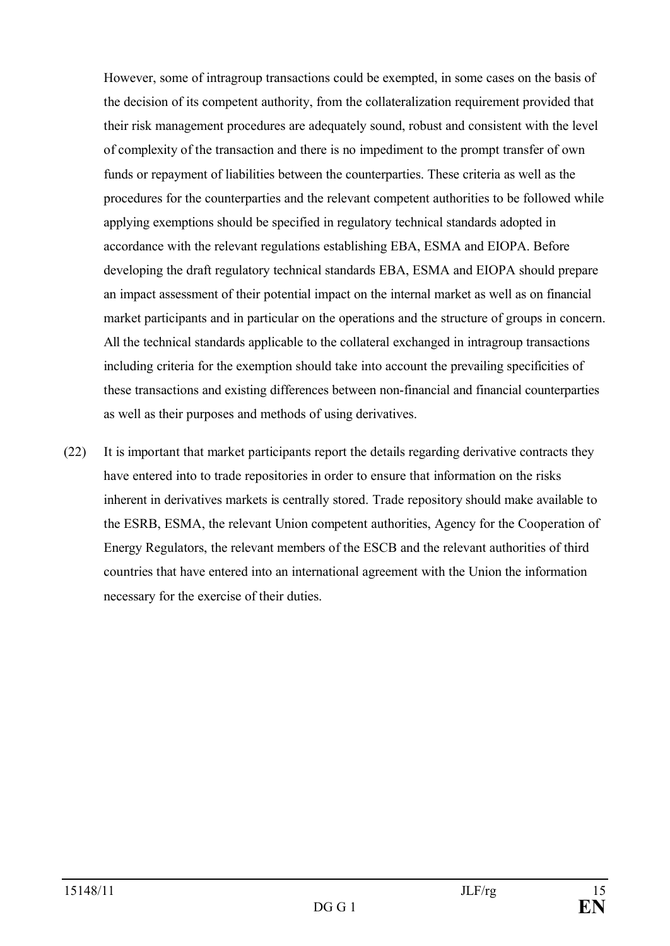However, some of intragroup transactions could be exempted, in some cases on the basis of the decision of its competent authority, from the collateralization requirement provided that their risk management procedures are adequately sound, robust and consistent with the level of complexity of the transaction and there is no impediment to the prompt transfer of own funds or repayment of liabilities between the counterparties. These criteria as well as the procedures for the counterparties and the relevant competent authorities to be followed while applying exemptions should be specified in regulatory technical standards adopted in accordance with the relevant regulations establishing EBA, ESMA and EIOPA. Before developing the draft regulatory technical standards EBA, ESMA and EIOPA should prepare an impact assessment of their potential impact on the internal market as well as on financial market participants and in particular on the operations and the structure of groups in concern. All the technical standards applicable to the collateral exchanged in intragroup transactions including criteria for the exemption should take into account the prevailing specificities of these transactions and existing differences between non-financial and financial counterparties as well as their purposes and methods of using derivatives.

(22) It is important that market participants report the details regarding derivative contracts they have entered into to trade repositories in order to ensure that information on the risks inherent in derivatives markets is centrally stored. Trade repository should make available to the ESRB, ESMA, the relevant Union competent authorities, Agency for the Cooperation of Energy Regulators, the relevant members of the ESCB and the relevant authorities of third countries that have entered into an international agreement with the Union the information necessary for the exercise of their duties.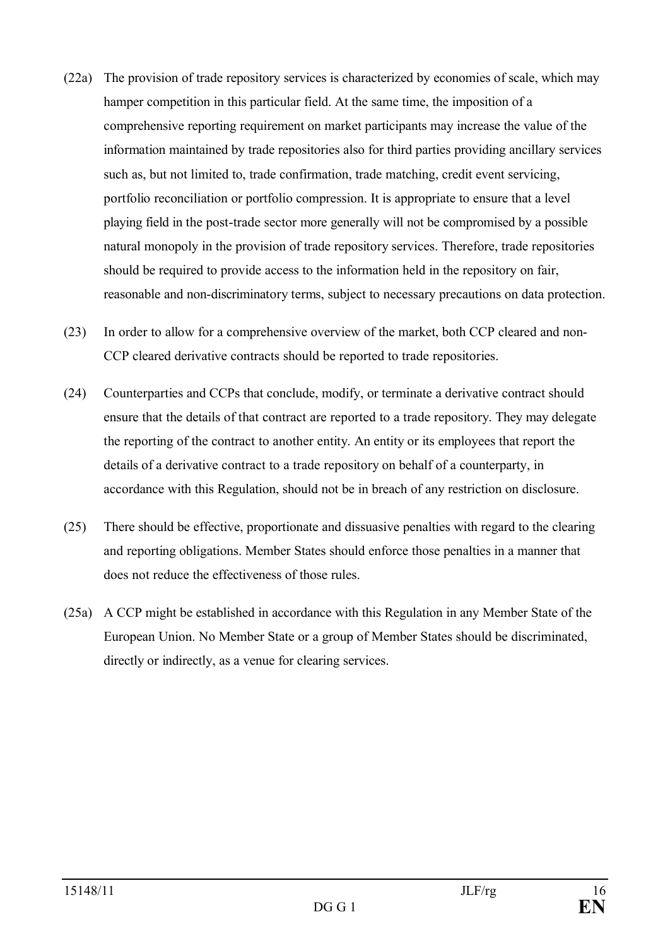- (22a) The provision of trade repository services is characterized by economies of scale, which may hamper competition in this particular field. At the same time, the imposition of a comprehensive reporting requirement on market participants may increase the value of the information maintained by trade repositories also for third parties providing ancillary services such as, but not limited to, trade confirmation, trade matching, credit event servicing, portfolio reconciliation or portfolio compression. It is appropriate to ensure that a level playing field in the post-trade sector more generally will not be compromised by a possible natural monopoly in the provision of trade repository services. Therefore, trade repositories should be required to provide access to the information held in the repository on fair, reasonable and non-discriminatory terms, subject to necessary precautions on data protection.
- (23) In order to allow for a comprehensive overview of the market, both CCP cleared and non-CCP cleared derivative contracts should be reported to trade repositories.
- (24) Counterparties and CCPs that conclude, modify, or terminate a derivative contract should ensure that the details of that contract are reported to a trade repository. They may delegate the reporting of the contract to another entity. An entity or its employees that report the details of a derivative contract to a trade repository on behalf of a counterparty, in accordance with this Regulation, should not be in breach of any restriction on disclosure.
- (25) There should be effective, proportionate and dissuasive penalties with regard to the clearing and reporting obligations. Member States should enforce those penalties in a manner that does not reduce the effectiveness of those rules.
- (25a) A CCP might be established in accordance with this Regulation in any Member State of the European Union. No Member State or a group of Member States should be discriminated, directly or indirectly, as a venue for clearing services.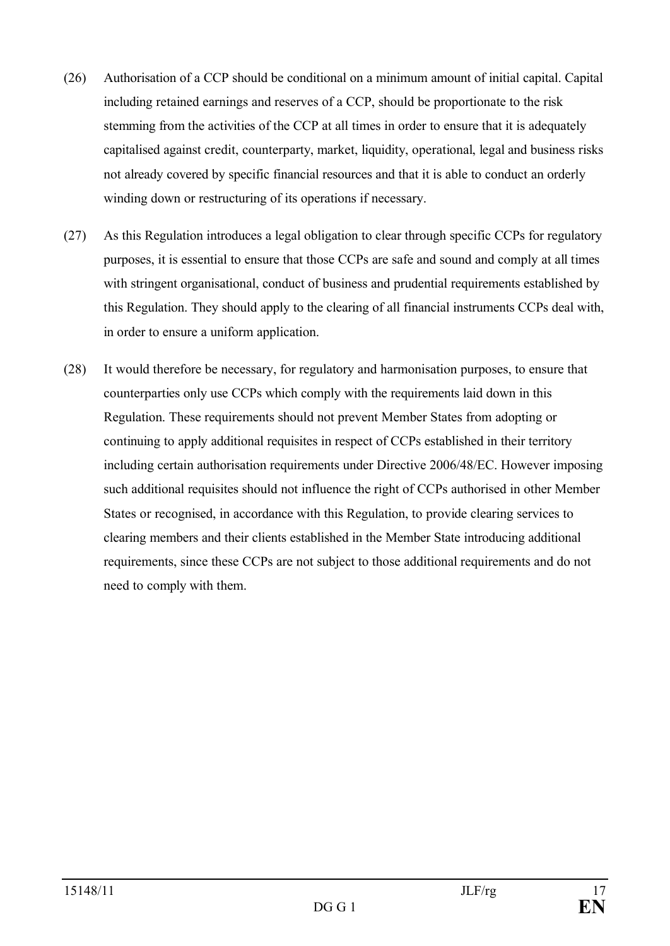- (26) Authorisation of a CCP should be conditional on a minimum amount of initial capital. Capital including retained earnings and reserves of a CCP, should be proportionate to the risk stemming from the activities of the CCP at all times in order to ensure that it is adequately capitalised against credit, counterparty, market, liquidity, operational, legal and business risks not already covered by specific financial resources and that it is able to conduct an orderly winding down or restructuring of its operations if necessary.
- (27) As this Regulation introduces a legal obligation to clear through specific CCPs for regulatory purposes, it is essential to ensure that those CCPs are safe and sound and comply at all times with stringent organisational, conduct of business and prudential requirements established by this Regulation. They should apply to the clearing of all financial instruments CCPs deal with, in order to ensure a uniform application.
- (28) It would therefore be necessary, for regulatory and harmonisation purposes, to ensure that counterparties only use CCPs which comply with the requirements laid down in this Regulation. These requirements should not prevent Member States from adopting or continuing to apply additional requisites in respect of CCPs established in their territory including certain authorisation requirements under Directive 2006/48/EC. However imposing such additional requisites should not influence the right of CCPs authorised in other Member States or recognised, in accordance with this Regulation, to provide clearing services to clearing members and their clients established in the Member State introducing additional requirements, since these CCPs are not subject to those additional requirements and do not need to comply with them.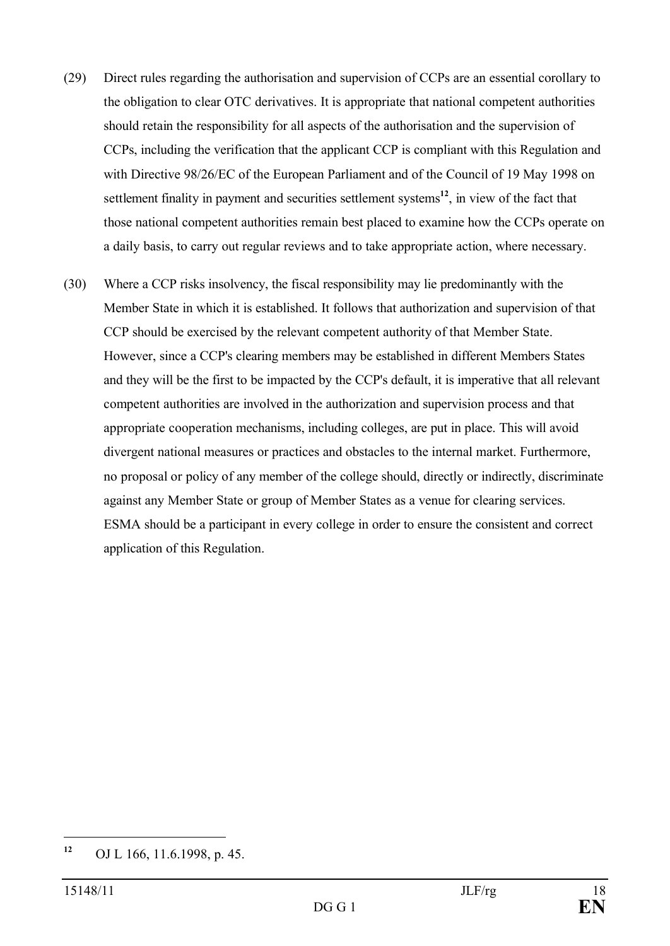- (29) Direct rules regarding the authorisation and supervision of CCPs are an essential corollary to the obligation to clear OTC derivatives. It is appropriate that national competent authorities should retain the responsibility for all aspects of the authorisation and the supervision of CCPs, including the verification that the applicant CCP is compliant with this Regulation and with Directive 98/26/EC of the European Parliament and of the Council of 19 May 1998 on settlement finality in payment and securities settlement systems<sup>12</sup>, in view of the fact that those national competent authorities remain best placed to examine how the CCPs operate on a daily basis, to carry out regular reviews and to take appropriate action, where necessary.
- (30) Where a CCP risks insolvency, the fiscal responsibility may lie predominantly with the Member State in which it is established. It follows that authorization and supervision of that CCP should be exercised by the relevant competent authority of that Member State. However, since a CCP's clearing members may be established in different Members States and they will be the first to be impacted by the CCP's default, it is imperative that all relevant competent authorities are involved in the authorization and supervision process and that appropriate cooperation mechanisms, including colleges, are put in place. This will avoid divergent national measures or practices and obstacles to the internal market. Furthermore, no proposal or policy of any member of the college should, directly or indirectly, discriminate against any Member State or group of Member States as a venue for clearing services. ESMA should be a participant in every college in order to ensure the consistent and correct application of this Regulation.

**<sup>12</sup>** OJ L 166, 11.6.1998, p. 45.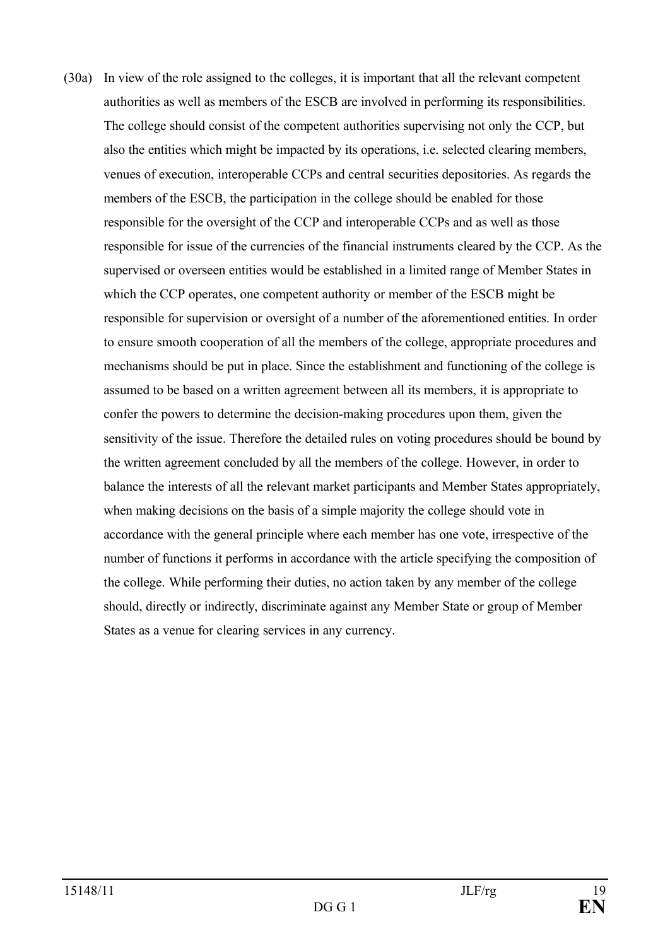(30a) In view of the role assigned to the colleges, it is important that all the relevant competent authorities as well as members of the ESCB are involved in performing its responsibilities. The college should consist of the competent authorities supervising not only the CCP, but also the entities which might be impacted by its operations, i.e. selected clearing members, venues of execution, interoperable CCPs and central securities depositories. As regards the members of the ESCB, the participation in the college should be enabled for those responsible for the oversight of the CCP and interoperable CCPs and as well as those responsible for issue of the currencies of the financial instruments cleared by the CCP. As the supervised or overseen entities would be established in a limited range of Member States in which the CCP operates, one competent authority or member of the ESCB might be responsible for supervision or oversight of a number of the aforementioned entities. In order to ensure smooth cooperation of all the members of the college, appropriate procedures and mechanisms should be put in place. Since the establishment and functioning of the college is assumed to be based on a written agreement between all its members, it is appropriate to confer the powers to determine the decision-making procedures upon them, given the sensitivity of the issue. Therefore the detailed rules on voting procedures should be bound by the written agreement concluded by all the members of the college. However, in order to balance the interests of all the relevant market participants and Member States appropriately, when making decisions on the basis of a simple majority the college should vote in accordance with the general principle where each member has one vote, irrespective of the number of functions it performs in accordance with the article specifying the composition of the college. While performing their duties, no action taken by any member of the college should, directly or indirectly, discriminate against any Member State or group of Member States as a venue for clearing services in any currency.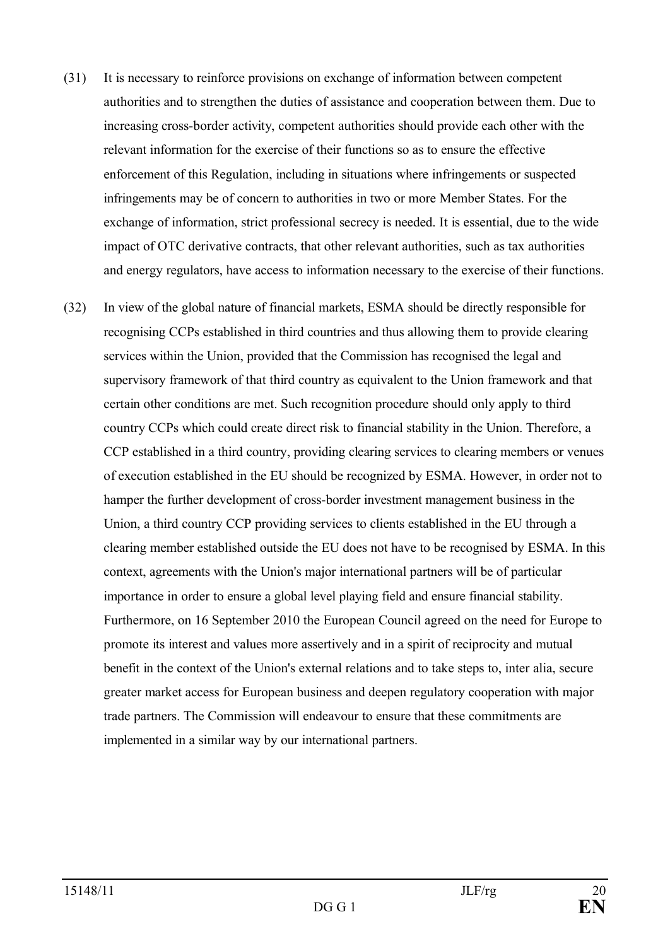- (31) It is necessary to reinforce provisions on exchange of information between competent authorities and to strengthen the duties of assistance and cooperation between them. Due to increasing cross-border activity, competent authorities should provide each other with the relevant information for the exercise of their functions so as to ensure the effective enforcement of this Regulation, including in situations where infringements or suspected infringements may be of concern to authorities in two or more Member States. For the exchange of information, strict professional secrecy is needed. It is essential, due to the wide impact of OTC derivative contracts, that other relevant authorities, such as tax authorities and energy regulators, have access to information necessary to the exercise of their functions.
- (32) In view of the global nature of financial markets, ESMA should be directly responsible for recognising CCPs established in third countries and thus allowing them to provide clearing services within the Union, provided that the Commission has recognised the legal and supervisory framework of that third country as equivalent to the Union framework and that certain other conditions are met. Such recognition procedure should only apply to third country CCPs which could create direct risk to financial stability in the Union. Therefore, a CCP established in a third country, providing clearing services to clearing members or venues of execution established in the EU should be recognized by ESMA. However, in order not to hamper the further development of cross-border investment management business in the Union, a third country CCP providing services to clients established in the EU through a clearing member established outside the EU does not have to be recognised by ESMA. In this context, agreements with the Union's major international partners will be of particular importance in order to ensure a global level playing field and ensure financial stability. Furthermore, on 16 September 2010 the European Council agreed on the need for Europe to promote its interest and values more assertively and in a spirit of reciprocity and mutual benefit in the context of the Union's external relations and to take steps to, inter alia, secure greater market access for European business and deepen regulatory cooperation with major trade partners. The Commission will endeavour to ensure that these commitments are implemented in a similar way by our international partners.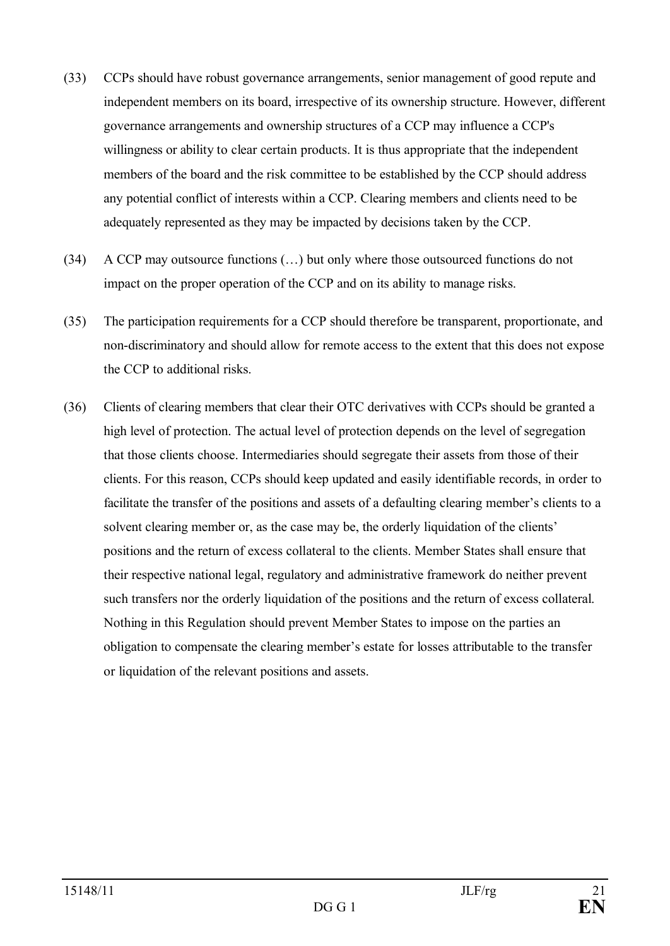- (33) CCPs should have robust governance arrangements, senior management of good repute and independent members on its board, irrespective of its ownership structure. However, different governance arrangements and ownership structures of a CCP may influence a CCP's willingness or ability to clear certain products. It is thus appropriate that the independent members of the board and the risk committee to be established by the CCP should address any potential conflict of interests within a CCP. Clearing members and clients need to be adequately represented as they may be impacted by decisions taken by the CCP.
- (34) A CCP may outsource functions (…) but only where those outsourced functions do not impact on the proper operation of the CCP and on its ability to manage risks.
- (35) The participation requirements for a CCP should therefore be transparent, proportionate, and non-discriminatory and should allow for remote access to the extent that this does not expose the CCP to additional risks.
- (36) Clients of clearing members that clear their OTC derivatives with CCPs should be granted a high level of protection. The actual level of protection depends on the level of segregation that those clients choose. Intermediaries should segregate their assets from those of their clients. For this reason, CCPs should keep updated and easily identifiable records, in order to facilitate the transfer of the positions and assets of a defaulting clearing member's clients to a solvent clearing member or, as the case may be, the orderly liquidation of the clients' positions and the return of excess collateral to the clients. Member States shall ensure that their respective national legal, regulatory and administrative framework do neither prevent such transfers nor the orderly liquidation of the positions and the return of excess collateral. Nothing in this Regulation should prevent Member States to impose on the parties an obligation to compensate the clearing member's estate for losses attributable to the transfer or liquidation of the relevant positions and assets.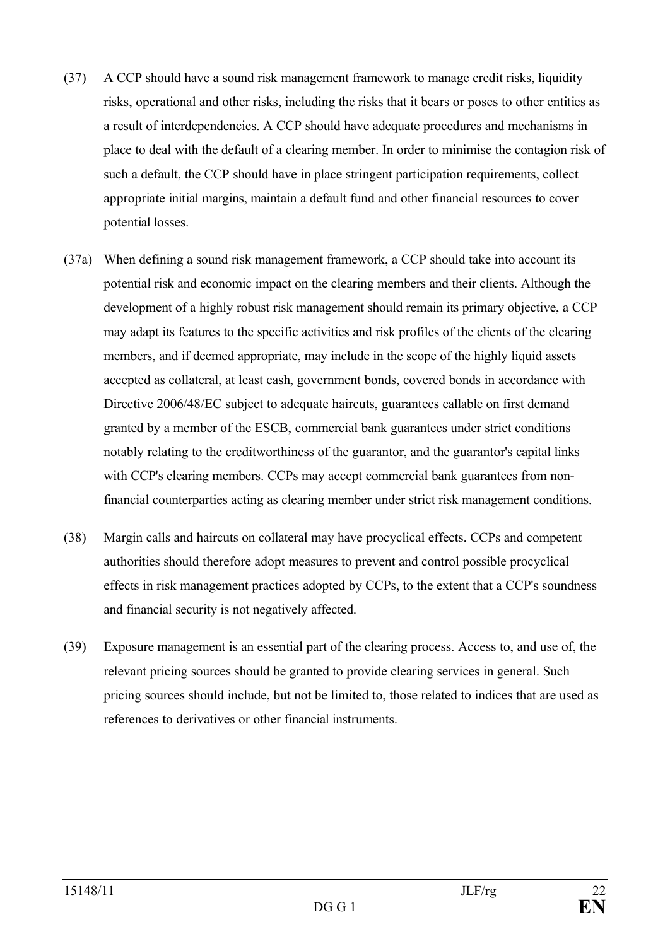- (37) A CCP should have a sound risk management framework to manage credit risks, liquidity risks, operational and other risks, including the risks that it bears or poses to other entities as a result of interdependencies. A CCP should have adequate procedures and mechanisms in place to deal with the default of a clearing member. In order to minimise the contagion risk of such a default, the CCP should have in place stringent participation requirements, collect appropriate initial margins, maintain a default fund and other financial resources to cover potential losses.
- (37a) When defining a sound risk management framework, a CCP should take into account its potential risk and economic impact on the clearing members and their clients. Although the development of a highly robust risk management should remain its primary objective, a CCP may adapt its features to the specific activities and risk profiles of the clients of the clearing members, and if deemed appropriate, may include in the scope of the highly liquid assets accepted as collateral, at least cash, government bonds, covered bonds in accordance with Directive 2006/48/EC subject to adequate haircuts, guarantees callable on first demand granted by a member of the ESCB, commercial bank guarantees under strict conditions notably relating to the creditworthiness of the guarantor, and the guarantor's capital links with CCP's clearing members. CCPs may accept commercial bank guarantees from nonfinancial counterparties acting as clearing member under strict risk management conditions.
- (38) Margin calls and haircuts on collateral may have procyclical effects. CCPs and competent authorities should therefore adopt measures to prevent and control possible procyclical effects in risk management practices adopted by CCPs, to the extent that a CCP's soundness and financial security is not negatively affected.
- (39) Exposure management is an essential part of the clearing process. Access to, and use of, the relevant pricing sources should be granted to provide clearing services in general. Such pricing sources should include, but not be limited to, those related to indices that are used as references to derivatives or other financial instruments.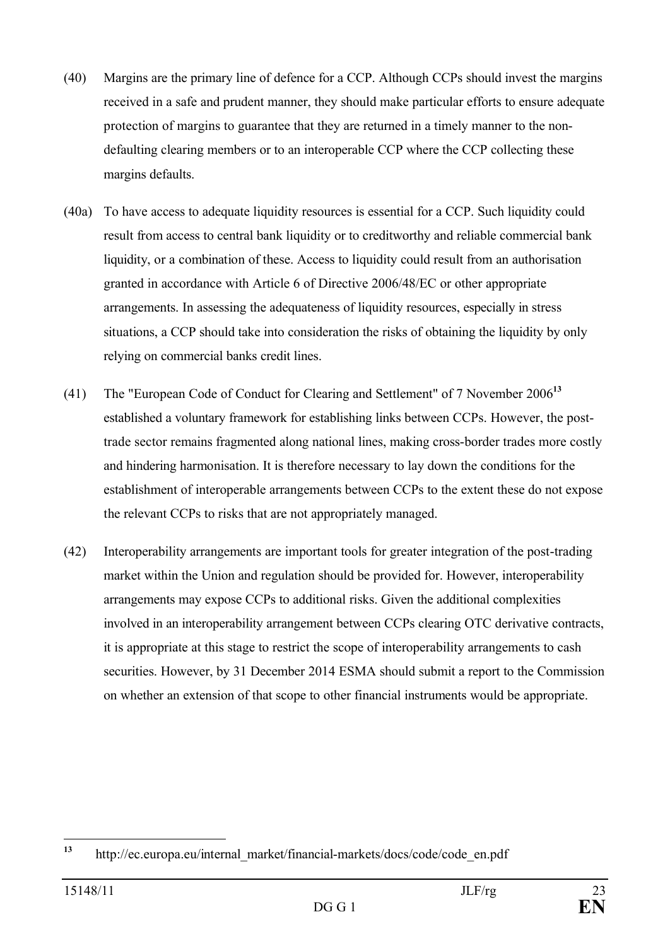- (40) Margins are the primary line of defence for a CCP. Although CCPs should invest the margins received in a safe and prudent manner, they should make particular efforts to ensure adequate protection of margins to guarantee that they are returned in a timely manner to the nondefaulting clearing members or to an interoperable CCP where the CCP collecting these margins defaults.
- (40a) To have access to adequate liquidity resources is essential for a CCP. Such liquidity could result from access to central bank liquidity or to creditworthy and reliable commercial bank liquidity, or a combination of these. Access to liquidity could result from an authorisation granted in accordance with Article 6 of Directive 2006/48/EC or other appropriate arrangements. In assessing the adequateness of liquidity resources, especially in stress situations, a CCP should take into consideration the risks of obtaining the liquidity by only relying on commercial banks credit lines.
- (41) The "European Code of Conduct for Clearing and Settlement" of 7 November 2006**<sup>13</sup>** established a voluntary framework for establishing links between CCPs. However, the posttrade sector remains fragmented along national lines, making cross-border trades more costly and hindering harmonisation. It is therefore necessary to lay down the conditions for the establishment of interoperable arrangements between CCPs to the extent these do not expose the relevant CCPs to risks that are not appropriately managed.
- (42) Interoperability arrangements are important tools for greater integration of the post-trading market within the Union and regulation should be provided for. However, interoperability arrangements may expose CCPs to additional risks. Given the additional complexities involved in an interoperability arrangement between CCPs clearing OTC derivative contracts, it is appropriate at this stage to restrict the scope of interoperability arrangements to cash securities. However, by 31 December 2014 ESMA should submit a report to the Commission on whether an extension of that scope to other financial instruments would be appropriate.

**<sup>13</sup>** http://ec.europa.eu/internal\_market/financial-markets/docs/code/code\_en.pdf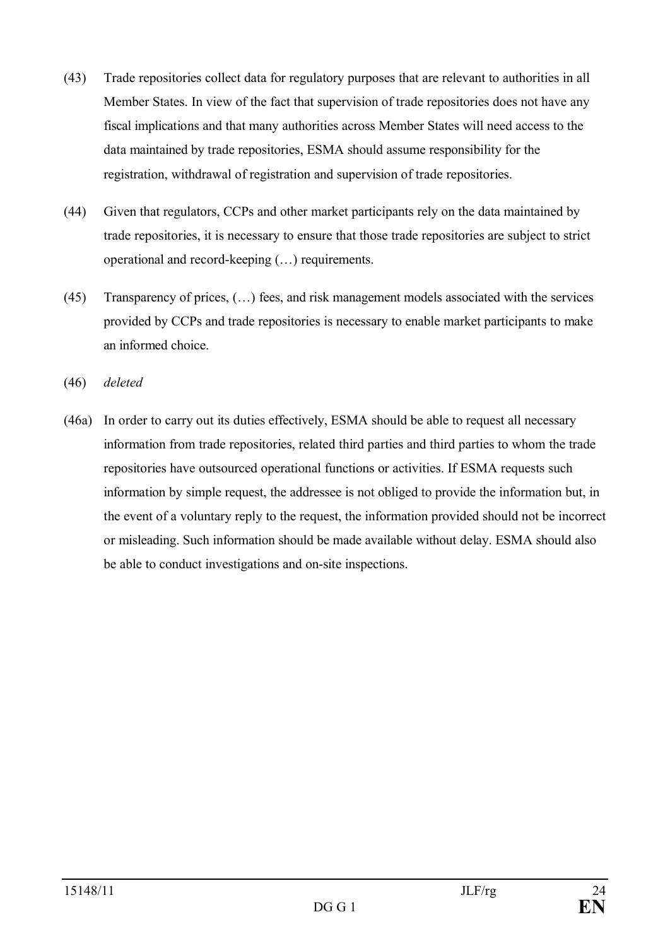- (43) Trade repositories collect data for regulatory purposes that are relevant to authorities in all Member States. In view of the fact that supervision of trade repositories does not have any fiscal implications and that many authorities across Member States will need access to the data maintained by trade repositories, ESMA should assume responsibility for the registration, withdrawal of registration and supervision of trade repositories.
- (44) Given that regulators, CCPs and other market participants rely on the data maintained by trade repositories, it is necessary to ensure that those trade repositories are subject to strict operational and record-keeping (…) requirements.
- (45) Transparency of prices, (…) fees, and risk management models associated with the services provided by CCPs and trade repositories is necessary to enable market participants to make an informed choice.
- (46) *deleted*
- (46a) In order to carry out its duties effectively, ESMA should be able to request all necessary information from trade repositories, related third parties and third parties to whom the trade repositories have outsourced operational functions or activities. If ESMA requests such information by simple request, the addressee is not obliged to provide the information but, in the event of a voluntary reply to the request, the information provided should not be incorrect or misleading. Such information should be made available without delay. ESMA should also be able to conduct investigations and on-site inspections.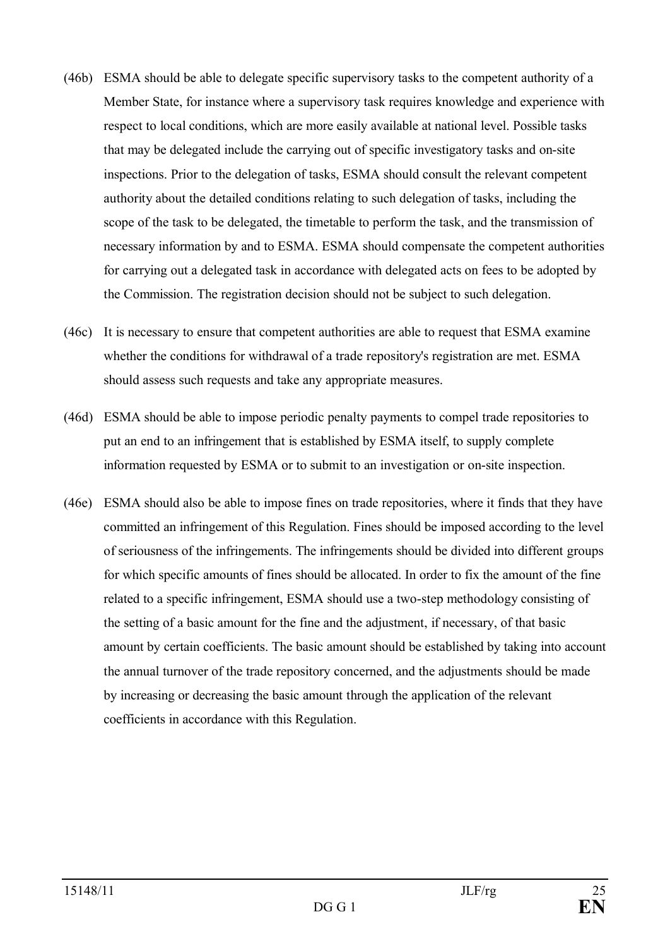- (46b) ESMA should be able to delegate specific supervisory tasks to the competent authority of a Member State, for instance where a supervisory task requires knowledge and experience with respect to local conditions, which are more easily available at national level. Possible tasks that may be delegated include the carrying out of specific investigatory tasks and on-site inspections. Prior to the delegation of tasks, ESMA should consult the relevant competent authority about the detailed conditions relating to such delegation of tasks, including the scope of the task to be delegated, the timetable to perform the task, and the transmission of necessary information by and to ESMA. ESMA should compensate the competent authorities for carrying out a delegated task in accordance with delegated acts on fees to be adopted by the Commission. The registration decision should not be subject to such delegation.
- (46c) It is necessary to ensure that competent authorities are able to request that ESMA examine whether the conditions for withdrawal of a trade repository's registration are met. ESMA should assess such requests and take any appropriate measures.
- (46d) ESMA should be able to impose periodic penalty payments to compel trade repositories to put an end to an infringement that is established by ESMA itself, to supply complete information requested by ESMA or to submit to an investigation or on-site inspection.
- (46e) ESMA should also be able to impose fines on trade repositories, where it finds that they have committed an infringement of this Regulation. Fines should be imposed according to the level of seriousness of the infringements. The infringements should be divided into different groups for which specific amounts of fines should be allocated. In order to fix the amount of the fine related to a specific infringement, ESMA should use a two-step methodology consisting of the setting of a basic amount for the fine and the adjustment, if necessary, of that basic amount by certain coefficients. The basic amount should be established by taking into account the annual turnover of the trade repository concerned, and the adjustments should be made by increasing or decreasing the basic amount through the application of the relevant coefficients in accordance with this Regulation.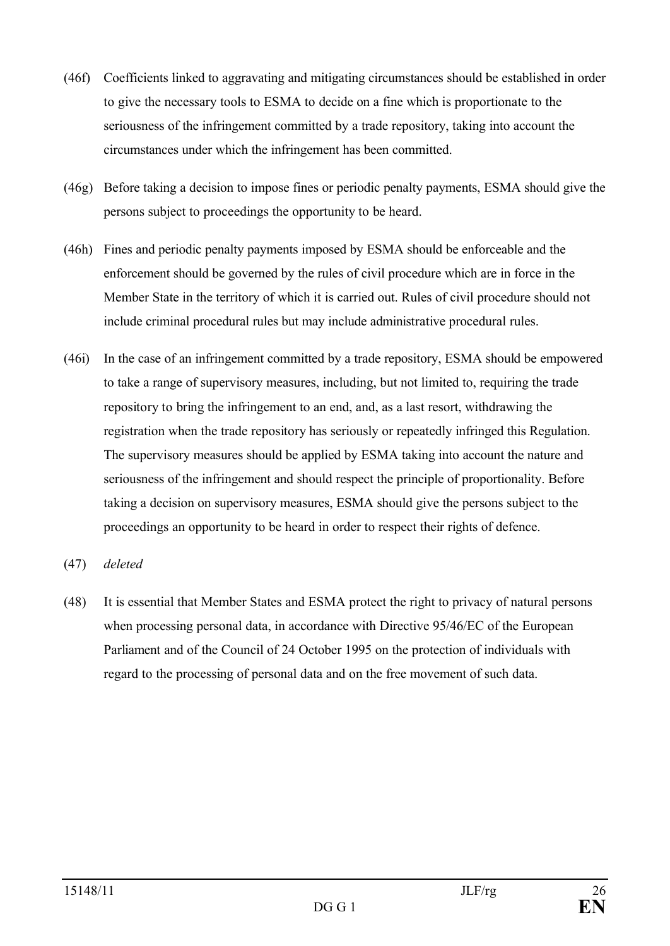- (46f) Coefficients linked to aggravating and mitigating circumstances should be established in order to give the necessary tools to ESMA to decide on a fine which is proportionate to the seriousness of the infringement committed by a trade repository, taking into account the circumstances under which the infringement has been committed.
- (46g) Before taking a decision to impose fines or periodic penalty payments, ESMA should give the persons subject to proceedings the opportunity to be heard.
- (46h) Fines and periodic penalty payments imposed by ESMA should be enforceable and the enforcement should be governed by the rules of civil procedure which are in force in the Member State in the territory of which it is carried out. Rules of civil procedure should not include criminal procedural rules but may include administrative procedural rules.
- (46i) In the case of an infringement committed by a trade repository, ESMA should be empowered to take a range of supervisory measures, including, but not limited to, requiring the trade repository to bring the infringement to an end, and, as a last resort, withdrawing the registration when the trade repository has seriously or repeatedly infringed this Regulation. The supervisory measures should be applied by ESMA taking into account the nature and seriousness of the infringement and should respect the principle of proportionality. Before taking a decision on supervisory measures, ESMA should give the persons subject to the proceedings an opportunity to be heard in order to respect their rights of defence.

### (47) *deleted*

(48) It is essential that Member States and ESMA protect the right to privacy of natural persons when processing personal data, in accordance with Directive 95/46/EC of the European Parliament and of the Council of 24 October 1995 on the protection of individuals with regard to the processing of personal data and on the free movement of such data.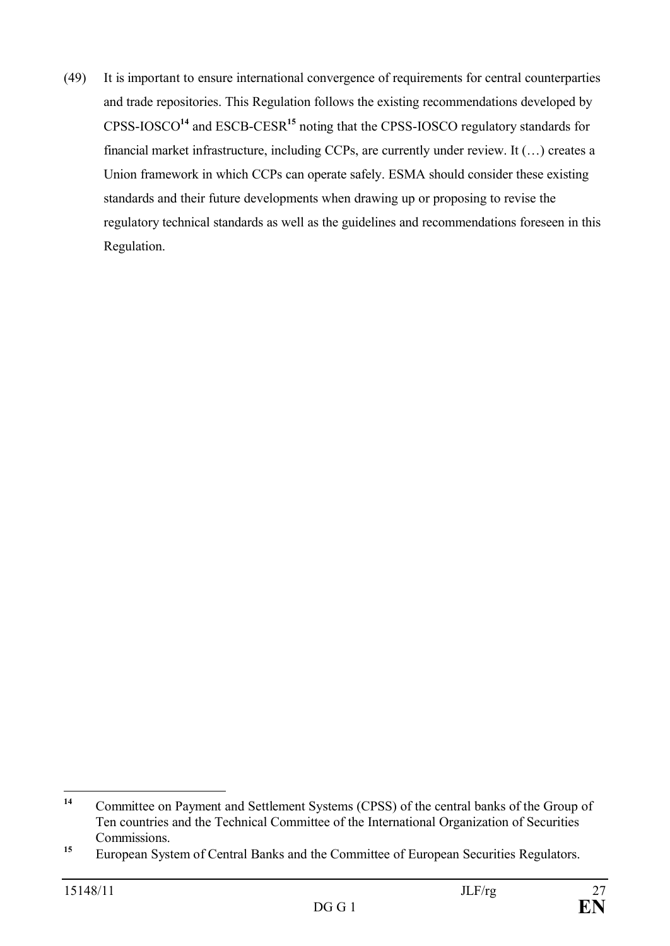(49) It is important to ensure international convergence of requirements for central counterparties and trade repositories. This Regulation follows the existing recommendations developed by CPSS-IOSCO**<sup>14</sup>** and ESCB-CESR**<sup>15</sup>** noting that the CPSS-IOSCO regulatory standards for financial market infrastructure, including CCPs, are currently under review. It (…) creates a Union framework in which CCPs can operate safely. ESMA should consider these existing standards and their future developments when drawing up or proposing to revise the regulatory technical standards as well as the guidelines and recommendations foreseen in this Regulation.

**<sup>14</sup>** Committee on Payment and Settlement Systems (CPSS) of the central banks of the Group of Ten countries and the Technical Committee of the International Organization of Securities Commissions.

<sup>&</sup>lt;sup>15</sup> European System of Central Banks and the Committee of European Securities Regulators.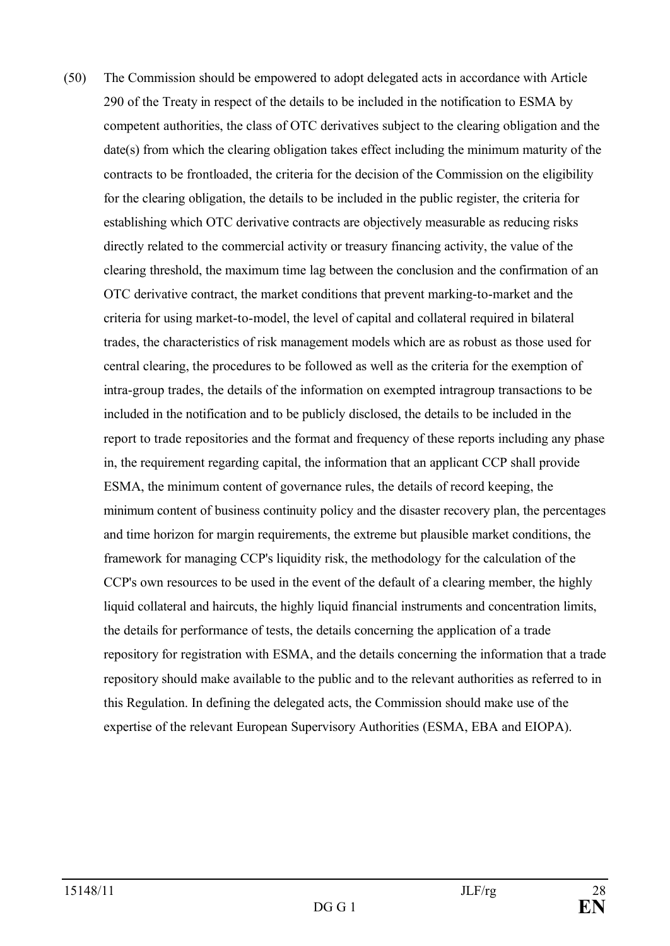(50) The Commission should be empowered to adopt delegated acts in accordance with Article 290 of the Treaty in respect of the details to be included in the notification to ESMA by competent authorities, the class of OTC derivatives subject to the clearing obligation and the date(s) from which the clearing obligation takes effect including the minimum maturity of the contracts to be frontloaded, the criteria for the decision of the Commission on the eligibility for the clearing obligation, the details to be included in the public register, the criteria for establishing which OTC derivative contracts are objectively measurable as reducing risks directly related to the commercial activity or treasury financing activity, the value of the clearing threshold, the maximum time lag between the conclusion and the confirmation of an OTC derivative contract, the market conditions that prevent marking-to-market and the criteria for using market-to-model, the level of capital and collateral required in bilateral trades, the characteristics of risk management models which are as robust as those used for central clearing, the procedures to be followed as well as the criteria for the exemption of intra-group trades, the details of the information on exempted intragroup transactions to be included in the notification and to be publicly disclosed, the details to be included in the report to trade repositories and the format and frequency of these reports including any phase in, the requirement regarding capital, the information that an applicant CCP shall provide ESMA, the minimum content of governance rules, the details of record keeping, the minimum content of business continuity policy and the disaster recovery plan, the percentages and time horizon for margin requirements, the extreme but plausible market conditions, the framework for managing CCP's liquidity risk, the methodology for the calculation of the CCP's own resources to be used in the event of the default of a clearing member, the highly liquid collateral and haircuts, the highly liquid financial instruments and concentration limits, the details for performance of tests, the details concerning the application of a trade repository for registration with ESMA, and the details concerning the information that a trade repository should make available to the public and to the relevant authorities as referred to in this Regulation. In defining the delegated acts, the Commission should make use of the expertise of the relevant European Supervisory Authorities (ESMA, EBA and EIOPA).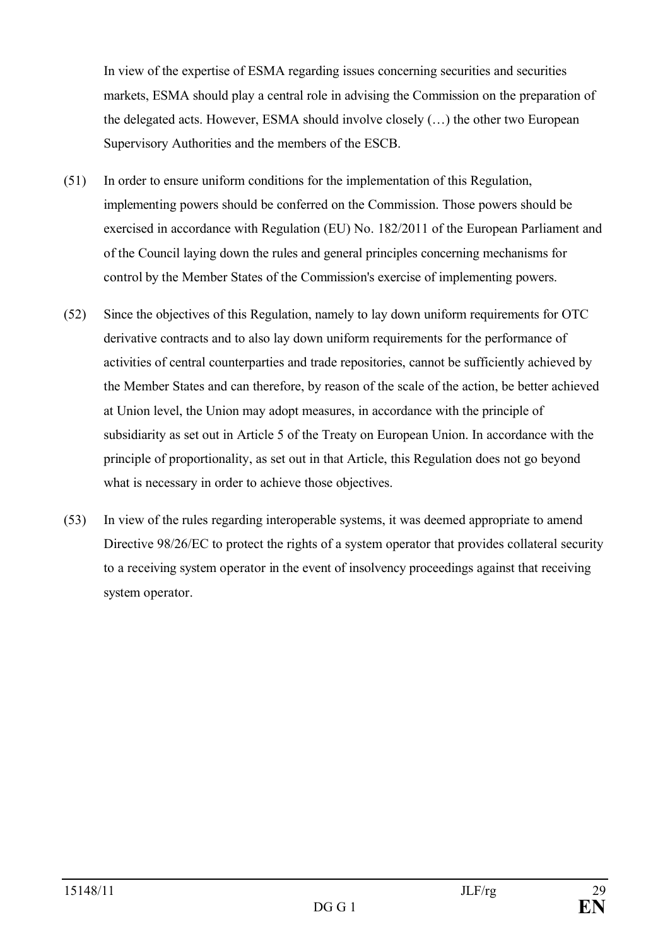In view of the expertise of ESMA regarding issues concerning securities and securities markets, ESMA should play a central role in advising the Commission on the preparation of the delegated acts. However, ESMA should involve closely (…) the other two European Supervisory Authorities and the members of the ESCB.

- (51) In order to ensure uniform conditions for the implementation of this Regulation, implementing powers should be conferred on the Commission. Those powers should be exercised in accordance with Regulation (EU) No. 182/2011 of the European Parliament and of the Council laying down the rules and general principles concerning mechanisms for control by the Member States of the Commission's exercise of implementing powers.
- (52) Since the objectives of this Regulation, namely to lay down uniform requirements for OTC derivative contracts and to also lay down uniform requirements for the performance of activities of central counterparties and trade repositories, cannot be sufficiently achieved by the Member States and can therefore, by reason of the scale of the action, be better achieved at Union level, the Union may adopt measures, in accordance with the principle of subsidiarity as set out in Article 5 of the Treaty on European Union. In accordance with the principle of proportionality, as set out in that Article, this Regulation does not go beyond what is necessary in order to achieve those objectives.
- (53) In view of the rules regarding interoperable systems, it was deemed appropriate to amend Directive 98/26/EC to protect the rights of a system operator that provides collateral security to a receiving system operator in the event of insolvency proceedings against that receiving system operator.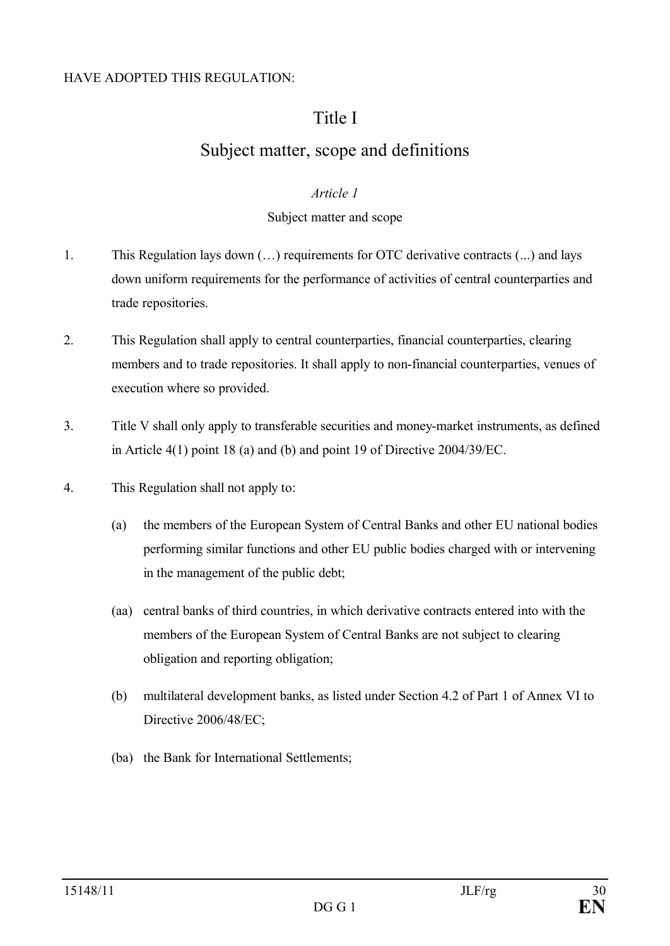### HAVE ADOPTED THIS REGULATION:

## Title I

# Subject matter, scope and definitions

### *Article 1*

### Subject matter and scope

- 1. This Regulation lays down (…) requirements for OTC derivative contracts (...) and lays down uniform requirements for the performance of activities of central counterparties and trade repositories.
- 2. This Regulation shall apply to central counterparties, financial counterparties, clearing members and to trade repositories. It shall apply to non-financial counterparties, venues of execution where so provided.
- 3. Title V shall only apply to transferable securities and money-market instruments, as defined in Article 4(1) point 18 (a) and (b) and point 19 of Directive 2004/39/EC.
- 4. This Regulation shall not apply to:
	- (a) the members of the European System of Central Banks and other EU national bodies performing similar functions and other EU public bodies charged with or intervening in the management of the public debt;
	- (aa) central banks of third countries, in which derivative contracts entered into with the members of the European System of Central Banks are not subject to clearing obligation and reporting obligation;
	- (b) multilateral development banks, as listed under Section 4.2 of Part 1 of Annex VI to Directive 2006/48/EC;
	- (ba) the Bank for International Settlements;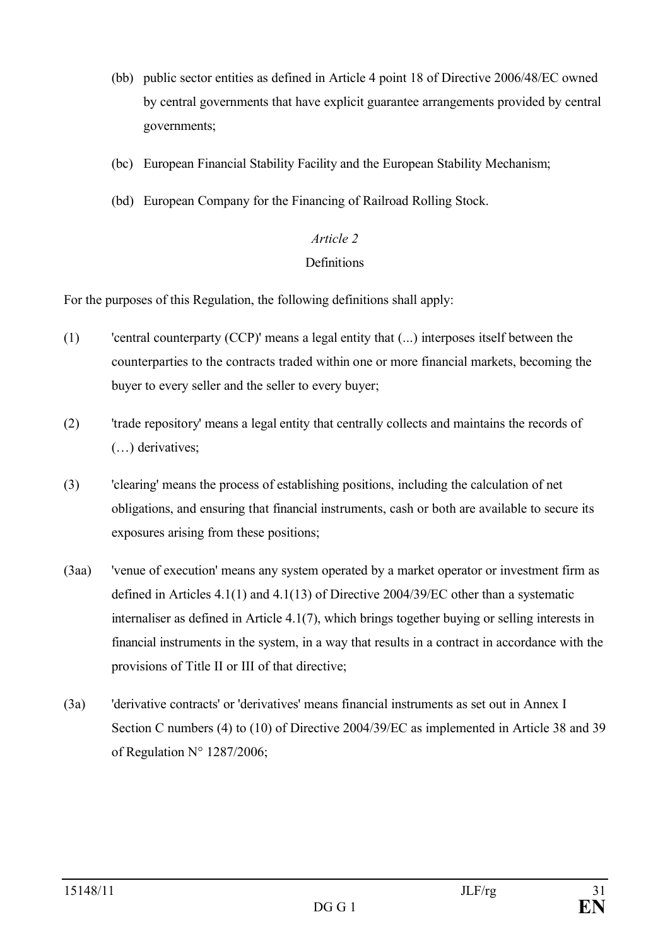- (bb) public sector entities as defined in Article 4 point 18 of Directive 2006/48/EC owned by central governments that have explicit guarantee arrangements provided by central governments;
- (bc) European Financial Stability Facility and the European Stability Mechanism;
- (bd) European Company for the Financing of Railroad Rolling Stock.

# *Article 2*

## **Definitions**

For the purposes of this Regulation, the following definitions shall apply:

- (1) 'central counterparty (CCP)' means a legal entity that (...) interposes itself between the counterparties to the contracts traded within one or more financial markets, becoming the buyer to every seller and the seller to every buyer;
- (2) 'trade repository' means a legal entity that centrally collects and maintains the records of (…) derivatives;
- (3) 'clearing' means the process of establishing positions, including the calculation of net obligations, and ensuring that financial instruments, cash or both are available to secure its exposures arising from these positions;
- (3aa) 'venue of execution' means any system operated by a market operator or investment firm as defined in Articles 4.1(1) and 4.1(13) of Directive 2004/39/EC other than a systematic internaliser as defined in Article 4.1(7), which brings together buying or selling interests in financial instruments in the system, in a way that results in a contract in accordance with the provisions of Title II or III of that directive;
- (3a) 'derivative contracts' or 'derivatives' means financial instruments as set out in Annex I Section C numbers (4) to (10) of Directive 2004/39/EC as implemented in Article 38 and 39 of Regulation N° 1287/2006;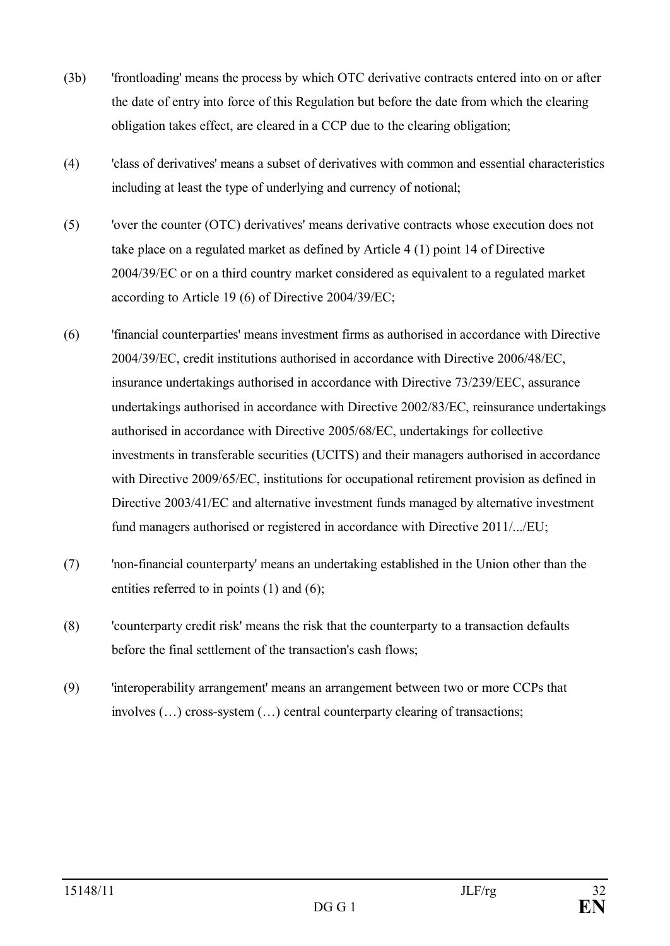- (3b) 'frontloading' means the process by which OTC derivative contracts entered into on or after the date of entry into force of this Regulation but before the date from which the clearing obligation takes effect, are cleared in a CCP due to the clearing obligation;
- (4) 'class of derivatives' means a subset of derivatives with common and essential characteristics including at least the type of underlying and currency of notional;
- (5) 'over the counter (OTC) derivatives' means derivative contracts whose execution does not take place on a regulated market as defined by Article 4 (1) point 14 of Directive 2004/39/EC or on a third country market considered as equivalent to a regulated market according to Article 19 (6) of Directive 2004/39/EC;
- (6) 'financial counterparties' means investment firms as authorised in accordance with Directive 2004/39/EC, credit institutions authorised in accordance with Directive 2006/48/EC, insurance undertakings authorised in accordance with Directive 73/239/EEC, assurance undertakings authorised in accordance with Directive 2002/83/EC, reinsurance undertakings authorised in accordance with Directive 2005/68/EC, undertakings for collective investments in transferable securities (UCITS) and their managers authorised in accordance with Directive 2009/65/EC, institutions for occupational retirement provision as defined in Directive 2003/41/EC and alternative investment funds managed by alternative investment fund managers authorised or registered in accordance with Directive 2011/.../EU;
- (7) 'non-financial counterparty' means an undertaking established in the Union other than the entities referred to in points (1) and (6);
- (8) 'counterparty credit risk' means the risk that the counterparty to a transaction defaults before the final settlement of the transaction's cash flows;
- (9) 'interoperability arrangement' means an arrangement between two or more CCPs that involves (…) cross-system (…) central counterparty clearing of transactions;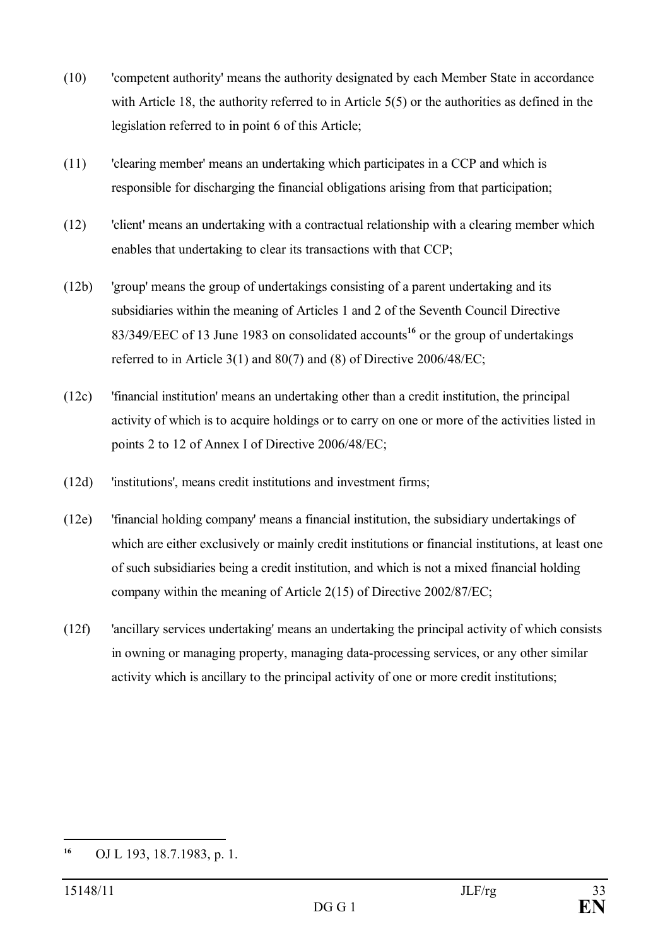- (10) 'competent authority' means the authority designated by each Member State in accordance with Article 18, the authority referred to in Article 5(5) or the authorities as defined in the legislation referred to in point 6 of this Article;
- (11) 'clearing member' means an undertaking which participates in a CCP and which is responsible for discharging the financial obligations arising from that participation;
- (12) 'client' means an undertaking with a contractual relationship with a clearing member which enables that undertaking to clear its transactions with that CCP;
- (12b) 'group' means the group of undertakings consisting of a parent undertaking and its subsidiaries within the meaning of Articles 1 and 2 of the Seventh Council Directive 83/349/EEC of 13 June 1983 on consolidated accounts**<sup>16</sup>** or the group of undertakings referred to in Article 3(1) and 80(7) and (8) of Directive 2006/48/EC;
- (12c) 'financial institution' means an undertaking other than a credit institution, the principal activity of which is to acquire holdings or to carry on one or more of the activities listed in points 2 to 12 of Annex I of Directive 2006/48/EC;
- (12d) 'institutions', means credit institutions and investment firms;
- (12e) 'financial holding company' means a financial institution, the subsidiary undertakings of which are either exclusively or mainly credit institutions or financial institutions, at least one of such subsidiaries being a credit institution, and which is not a mixed financial holding company within the meaning of Article 2(15) of Directive 2002/87/EC;
- (12f) 'ancillary services undertaking' means an undertaking the principal activity of which consists in owning or managing property, managing data-processing services, or any other similar activity which is ancillary to the principal activity of one or more credit institutions;

**<sup>16</sup>** OJ L 193, 18.7.1983, p. 1.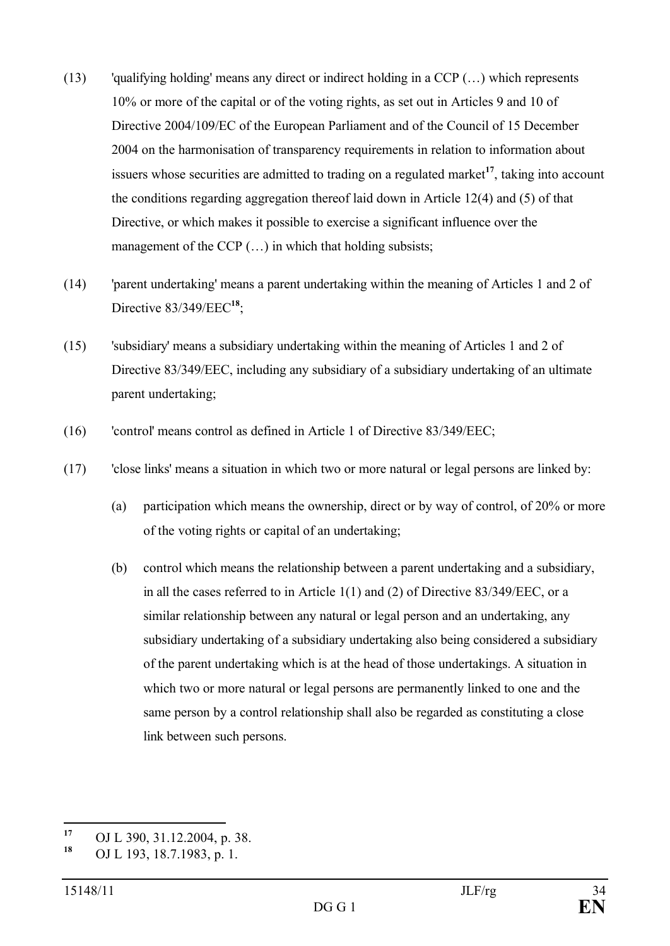- (13) 'qualifying holding' means any direct or indirect holding in a CCP (…) which represents 10% or more of the capital or of the voting rights, as set out in Articles 9 and 10 of Directive 2004/109/EC of the European Parliament and of the Council of 15 December 2004 on the harmonisation of transparency requirements in relation to information about issuers whose securities are admitted to trading on a regulated market**<sup>17</sup>**, taking into account the conditions regarding aggregation thereof laid down in Article 12(4) and (5) of that Directive, or which makes it possible to exercise a significant influence over the management of the CCP  $(...)$  in which that holding subsists;
- (14) 'parent undertaking' means a parent undertaking within the meaning of Articles 1 and 2 of Directive 83/349/EEC**<sup>18</sup>**;
- (15) 'subsidiary' means a subsidiary undertaking within the meaning of Articles 1 and 2 of Directive 83/349/EEC, including any subsidiary of a subsidiary undertaking of an ultimate parent undertaking;
- (16) 'control' means control as defined in Article 1 of Directive 83/349/EEC;
- (17) 'close links' means a situation in which two or more natural or legal persons are linked by:
	- (a) participation which means the ownership, direct or by way of control, of 20% or more of the voting rights or capital of an undertaking;
	- (b) control which means the relationship between a parent undertaking and a subsidiary, in all the cases referred to in Article 1(1) and (2) of Directive 83/349/EEC, or a similar relationship between any natural or legal person and an undertaking, any subsidiary undertaking of a subsidiary undertaking also being considered a subsidiary of the parent undertaking which is at the head of those undertakings. A situation in which two or more natural or legal persons are permanently linked to one and the same person by a control relationship shall also be regarded as constituting a close link between such persons.

**<sup>17</sup>** OJ L 390, 31.12.2004, p. 38.

**<sup>18</sup>** OJ L 193, 18.7.1983, p. 1.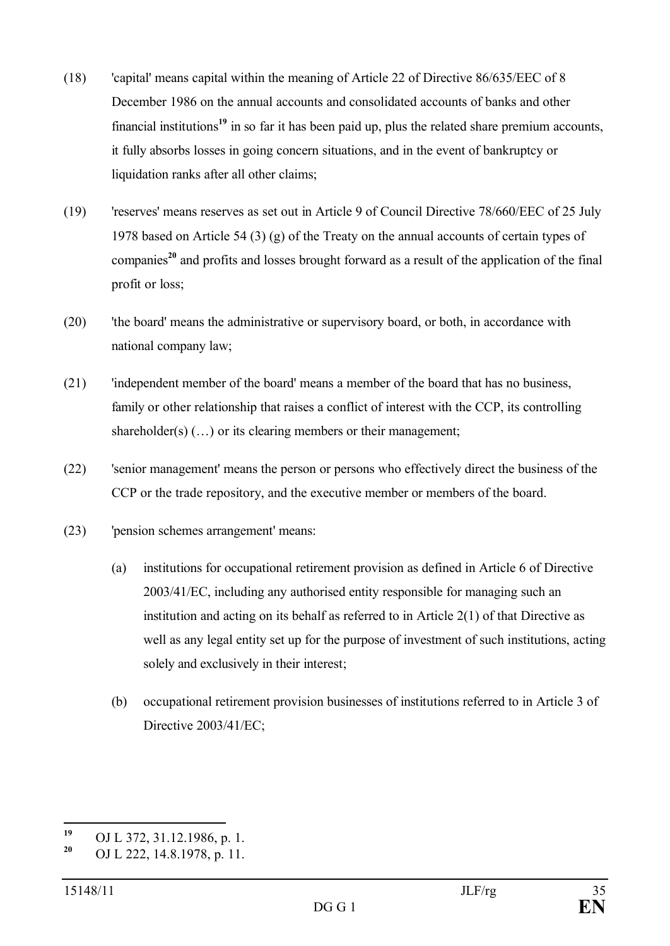- (18) 'capital' means capital within the meaning of Article 22 of Directive 86/635/EEC of 8 December 1986 on the annual accounts and consolidated accounts of banks and other financial institutions**<sup>19</sup>** in so far it has been paid up, plus the related share premium accounts, it fully absorbs losses in going concern situations, and in the event of bankruptcy or liquidation ranks after all other claims;
- (19) 'reserves' means reserves as set out in Article 9 of Council Directive 78/660/EEC of 25 July 1978 based on Article 54 (3) (g) of the Treaty on the annual accounts of certain types of companies**<sup>20</sup>** and profits and losses brought forward as a result of the application of the final profit or loss;
- (20) 'the board' means the administrative or supervisory board, or both, in accordance with national company law;
- (21) 'independent member of the board' means a member of the board that has no business, family or other relationship that raises a conflict of interest with the CCP, its controlling shareholder(s)  $(...)$  or its clearing members or their management;
- (22) 'senior management' means the person or persons who effectively direct the business of the CCP or the trade repository, and the executive member or members of the board.
- (23) 'pension schemes arrangement' means:
	- (a) institutions for occupational retirement provision as defined in Article 6 of Directive 2003/41/EC, including any authorised entity responsible for managing such an institution and acting on its behalf as referred to in Article 2(1) of that Directive as well as any legal entity set up for the purpose of investment of such institutions, acting solely and exclusively in their interest;
	- (b) occupational retirement provision businesses of institutions referred to in Article 3 of Directive 2003/41/EC;

**<sup>19</sup>** OJ L 372, 31.12.1986, p. 1.

**<sup>20</sup>** OJ L 222, 14.8.1978, p. 11.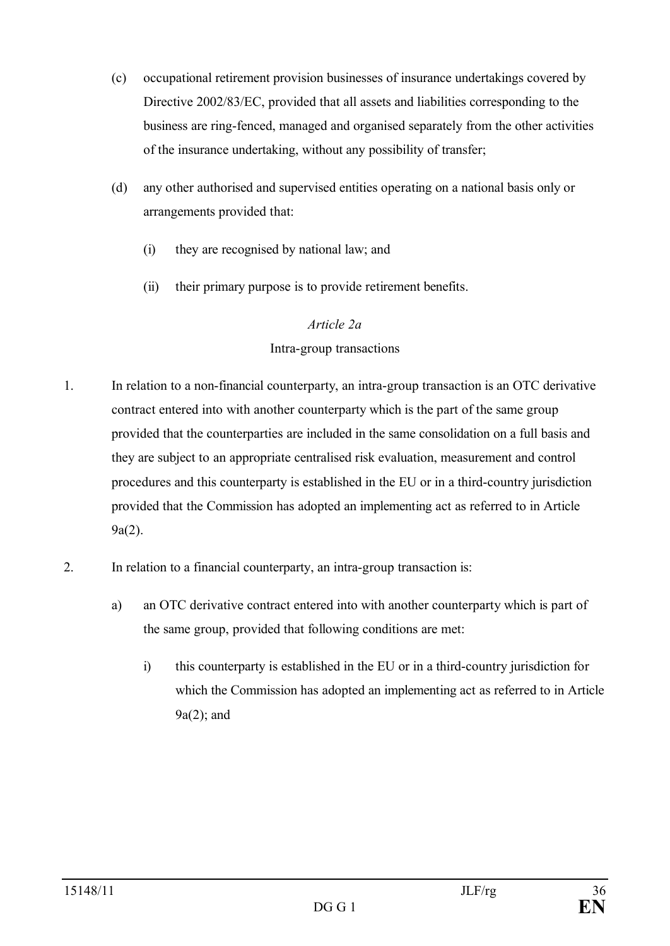- (c) occupational retirement provision businesses of insurance undertakings covered by Directive 2002/83/EC, provided that all assets and liabilities corresponding to the business are ring-fenced, managed and organised separately from the other activities of the insurance undertaking, without any possibility of transfer;
- (d) any other authorised and supervised entities operating on a national basis only or arrangements provided that:
	- (i) they are recognised by national law; and
	- (ii) their primary purpose is to provide retirement benefits.

## *Article 2a*

## Intra-group transactions

- 1. In relation to a non-financial counterparty, an intra-group transaction is an OTC derivative contract entered into with another counterparty which is the part of the same group provided that the counterparties are included in the same consolidation on a full basis and they are subject to an appropriate centralised risk evaluation, measurement and control procedures and this counterparty is established in the EU or in a third-country jurisdiction provided that the Commission has adopted an implementing act as referred to in Article 9a(2).
- 2. In relation to a financial counterparty, an intra-group transaction is:
	- a) an OTC derivative contract entered into with another counterparty which is part of the same group, provided that following conditions are met:
		- i) this counterparty is established in the EU or in a third-country jurisdiction for which the Commission has adopted an implementing act as referred to in Article 9a(2); and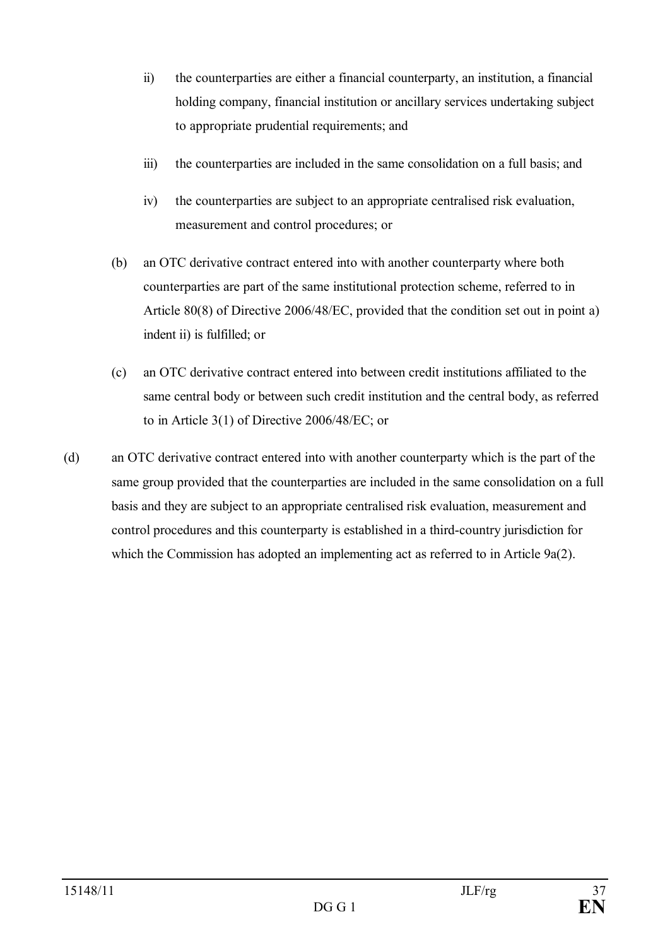- ii) the counterparties are either a financial counterparty, an institution, a financial holding company, financial institution or ancillary services undertaking subject to appropriate prudential requirements; and
- iii) the counterparties are included in the same consolidation on a full basis; and
- iv) the counterparties are subject to an appropriate centralised risk evaluation, measurement and control procedures; or
- (b) an OTC derivative contract entered into with another counterparty where both counterparties are part of the same institutional protection scheme, referred to in Article 80(8) of Directive 2006/48/EC, provided that the condition set out in point a) indent ii) is fulfilled; or
- (c) an OTC derivative contract entered into between credit institutions affiliated to the same central body or between such credit institution and the central body, as referred to in Article 3(1) of Directive 2006/48/EC; or
- (d) an OTC derivative contract entered into with another counterparty which is the part of the same group provided that the counterparties are included in the same consolidation on a full basis and they are subject to an appropriate centralised risk evaluation, measurement and control procedures and this counterparty is established in a third-country jurisdiction for which the Commission has adopted an implementing act as referred to in Article 9a(2).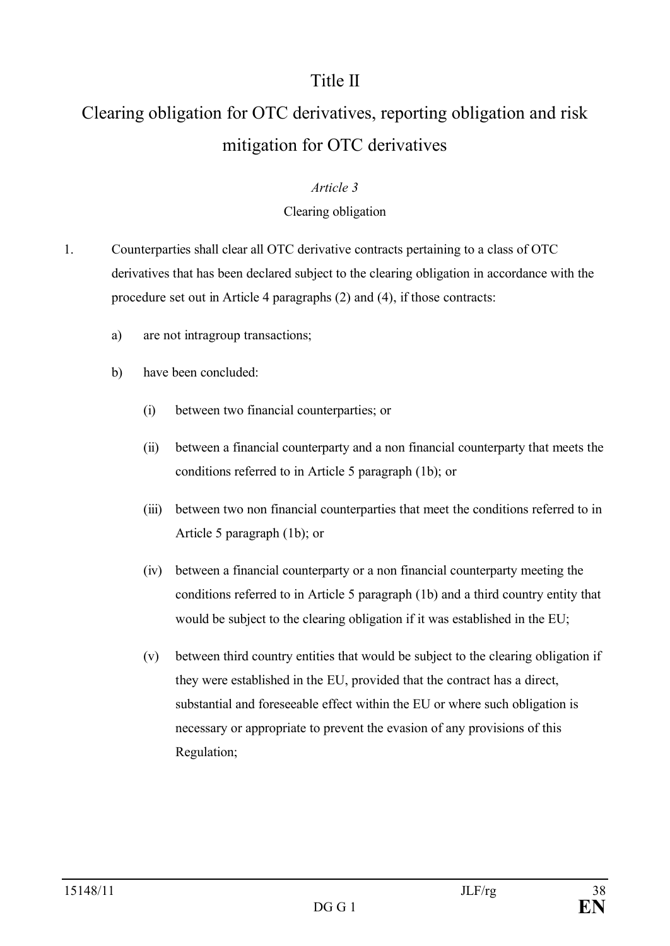# Title II

# Clearing obligation for OTC derivatives, reporting obligation and risk mitigation for OTC derivatives

#### *Article 3*

### Clearing obligation

- 1. Counterparties shall clear all OTC derivative contracts pertaining to a class of OTC derivatives that has been declared subject to the clearing obligation in accordance with the procedure set out in Article 4 paragraphs (2) and (4), if those contracts:
	- a) are not intragroup transactions;
	- b) have been concluded:
		- (i) between two financial counterparties; or
		- (ii) between a financial counterparty and a non financial counterparty that meets the conditions referred to in Article 5 paragraph (1b); or
		- (iii) between two non financial counterparties that meet the conditions referred to in Article 5 paragraph (1b); or
		- (iv) between a financial counterparty or a non financial counterparty meeting the conditions referred to in Article 5 paragraph (1b) and a third country entity that would be subject to the clearing obligation if it was established in the EU;
		- (v) between third country entities that would be subject to the clearing obligation if they were established in the EU, provided that the contract has a direct, substantial and foreseeable effect within the EU or where such obligation is necessary or appropriate to prevent the evasion of any provisions of this Regulation;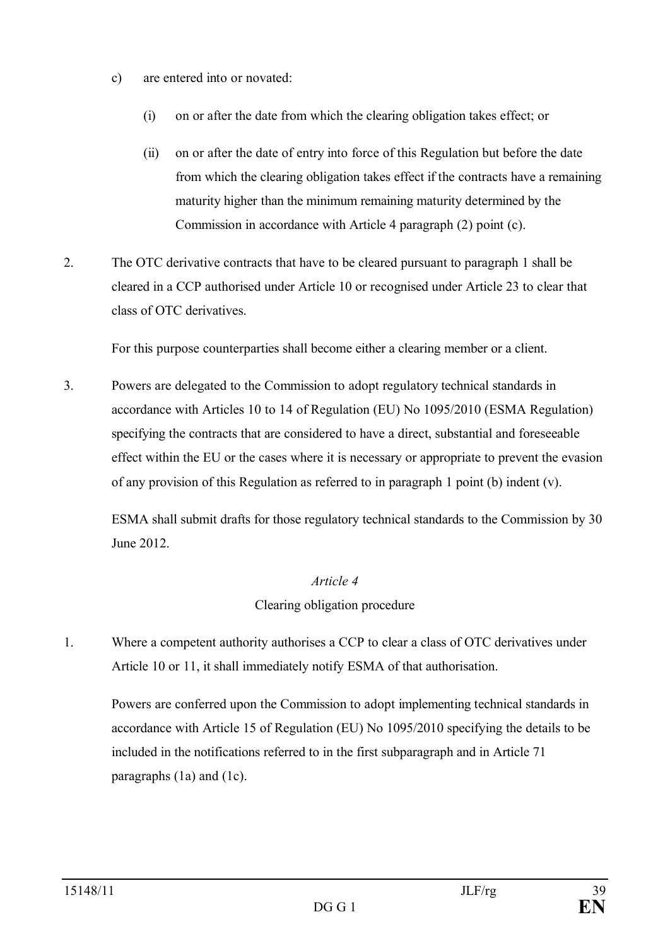- c) are entered into or novated:
	- (i) on or after the date from which the clearing obligation takes effect; or
	- (ii) on or after the date of entry into force of this Regulation but before the date from which the clearing obligation takes effect if the contracts have a remaining maturity higher than the minimum remaining maturity determined by the Commission in accordance with Article 4 paragraph (2) point (c).
- 2. The OTC derivative contracts that have to be cleared pursuant to paragraph 1 shall be cleared in a CCP authorised under Article 10 or recognised under Article 23 to clear that class of OTC derivatives.

For this purpose counterparties shall become either a clearing member or a client.

3. Powers are delegated to the Commission to adopt regulatory technical standards in accordance with Articles 10 to 14 of Regulation (EU) No 1095/2010 (ESMA Regulation) specifying the contracts that are considered to have a direct, substantial and foreseeable effect within the EU or the cases where it is necessary or appropriate to prevent the evasion of any provision of this Regulation as referred to in paragraph 1 point (b) indent (v).

ESMA shall submit drafts for those regulatory technical standards to the Commission by 30 June 2012.

#### *Article 4*

Clearing obligation procedure

1. Where a competent authority authorises a CCP to clear a class of OTC derivatives under Article 10 or 11, it shall immediately notify ESMA of that authorisation.

Powers are conferred upon the Commission to adopt implementing technical standards in accordance with Article 15 of Regulation (EU) No 1095/2010 specifying the details to be included in the notifications referred to in the first subparagraph and in Article 71 paragraphs (1a) and (1c).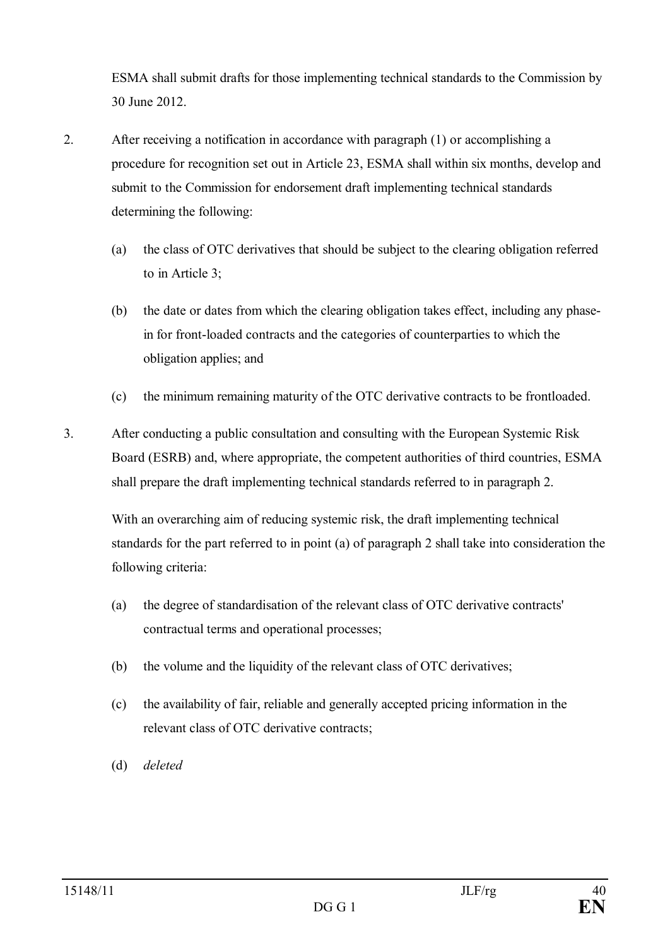ESMA shall submit drafts for those implementing technical standards to the Commission by 30 June 2012.

- 2. After receiving a notification in accordance with paragraph (1) or accomplishing a procedure for recognition set out in Article 23, ESMA shall within six months, develop and submit to the Commission for endorsement draft implementing technical standards determining the following:
	- (a) the class of OTC derivatives that should be subject to the clearing obligation referred to in Article 3;
	- (b) the date or dates from which the clearing obligation takes effect, including any phasein for front-loaded contracts and the categories of counterparties to which the obligation applies; and
	- (c) the minimum remaining maturity of the OTC derivative contracts to be frontloaded.
- 3. After conducting a public consultation and consulting with the European Systemic Risk Board (ESRB) and, where appropriate, the competent authorities of third countries, ESMA shall prepare the draft implementing technical standards referred to in paragraph 2.

With an overarching aim of reducing systemic risk, the draft implementing technical standards for the part referred to in point (a) of paragraph 2 shall take into consideration the following criteria:

- (a) the degree of standardisation of the relevant class of OTC derivative contracts' contractual terms and operational processes;
- (b) the volume and the liquidity of the relevant class of OTC derivatives;
- (c) the availability of fair, reliable and generally accepted pricing information in the relevant class of OTC derivative contracts;
- (d) *deleted*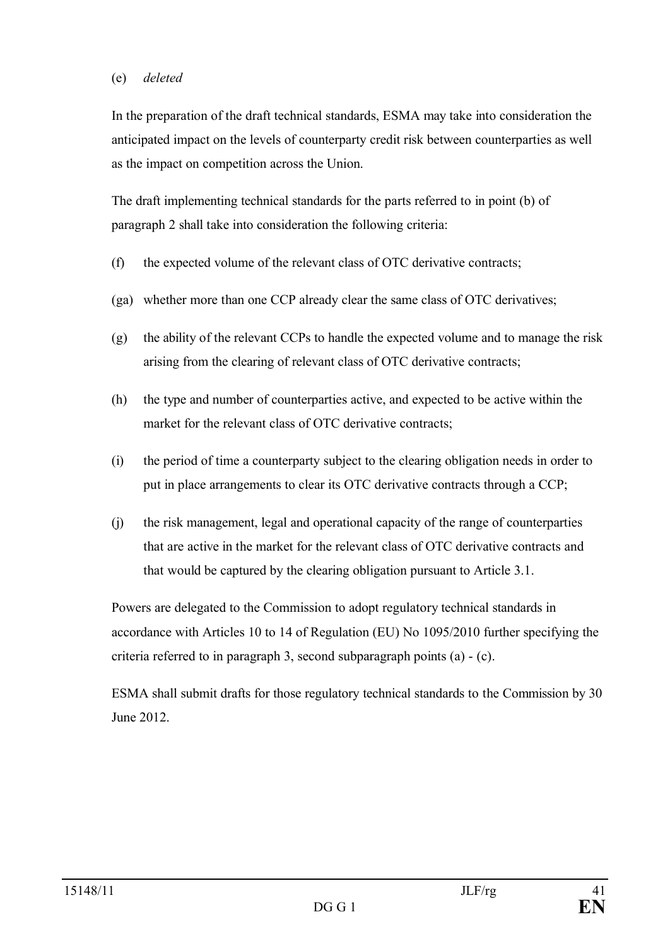#### (e) *deleted*

In the preparation of the draft technical standards, ESMA may take into consideration the anticipated impact on the levels of counterparty credit risk between counterparties as well as the impact on competition across the Union.

The draft implementing technical standards for the parts referred to in point (b) of paragraph 2 shall take into consideration the following criteria:

- (f) the expected volume of the relevant class of OTC derivative contracts;
- (ga) whether more than one CCP already clear the same class of OTC derivatives;
- (g) the ability of the relevant CCPs to handle the expected volume and to manage the risk arising from the clearing of relevant class of OTC derivative contracts;
- (h) the type and number of counterparties active, and expected to be active within the market for the relevant class of OTC derivative contracts;
- (i) the period of time a counterparty subject to the clearing obligation needs in order to put in place arrangements to clear its OTC derivative contracts through a CCP;
- (j) the risk management, legal and operational capacity of the range of counterparties that are active in the market for the relevant class of OTC derivative contracts and that would be captured by the clearing obligation pursuant to Article 3.1.

Powers are delegated to the Commission to adopt regulatory technical standards in accordance with Articles 10 to 14 of Regulation (EU) No 1095/2010 further specifying the criteria referred to in paragraph 3, second subparagraph points (a) - (c).

ESMA shall submit drafts for those regulatory technical standards to the Commission by 30 June 2012.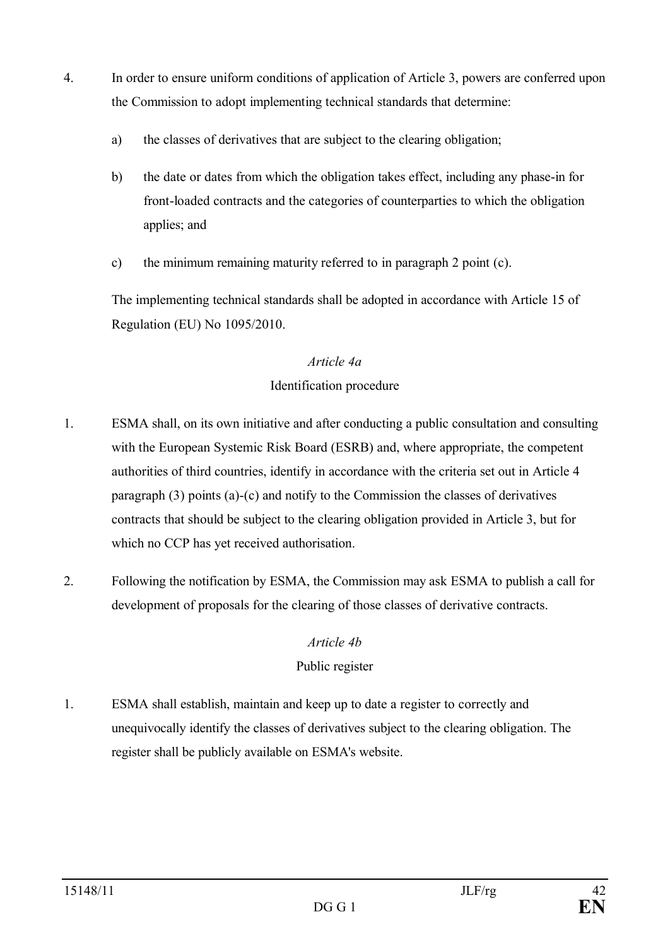- 4. In order to ensure uniform conditions of application of Article 3, powers are conferred upon the Commission to adopt implementing technical standards that determine:
	- a) the classes of derivatives that are subject to the clearing obligation;
	- b) the date or dates from which the obligation takes effect, including any phase-in for front-loaded contracts and the categories of counterparties to which the obligation applies; and
	- c) the minimum remaining maturity referred to in paragraph 2 point (c).

The implementing technical standards shall be adopted in accordance with Article 15 of Regulation (EU) No 1095/2010.

### *Article 4a*

## Identification procedure

- 1. ESMA shall, on its own initiative and after conducting a public consultation and consulting with the European Systemic Risk Board (ESRB) and, where appropriate, the competent authorities of third countries, identify in accordance with the criteria set out in Article 4 paragraph (3) points (a)-(c) and notify to the Commission the classes of derivatives contracts that should be subject to the clearing obligation provided in Article 3, but for which no CCP has yet received authorisation.
- 2. Following the notification by ESMA, the Commission may ask ESMA to publish a call for development of proposals for the clearing of those classes of derivative contracts.

## *Article 4b*

## Public register

1. ESMA shall establish, maintain and keep up to date a register to correctly and unequivocally identify the classes of derivatives subject to the clearing obligation. The register shall be publicly available on ESMA's website.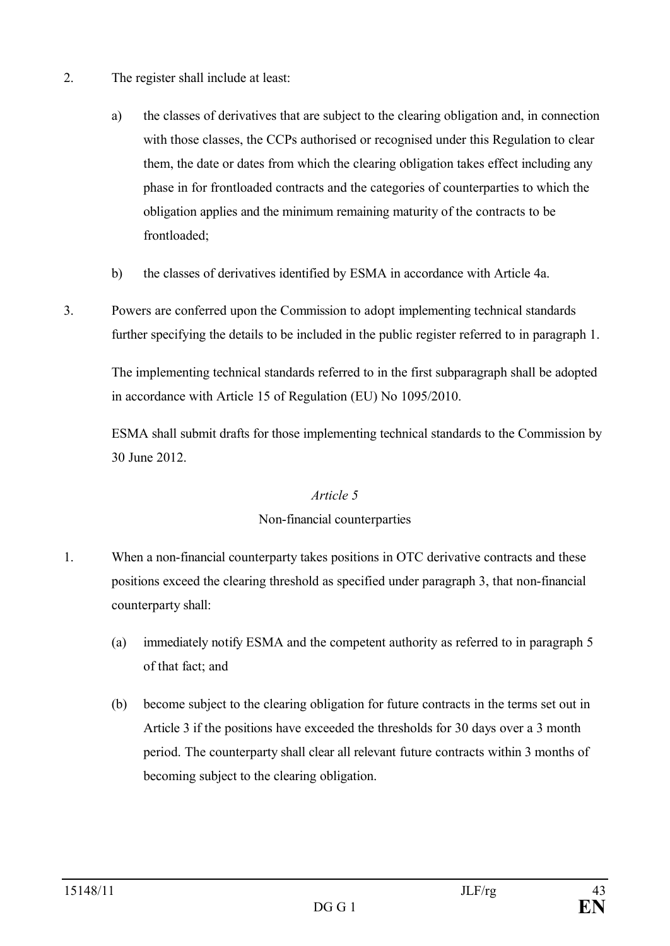- 2. The register shall include at least:
	- a) the classes of derivatives that are subject to the clearing obligation and, in connection with those classes, the CCPs authorised or recognised under this Regulation to clear them, the date or dates from which the clearing obligation takes effect including any phase in for frontloaded contracts and the categories of counterparties to which the obligation applies and the minimum remaining maturity of the contracts to be frontloaded;
	- b) the classes of derivatives identified by ESMA in accordance with Article 4a.
- 3. Powers are conferred upon the Commission to adopt implementing technical standards further specifying the details to be included in the public register referred to in paragraph 1.

The implementing technical standards referred to in the first subparagraph shall be adopted in accordance with Article 15 of Regulation (EU) No 1095/2010.

ESMA shall submit drafts for those implementing technical standards to the Commission by 30 June 2012.

#### *Article 5*

#### Non-financial counterparties

- 1. When a non-financial counterparty takes positions in OTC derivative contracts and these positions exceed the clearing threshold as specified under paragraph 3, that non-financial counterparty shall:
	- (a) immediately notify ESMA and the competent authority as referred to in paragraph 5 of that fact; and
	- (b) become subject to the clearing obligation for future contracts in the terms set out in Article 3 if the positions have exceeded the thresholds for 30 days over a 3 month period. The counterparty shall clear all relevant future contracts within 3 months of becoming subject to the clearing obligation.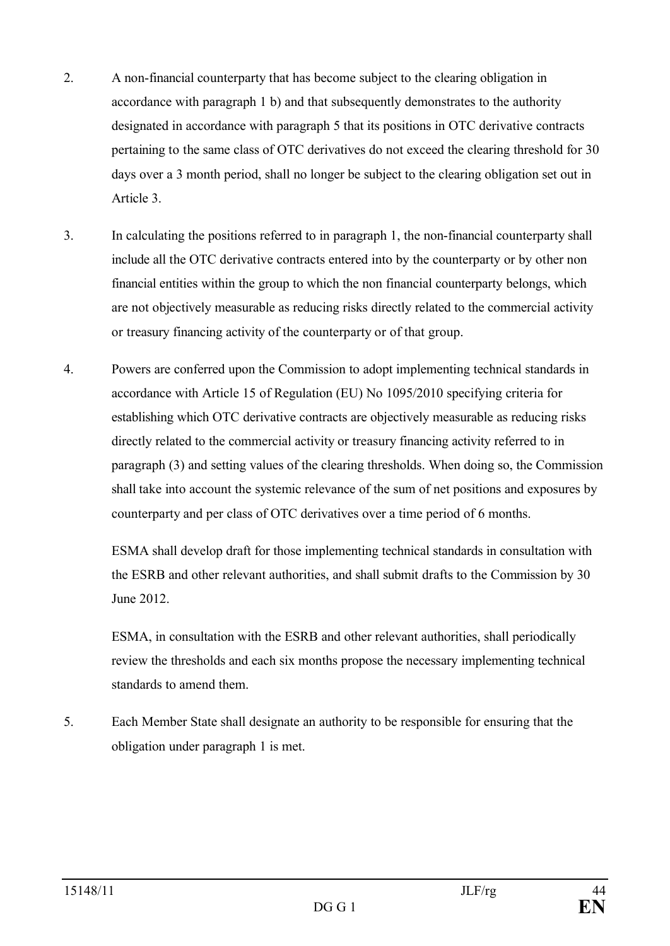- 2. A non-financial counterparty that has become subject to the clearing obligation in accordance with paragraph 1 b) and that subsequently demonstrates to the authority designated in accordance with paragraph 5 that its positions in OTC derivative contracts pertaining to the same class of OTC derivatives do not exceed the clearing threshold for 30 days over a 3 month period, shall no longer be subject to the clearing obligation set out in Article 3.
- 3. In calculating the positions referred to in paragraph 1, the non-financial counterparty shall include all the OTC derivative contracts entered into by the counterparty or by other non financial entities within the group to which the non financial counterparty belongs, which are not objectively measurable as reducing risks directly related to the commercial activity or treasury financing activity of the counterparty or of that group.
- 4. Powers are conferred upon the Commission to adopt implementing technical standards in accordance with Article 15 of Regulation (EU) No 1095/2010 specifying criteria for establishing which OTC derivative contracts are objectively measurable as reducing risks directly related to the commercial activity or treasury financing activity referred to in paragraph (3) and setting values of the clearing thresholds. When doing so, the Commission shall take into account the systemic relevance of the sum of net positions and exposures by counterparty and per class of OTC derivatives over a time period of 6 months.

ESMA shall develop draft for those implementing technical standards in consultation with the ESRB and other relevant authorities, and shall submit drafts to the Commission by 30 June 2012.

ESMA, in consultation with the ESRB and other relevant authorities, shall periodically review the thresholds and each six months propose the necessary implementing technical standards to amend them.

5. Each Member State shall designate an authority to be responsible for ensuring that the obligation under paragraph 1 is met.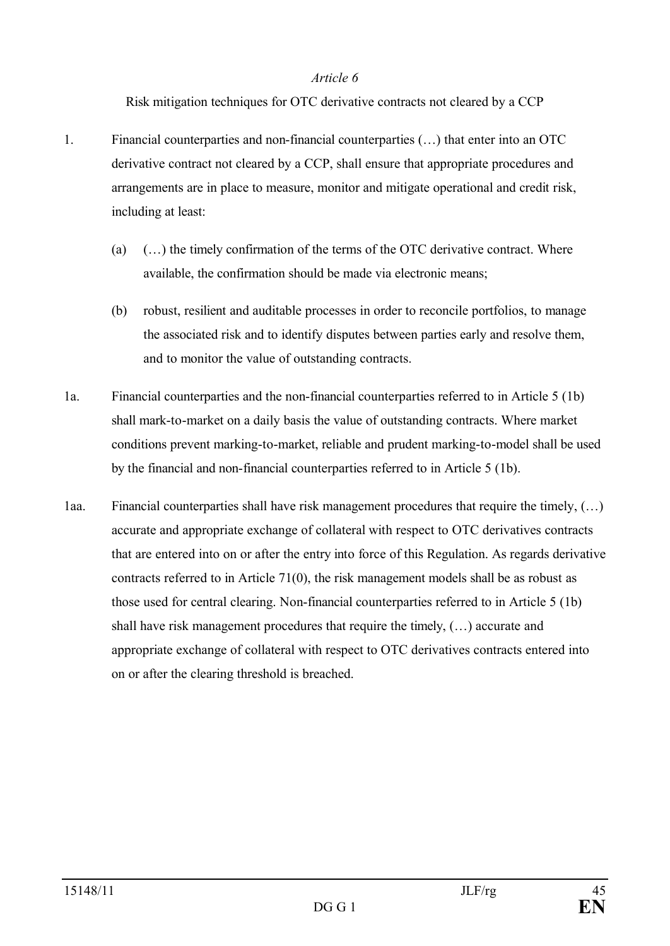#### *Article 6*

Risk mitigation techniques for OTC derivative contracts not cleared by a CCP

- 1. Financial counterparties and non-financial counterparties (…) that enter into an OTC derivative contract not cleared by a CCP, shall ensure that appropriate procedures and arrangements are in place to measure, monitor and mitigate operational and credit risk, including at least:
	- (a)  $(\ldots)$  the timely confirmation of the terms of the OTC derivative contract. Where available, the confirmation should be made via electronic means;
	- (b) robust, resilient and auditable processes in order to reconcile portfolios, to manage the associated risk and to identify disputes between parties early and resolve them, and to monitor the value of outstanding contracts.
- 1a. Financial counterparties and the non-financial counterparties referred to in Article 5 (1b) shall mark-to-market on a daily basis the value of outstanding contracts. Where market conditions prevent marking-to-market, reliable and prudent marking-to-model shall be used by the financial and non-financial counterparties referred to in Article 5 (1b).
- 1aa. Financial counterparties shall have risk management procedures that require the timely, (…) accurate and appropriate exchange of collateral with respect to OTC derivatives contracts that are entered into on or after the entry into force of this Regulation. As regards derivative contracts referred to in Article 71(0), the risk management models shall be as robust as those used for central clearing. Non-financial counterparties referred to in Article 5 (1b) shall have risk management procedures that require the timely, (…) accurate and appropriate exchange of collateral with respect to OTC derivatives contracts entered into on or after the clearing threshold is breached.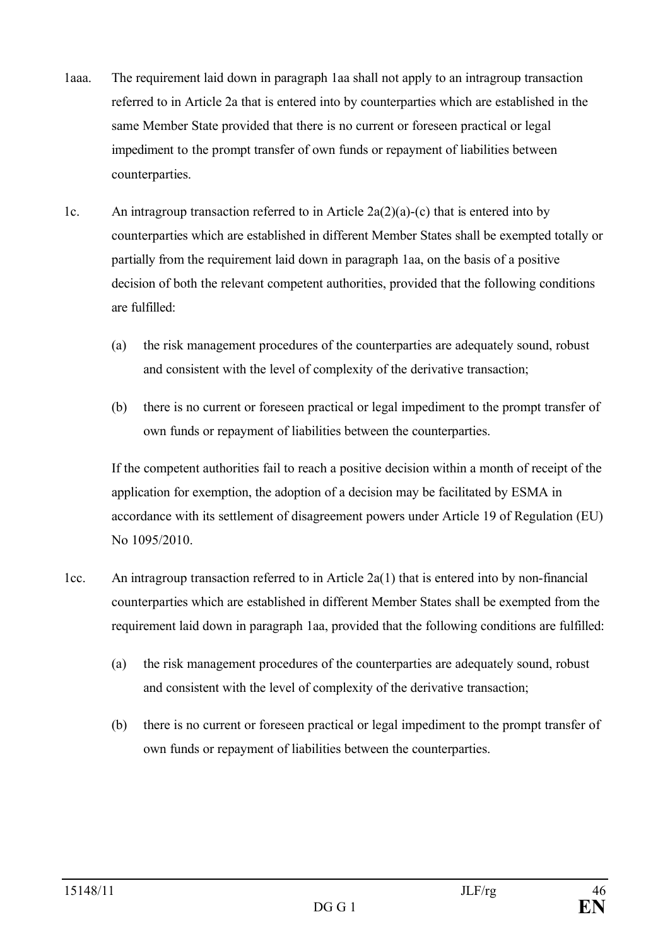- 1aaa. The requirement laid down in paragraph 1aa shall not apply to an intragroup transaction referred to in Article 2a that is entered into by counterparties which are established in the same Member State provided that there is no current or foreseen practical or legal impediment to the prompt transfer of own funds or repayment of liabilities between counterparties.
- 1c. An intragroup transaction referred to in Article  $2a(2)(a)-(c)$  that is entered into by counterparties which are established in different Member States shall be exempted totally or partially from the requirement laid down in paragraph 1aa, on the basis of a positive decision of both the relevant competent authorities, provided that the following conditions are fulfilled:
	- (a) the risk management procedures of the counterparties are adequately sound, robust and consistent with the level of complexity of the derivative transaction;
	- (b) there is no current or foreseen practical or legal impediment to the prompt transfer of own funds or repayment of liabilities between the counterparties.

If the competent authorities fail to reach a positive decision within a month of receipt of the application for exemption, the adoption of a decision may be facilitated by ESMA in accordance with its settlement of disagreement powers under Article 19 of Regulation (EU) No 1095/2010.

- 1cc. An intragroup transaction referred to in Article 2a(1) that is entered into by non-financial counterparties which are established in different Member States shall be exempted from the requirement laid down in paragraph 1aa, provided that the following conditions are fulfilled:
	- (a) the risk management procedures of the counterparties are adequately sound, robust and consistent with the level of complexity of the derivative transaction;
	- (b) there is no current or foreseen practical or legal impediment to the prompt transfer of own funds or repayment of liabilities between the counterparties.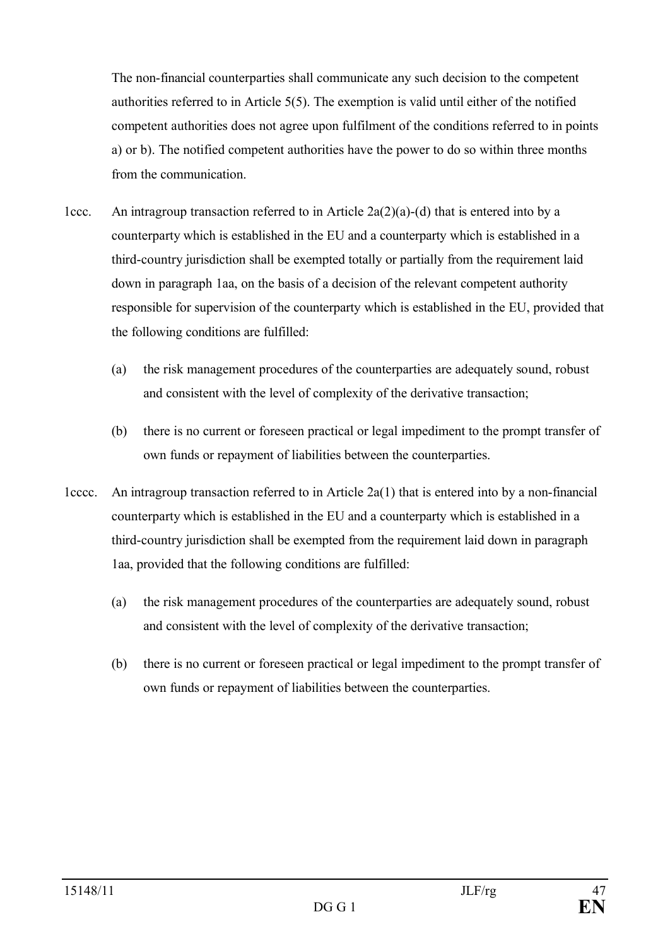The non-financial counterparties shall communicate any such decision to the competent authorities referred to in Article 5(5). The exemption is valid until either of the notified competent authorities does not agree upon fulfilment of the conditions referred to in points a) or b). The notified competent authorities have the power to do so within three months from the communication.

- 1ccc. An intragroup transaction referred to in Article  $2a(2)(a)-(d)$  that is entered into by a counterparty which is established in the EU and a counterparty which is established in a third-country jurisdiction shall be exempted totally or partially from the requirement laid down in paragraph 1aa, on the basis of a decision of the relevant competent authority responsible for supervision of the counterparty which is established in the EU, provided that the following conditions are fulfilled:
	- (a) the risk management procedures of the counterparties are adequately sound, robust and consistent with the level of complexity of the derivative transaction;
	- (b) there is no current or foreseen practical or legal impediment to the prompt transfer of own funds or repayment of liabilities between the counterparties.
- 1cccc. An intragroup transaction referred to in Article  $2a(1)$  that is entered into by a non-financial counterparty which is established in the EU and a counterparty which is established in a third-country jurisdiction shall be exempted from the requirement laid down in paragraph 1aa, provided that the following conditions are fulfilled:
	- (a) the risk management procedures of the counterparties are adequately sound, robust and consistent with the level of complexity of the derivative transaction;
	- (b) there is no current or foreseen practical or legal impediment to the prompt transfer of own funds or repayment of liabilities between the counterparties.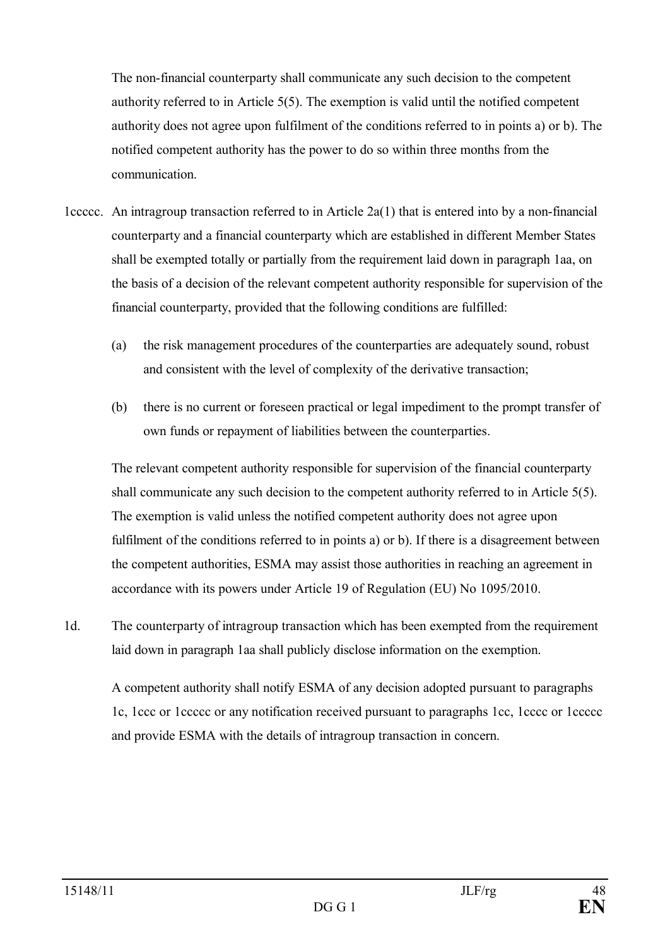The non-financial counterparty shall communicate any such decision to the competent authority referred to in Article 5(5). The exemption is valid until the notified competent authority does not agree upon fulfilment of the conditions referred to in points a) or b). The notified competent authority has the power to do so within three months from the communication.

- 1ccccc. An intragroup transaction referred to in Article 2a(1) that is entered into by a non-financial counterparty and a financial counterparty which are established in different Member States shall be exempted totally or partially from the requirement laid down in paragraph 1aa, on the basis of a decision of the relevant competent authority responsible for supervision of the financial counterparty, provided that the following conditions are fulfilled:
	- (a) the risk management procedures of the counterparties are adequately sound, robust and consistent with the level of complexity of the derivative transaction;
	- (b) there is no current or foreseen practical or legal impediment to the prompt transfer of own funds or repayment of liabilities between the counterparties.

The relevant competent authority responsible for supervision of the financial counterparty shall communicate any such decision to the competent authority referred to in Article 5(5). The exemption is valid unless the notified competent authority does not agree upon fulfilment of the conditions referred to in points a) or b). If there is a disagreement between the competent authorities, ESMA may assist those authorities in reaching an agreement in accordance with its powers under Article 19 of Regulation (EU) No 1095/2010.

1d. The counterparty of intragroup transaction which has been exempted from the requirement laid down in paragraph 1aa shall publicly disclose information on the exemption.

A competent authority shall notify ESMA of any decision adopted pursuant to paragraphs 1c, 1ccc or 1ccccc or any notification received pursuant to paragraphs 1cc, 1cccc or 1ccccc and provide ESMA with the details of intragroup transaction in concern.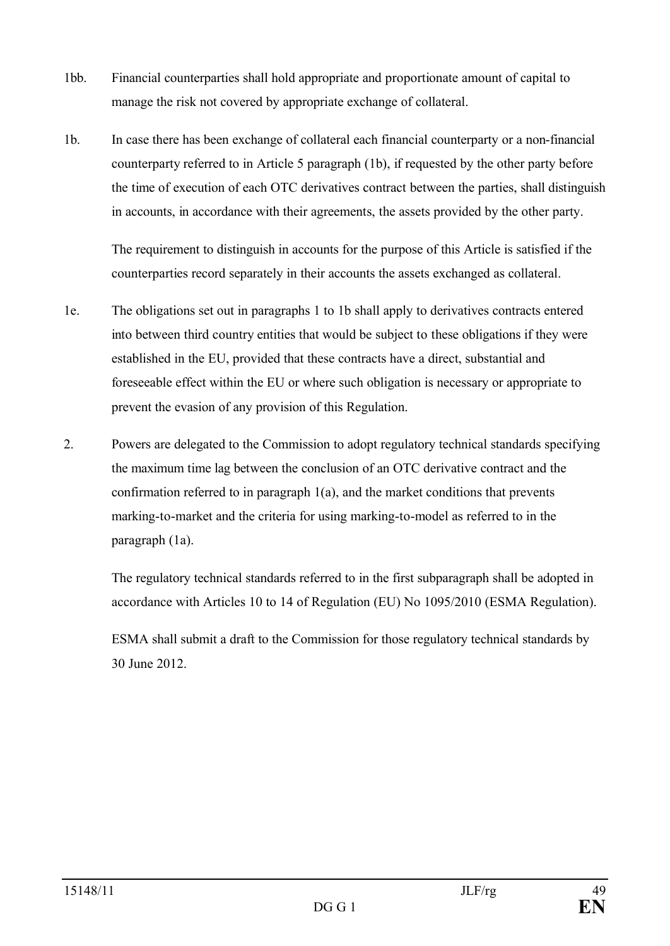- 1bb. Financial counterparties shall hold appropriate and proportionate amount of capital to manage the risk not covered by appropriate exchange of collateral.
- 1b. In case there has been exchange of collateral each financial counterparty or a non-financial counterparty referred to in Article 5 paragraph (1b), if requested by the other party before the time of execution of each OTC derivatives contract between the parties, shall distinguish in accounts, in accordance with their agreements, the assets provided by the other party.

The requirement to distinguish in accounts for the purpose of this Article is satisfied if the counterparties record separately in their accounts the assets exchanged as collateral.

- 1e. The obligations set out in paragraphs 1 to 1b shall apply to derivatives contracts entered into between third country entities that would be subject to these obligations if they were established in the EU, provided that these contracts have a direct, substantial and foreseeable effect within the EU or where such obligation is necessary or appropriate to prevent the evasion of any provision of this Regulation.
- 2. Powers are delegated to the Commission to adopt regulatory technical standards specifying the maximum time lag between the conclusion of an OTC derivative contract and the confirmation referred to in paragraph 1(a), and the market conditions that prevents marking-to-market and the criteria for using marking-to-model as referred to in the paragraph (1a).

The regulatory technical standards referred to in the first subparagraph shall be adopted in accordance with Articles 10 to 14 of Regulation (EU) No 1095/2010 (ESMA Regulation).

ESMA shall submit a draft to the Commission for those regulatory technical standards by 30 June 2012.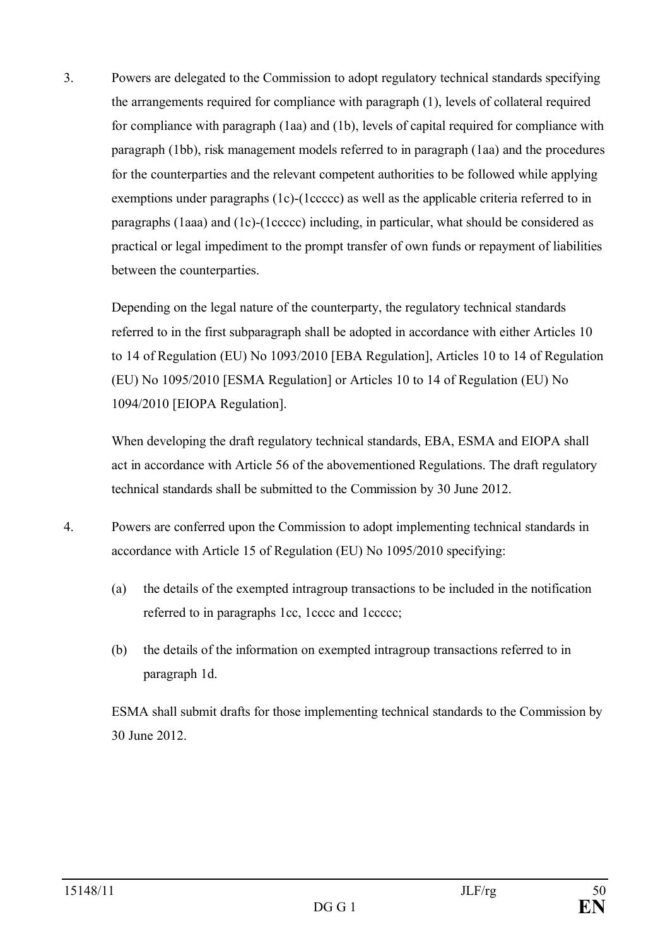3. Powers are delegated to the Commission to adopt regulatory technical standards specifying the arrangements required for compliance with paragraph (1), levels of collateral required for compliance with paragraph (1aa) and (1b), levels of capital required for compliance with paragraph (1bb), risk management models referred to in paragraph (1aa) and the procedures for the counterparties and the relevant competent authorities to be followed while applying exemptions under paragraphs (1c)-(1ccccc) as well as the applicable criteria referred to in paragraphs (1aaa) and (1c)-(1ccccc) including, in particular, what should be considered as practical or legal impediment to the prompt transfer of own funds or repayment of liabilities between the counterparties.

Depending on the legal nature of the counterparty, the regulatory technical standards referred to in the first subparagraph shall be adopted in accordance with either Articles 10 to 14 of Regulation (EU) No 1093/2010 [EBA Regulation], Articles 10 to 14 of Regulation (EU) No 1095/2010 [ESMA Regulation] or Articles 10 to 14 of Regulation (EU) No 1094/2010 [EIOPA Regulation].

When developing the draft regulatory technical standards, EBA, ESMA and EIOPA shall act in accordance with Article 56 of the abovementioned Regulations. The draft regulatory technical standards shall be submitted to the Commission by 30 June 2012.

- 4. Powers are conferred upon the Commission to adopt implementing technical standards in accordance with Article 15 of Regulation (EU) No 1095/2010 specifying:
	- (a) the details of the exempted intragroup transactions to be included in the notification referred to in paragraphs 1cc, 1cccc and 1ccccc;
	- (b) the details of the information on exempted intragroup transactions referred to in paragraph 1d.

ESMA shall submit drafts for those implementing technical standards to the Commission by 30 June 2012.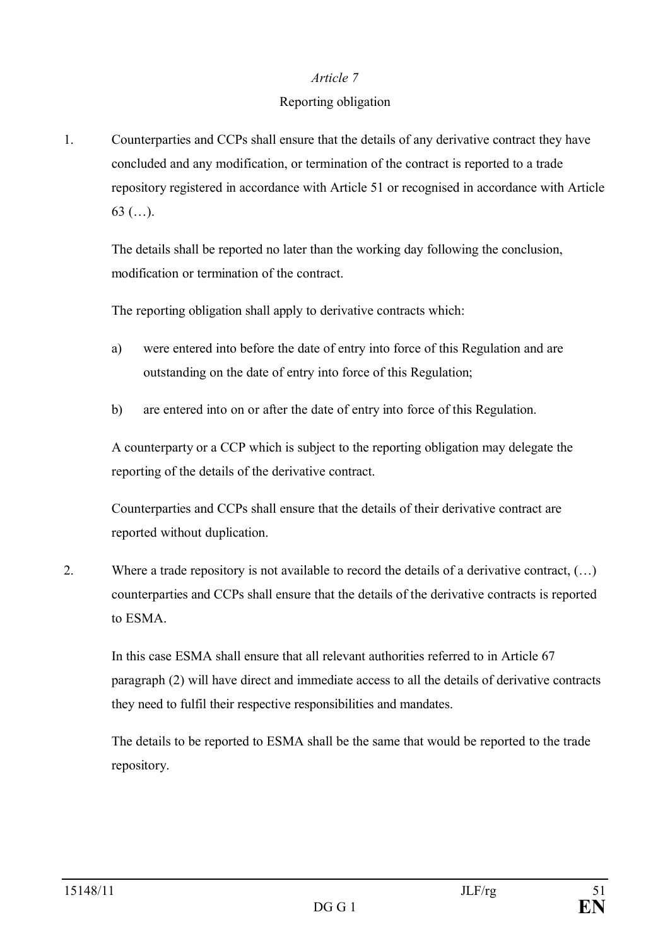#### *Article 7*

#### Reporting obligation

1. Counterparties and CCPs shall ensure that the details of any derivative contract they have concluded and any modification, or termination of the contract is reported to a trade repository registered in accordance with Article 51 or recognised in accordance with Article 63 (…).

The details shall be reported no later than the working day following the conclusion, modification or termination of the contract.

The reporting obligation shall apply to derivative contracts which:

- a) were entered into before the date of entry into force of this Regulation and are outstanding on the date of entry into force of this Regulation;
- b) are entered into on or after the date of entry into force of this Regulation.

A counterparty or a CCP which is subject to the reporting obligation may delegate the reporting of the details of the derivative contract.

Counterparties and CCPs shall ensure that the details of their derivative contract are reported without duplication.

2. Where a trade repository is not available to record the details of a derivative contract, (…) counterparties and CCPs shall ensure that the details of the derivative contracts is reported to ESMA.

In this case ESMA shall ensure that all relevant authorities referred to in Article 67 paragraph (2) will have direct and immediate access to all the details of derivative contracts they need to fulfil their respective responsibilities and mandates.

The details to be reported to ESMA shall be the same that would be reported to the trade repository.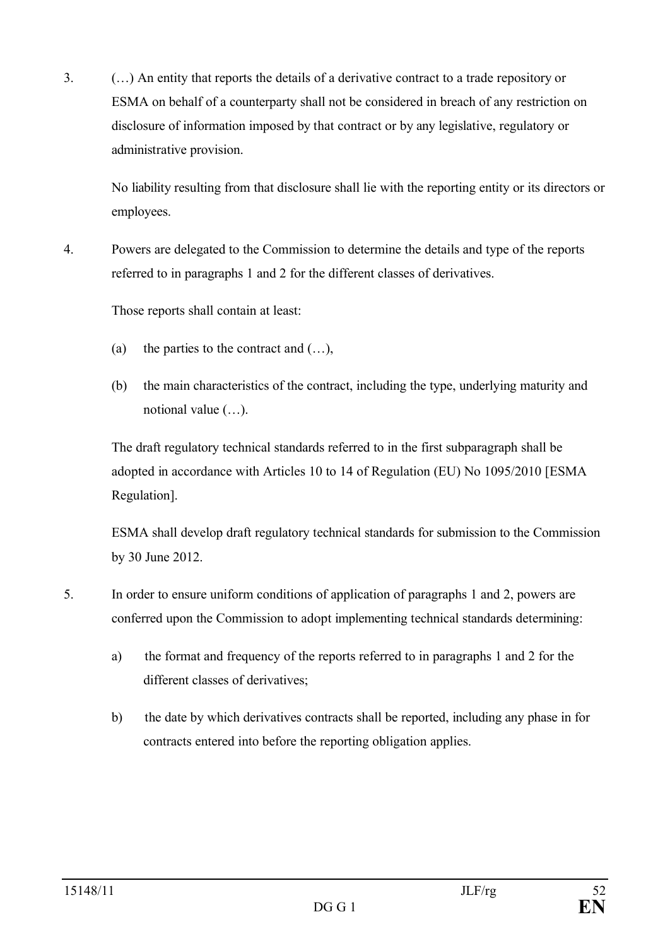3. (…) An entity that reports the details of a derivative contract to a trade repository or ESMA on behalf of a counterparty shall not be considered in breach of any restriction on disclosure of information imposed by that contract or by any legislative, regulatory or administrative provision.

No liability resulting from that disclosure shall lie with the reporting entity or its directors or employees.

4. Powers are delegated to the Commission to determine the details and type of the reports referred to in paragraphs 1 and 2 for the different classes of derivatives.

Those reports shall contain at least:

- (a) the parties to the contract and  $(...),$
- (b) the main characteristics of the contract, including the type, underlying maturity and notional value (…).

The draft regulatory technical standards referred to in the first subparagraph shall be adopted in accordance with Articles 10 to 14 of Regulation (EU) No 1095/2010 [ESMA Regulation].

ESMA shall develop draft regulatory technical standards for submission to the Commission by 30 June 2012.

- 5. In order to ensure uniform conditions of application of paragraphs 1 and 2, powers are conferred upon the Commission to adopt implementing technical standards determining:
	- a) the format and frequency of the reports referred to in paragraphs 1 and 2 for the different classes of derivatives;
	- b) the date by which derivatives contracts shall be reported, including any phase in for contracts entered into before the reporting obligation applies.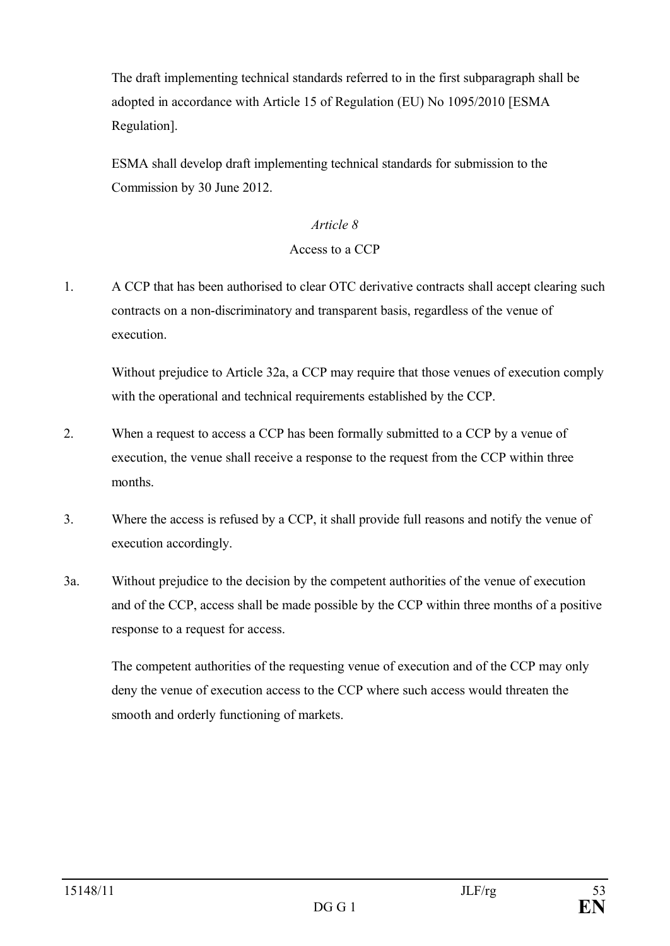The draft implementing technical standards referred to in the first subparagraph shall be adopted in accordance with Article 15 of Regulation (EU) No 1095/2010 [ESMA Regulation].

ESMA shall develop draft implementing technical standards for submission to the Commission by 30 June 2012.

#### *Article 8*

#### Access to a CCP

1. A CCP that has been authorised to clear OTC derivative contracts shall accept clearing such contracts on a non-discriminatory and transparent basis, regardless of the venue of execution.

Without prejudice to Article 32a, a CCP may require that those venues of execution comply with the operational and technical requirements established by the CCP.

- 2. When a request to access a CCP has been formally submitted to a CCP by a venue of execution, the venue shall receive a response to the request from the CCP within three months.
- 3. Where the access is refused by a CCP, it shall provide full reasons and notify the venue of execution accordingly.
- 3a. Without prejudice to the decision by the competent authorities of the venue of execution and of the CCP, access shall be made possible by the CCP within three months of a positive response to a request for access.

The competent authorities of the requesting venue of execution and of the CCP may only deny the venue of execution access to the CCP where such access would threaten the smooth and orderly functioning of markets.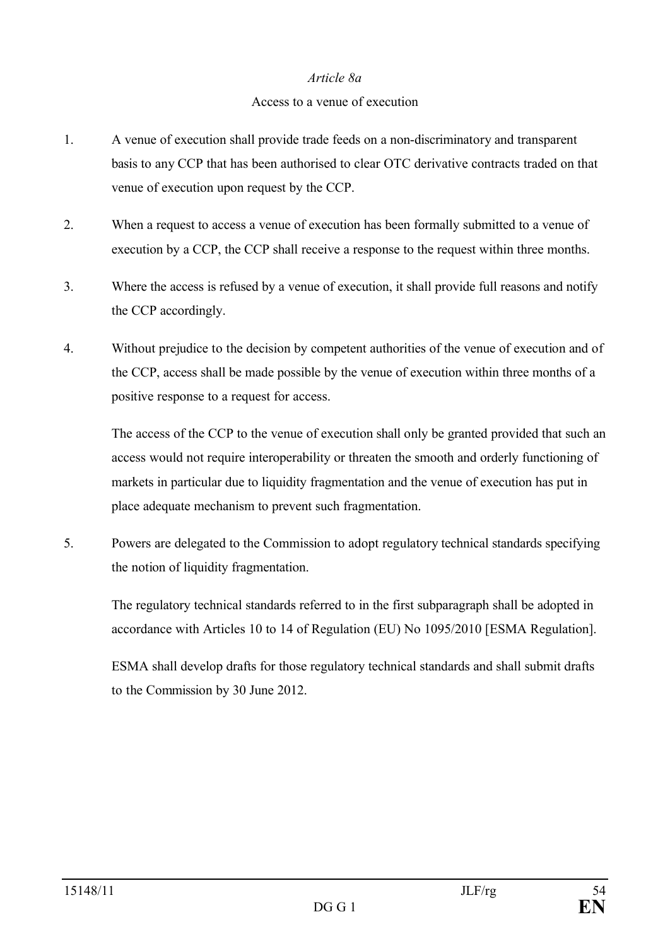#### *Article 8a*

#### Access to a venue of execution

- 1. A venue of execution shall provide trade feeds on a non-discriminatory and transparent basis to any CCP that has been authorised to clear OTC derivative contracts traded on that venue of execution upon request by the CCP.
- 2. When a request to access a venue of execution has been formally submitted to a venue of execution by a CCP, the CCP shall receive a response to the request within three months.
- 3. Where the access is refused by a venue of execution, it shall provide full reasons and notify the CCP accordingly.
- 4. Without prejudice to the decision by competent authorities of the venue of execution and of the CCP, access shall be made possible by the venue of execution within three months of a positive response to a request for access.

The access of the CCP to the venue of execution shall only be granted provided that such an access would not require interoperability or threaten the smooth and orderly functioning of markets in particular due to liquidity fragmentation and the venue of execution has put in place adequate mechanism to prevent such fragmentation.

5. Powers are delegated to the Commission to adopt regulatory technical standards specifying the notion of liquidity fragmentation.

The regulatory technical standards referred to in the first subparagraph shall be adopted in accordance with Articles 10 to 14 of Regulation (EU) No 1095/2010 [ESMA Regulation].

ESMA shall develop drafts for those regulatory technical standards and shall submit drafts to the Commission by 30 June 2012.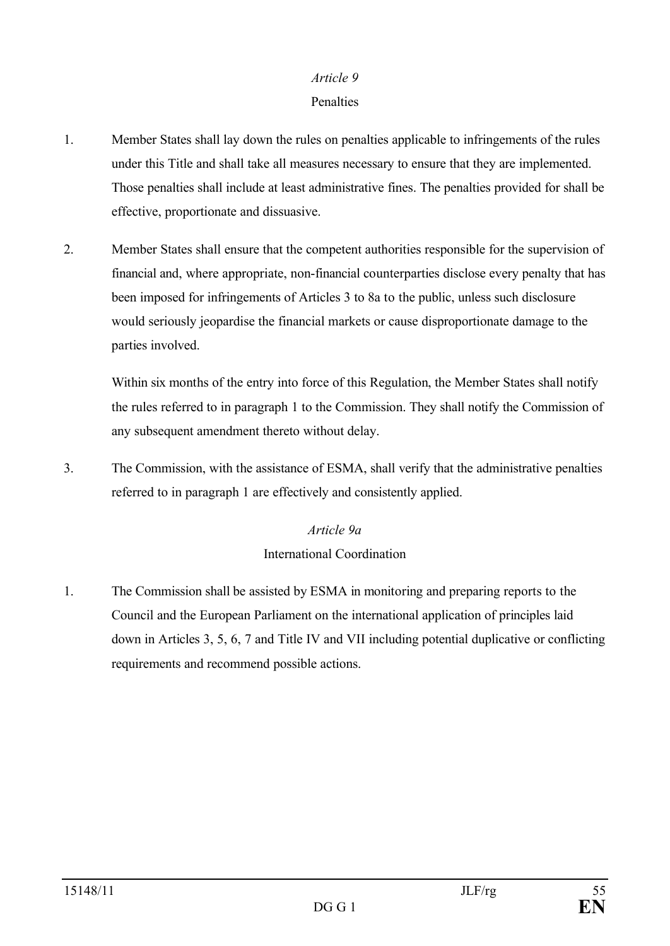#### *Article 9*

#### **Penalties**

- 1. Member States shall lay down the rules on penalties applicable to infringements of the rules under this Title and shall take all measures necessary to ensure that they are implemented. Those penalties shall include at least administrative fines. The penalties provided for shall be effective, proportionate and dissuasive.
- 2. Member States shall ensure that the competent authorities responsible for the supervision of financial and, where appropriate, non-financial counterparties disclose every penalty that has been imposed for infringements of Articles 3 to 8a to the public, unless such disclosure would seriously jeopardise the financial markets or cause disproportionate damage to the parties involved.

Within six months of the entry into force of this Regulation, the Member States shall notify the rules referred to in paragraph 1 to the Commission. They shall notify the Commission of any subsequent amendment thereto without delay.

3. The Commission, with the assistance of ESMA, shall verify that the administrative penalties referred to in paragraph 1 are effectively and consistently applied.

# *Article 9a* International Coordination

1. The Commission shall be assisted by ESMA in monitoring and preparing reports to the Council and the European Parliament on the international application of principles laid down in Articles 3, 5, 6, 7 and Title IV and VII including potential duplicative or conflicting requirements and recommend possible actions.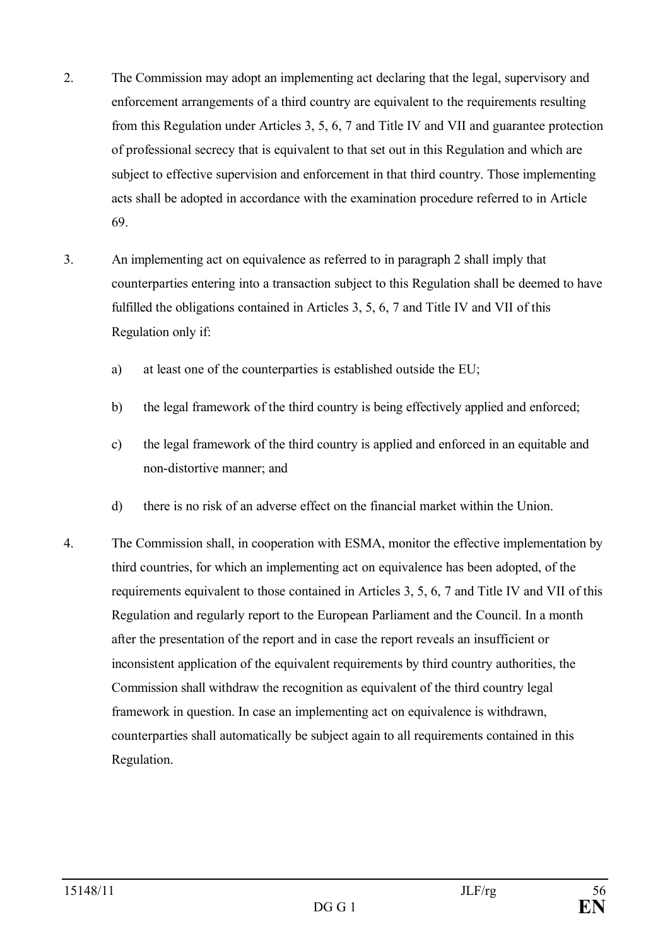- 2. The Commission may adopt an implementing act declaring that the legal, supervisory and enforcement arrangements of a third country are equivalent to the requirements resulting from this Regulation under Articles 3, 5, 6, 7 and Title IV and VII and guarantee protection of professional secrecy that is equivalent to that set out in this Regulation and which are subject to effective supervision and enforcement in that third country. Those implementing acts shall be adopted in accordance with the examination procedure referred to in Article 69.
- 3. An implementing act on equivalence as referred to in paragraph 2 shall imply that counterparties entering into a transaction subject to this Regulation shall be deemed to have fulfilled the obligations contained in Articles 3, 5, 6, 7 and Title IV and VII of this Regulation only if:
	- a) at least one of the counterparties is established outside the EU;
	- b) the legal framework of the third country is being effectively applied and enforced;
	- c) the legal framework of the third country is applied and enforced in an equitable and non-distortive manner; and
	- d) there is no risk of an adverse effect on the financial market within the Union.
- 4. The Commission shall, in cooperation with ESMA, monitor the effective implementation by third countries, for which an implementing act on equivalence has been adopted, of the requirements equivalent to those contained in Articles 3, 5, 6, 7 and Title IV and VII of this Regulation and regularly report to the European Parliament and the Council. In a month after the presentation of the report and in case the report reveals an insufficient or inconsistent application of the equivalent requirements by third country authorities, the Commission shall withdraw the recognition as equivalent of the third country legal framework in question. In case an implementing act on equivalence is withdrawn, counterparties shall automatically be subject again to all requirements contained in this Regulation.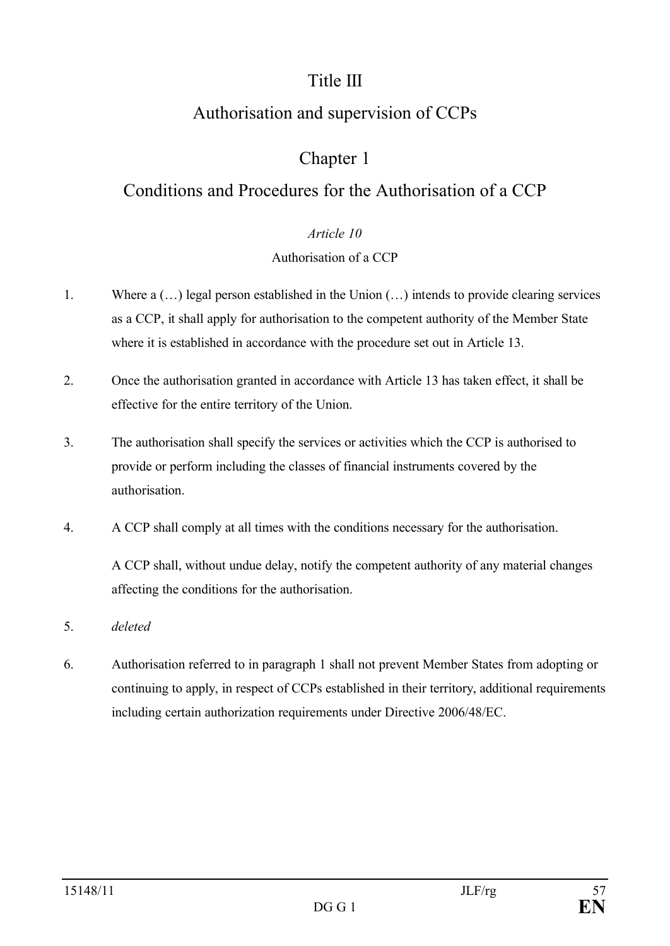# Title III

# Authorisation and supervision of CCPs

# Chapter 1

# Conditions and Procedures for the Authorisation of a CCP

# *Article 10*

# Authorisation of a CCP

- 1. Where a (…) legal person established in the Union (…) intends to provide clearing services as a CCP, it shall apply for authorisation to the competent authority of the Member State where it is established in accordance with the procedure set out in Article 13.
- 2. Once the authorisation granted in accordance with Article 13 has taken effect, it shall be effective for the entire territory of the Union.
- 3. The authorisation shall specify the services or activities which the CCP is authorised to provide or perform including the classes of financial instruments covered by the authorisation.
- 4. A CCP shall comply at all times with the conditions necessary for the authorisation.

A CCP shall, without undue delay, notify the competent authority of any material changes affecting the conditions for the authorisation.

- 5. *deleted*
- 6. Authorisation referred to in paragraph 1 shall not prevent Member States from adopting or continuing to apply, in respect of CCPs established in their territory, additional requirements including certain authorization requirements under Directive 2006/48/EC.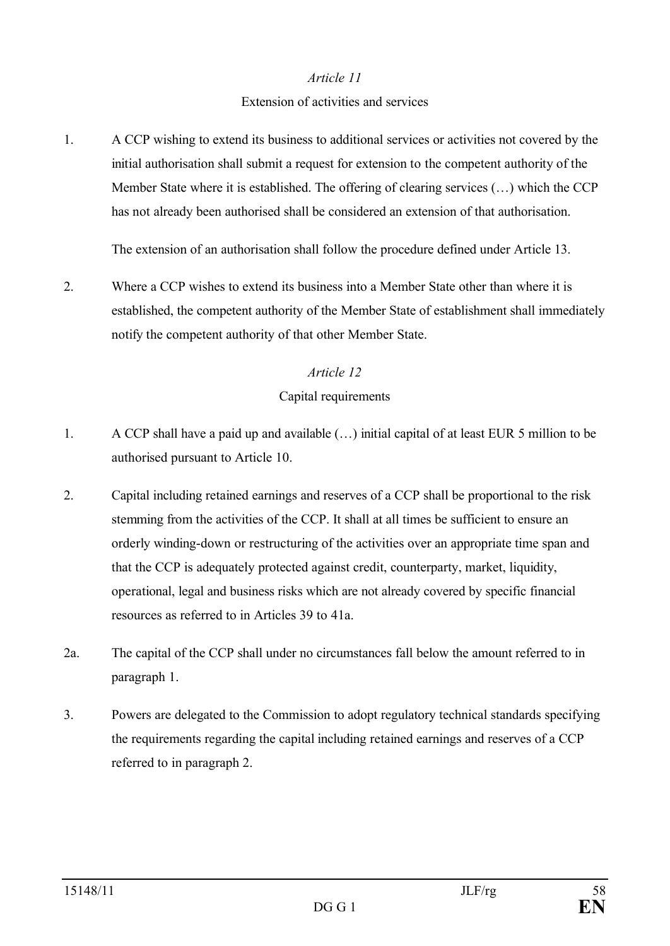#### *Article 11*

#### Extension of activities and services

1. A CCP wishing to extend its business to additional services or activities not covered by the initial authorisation shall submit a request for extension to the competent authority of the Member State where it is established. The offering of clearing services (…) which the CCP has not already been authorised shall be considered an extension of that authorisation.

The extension of an authorisation shall follow the procedure defined under Article 13.

2. Where a CCP wishes to extend its business into a Member State other than where it is established, the competent authority of the Member State of establishment shall immediately notify the competent authority of that other Member State.

### *Article 12*

#### Capital requirements

- 1. A CCP shall have a paid up and available (…) initial capital of at least EUR 5 million to be authorised pursuant to Article 10.
- 2. Capital including retained earnings and reserves of a CCP shall be proportional to the risk stemming from the activities of the CCP. It shall at all times be sufficient to ensure an orderly winding-down or restructuring of the activities over an appropriate time span and that the CCP is adequately protected against credit, counterparty, market, liquidity, operational, legal and business risks which are not already covered by specific financial resources as referred to in Articles 39 to 41a.
- 2a. The capital of the CCP shall under no circumstances fall below the amount referred to in paragraph 1.
- 3. Powers are delegated to the Commission to adopt regulatory technical standards specifying the requirements regarding the capital including retained earnings and reserves of a CCP referred to in paragraph 2.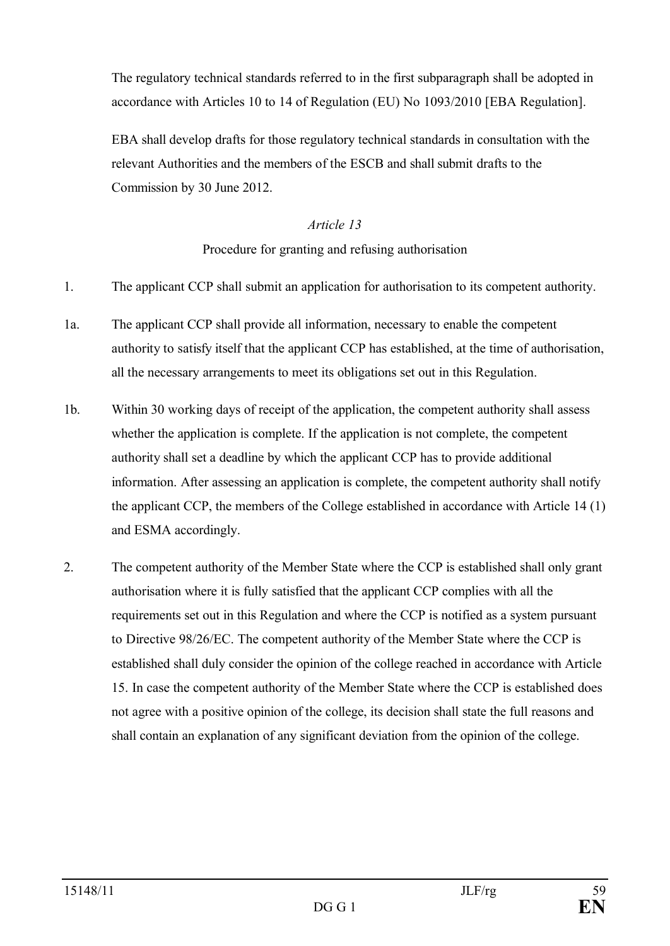The regulatory technical standards referred to in the first subparagraph shall be adopted in accordance with Articles 10 to 14 of Regulation (EU) No 1093/2010 [EBA Regulation].

EBA shall develop drafts for those regulatory technical standards in consultation with the relevant Authorities and the members of the ESCB and shall submit drafts to the Commission by 30 June 2012.

#### *Article 13*

## Procedure for granting and refusing authorisation

- 1. The applicant CCP shall submit an application for authorisation to its competent authority.
- 1a. The applicant CCP shall provide all information, necessary to enable the competent authority to satisfy itself that the applicant CCP has established, at the time of authorisation, all the necessary arrangements to meet its obligations set out in this Regulation.
- 1b. Within 30 working days of receipt of the application, the competent authority shall assess whether the application is complete. If the application is not complete, the competent authority shall set a deadline by which the applicant CCP has to provide additional information. After assessing an application is complete, the competent authority shall notify the applicant CCP, the members of the College established in accordance with Article 14 (1) and ESMA accordingly.
- 2. The competent authority of the Member State where the CCP is established shall only grant authorisation where it is fully satisfied that the applicant CCP complies with all the requirements set out in this Regulation and where the CCP is notified as a system pursuant to Directive 98/26/EC. The competent authority of the Member State where the CCP is established shall duly consider the opinion of the college reached in accordance with Article 15. In case the competent authority of the Member State where the CCP is established does not agree with a positive opinion of the college, its decision shall state the full reasons and shall contain an explanation of any significant deviation from the opinion of the college.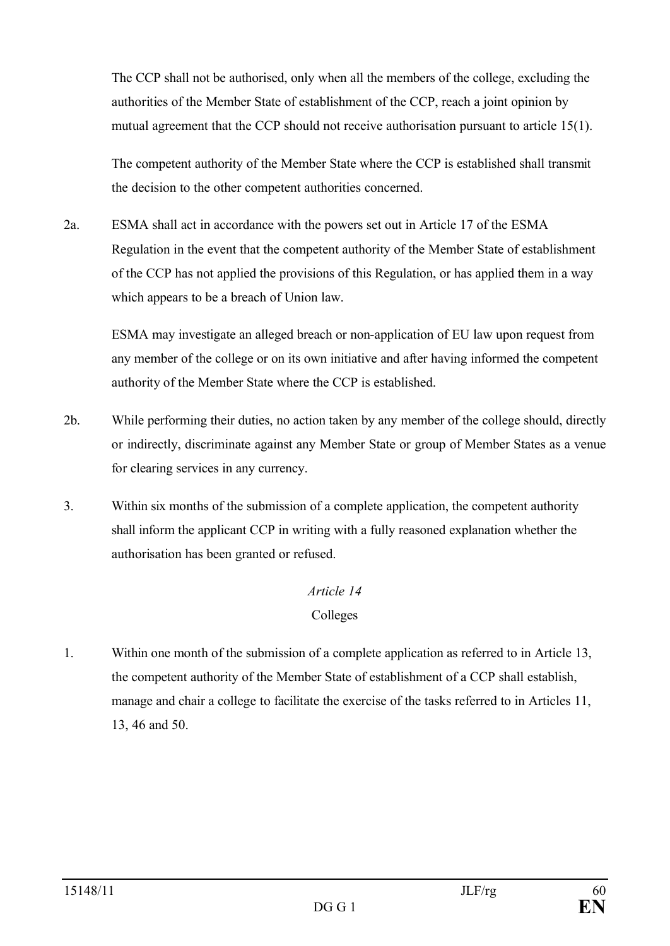The CCP shall not be authorised, only when all the members of the college, excluding the authorities of the Member State of establishment of the CCP, reach a joint opinion by mutual agreement that the CCP should not receive authorisation pursuant to article 15(1).

The competent authority of the Member State where the CCP is established shall transmit the decision to the other competent authorities concerned.

2a. ESMA shall act in accordance with the powers set out in Article 17 of the ESMA Regulation in the event that the competent authority of the Member State of establishment of the CCP has not applied the provisions of this Regulation, or has applied them in a way which appears to be a breach of Union law.

ESMA may investigate an alleged breach or non-application of EU law upon request from any member of the college or on its own initiative and after having informed the competent authority of the Member State where the CCP is established.

- 2b. While performing their duties, no action taken by any member of the college should, directly or indirectly, discriminate against any Member State or group of Member States as a venue for clearing services in any currency.
- 3. Within six months of the submission of a complete application, the competent authority shall inform the applicant CCP in writing with a fully reasoned explanation whether the authorisation has been granted or refused.

# *Article 14*

## Colleges

1. Within one month of the submission of a complete application as referred to in Article 13, the competent authority of the Member State of establishment of a CCP shall establish, manage and chair a college to facilitate the exercise of the tasks referred to in Articles 11, 13, 46 and 50.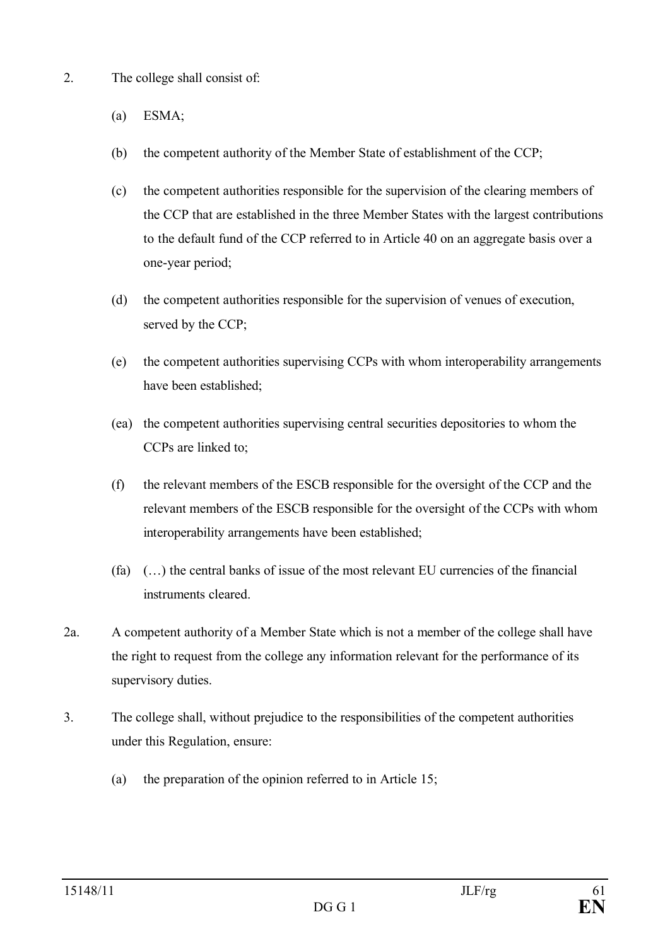- 2. The college shall consist of:
	- (a) ESMA;
	- (b) the competent authority of the Member State of establishment of the CCP;
	- (c) the competent authorities responsible for the supervision of the clearing members of the CCP that are established in the three Member States with the largest contributions to the default fund of the CCP referred to in Article 40 on an aggregate basis over a one-year period;
	- (d) the competent authorities responsible for the supervision of venues of execution, served by the CCP;
	- (e) the competent authorities supervising CCPs with whom interoperability arrangements have been established;
	- (ea) the competent authorities supervising central securities depositories to whom the CCPs are linked to;
	- (f) the relevant members of the ESCB responsible for the oversight of the CCP and the relevant members of the ESCB responsible for the oversight of the CCPs with whom interoperability arrangements have been established;
	- (fa)  $(\ldots)$  the central banks of issue of the most relevant EU currencies of the financial instruments cleared.
- 2a. A competent authority of a Member State which is not a member of the college shall have the right to request from the college any information relevant for the performance of its supervisory duties.
- 3. The college shall, without prejudice to the responsibilities of the competent authorities under this Regulation, ensure:
	- (a) the preparation of the opinion referred to in Article 15;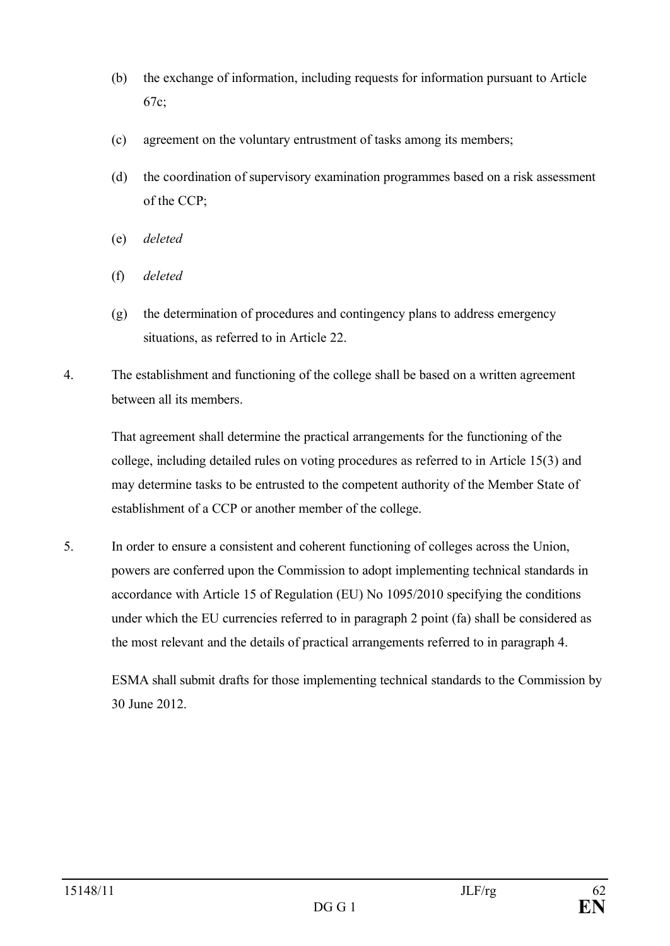- (b) the exchange of information, including requests for information pursuant to Article 67c;
- (c) agreement on the voluntary entrustment of tasks among its members;
- (d) the coordination of supervisory examination programmes based on a risk assessment of the CCP;
- (e) *deleted*
- (f) *deleted*
- (g) the determination of procedures and contingency plans to address emergency situations, as referred to in Article 22.
- 4. The establishment and functioning of the college shall be based on a written agreement between all its members.

That agreement shall determine the practical arrangements for the functioning of the college, including detailed rules on voting procedures as referred to in Article 15(3) and may determine tasks to be entrusted to the competent authority of the Member State of establishment of a CCP or another member of the college.

5. In order to ensure a consistent and coherent functioning of colleges across the Union, powers are conferred upon the Commission to adopt implementing technical standards in accordance with Article 15 of Regulation (EU) No 1095/2010 specifying the conditions under which the EU currencies referred to in paragraph 2 point (fa) shall be considered as the most relevant and the details of practical arrangements referred to in paragraph 4.

ESMA shall submit drafts for those implementing technical standards to the Commission by 30 June 2012.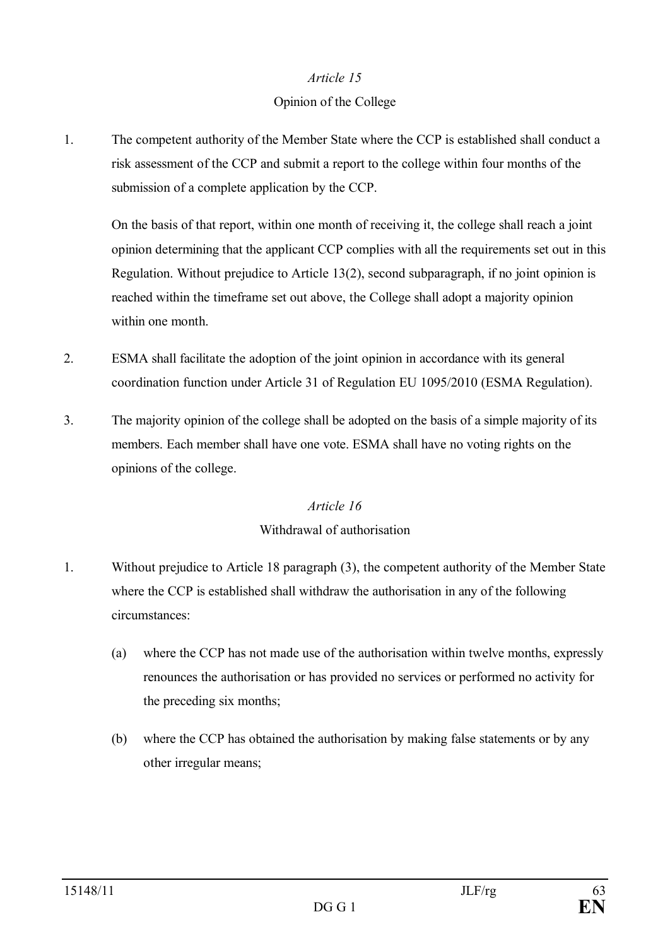#### *Article 15*

#### Opinion of the College

1. The competent authority of the Member State where the CCP is established shall conduct a risk assessment of the CCP and submit a report to the college within four months of the submission of a complete application by the CCP.

On the basis of that report, within one month of receiving it, the college shall reach a joint opinion determining that the applicant CCP complies with all the requirements set out in this Regulation. Without prejudice to Article 13(2), second subparagraph, if no joint opinion is reached within the timeframe set out above, the College shall adopt a majority opinion within one month.

- 2. ESMA shall facilitate the adoption of the joint opinion in accordance with its general coordination function under Article 31 of Regulation EU 1095/2010 (ESMA Regulation).
- 3. The majority opinion of the college shall be adopted on the basis of a simple majority of its members. Each member shall have one vote. ESMA shall have no voting rights on the opinions of the college.

#### *Article 16*

## Withdrawal of authorisation

- 1. Without prejudice to Article 18 paragraph (3), the competent authority of the Member State where the CCP is established shall withdraw the authorisation in any of the following circumstances:
	- (a) where the CCP has not made use of the authorisation within twelve months, expressly renounces the authorisation or has provided no services or performed no activity for the preceding six months;
	- (b) where the CCP has obtained the authorisation by making false statements or by any other irregular means;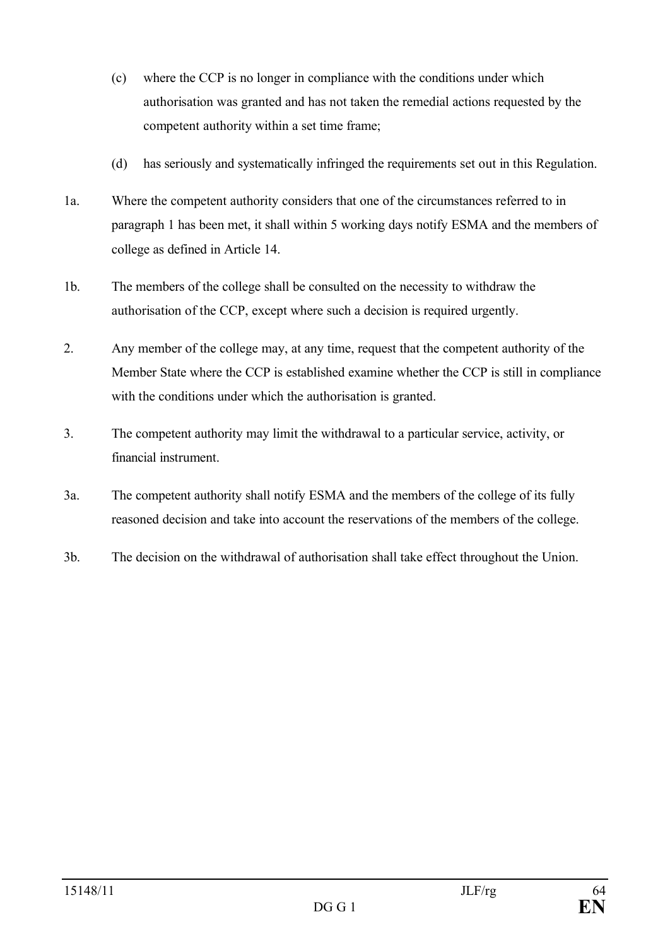- (c) where the CCP is no longer in compliance with the conditions under which authorisation was granted and has not taken the remedial actions requested by the competent authority within a set time frame;
- (d) has seriously and systematically infringed the requirements set out in this Regulation.
- 1a. Where the competent authority considers that one of the circumstances referred to in paragraph 1 has been met, it shall within 5 working days notify ESMA and the members of college as defined in Article 14.
- 1b. The members of the college shall be consulted on the necessity to withdraw the authorisation of the CCP, except where such a decision is required urgently.
- 2. Any member of the college may, at any time, request that the competent authority of the Member State where the CCP is established examine whether the CCP is still in compliance with the conditions under which the authorisation is granted.
- 3. The competent authority may limit the withdrawal to a particular service, activity, or financial instrument.
- 3a. The competent authority shall notify ESMA and the members of the college of its fully reasoned decision and take into account the reservations of the members of the college.
- 3b. The decision on the withdrawal of authorisation shall take effect throughout the Union.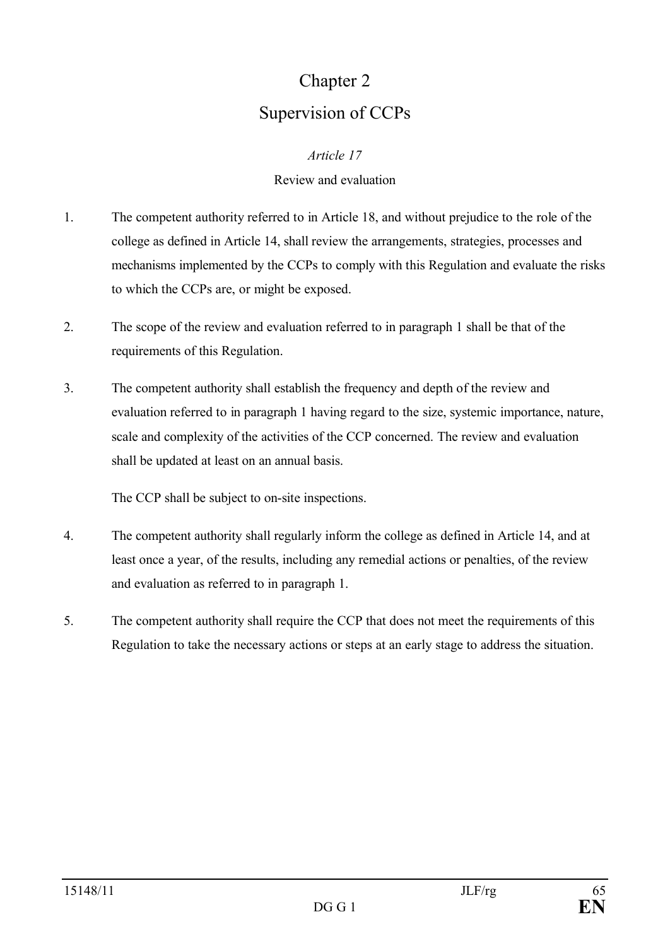# Chapter 2 Supervision of CCPs

#### *Article 17*

#### Review and evaluation

- 1. The competent authority referred to in Article 18, and without prejudice to the role of the college as defined in Article 14, shall review the arrangements, strategies, processes and mechanisms implemented by the CCPs to comply with this Regulation and evaluate the risks to which the CCPs are, or might be exposed.
- 2. The scope of the review and evaluation referred to in paragraph 1 shall be that of the requirements of this Regulation.
- 3. The competent authority shall establish the frequency and depth of the review and evaluation referred to in paragraph 1 having regard to the size, systemic importance, nature, scale and complexity of the activities of the CCP concerned. The review and evaluation shall be updated at least on an annual basis.

The CCP shall be subject to on-site inspections.

- 4. The competent authority shall regularly inform the college as defined in Article 14, and at least once a year, of the results, including any remedial actions or penalties, of the review and evaluation as referred to in paragraph 1.
- 5. The competent authority shall require the CCP that does not meet the requirements of this Regulation to take the necessary actions or steps at an early stage to address the situation.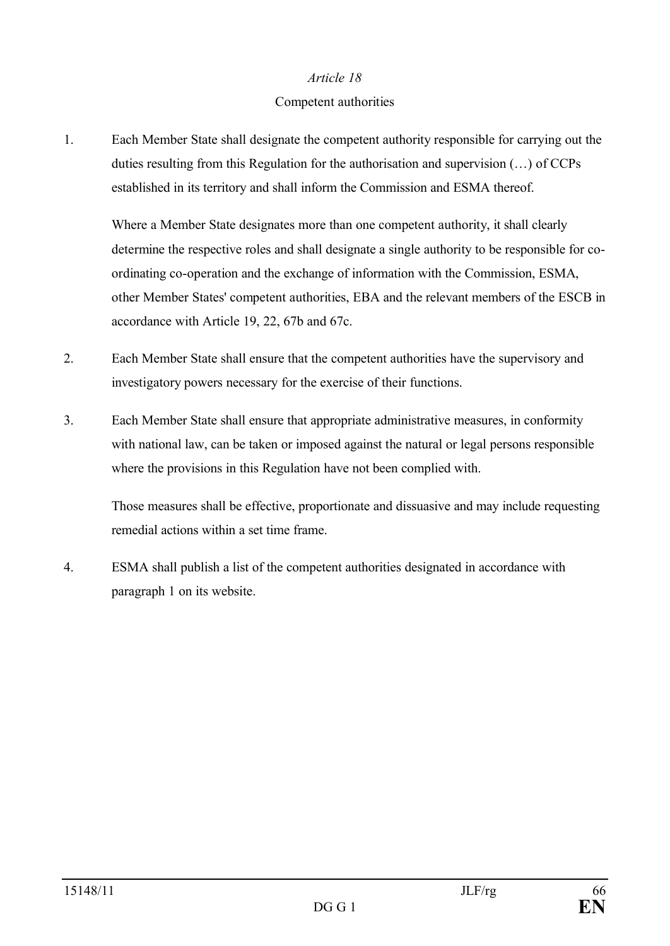#### *Article 18*

#### Competent authorities

1. Each Member State shall designate the competent authority responsible for carrying out the duties resulting from this Regulation for the authorisation and supervision (…) of CCPs established in its territory and shall inform the Commission and ESMA thereof.

Where a Member State designates more than one competent authority, it shall clearly determine the respective roles and shall designate a single authority to be responsible for coordinating co-operation and the exchange of information with the Commission, ESMA, other Member States' competent authorities, EBA and the relevant members of the ESCB in accordance with Article 19, 22, 67b and 67c.

- 2. Each Member State shall ensure that the competent authorities have the supervisory and investigatory powers necessary for the exercise of their functions.
- 3. Each Member State shall ensure that appropriate administrative measures, in conformity with national law, can be taken or imposed against the natural or legal persons responsible where the provisions in this Regulation have not been complied with.

Those measures shall be effective, proportionate and dissuasive and may include requesting remedial actions within a set time frame.

4. ESMA shall publish a list of the competent authorities designated in accordance with paragraph 1 on its website.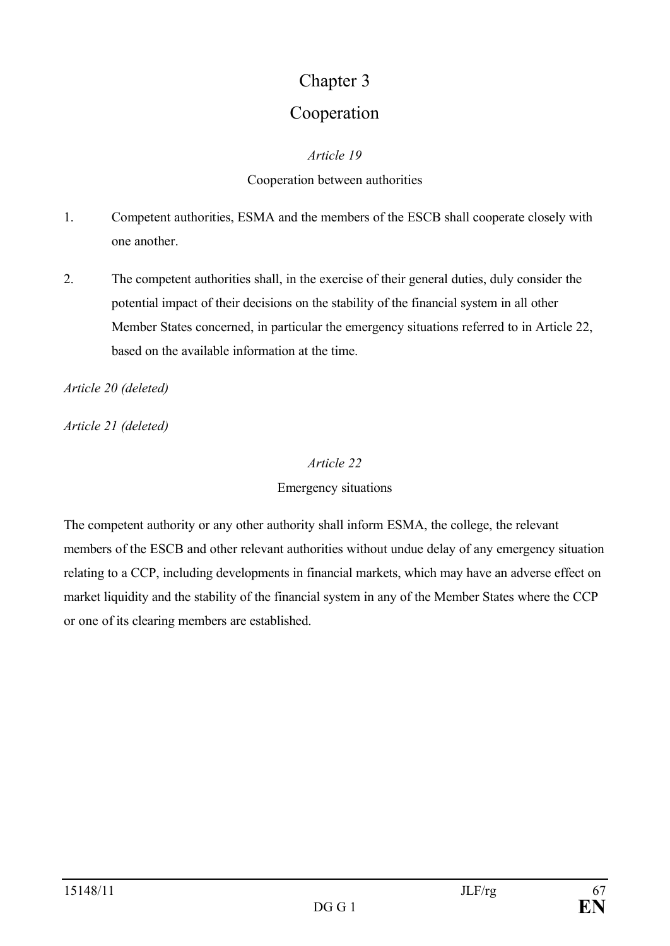# Chapter 3

# Cooperation

### *Article 19*

### Cooperation between authorities

- 1. Competent authorities, ESMA and the members of the ESCB shall cooperate closely with one another.
- 2. The competent authorities shall, in the exercise of their general duties, duly consider the potential impact of their decisions on the stability of the financial system in all other Member States concerned, in particular the emergency situations referred to in Article 22, based on the available information at the time.

*Article 20 (deleted)* 

*Article 21 (deleted)* 

### *Article 22*

## Emergency situations

The competent authority or any other authority shall inform ESMA, the college, the relevant members of the ESCB and other relevant authorities without undue delay of any emergency situation relating to a CCP, including developments in financial markets, which may have an adverse effect on market liquidity and the stability of the financial system in any of the Member States where the CCP or one of its clearing members are established.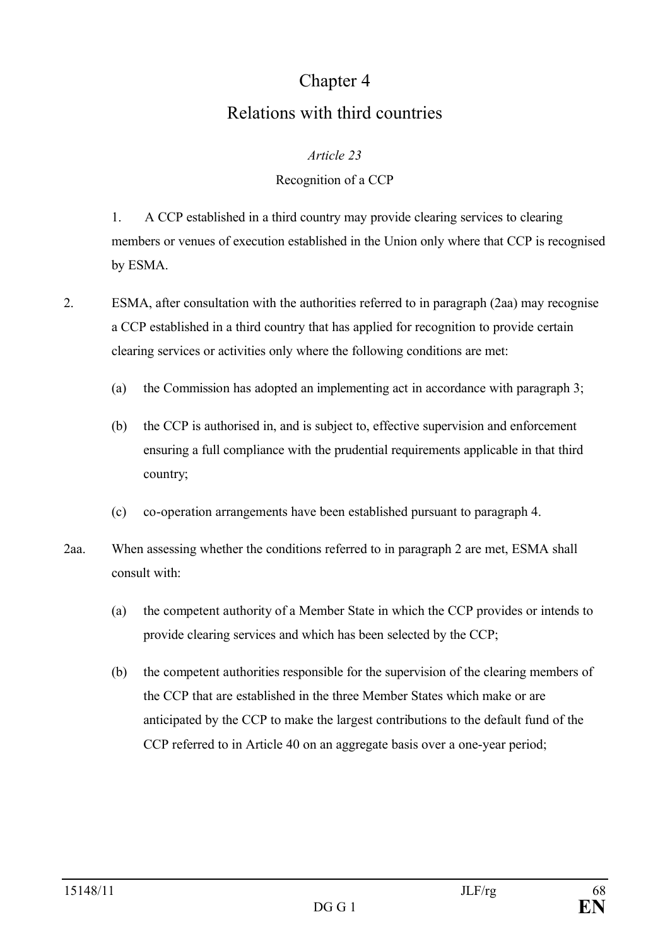# Chapter 4 Relations with third countries

#### *Article 23*

## Recognition of a CCP

1. A CCP established in a third country may provide clearing services to clearing members or venues of execution established in the Union only where that CCP is recognised by ESMA.

- 2. ESMA, after consultation with the authorities referred to in paragraph (2aa) may recognise a CCP established in a third country that has applied for recognition to provide certain clearing services or activities only where the following conditions are met:
	- (a) the Commission has adopted an implementing act in accordance with paragraph 3;
	- (b) the CCP is authorised in, and is subject to, effective supervision and enforcement ensuring a full compliance with the prudential requirements applicable in that third country;
	- (c) co-operation arrangements have been established pursuant to paragraph 4.
- 2aa. When assessing whether the conditions referred to in paragraph 2 are met, ESMA shall consult with:
	- (a) the competent authority of a Member State in which the CCP provides or intends to provide clearing services and which has been selected by the CCP;
	- (b) the competent authorities responsible for the supervision of the clearing members of the CCP that are established in the three Member States which make or are anticipated by the CCP to make the largest contributions to the default fund of the CCP referred to in Article 40 on an aggregate basis over a one-year period;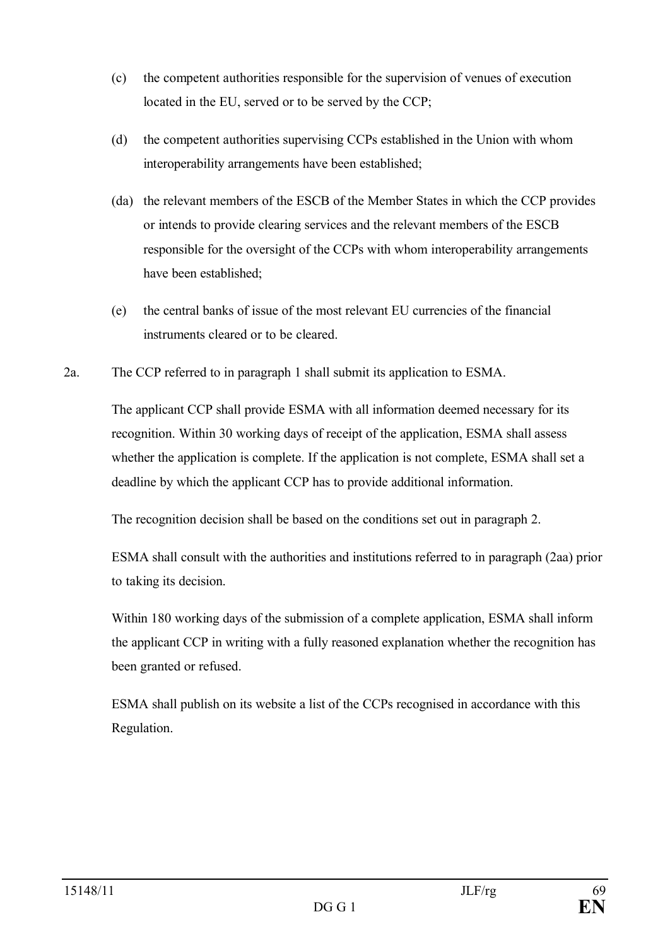- (c) the competent authorities responsible for the supervision of venues of execution located in the EU, served or to be served by the CCP;
- (d) the competent authorities supervising CCPs established in the Union with whom interoperability arrangements have been established;
- (da) the relevant members of the ESCB of the Member States in which the CCP provides or intends to provide clearing services and the relevant members of the ESCB responsible for the oversight of the CCPs with whom interoperability arrangements have been established;
- (e) the central banks of issue of the most relevant EU currencies of the financial instruments cleared or to be cleared.
- 2a. The CCP referred to in paragraph 1 shall submit its application to ESMA.

The applicant CCP shall provide ESMA with all information deemed necessary for its recognition. Within 30 working days of receipt of the application, ESMA shall assess whether the application is complete. If the application is not complete, ESMA shall set a deadline by which the applicant CCP has to provide additional information.

The recognition decision shall be based on the conditions set out in paragraph 2.

ESMA shall consult with the authorities and institutions referred to in paragraph (2aa) prior to taking its decision.

Within 180 working days of the submission of a complete application, ESMA shall inform the applicant CCP in writing with a fully reasoned explanation whether the recognition has been granted or refused.

ESMA shall publish on its website a list of the CCPs recognised in accordance with this Regulation.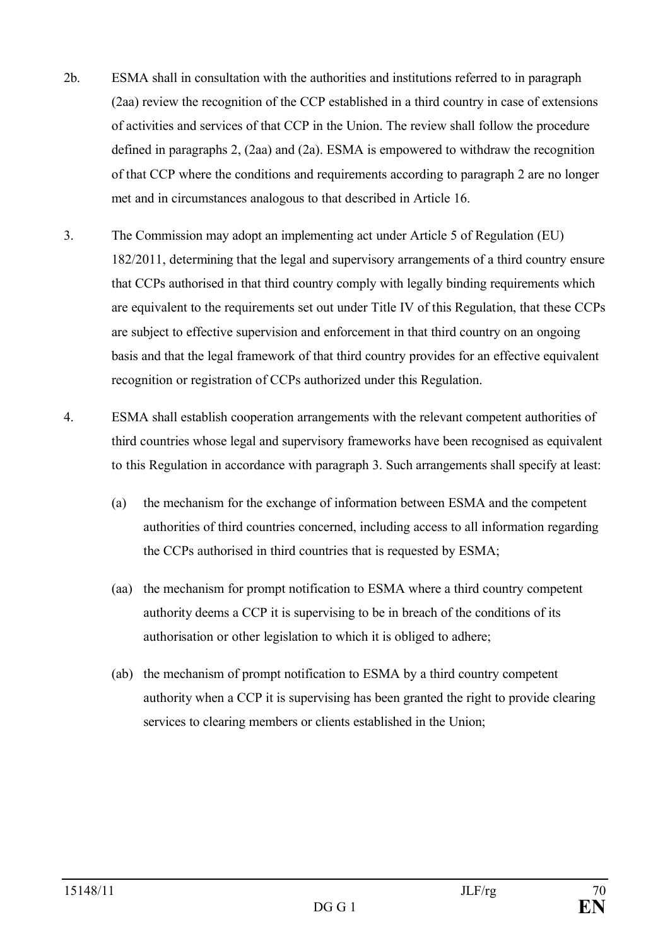- 2b. ESMA shall in consultation with the authorities and institutions referred to in paragraph (2aa) review the recognition of the CCP established in a third country in case of extensions of activities and services of that CCP in the Union. The review shall follow the procedure defined in paragraphs 2, (2aa) and (2a). ESMA is empowered to withdraw the recognition of that CCP where the conditions and requirements according to paragraph 2 are no longer met and in circumstances analogous to that described in Article 16.
- 3. The Commission may adopt an implementing act under Article 5 of Regulation (EU) 182/2011, determining that the legal and supervisory arrangements of a third country ensure that CCPs authorised in that third country comply with legally binding requirements which are equivalent to the requirements set out under Title IV of this Regulation, that these CCPs are subject to effective supervision and enforcement in that third country on an ongoing basis and that the legal framework of that third country provides for an effective equivalent recognition or registration of CCPs authorized under this Regulation.
- 4. ESMA shall establish cooperation arrangements with the relevant competent authorities of third countries whose legal and supervisory frameworks have been recognised as equivalent to this Regulation in accordance with paragraph 3. Such arrangements shall specify at least:
	- (a) the mechanism for the exchange of information between ESMA and the competent authorities of third countries concerned, including access to all information regarding the CCPs authorised in third countries that is requested by ESMA;
	- (aa) the mechanism for prompt notification to ESMA where a third country competent authority deems a CCP it is supervising to be in breach of the conditions of its authorisation or other legislation to which it is obliged to adhere;
	- (ab) the mechanism of prompt notification to ESMA by a third country competent authority when a CCP it is supervising has been granted the right to provide clearing services to clearing members or clients established in the Union;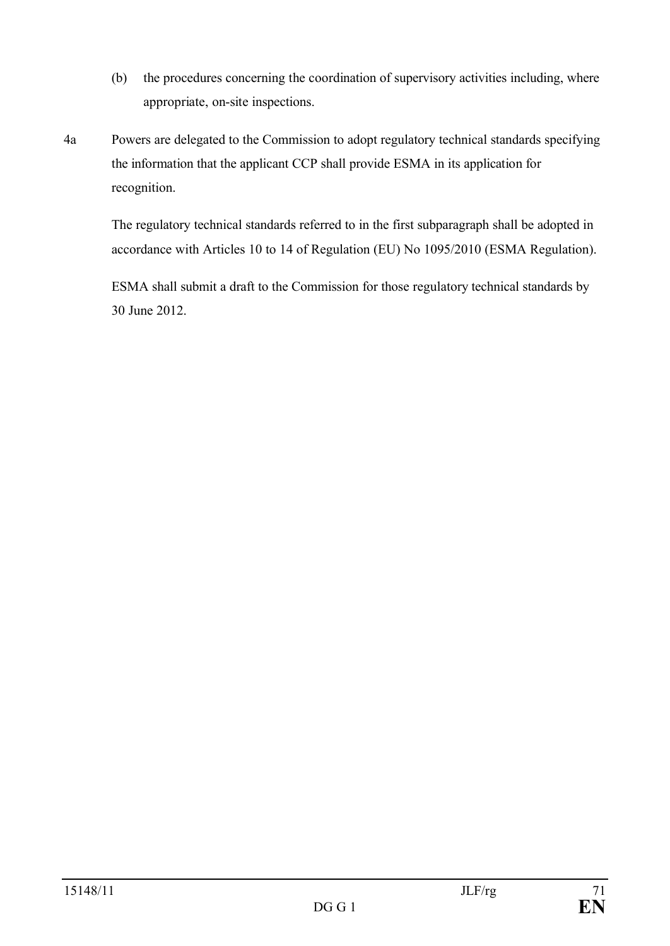- (b) the procedures concerning the coordination of supervisory activities including, where appropriate, on-site inspections.
- 4a Powers are delegated to the Commission to adopt regulatory technical standards specifying the information that the applicant CCP shall provide ESMA in its application for recognition.

The regulatory technical standards referred to in the first subparagraph shall be adopted in accordance with Articles 10 to 14 of Regulation (EU) No 1095/2010 (ESMA Regulation).

ESMA shall submit a draft to the Commission for those regulatory technical standards by 30 June 2012.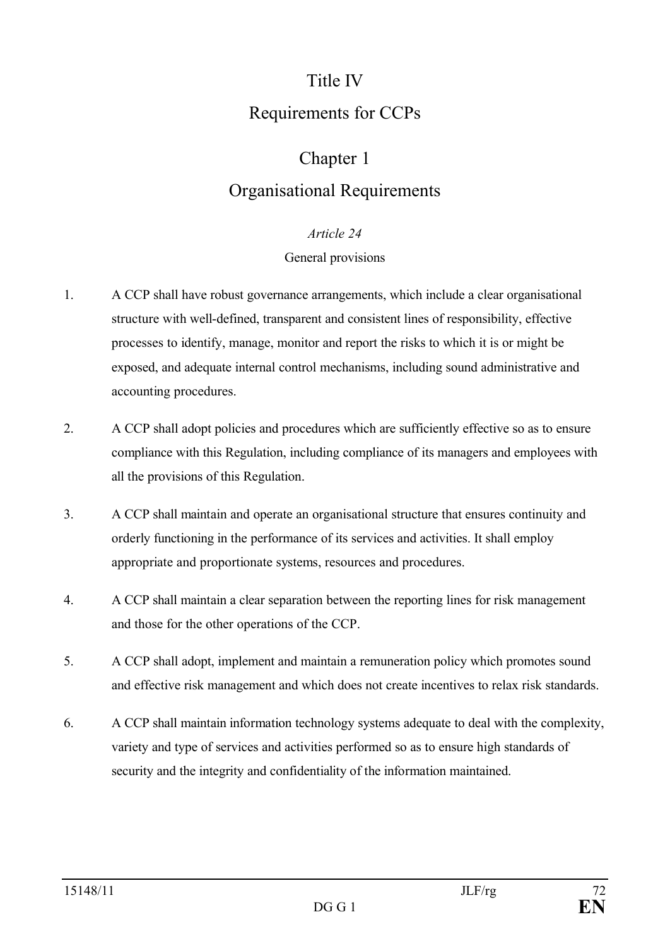# Title IV Requirements for CCPs

# Chapter 1

# Organisational Requirements

#### *Article 24*

#### General provisions

- 1. A CCP shall have robust governance arrangements, which include a clear organisational structure with well-defined, transparent and consistent lines of responsibility, effective processes to identify, manage, monitor and report the risks to which it is or might be exposed, and adequate internal control mechanisms, including sound administrative and accounting procedures.
- 2. A CCP shall adopt policies and procedures which are sufficiently effective so as to ensure compliance with this Regulation, including compliance of its managers and employees with all the provisions of this Regulation.
- 3. A CCP shall maintain and operate an organisational structure that ensures continuity and orderly functioning in the performance of its services and activities. It shall employ appropriate and proportionate systems, resources and procedures.
- 4. A CCP shall maintain a clear separation between the reporting lines for risk management and those for the other operations of the CCP.
- 5. A CCP shall adopt, implement and maintain a remuneration policy which promotes sound and effective risk management and which does not create incentives to relax risk standards.
- 6. A CCP shall maintain information technology systems adequate to deal with the complexity, variety and type of services and activities performed so as to ensure high standards of security and the integrity and confidentiality of the information maintained.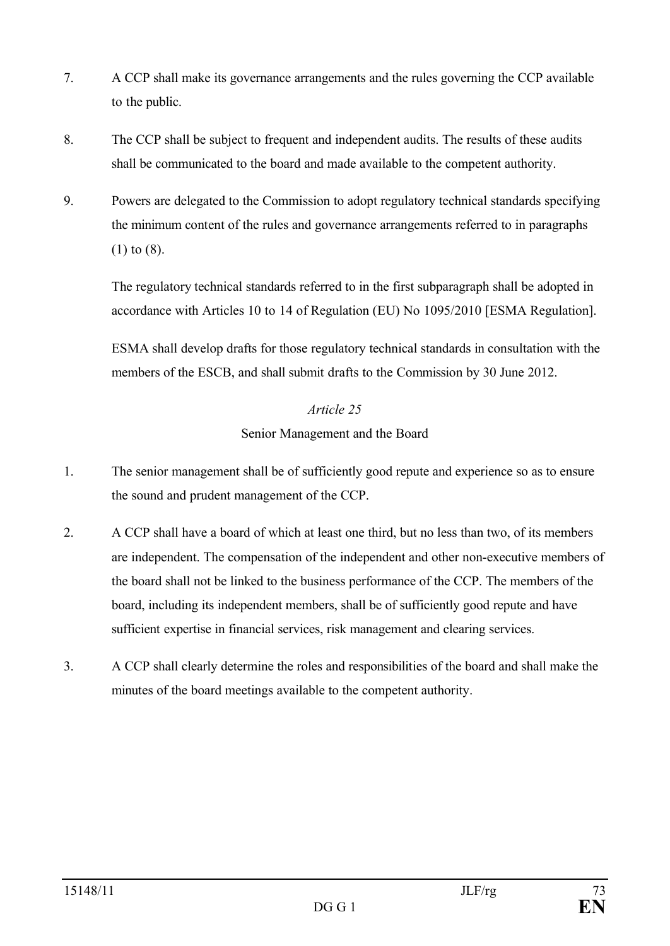- 7. A CCP shall make its governance arrangements and the rules governing the CCP available to the public.
- 8. The CCP shall be subject to frequent and independent audits. The results of these audits shall be communicated to the board and made available to the competent authority.
- 9. Powers are delegated to the Commission to adopt regulatory technical standards specifying the minimum content of the rules and governance arrangements referred to in paragraphs (1) to (8).

The regulatory technical standards referred to in the first subparagraph shall be adopted in accordance with Articles 10 to 14 of Regulation (EU) No 1095/2010 [ESMA Regulation].

ESMA shall develop drafts for those regulatory technical standards in consultation with the members of the ESCB, and shall submit drafts to the Commission by 30 June 2012.

# *Article 25*

Senior Management and the Board

- 1. The senior management shall be of sufficiently good repute and experience so as to ensure the sound and prudent management of the CCP.
- 2. A CCP shall have a board of which at least one third, but no less than two, of its members are independent. The compensation of the independent and other non-executive members of the board shall not be linked to the business performance of the CCP. The members of the board, including its independent members, shall be of sufficiently good repute and have sufficient expertise in financial services, risk management and clearing services.
- 3. A CCP shall clearly determine the roles and responsibilities of the board and shall make the minutes of the board meetings available to the competent authority.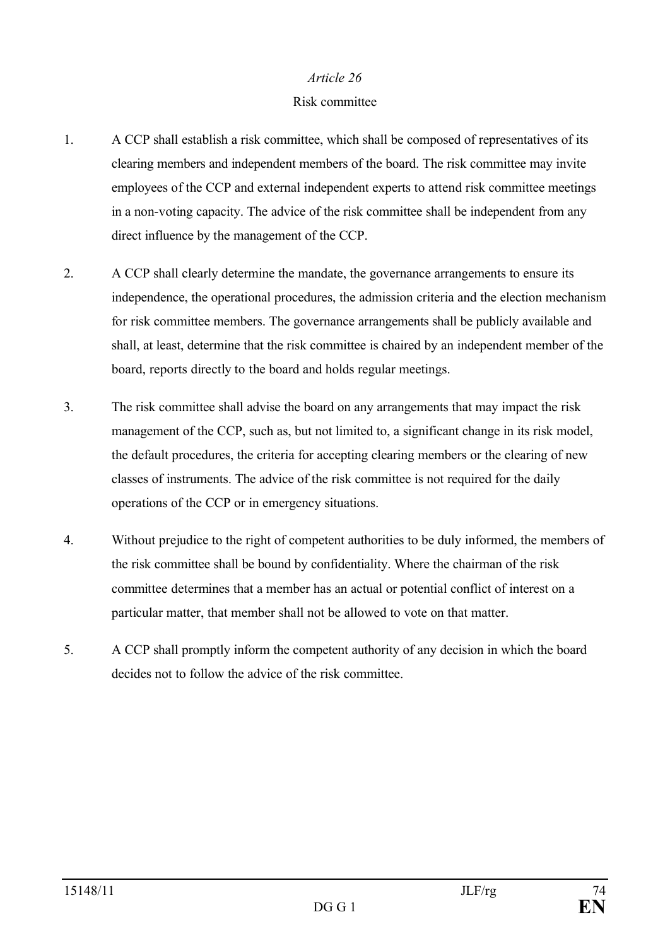#### Risk committee

- 1. A CCP shall establish a risk committee, which shall be composed of representatives of its clearing members and independent members of the board. The risk committee may invite employees of the CCP and external independent experts to attend risk committee meetings in a non-voting capacity. The advice of the risk committee shall be independent from any direct influence by the management of the CCP.
- 2. A CCP shall clearly determine the mandate, the governance arrangements to ensure its independence, the operational procedures, the admission criteria and the election mechanism for risk committee members. The governance arrangements shall be publicly available and shall, at least, determine that the risk committee is chaired by an independent member of the board, reports directly to the board and holds regular meetings.
- 3. The risk committee shall advise the board on any arrangements that may impact the risk management of the CCP, such as, but not limited to, a significant change in its risk model, the default procedures, the criteria for accepting clearing members or the clearing of new classes of instruments. The advice of the risk committee is not required for the daily operations of the CCP or in emergency situations.
- 4. Without prejudice to the right of competent authorities to be duly informed, the members of the risk committee shall be bound by confidentiality. Where the chairman of the risk committee determines that a member has an actual or potential conflict of interest on a particular matter, that member shall not be allowed to vote on that matter.
- 5. A CCP shall promptly inform the competent authority of any decision in which the board decides not to follow the advice of the risk committee.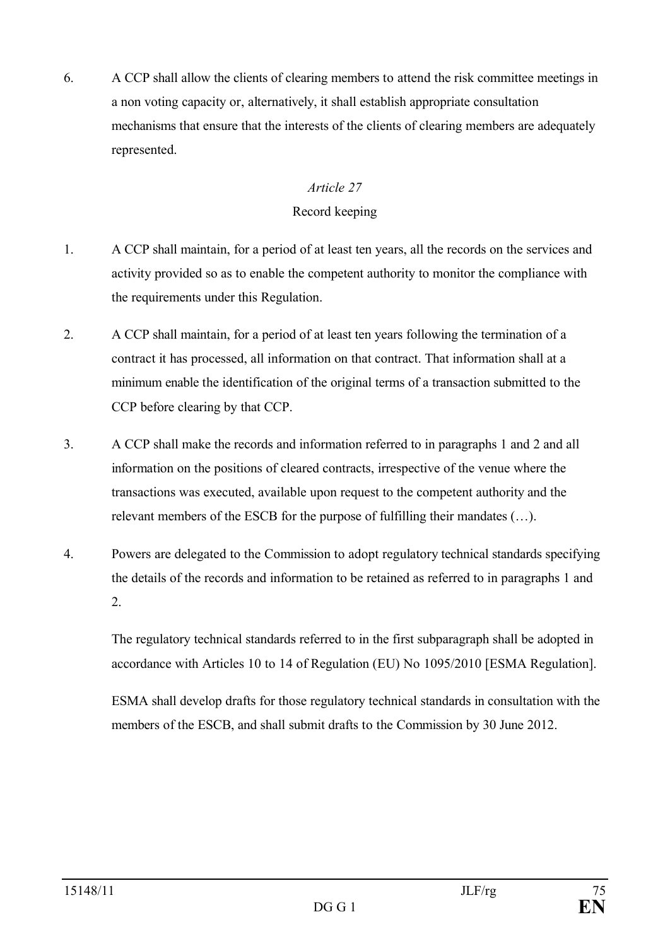6. A CCP shall allow the clients of clearing members to attend the risk committee meetings in a non voting capacity or, alternatively, it shall establish appropriate consultation mechanisms that ensure that the interests of the clients of clearing members are adequately represented.

# *Article 27*

# Record keeping

- 1. A CCP shall maintain, for a period of at least ten years, all the records on the services and activity provided so as to enable the competent authority to monitor the compliance with the requirements under this Regulation.
- 2. A CCP shall maintain, for a period of at least ten years following the termination of a contract it has processed, all information on that contract. That information shall at a minimum enable the identification of the original terms of a transaction submitted to the CCP before clearing by that CCP.
- 3. A CCP shall make the records and information referred to in paragraphs 1 and 2 and all information on the positions of cleared contracts, irrespective of the venue where the transactions was executed, available upon request to the competent authority and the relevant members of the ESCB for the purpose of fulfilling their mandates (…).
- 4. Powers are delegated to the Commission to adopt regulatory technical standards specifying the details of the records and information to be retained as referred to in paragraphs 1 and 2.

The regulatory technical standards referred to in the first subparagraph shall be adopted in accordance with Articles 10 to 14 of Regulation (EU) No 1095/2010 [ESMA Regulation].

ESMA shall develop drafts for those regulatory technical standards in consultation with the members of the ESCB, and shall submit drafts to the Commission by 30 June 2012.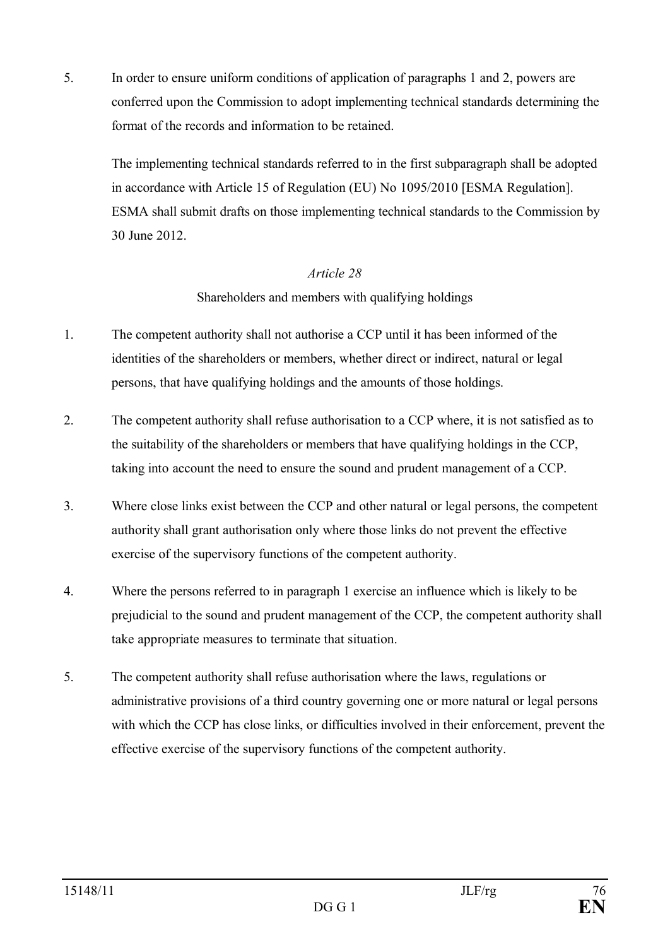5. In order to ensure uniform conditions of application of paragraphs 1 and 2, powers are conferred upon the Commission to adopt implementing technical standards determining the format of the records and information to be retained.

The implementing technical standards referred to in the first subparagraph shall be adopted in accordance with Article 15 of Regulation (EU) No 1095/2010 [ESMA Regulation]. ESMA shall submit drafts on those implementing technical standards to the Commission by 30 June 2012.

#### *Article 28*

# Shareholders and members with qualifying holdings

- 1. The competent authority shall not authorise a CCP until it has been informed of the identities of the shareholders or members, whether direct or indirect, natural or legal persons, that have qualifying holdings and the amounts of those holdings.
- 2. The competent authority shall refuse authorisation to a CCP where, it is not satisfied as to the suitability of the shareholders or members that have qualifying holdings in the CCP, taking into account the need to ensure the sound and prudent management of a CCP.
- 3. Where close links exist between the CCP and other natural or legal persons, the competent authority shall grant authorisation only where those links do not prevent the effective exercise of the supervisory functions of the competent authority.
- 4. Where the persons referred to in paragraph 1 exercise an influence which is likely to be prejudicial to the sound and prudent management of the CCP, the competent authority shall take appropriate measures to terminate that situation.
- 5. The competent authority shall refuse authorisation where the laws, regulations or administrative provisions of a third country governing one or more natural or legal persons with which the CCP has close links, or difficulties involved in their enforcement, prevent the effective exercise of the supervisory functions of the competent authority.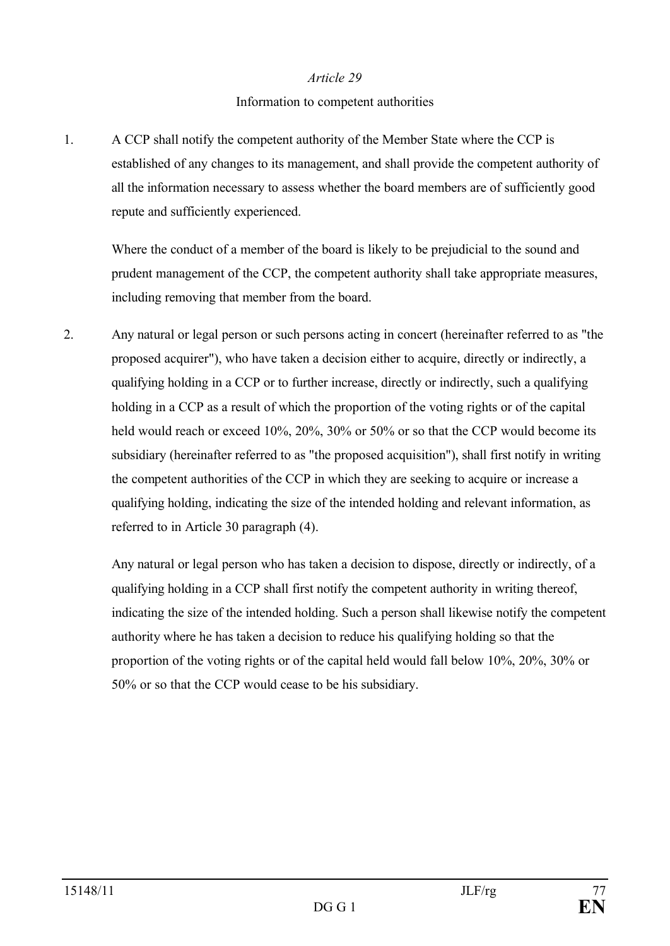#### Information to competent authorities

1. A CCP shall notify the competent authority of the Member State where the CCP is established of any changes to its management, and shall provide the competent authority of all the information necessary to assess whether the board members are of sufficiently good repute and sufficiently experienced.

Where the conduct of a member of the board is likely to be prejudicial to the sound and prudent management of the CCP, the competent authority shall take appropriate measures, including removing that member from the board.

2. Any natural or legal person or such persons acting in concert (hereinafter referred to as "the proposed acquirer"), who have taken a decision either to acquire, directly or indirectly, a qualifying holding in a CCP or to further increase, directly or indirectly, such a qualifying holding in a CCP as a result of which the proportion of the voting rights or of the capital held would reach or exceed 10%, 20%, 30% or 50% or so that the CCP would become its subsidiary (hereinafter referred to as "the proposed acquisition"), shall first notify in writing the competent authorities of the CCP in which they are seeking to acquire or increase a qualifying holding, indicating the size of the intended holding and relevant information, as referred to in Article 30 paragraph (4).

Any natural or legal person who has taken a decision to dispose, directly or indirectly, of a qualifying holding in a CCP shall first notify the competent authority in writing thereof, indicating the size of the intended holding. Such a person shall likewise notify the competent authority where he has taken a decision to reduce his qualifying holding so that the proportion of the voting rights or of the capital held would fall below 10%, 20%, 30% or 50% or so that the CCP would cease to be his subsidiary.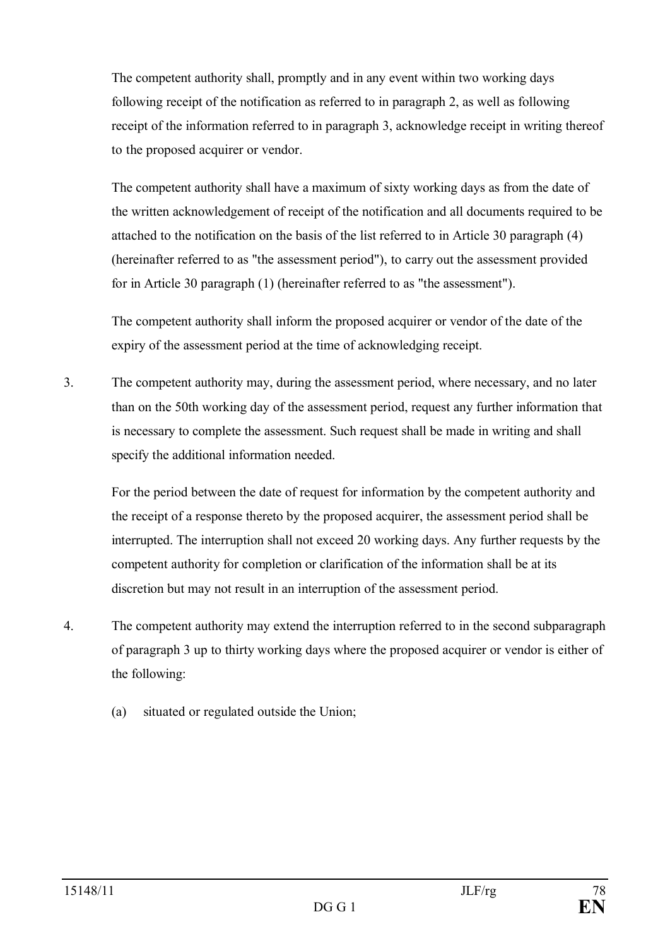The competent authority shall, promptly and in any event within two working days following receipt of the notification as referred to in paragraph 2, as well as following receipt of the information referred to in paragraph 3, acknowledge receipt in writing thereof to the proposed acquirer or vendor.

The competent authority shall have a maximum of sixty working days as from the date of the written acknowledgement of receipt of the notification and all documents required to be attached to the notification on the basis of the list referred to in Article 30 paragraph (4) (hereinafter referred to as "the assessment period"), to carry out the assessment provided for in Article 30 paragraph (1) (hereinafter referred to as "the assessment").

The competent authority shall inform the proposed acquirer or vendor of the date of the expiry of the assessment period at the time of acknowledging receipt.

3. The competent authority may, during the assessment period, where necessary, and no later than on the 50th working day of the assessment period, request any further information that is necessary to complete the assessment. Such request shall be made in writing and shall specify the additional information needed.

For the period between the date of request for information by the competent authority and the receipt of a response thereto by the proposed acquirer, the assessment period shall be interrupted. The interruption shall not exceed 20 working days. Any further requests by the competent authority for completion or clarification of the information shall be at its discretion but may not result in an interruption of the assessment period.

- 4. The competent authority may extend the interruption referred to in the second subparagraph of paragraph 3 up to thirty working days where the proposed acquirer or vendor is either of the following:
	- (a) situated or regulated outside the Union;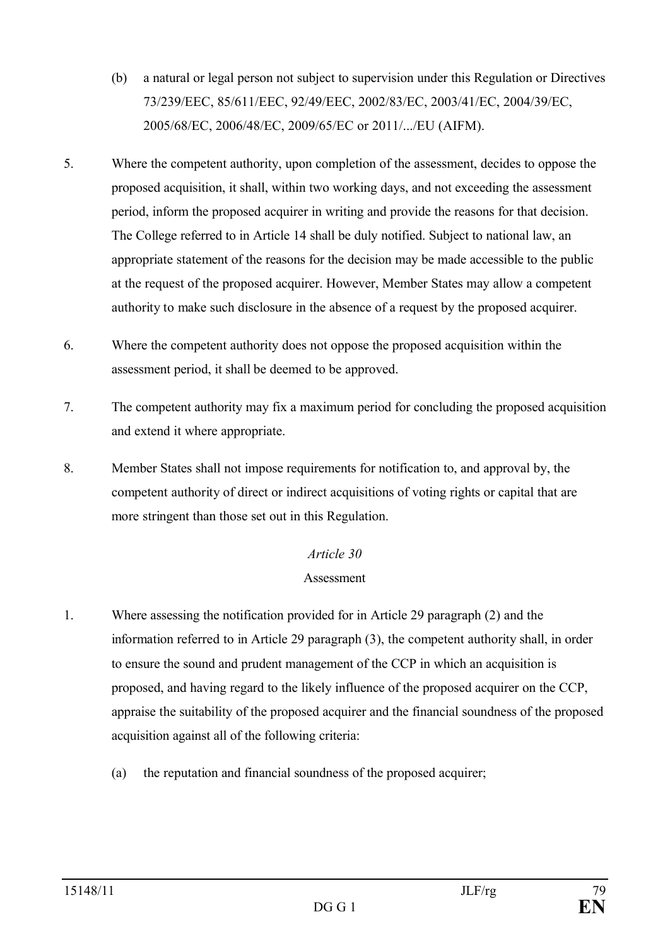- (b) a natural or legal person not subject to supervision under this Regulation or Directives 73/239/EEC, 85/611/EEC, 92/49/EEC, 2002/83/EC, 2003/41/EC, 2004/39/EC, 2005/68/EC, 2006/48/EC, 2009/65/EC or 2011/.../EU (AIFM).
- 5. Where the competent authority, upon completion of the assessment, decides to oppose the proposed acquisition, it shall, within two working days, and not exceeding the assessment period, inform the proposed acquirer in writing and provide the reasons for that decision. The College referred to in Article 14 shall be duly notified. Subject to national law, an appropriate statement of the reasons for the decision may be made accessible to the public at the request of the proposed acquirer. However, Member States may allow a competent authority to make such disclosure in the absence of a request by the proposed acquirer.
- 6. Where the competent authority does not oppose the proposed acquisition within the assessment period, it shall be deemed to be approved.
- 7. The competent authority may fix a maximum period for concluding the proposed acquisition and extend it where appropriate.
- 8. Member States shall not impose requirements for notification to, and approval by, the competent authority of direct or indirect acquisitions of voting rights or capital that are more stringent than those set out in this Regulation.

# Assessment

- 1. Where assessing the notification provided for in Article 29 paragraph (2) and the information referred to in Article 29 paragraph (3), the competent authority shall, in order to ensure the sound and prudent management of the CCP in which an acquisition is proposed, and having regard to the likely influence of the proposed acquirer on the CCP, appraise the suitability of the proposed acquirer and the financial soundness of the proposed acquisition against all of the following criteria:
	- (a) the reputation and financial soundness of the proposed acquirer;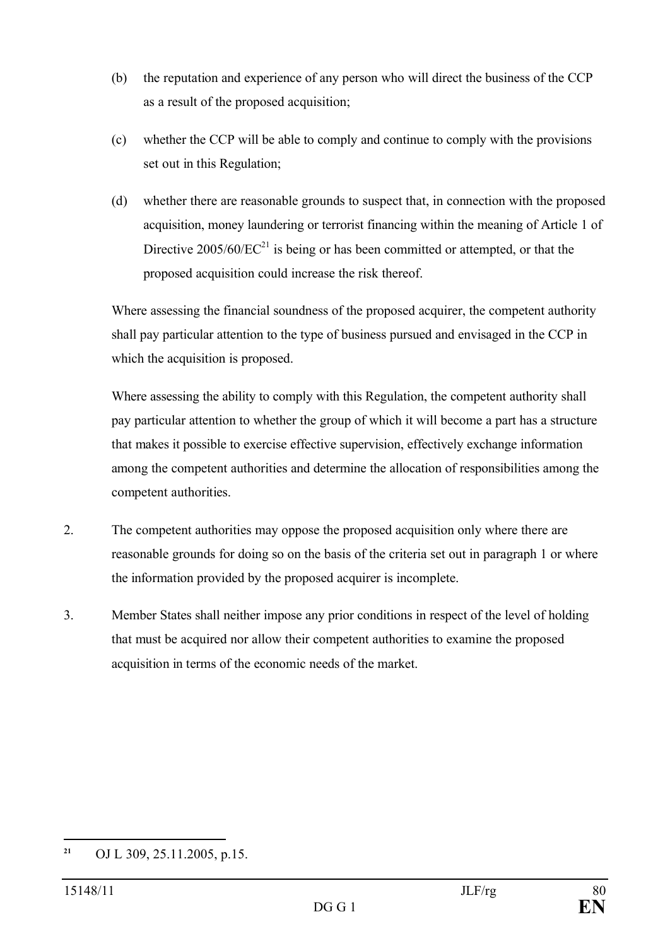- (b) the reputation and experience of any person who will direct the business of the CCP as a result of the proposed acquisition;
- (c) whether the CCP will be able to comply and continue to comply with the provisions set out in this Regulation;
- (d) whether there are reasonable grounds to suspect that, in connection with the proposed acquisition, money laundering or terrorist financing within the meaning of Article 1 of Directive  $2005/60/EC^{21}$  is being or has been committed or attempted, or that the proposed acquisition could increase the risk thereof.

Where assessing the financial soundness of the proposed acquirer, the competent authority shall pay particular attention to the type of business pursued and envisaged in the CCP in which the acquisition is proposed.

Where assessing the ability to comply with this Regulation, the competent authority shall pay particular attention to whether the group of which it will become a part has a structure that makes it possible to exercise effective supervision, effectively exchange information among the competent authorities and determine the allocation of responsibilities among the competent authorities.

- 2. The competent authorities may oppose the proposed acquisition only where there are reasonable grounds for doing so on the basis of the criteria set out in paragraph 1 or where the information provided by the proposed acquirer is incomplete.
- 3. Member States shall neither impose any prior conditions in respect of the level of holding that must be acquired nor allow their competent authorities to examine the proposed acquisition in terms of the economic needs of the market.

**<sup>21</sup>** OJ L 309, 25.11.2005, p.15.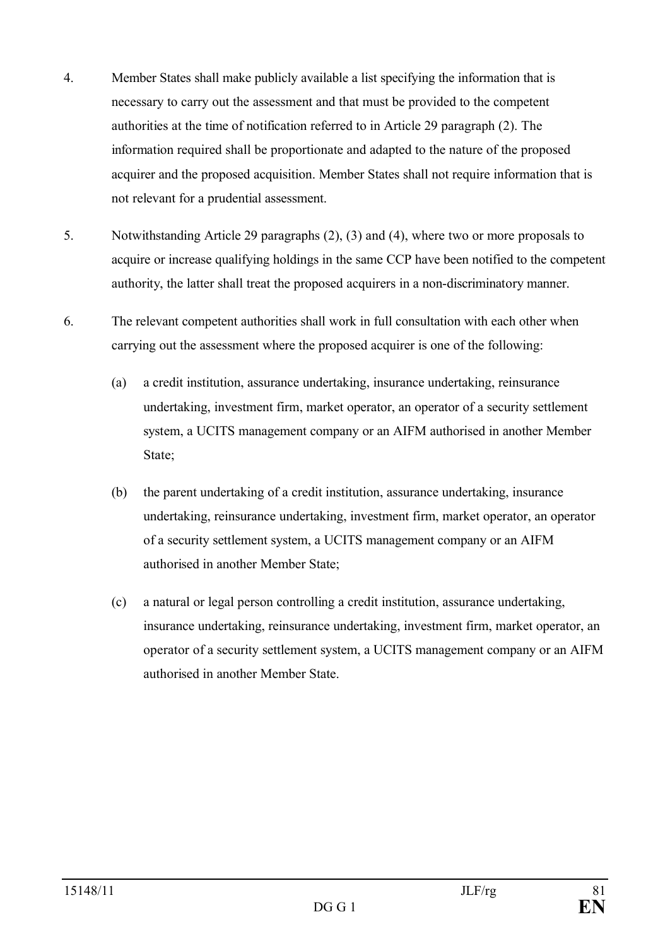- 4. Member States shall make publicly available a list specifying the information that is necessary to carry out the assessment and that must be provided to the competent authorities at the time of notification referred to in Article 29 paragraph (2). The information required shall be proportionate and adapted to the nature of the proposed acquirer and the proposed acquisition. Member States shall not require information that is not relevant for a prudential assessment.
- 5. Notwithstanding Article 29 paragraphs (2), (3) and (4), where two or more proposals to acquire or increase qualifying holdings in the same CCP have been notified to the competent authority, the latter shall treat the proposed acquirers in a non-discriminatory manner.
- 6. The relevant competent authorities shall work in full consultation with each other when carrying out the assessment where the proposed acquirer is one of the following:
	- (a) a credit institution, assurance undertaking, insurance undertaking, reinsurance undertaking, investment firm, market operator, an operator of a security settlement system, a UCITS management company or an AIFM authorised in another Member State;
	- (b) the parent undertaking of a credit institution, assurance undertaking, insurance undertaking, reinsurance undertaking, investment firm, market operator, an operator of a security settlement system, a UCITS management company or an AIFM authorised in another Member State;
	- (c) a natural or legal person controlling a credit institution, assurance undertaking, insurance undertaking, reinsurance undertaking, investment firm, market operator, an operator of a security settlement system, a UCITS management company or an AIFM authorised in another Member State.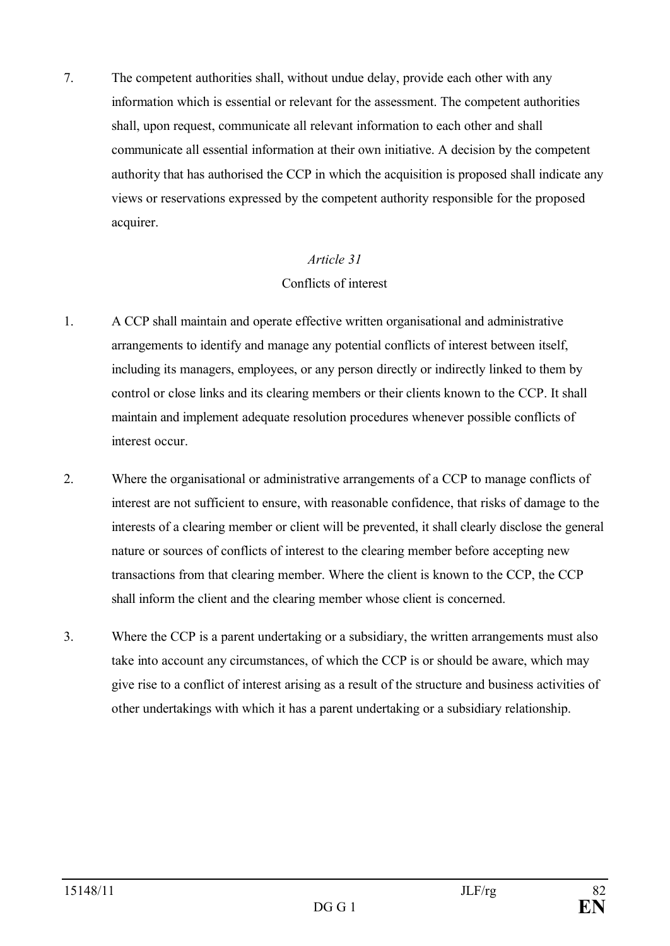7. The competent authorities shall, without undue delay, provide each other with any information which is essential or relevant for the assessment. The competent authorities shall, upon request, communicate all relevant information to each other and shall communicate all essential information at their own initiative. A decision by the competent authority that has authorised the CCP in which the acquisition is proposed shall indicate any views or reservations expressed by the competent authority responsible for the proposed acquirer.

#### *Article 31*

#### Conflicts of interest

- 1. A CCP shall maintain and operate effective written organisational and administrative arrangements to identify and manage any potential conflicts of interest between itself, including its managers, employees, or any person directly or indirectly linked to them by control or close links and its clearing members or their clients known to the CCP. It shall maintain and implement adequate resolution procedures whenever possible conflicts of interest occur.
- 2. Where the organisational or administrative arrangements of a CCP to manage conflicts of interest are not sufficient to ensure, with reasonable confidence, that risks of damage to the interests of a clearing member or client will be prevented, it shall clearly disclose the general nature or sources of conflicts of interest to the clearing member before accepting new transactions from that clearing member. Where the client is known to the CCP, the CCP shall inform the client and the clearing member whose client is concerned.
- 3. Where the CCP is a parent undertaking or a subsidiary, the written arrangements must also take into account any circumstances, of which the CCP is or should be aware, which may give rise to a conflict of interest arising as a result of the structure and business activities of other undertakings with which it has a parent undertaking or a subsidiary relationship.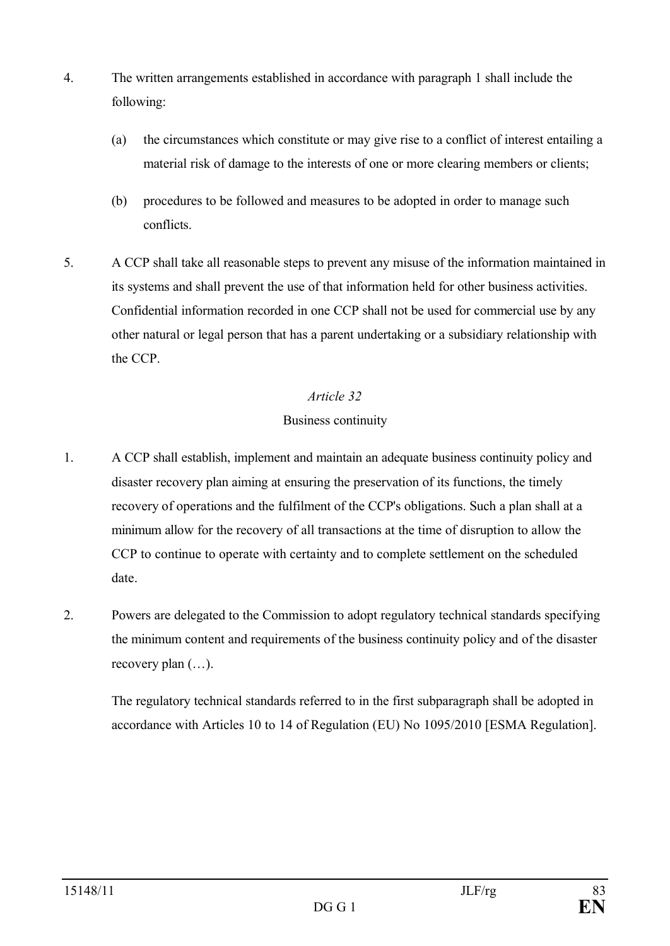- 4. The written arrangements established in accordance with paragraph 1 shall include the following:
	- (a) the circumstances which constitute or may give rise to a conflict of interest entailing a material risk of damage to the interests of one or more clearing members or clients;
	- (b) procedures to be followed and measures to be adopted in order to manage such conflicts.
- 5. A CCP shall take all reasonable steps to prevent any misuse of the information maintained in its systems and shall prevent the use of that information held for other business activities. Confidential information recorded in one CCP shall not be used for commercial use by any other natural or legal person that has a parent undertaking or a subsidiary relationship with the CCP.

# Business continuity

- 1. A CCP shall establish, implement and maintain an adequate business continuity policy and disaster recovery plan aiming at ensuring the preservation of its functions, the timely recovery of operations and the fulfilment of the CCP's obligations. Such a plan shall at a minimum allow for the recovery of all transactions at the time of disruption to allow the CCP to continue to operate with certainty and to complete settlement on the scheduled date.
- 2. Powers are delegated to the Commission to adopt regulatory technical standards specifying the minimum content and requirements of the business continuity policy and of the disaster recovery plan (…).

The regulatory technical standards referred to in the first subparagraph shall be adopted in accordance with Articles 10 to 14 of Regulation (EU) No 1095/2010 [ESMA Regulation].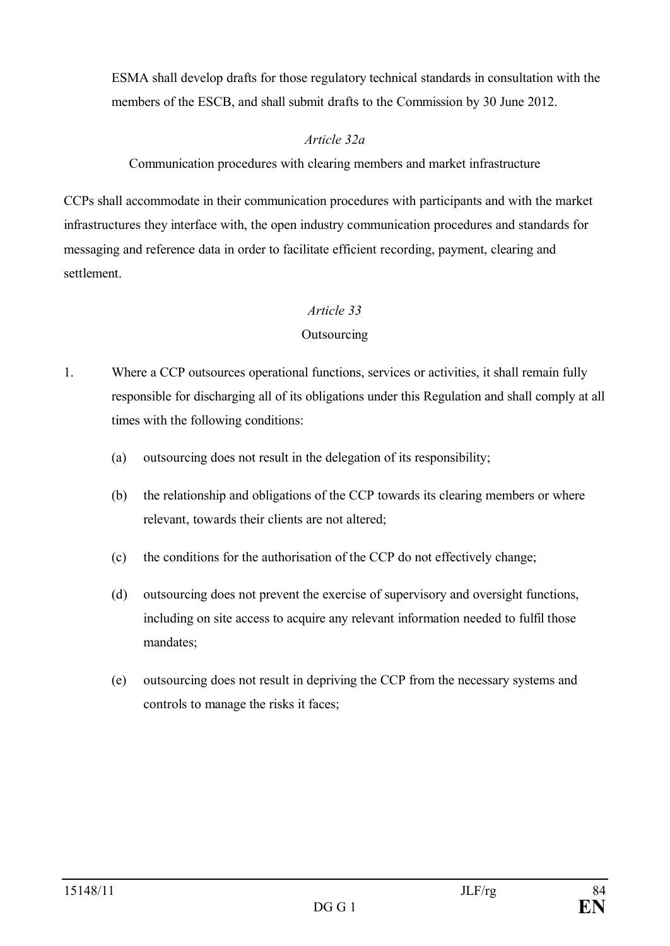ESMA shall develop drafts for those regulatory technical standards in consultation with the members of the ESCB, and shall submit drafts to the Commission by 30 June 2012.

# *Article 32a*

Communication procedures with clearing members and market infrastructure

CCPs shall accommodate in their communication procedures with participants and with the market infrastructures they interface with, the open industry communication procedures and standards for messaging and reference data in order to facilitate efficient recording, payment, clearing and settlement.

# *Article 33*

# **Outsourcing**

- 1. Where a CCP outsources operational functions, services or activities, it shall remain fully responsible for discharging all of its obligations under this Regulation and shall comply at all times with the following conditions:
	- (a) outsourcing does not result in the delegation of its responsibility;
	- (b) the relationship and obligations of the CCP towards its clearing members or where relevant, towards their clients are not altered;
	- (c) the conditions for the authorisation of the CCP do not effectively change;
	- (d) outsourcing does not prevent the exercise of supervisory and oversight functions, including on site access to acquire any relevant information needed to fulfil those mandates;
	- (e) outsourcing does not result in depriving the CCP from the necessary systems and controls to manage the risks it faces;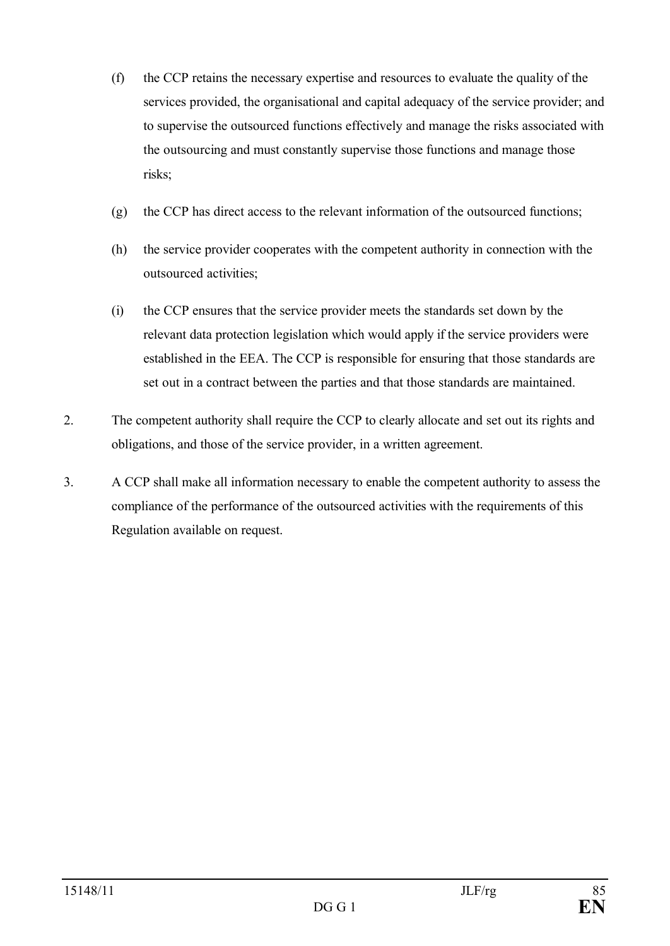- (f) the CCP retains the necessary expertise and resources to evaluate the quality of the services provided, the organisational and capital adequacy of the service provider; and to supervise the outsourced functions effectively and manage the risks associated with the outsourcing and must constantly supervise those functions and manage those risks;
- (g) the CCP has direct access to the relevant information of the outsourced functions;
- (h) the service provider cooperates with the competent authority in connection with the outsourced activities;
- (i) the CCP ensures that the service provider meets the standards set down by the relevant data protection legislation which would apply if the service providers were established in the EEA. The CCP is responsible for ensuring that those standards are set out in a contract between the parties and that those standards are maintained.
- 2. The competent authority shall require the CCP to clearly allocate and set out its rights and obligations, and those of the service provider, in a written agreement.
- 3. A CCP shall make all information necessary to enable the competent authority to assess the compliance of the performance of the outsourced activities with the requirements of this Regulation available on request.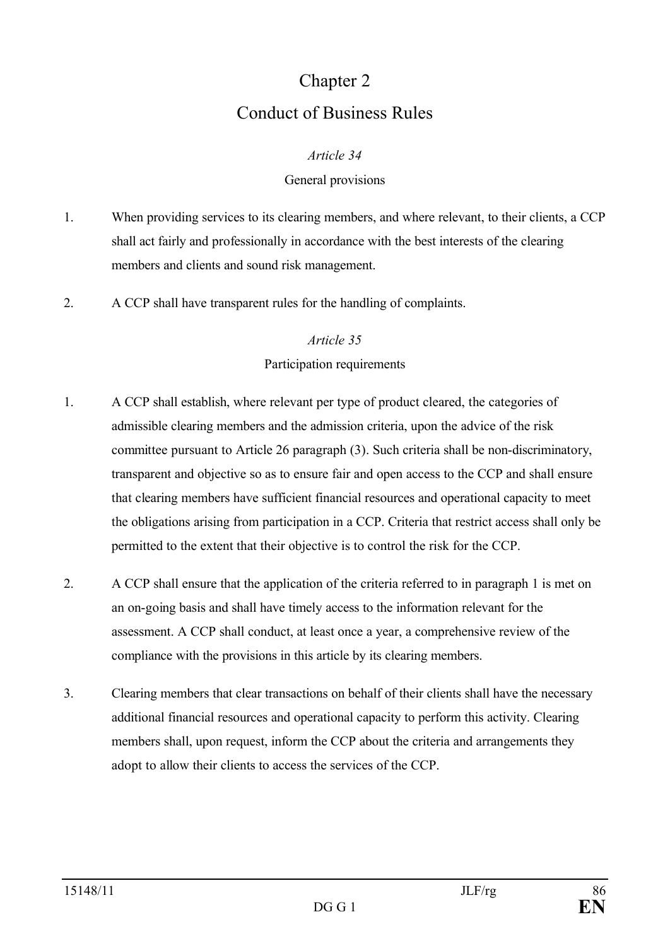# Chapter 2 Conduct of Business Rules

#### *Article 34*

#### General provisions

- 1. When providing services to its clearing members, and where relevant, to their clients, a CCP shall act fairly and professionally in accordance with the best interests of the clearing members and clients and sound risk management.
- 2. A CCP shall have transparent rules for the handling of complaints.

#### *Article 35*

#### Participation requirements

- 1. A CCP shall establish, where relevant per type of product cleared, the categories of admissible clearing members and the admission criteria, upon the advice of the risk committee pursuant to Article 26 paragraph (3). Such criteria shall be non-discriminatory, transparent and objective so as to ensure fair and open access to the CCP and shall ensure that clearing members have sufficient financial resources and operational capacity to meet the obligations arising from participation in a CCP. Criteria that restrict access shall only be permitted to the extent that their objective is to control the risk for the CCP.
- 2. A CCP shall ensure that the application of the criteria referred to in paragraph 1 is met on an on-going basis and shall have timely access to the information relevant for the assessment. A CCP shall conduct, at least once a year, a comprehensive review of the compliance with the provisions in this article by its clearing members.
- 3. Clearing members that clear transactions on behalf of their clients shall have the necessary additional financial resources and operational capacity to perform this activity. Clearing members shall, upon request, inform the CCP about the criteria and arrangements they adopt to allow their clients to access the services of the CCP.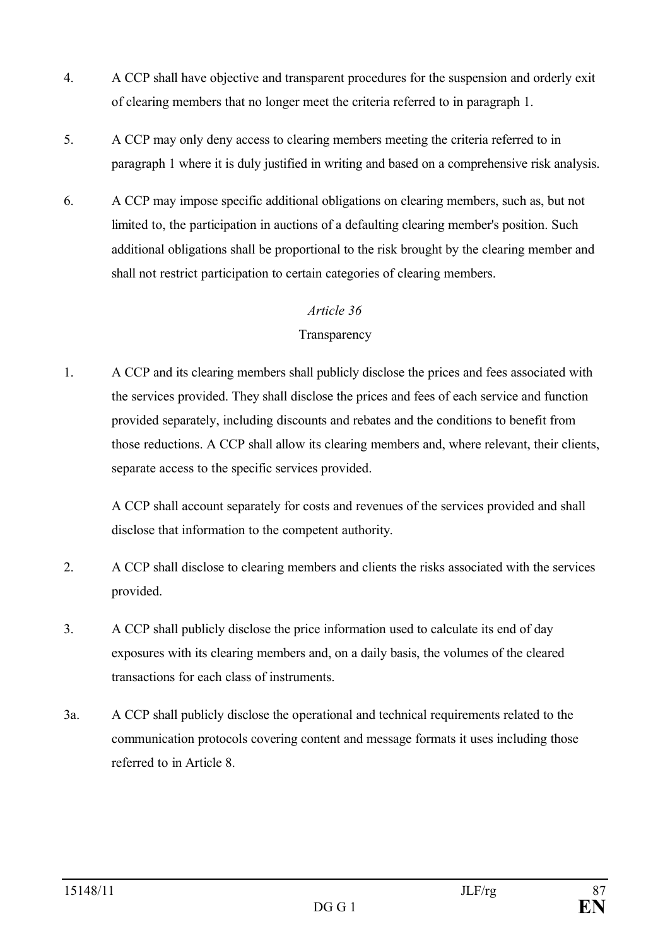- 4. A CCP shall have objective and transparent procedures for the suspension and orderly exit of clearing members that no longer meet the criteria referred to in paragraph 1.
- 5. A CCP may only deny access to clearing members meeting the criteria referred to in paragraph 1 where it is duly justified in writing and based on a comprehensive risk analysis.
- 6. A CCP may impose specific additional obligations on clearing members, such as, but not limited to, the participation in auctions of a defaulting clearing member's position. Such additional obligations shall be proportional to the risk brought by the clearing member and shall not restrict participation to certain categories of clearing members.

#### **Transparency**

1. A CCP and its clearing members shall publicly disclose the prices and fees associated with the services provided. They shall disclose the prices and fees of each service and function provided separately, including discounts and rebates and the conditions to benefit from those reductions. A CCP shall allow its clearing members and, where relevant, their clients, separate access to the specific services provided.

A CCP shall account separately for costs and revenues of the services provided and shall disclose that information to the competent authority.

- 2. A CCP shall disclose to clearing members and clients the risks associated with the services provided.
- 3. A CCP shall publicly disclose the price information used to calculate its end of day exposures with its clearing members and, on a daily basis, the volumes of the cleared transactions for each class of instruments.
- 3a. A CCP shall publicly disclose the operational and technical requirements related to the communication protocols covering content and message formats it uses including those referred to in Article 8.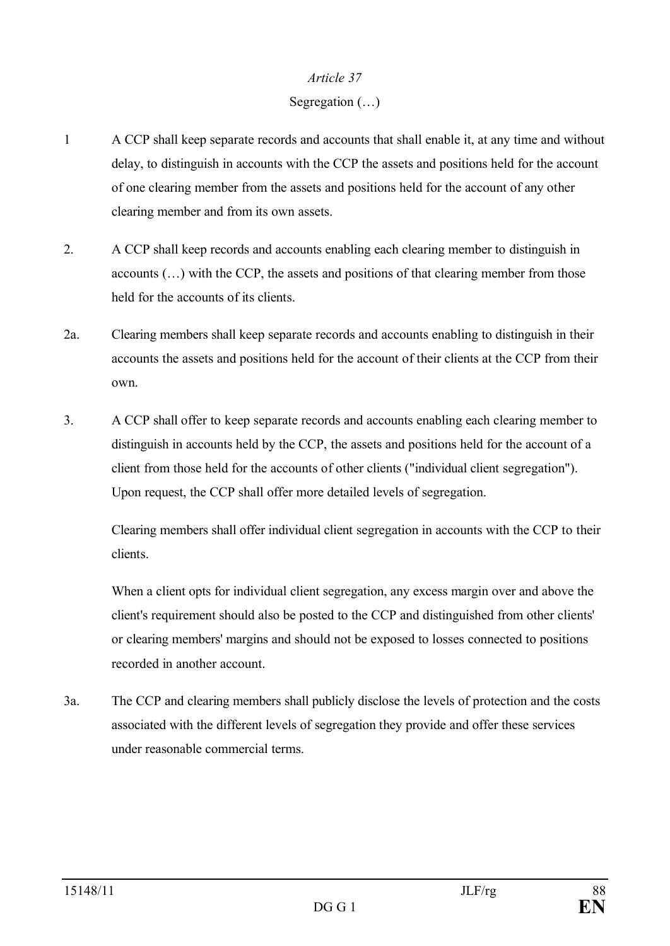# Segregation (…)

- 1 A CCP shall keep separate records and accounts that shall enable it, at any time and without delay, to distinguish in accounts with the CCP the assets and positions held for the account of one clearing member from the assets and positions held for the account of any other clearing member and from its own assets.
- 2. A CCP shall keep records and accounts enabling each clearing member to distinguish in accounts (…) with the CCP, the assets and positions of that clearing member from those held for the accounts of its clients.
- 2a. Clearing members shall keep separate records and accounts enabling to distinguish in their accounts the assets and positions held for the account of their clients at the CCP from their own.
- 3. A CCP shall offer to keep separate records and accounts enabling each clearing member to distinguish in accounts held by the CCP, the assets and positions held for the account of a client from those held for the accounts of other clients ("individual client segregation"). Upon request, the CCP shall offer more detailed levels of segregation.

Clearing members shall offer individual client segregation in accounts with the CCP to their clients.

When a client opts for individual client segregation, any excess margin over and above the client's requirement should also be posted to the CCP and distinguished from other clients' or clearing members' margins and should not be exposed to losses connected to positions recorded in another account.

3a. The CCP and clearing members shall publicly disclose the levels of protection and the costs associated with the different levels of segregation they provide and offer these services under reasonable commercial terms.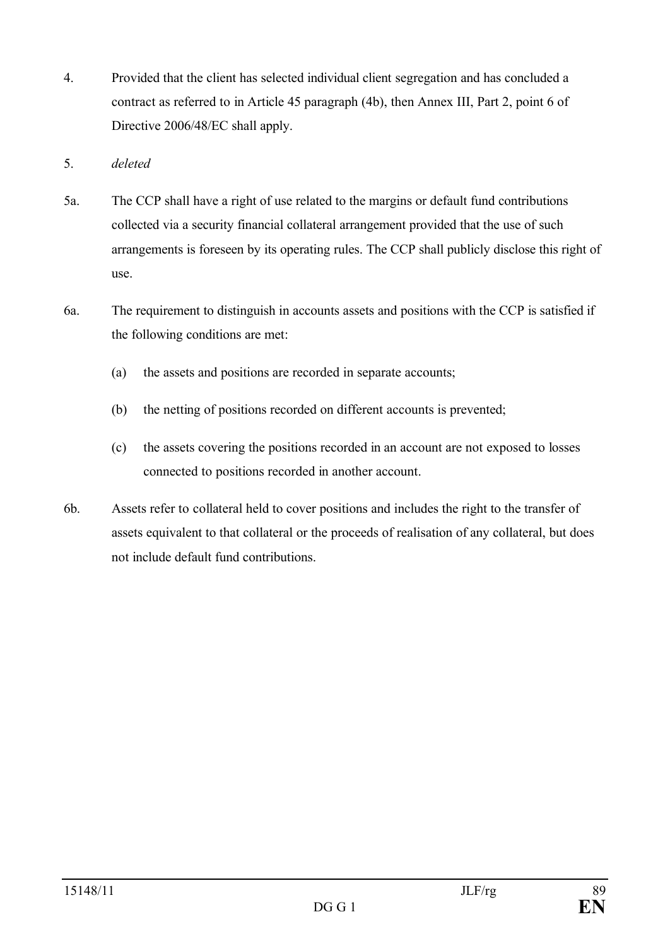- 4. Provided that the client has selected individual client segregation and has concluded a contract as referred to in Article 45 paragraph (4b), then Annex III, Part 2, point 6 of Directive 2006/48/EC shall apply.
- 5. *deleted*
- 5a. The CCP shall have a right of use related to the margins or default fund contributions collected via a security financial collateral arrangement provided that the use of such arrangements is foreseen by its operating rules. The CCP shall publicly disclose this right of use.
- 6a. The requirement to distinguish in accounts assets and positions with the CCP is satisfied if the following conditions are met:
	- (a) the assets and positions are recorded in separate accounts;
	- (b) the netting of positions recorded on different accounts is prevented;
	- (c) the assets covering the positions recorded in an account are not exposed to losses connected to positions recorded in another account.
- 6b. Assets refer to collateral held to cover positions and includes the right to the transfer of assets equivalent to that collateral or the proceeds of realisation of any collateral, but does not include default fund contributions.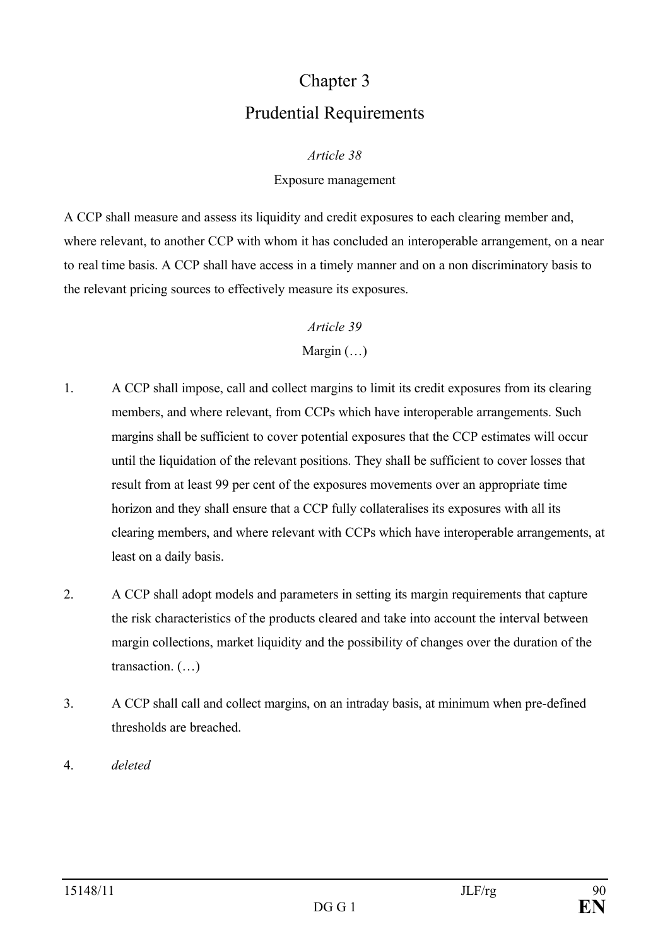# Chapter 3 Prudential Requirements

#### *Article 38*

#### Exposure management

A CCP shall measure and assess its liquidity and credit exposures to each clearing member and, where relevant, to another CCP with whom it has concluded an interoperable arrangement, on a near to real time basis. A CCP shall have access in a timely manner and on a non discriminatory basis to the relevant pricing sources to effectively measure its exposures.

# *Article 39*

# Margin  $(\ldots)$

- 1. A CCP shall impose, call and collect margins to limit its credit exposures from its clearing members, and where relevant, from CCPs which have interoperable arrangements. Such margins shall be sufficient to cover potential exposures that the CCP estimates will occur until the liquidation of the relevant positions. They shall be sufficient to cover losses that result from at least 99 per cent of the exposures movements over an appropriate time horizon and they shall ensure that a CCP fully collateralises its exposures with all its clearing members, and where relevant with CCPs which have interoperable arrangements, at least on a daily basis.
- 2. A CCP shall adopt models and parameters in setting its margin requirements that capture the risk characteristics of the products cleared and take into account the interval between margin collections, market liquidity and the possibility of changes over the duration of the transaction. (…)
- 3. A CCP shall call and collect margins, on an intraday basis, at minimum when pre-defined thresholds are breached.
- 4. *deleted*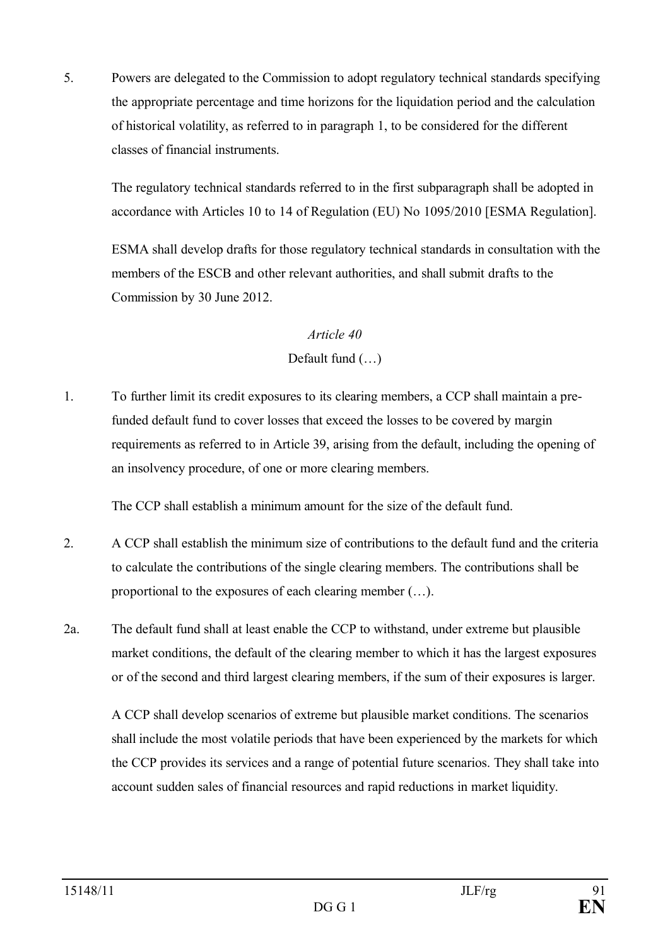5. Powers are delegated to the Commission to adopt regulatory technical standards specifying the appropriate percentage and time horizons for the liquidation period and the calculation of historical volatility, as referred to in paragraph 1, to be considered for the different classes of financial instruments.

The regulatory technical standards referred to in the first subparagraph shall be adopted in accordance with Articles 10 to 14 of Regulation (EU) No 1095/2010 [ESMA Regulation].

ESMA shall develop drafts for those regulatory technical standards in consultation with the members of the ESCB and other relevant authorities, and shall submit drafts to the Commission by 30 June 2012.

#### *Article 40*

# Default fund (…)

1. To further limit its credit exposures to its clearing members, a CCP shall maintain a prefunded default fund to cover losses that exceed the losses to be covered by margin requirements as referred to in Article 39, arising from the default, including the opening of an insolvency procedure, of one or more clearing members.

The CCP shall establish a minimum amount for the size of the default fund.

- 2. A CCP shall establish the minimum size of contributions to the default fund and the criteria to calculate the contributions of the single clearing members. The contributions shall be proportional to the exposures of each clearing member (…).
- 2a. The default fund shall at least enable the CCP to withstand, under extreme but plausible market conditions, the default of the clearing member to which it has the largest exposures or of the second and third largest clearing members, if the sum of their exposures is larger.

A CCP shall develop scenarios of extreme but plausible market conditions. The scenarios shall include the most volatile periods that have been experienced by the markets for which the CCP provides its services and a range of potential future scenarios. They shall take into account sudden sales of financial resources and rapid reductions in market liquidity.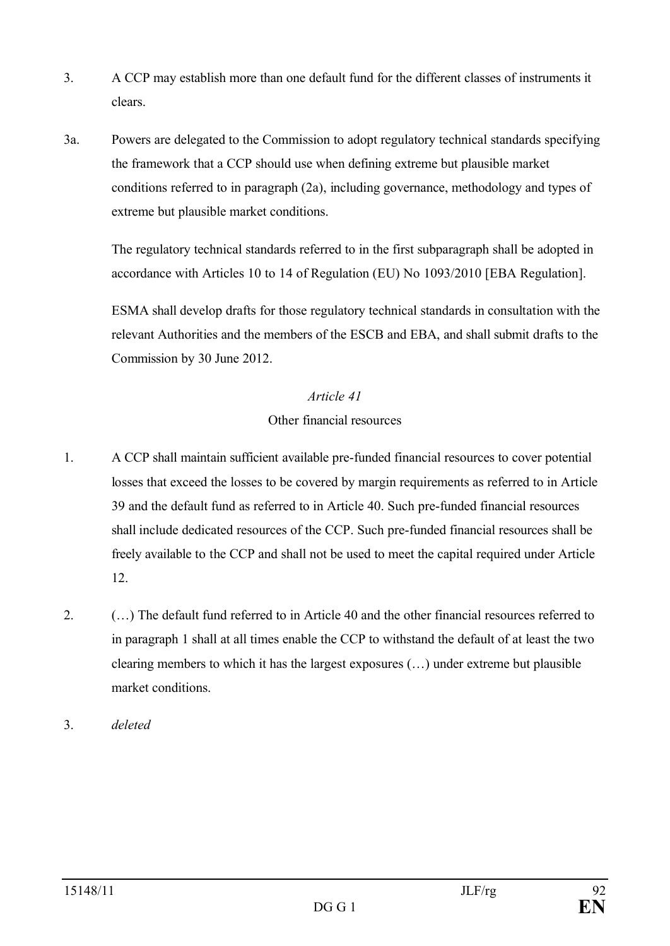- 3. A CCP may establish more than one default fund for the different classes of instruments it clears.
- 3a. Powers are delegated to the Commission to adopt regulatory technical standards specifying the framework that a CCP should use when defining extreme but plausible market conditions referred to in paragraph (2a), including governance, methodology and types of extreme but plausible market conditions.

The regulatory technical standards referred to in the first subparagraph shall be adopted in accordance with Articles 10 to 14 of Regulation (EU) No 1093/2010 [EBA Regulation].

ESMA shall develop drafts for those regulatory technical standards in consultation with the relevant Authorities and the members of the ESCB and EBA, and shall submit drafts to the Commission by 30 June 2012.

# *Article 41*

# Other financial resources

- 1. A CCP shall maintain sufficient available pre-funded financial resources to cover potential losses that exceed the losses to be covered by margin requirements as referred to in Article 39 and the default fund as referred to in Article 40. Such pre-funded financial resources shall include dedicated resources of the CCP. Such pre-funded financial resources shall be freely available to the CCP and shall not be used to meet the capital required under Article 12.
- 2. (…) The default fund referred to in Article 40 and the other financial resources referred to in paragraph 1 shall at all times enable the CCP to withstand the default of at least the two clearing members to which it has the largest exposures (…) under extreme but plausible market conditions.
- 3. *deleted*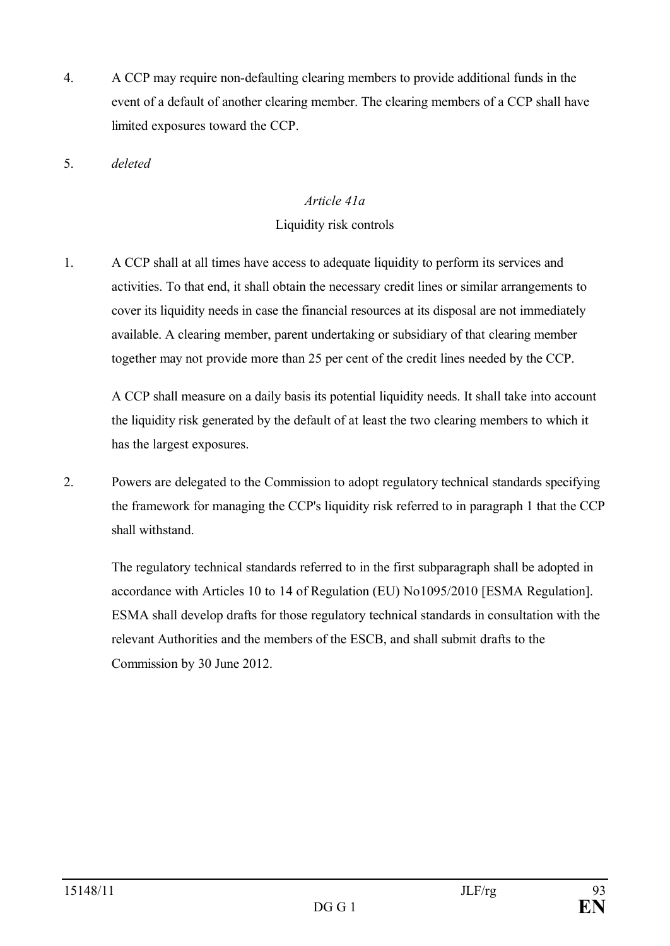4. A CCP may require non-defaulting clearing members to provide additional funds in the event of a default of another clearing member. The clearing members of a CCP shall have limited exposures toward the CCP.

5. *deleted*

# *Article 41a*

# Liquidity risk controls

1. A CCP shall at all times have access to adequate liquidity to perform its services and activities. To that end, it shall obtain the necessary credit lines or similar arrangements to cover its liquidity needs in case the financial resources at its disposal are not immediately available. A clearing member, parent undertaking or subsidiary of that clearing member together may not provide more than 25 per cent of the credit lines needed by the CCP.

A CCP shall measure on a daily basis its potential liquidity needs. It shall take into account the liquidity risk generated by the default of at least the two clearing members to which it has the largest exposures.

2. Powers are delegated to the Commission to adopt regulatory technical standards specifying the framework for managing the CCP's liquidity risk referred to in paragraph 1 that the CCP shall withstand.

The regulatory technical standards referred to in the first subparagraph shall be adopted in accordance with Articles 10 to 14 of Regulation (EU) No1095/2010 [ESMA Regulation]. ESMA shall develop drafts for those regulatory technical standards in consultation with the relevant Authorities and the members of the ESCB, and shall submit drafts to the Commission by 30 June 2012.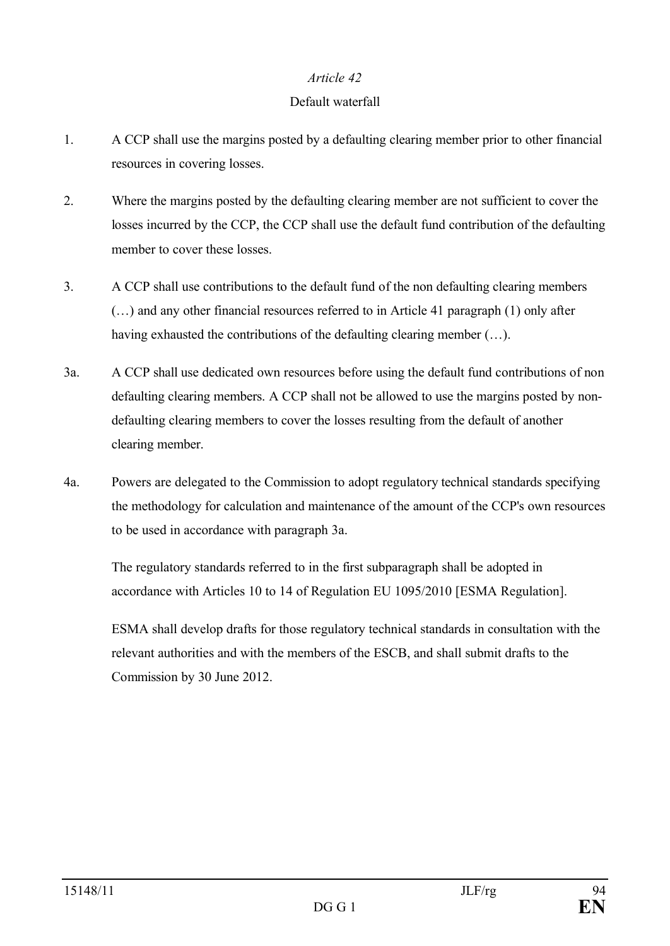### Default waterfall

- 1. A CCP shall use the margins posted by a defaulting clearing member prior to other financial resources in covering losses.
- 2. Where the margins posted by the defaulting clearing member are not sufficient to cover the losses incurred by the CCP, the CCP shall use the default fund contribution of the defaulting member to cover these losses.
- 3. A CCP shall use contributions to the default fund of the non defaulting clearing members (…) and any other financial resources referred to in Article 41 paragraph (1) only after having exhausted the contributions of the defaulting clearing member  $(\ldots)$ .
- 3a. A CCP shall use dedicated own resources before using the default fund contributions of non defaulting clearing members. A CCP shall not be allowed to use the margins posted by nondefaulting clearing members to cover the losses resulting from the default of another clearing member.
- 4a. Powers are delegated to the Commission to adopt regulatory technical standards specifying the methodology for calculation and maintenance of the amount of the CCP's own resources to be used in accordance with paragraph 3a.

The regulatory standards referred to in the first subparagraph shall be adopted in accordance with Articles 10 to 14 of Regulation EU 1095/2010 [ESMA Regulation].

ESMA shall develop drafts for those regulatory technical standards in consultation with the relevant authorities and with the members of the ESCB, and shall submit drafts to the Commission by 30 June 2012.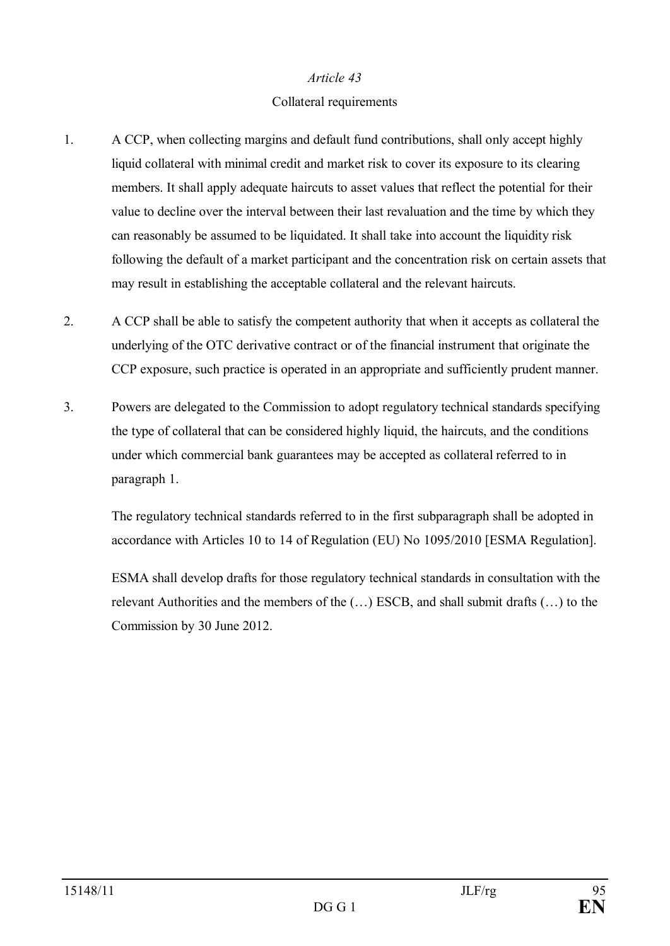#### Collateral requirements

- 1. A CCP, when collecting margins and default fund contributions, shall only accept highly liquid collateral with minimal credit and market risk to cover its exposure to its clearing members. It shall apply adequate haircuts to asset values that reflect the potential for their value to decline over the interval between their last revaluation and the time by which they can reasonably be assumed to be liquidated. It shall take into account the liquidity risk following the default of a market participant and the concentration risk on certain assets that may result in establishing the acceptable collateral and the relevant haircuts.
- 2. A CCP shall be able to satisfy the competent authority that when it accepts as collateral the underlying of the OTC derivative contract or of the financial instrument that originate the CCP exposure, such practice is operated in an appropriate and sufficiently prudent manner.
- 3. Powers are delegated to the Commission to adopt regulatory technical standards specifying the type of collateral that can be considered highly liquid, the haircuts, and the conditions under which commercial bank guarantees may be accepted as collateral referred to in paragraph 1.

The regulatory technical standards referred to in the first subparagraph shall be adopted in accordance with Articles 10 to 14 of Regulation (EU) No 1095/2010 [ESMA Regulation].

ESMA shall develop drafts for those regulatory technical standards in consultation with the relevant Authorities and the members of the (…) ESCB, and shall submit drafts (…) to the Commission by 30 June 2012.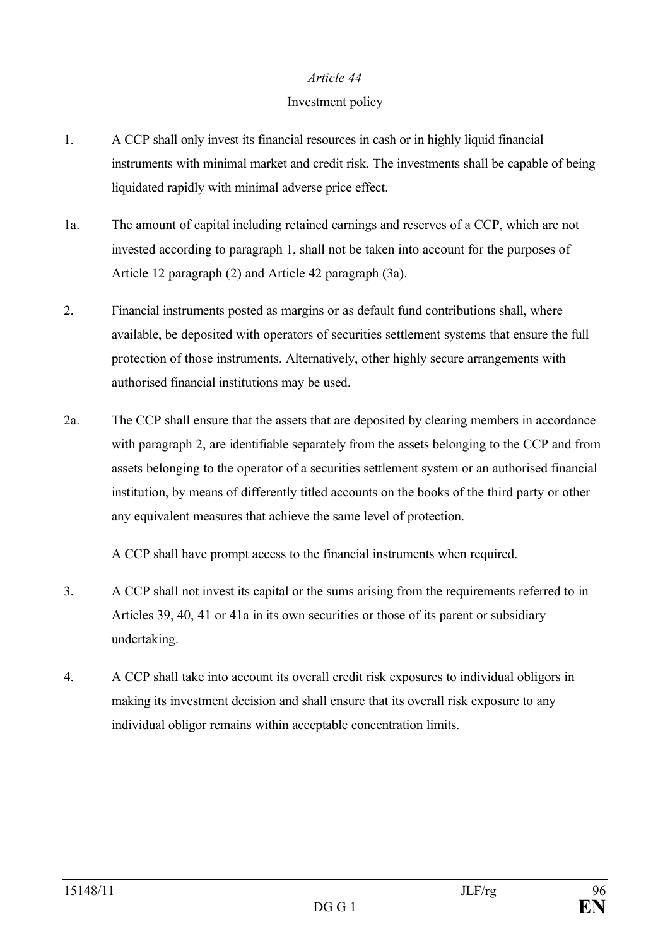#### Investment policy

- 1. A CCP shall only invest its financial resources in cash or in highly liquid financial instruments with minimal market and credit risk. The investments shall be capable of being liquidated rapidly with minimal adverse price effect.
- 1a. The amount of capital including retained earnings and reserves of a CCP, which are not invested according to paragraph 1, shall not be taken into account for the purposes of Article 12 paragraph (2) and Article 42 paragraph (3a).
- 2. Financial instruments posted as margins or as default fund contributions shall, where available, be deposited with operators of securities settlement systems that ensure the full protection of those instruments. Alternatively, other highly secure arrangements with authorised financial institutions may be used.
- 2a. The CCP shall ensure that the assets that are deposited by clearing members in accordance with paragraph 2, are identifiable separately from the assets belonging to the CCP and from assets belonging to the operator of a securities settlement system or an authorised financial institution, by means of differently titled accounts on the books of the third party or other any equivalent measures that achieve the same level of protection.

A CCP shall have prompt access to the financial instruments when required.

- 3. A CCP shall not invest its capital or the sums arising from the requirements referred to in Articles 39, 40, 41 or 41a in its own securities or those of its parent or subsidiary undertaking.
- 4. A CCP shall take into account its overall credit risk exposures to individual obligors in making its investment decision and shall ensure that its overall risk exposure to any individual obligor remains within acceptable concentration limits.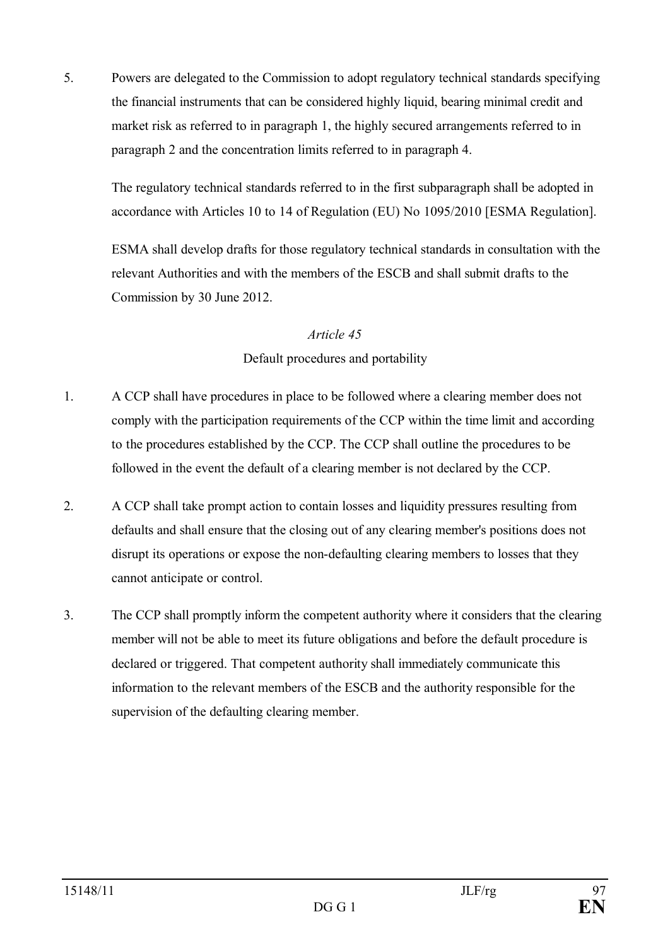5. Powers are delegated to the Commission to adopt regulatory technical standards specifying the financial instruments that can be considered highly liquid, bearing minimal credit and market risk as referred to in paragraph 1, the highly secured arrangements referred to in paragraph 2 and the concentration limits referred to in paragraph 4.

The regulatory technical standards referred to in the first subparagraph shall be adopted in accordance with Articles 10 to 14 of Regulation (EU) No 1095/2010 [ESMA Regulation].

ESMA shall develop drafts for those regulatory technical standards in consultation with the relevant Authorities and with the members of the ESCB and shall submit drafts to the Commission by 30 June 2012.

# *Article 45* Default procedures and portability

- 1. A CCP shall have procedures in place to be followed where a clearing member does not comply with the participation requirements of the CCP within the time limit and according to the procedures established by the CCP. The CCP shall outline the procedures to be followed in the event the default of a clearing member is not declared by the CCP.
- 2. A CCP shall take prompt action to contain losses and liquidity pressures resulting from defaults and shall ensure that the closing out of any clearing member's positions does not disrupt its operations or expose the non-defaulting clearing members to losses that they cannot anticipate or control.
- 3. The CCP shall promptly inform the competent authority where it considers that the clearing member will not be able to meet its future obligations and before the default procedure is declared or triggered. That competent authority shall immediately communicate this information to the relevant members of the ESCB and the authority responsible for the supervision of the defaulting clearing member.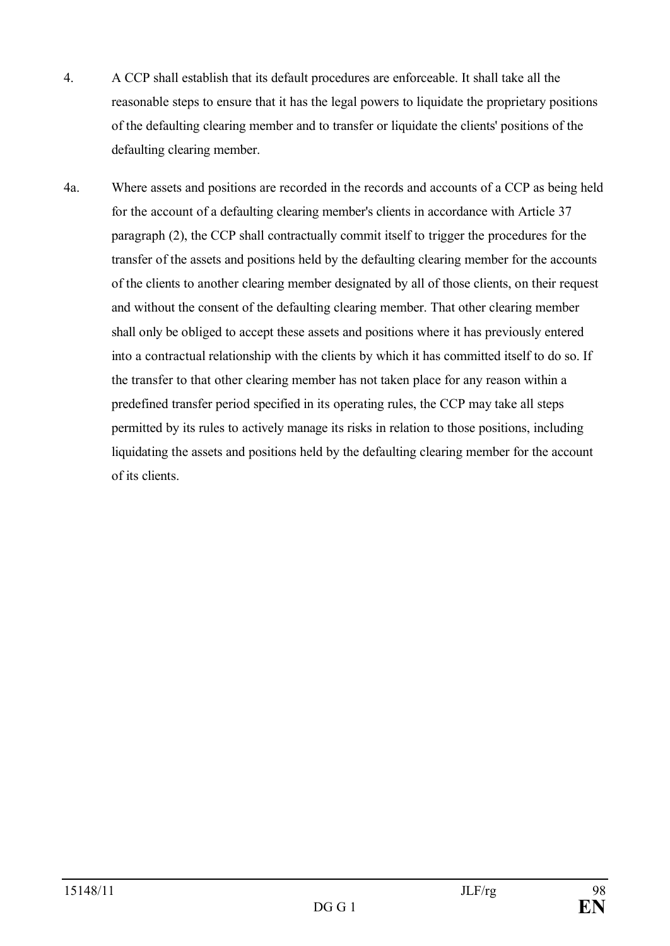- 4. A CCP shall establish that its default procedures are enforceable. It shall take all the reasonable steps to ensure that it has the legal powers to liquidate the proprietary positions of the defaulting clearing member and to transfer or liquidate the clients' positions of the defaulting clearing member.
- 4a. Where assets and positions are recorded in the records and accounts of a CCP as being held for the account of a defaulting clearing member's clients in accordance with Article 37 paragraph (2), the CCP shall contractually commit itself to trigger the procedures for the transfer of the assets and positions held by the defaulting clearing member for the accounts of the clients to another clearing member designated by all of those clients, on their request and without the consent of the defaulting clearing member. That other clearing member shall only be obliged to accept these assets and positions where it has previously entered into a contractual relationship with the clients by which it has committed itself to do so. If the transfer to that other clearing member has not taken place for any reason within a predefined transfer period specified in its operating rules, the CCP may take all steps permitted by its rules to actively manage its risks in relation to those positions, including liquidating the assets and positions held by the defaulting clearing member for the account of its clients.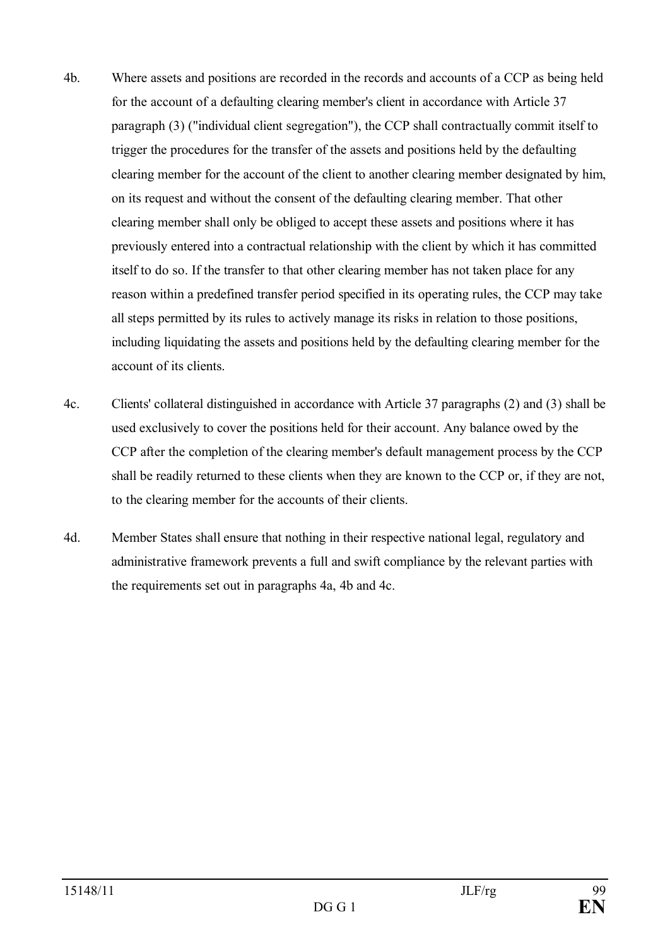- 4b. Where assets and positions are recorded in the records and accounts of a CCP as being held for the account of a defaulting clearing member's client in accordance with Article 37 paragraph (3) ("individual client segregation"), the CCP shall contractually commit itself to trigger the procedures for the transfer of the assets and positions held by the defaulting clearing member for the account of the client to another clearing member designated by him, on its request and without the consent of the defaulting clearing member. That other clearing member shall only be obliged to accept these assets and positions where it has previously entered into a contractual relationship with the client by which it has committed itself to do so. If the transfer to that other clearing member has not taken place for any reason within a predefined transfer period specified in its operating rules, the CCP may take all steps permitted by its rules to actively manage its risks in relation to those positions, including liquidating the assets and positions held by the defaulting clearing member for the account of its clients.
- 4c. Clients' collateral distinguished in accordance with Article 37 paragraphs (2) and (3) shall be used exclusively to cover the positions held for their account. Any balance owed by the CCP after the completion of the clearing member's default management process by the CCP shall be readily returned to these clients when they are known to the CCP or, if they are not, to the clearing member for the accounts of their clients.
- 4d. Member States shall ensure that nothing in their respective national legal, regulatory and administrative framework prevents a full and swift compliance by the relevant parties with the requirements set out in paragraphs 4a, 4b and 4c.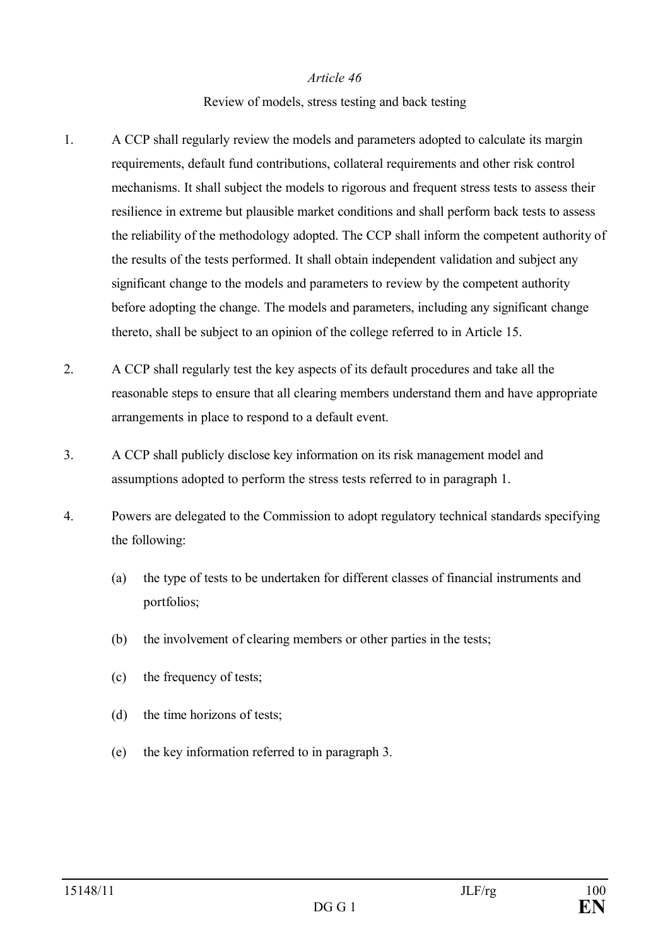#### Review of models, stress testing and back testing

- 1. A CCP shall regularly review the models and parameters adopted to calculate its margin requirements, default fund contributions, collateral requirements and other risk control mechanisms. It shall subject the models to rigorous and frequent stress tests to assess their resilience in extreme but plausible market conditions and shall perform back tests to assess the reliability of the methodology adopted. The CCP shall inform the competent authority of the results of the tests performed. It shall obtain independent validation and subject any significant change to the models and parameters to review by the competent authority before adopting the change. The models and parameters, including any significant change thereto, shall be subject to an opinion of the college referred to in Article 15.
- 2. A CCP shall regularly test the key aspects of its default procedures and take all the reasonable steps to ensure that all clearing members understand them and have appropriate arrangements in place to respond to a default event.
- 3. A CCP shall publicly disclose key information on its risk management model and assumptions adopted to perform the stress tests referred to in paragraph 1.
- 4. Powers are delegated to the Commission to adopt regulatory technical standards specifying the following:
	- (a) the type of tests to be undertaken for different classes of financial instruments and portfolios;
	- (b) the involvement of clearing members or other parties in the tests;
	- (c) the frequency of tests;
	- (d) the time horizons of tests;
	- (e) the key information referred to in paragraph 3.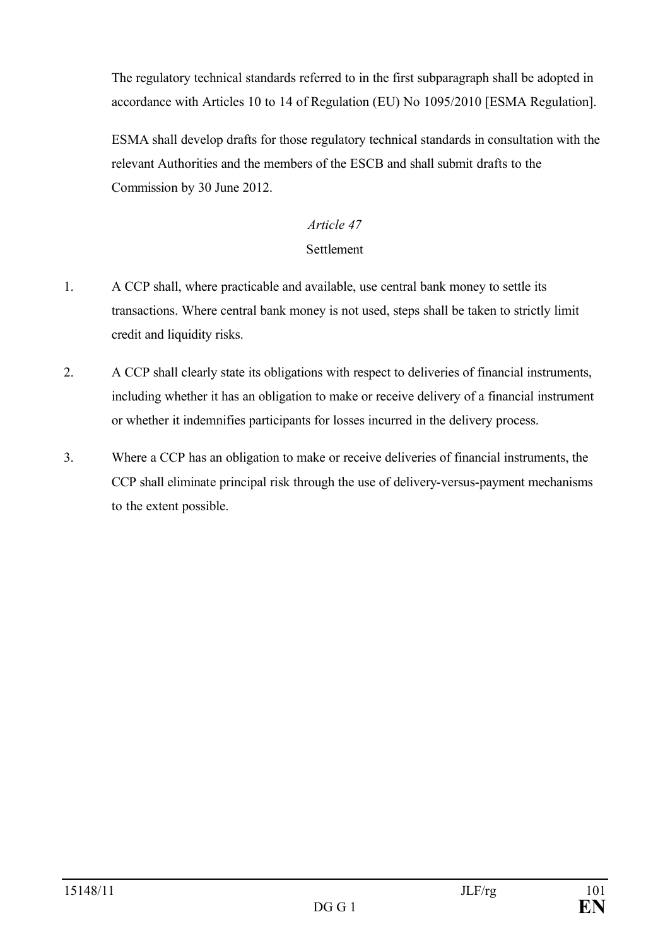The regulatory technical standards referred to in the first subparagraph shall be adopted in accordance with Articles 10 to 14 of Regulation (EU) No 1095/2010 [ESMA Regulation].

ESMA shall develop drafts for those regulatory technical standards in consultation with the relevant Authorities and the members of the ESCB and shall submit drafts to the Commission by 30 June 2012.

# *Article 47*

# Settlement

- 1. A CCP shall, where practicable and available, use central bank money to settle its transactions. Where central bank money is not used, steps shall be taken to strictly limit credit and liquidity risks.
- 2. A CCP shall clearly state its obligations with respect to deliveries of financial instruments, including whether it has an obligation to make or receive delivery of a financial instrument or whether it indemnifies participants for losses incurred in the delivery process.
- 3. Where a CCP has an obligation to make or receive deliveries of financial instruments, the CCP shall eliminate principal risk through the use of delivery-versus-payment mechanisms to the extent possible.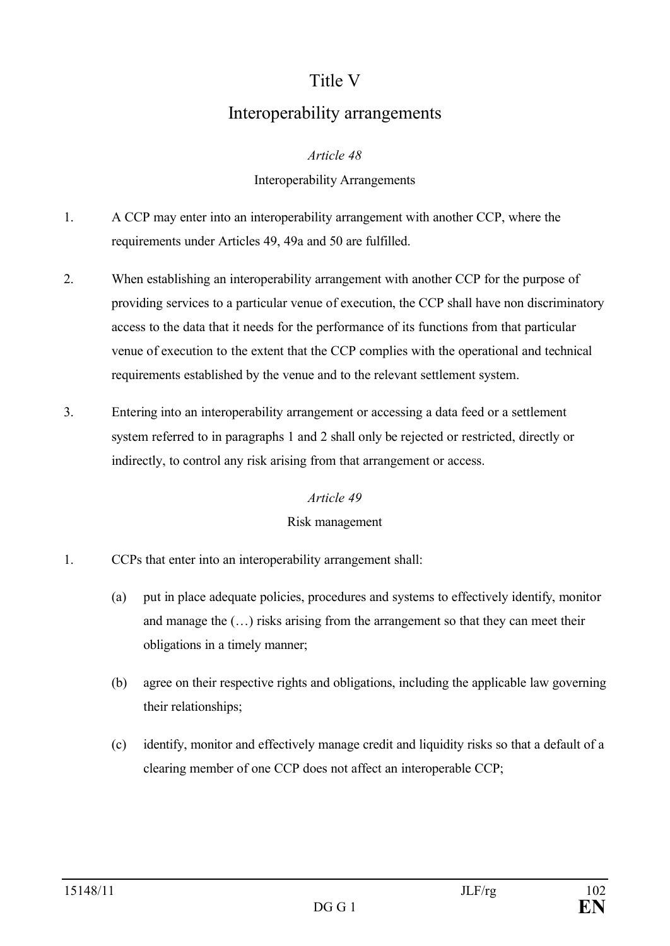# Title V

# Interoperability arrangements

# *Article 48*

# Interoperability Arrangements

- 1. A CCP may enter into an interoperability arrangement with another CCP, where the requirements under Articles 49, 49a and 50 are fulfilled.
- 2. When establishing an interoperability arrangement with another CCP for the purpose of providing services to a particular venue of execution, the CCP shall have non discriminatory access to the data that it needs for the performance of its functions from that particular venue of execution to the extent that the CCP complies with the operational and technical requirements established by the venue and to the relevant settlement system.
- 3. Entering into an interoperability arrangement or accessing a data feed or a settlement system referred to in paragraphs 1 and 2 shall only be rejected or restricted, directly or indirectly, to control any risk arising from that arrangement or access.

#### *Article 49*

# Risk management

- 1. CCPs that enter into an interoperability arrangement shall:
	- (a) put in place adequate policies, procedures and systems to effectively identify, monitor and manage the (…) risks arising from the arrangement so that they can meet their obligations in a timely manner;
	- (b) agree on their respective rights and obligations, including the applicable law governing their relationships;
	- (c) identify, monitor and effectively manage credit and liquidity risks so that a default of a clearing member of one CCP does not affect an interoperable CCP;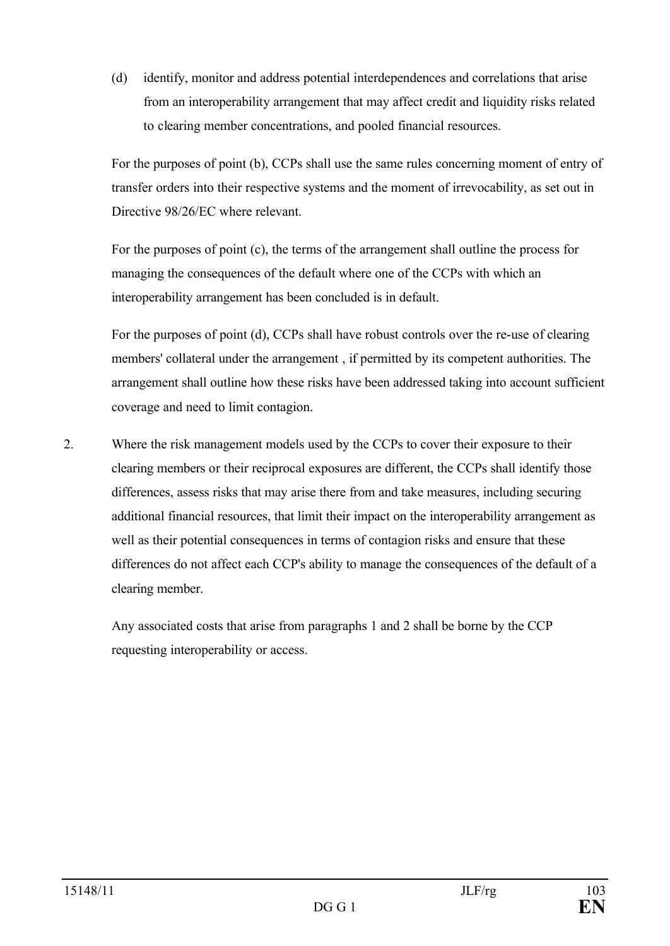(d) identify, monitor and address potential interdependences and correlations that arise from an interoperability arrangement that may affect credit and liquidity risks related to clearing member concentrations, and pooled financial resources.

For the purposes of point (b), CCPs shall use the same rules concerning moment of entry of transfer orders into their respective systems and the moment of irrevocability, as set out in Directive 98/26/EC where relevant.

For the purposes of point (c), the terms of the arrangement shall outline the process for managing the consequences of the default where one of the CCPs with which an interoperability arrangement has been concluded is in default.

For the purposes of point (d), CCPs shall have robust controls over the re-use of clearing members' collateral under the arrangement , if permitted by its competent authorities. The arrangement shall outline how these risks have been addressed taking into account sufficient coverage and need to limit contagion.

2. Where the risk management models used by the CCPs to cover their exposure to their clearing members or their reciprocal exposures are different, the CCPs shall identify those differences, assess risks that may arise there from and take measures, including securing additional financial resources, that limit their impact on the interoperability arrangement as well as their potential consequences in terms of contagion risks and ensure that these differences do not affect each CCP's ability to manage the consequences of the default of a clearing member.

Any associated costs that arise from paragraphs 1 and 2 shall be borne by the CCP requesting interoperability or access.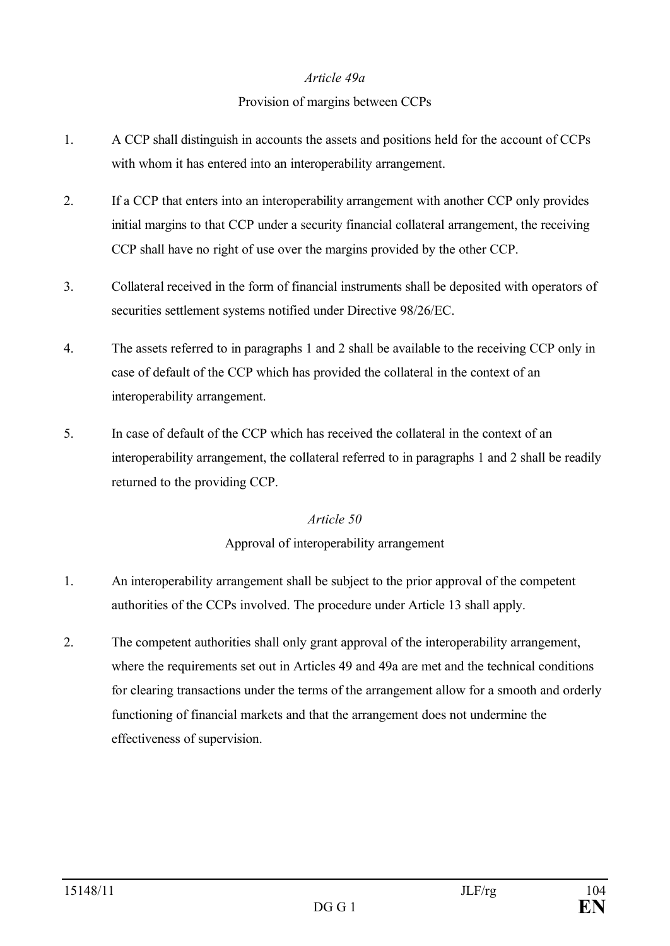#### *Article 49a*

# Provision of margins between CCPs

- 1. A CCP shall distinguish in accounts the assets and positions held for the account of CCPs with whom it has entered into an interoperability arrangement.
- 2. If a CCP that enters into an interoperability arrangement with another CCP only provides initial margins to that CCP under a security financial collateral arrangement, the receiving CCP shall have no right of use over the margins provided by the other CCP.
- 3. Collateral received in the form of financial instruments shall be deposited with operators of securities settlement systems notified under Directive 98/26/EC.
- 4. The assets referred to in paragraphs 1 and 2 shall be available to the receiving CCP only in case of default of the CCP which has provided the collateral in the context of an interoperability arrangement.
- 5. In case of default of the CCP which has received the collateral in the context of an interoperability arrangement, the collateral referred to in paragraphs 1 and 2 shall be readily returned to the providing CCP.

# *Article 50*

# Approval of interoperability arrangement

- 1. An interoperability arrangement shall be subject to the prior approval of the competent authorities of the CCPs involved. The procedure under Article 13 shall apply.
- 2. The competent authorities shall only grant approval of the interoperability arrangement, where the requirements set out in Articles 49 and 49a are met and the technical conditions for clearing transactions under the terms of the arrangement allow for a smooth and orderly functioning of financial markets and that the arrangement does not undermine the effectiveness of supervision.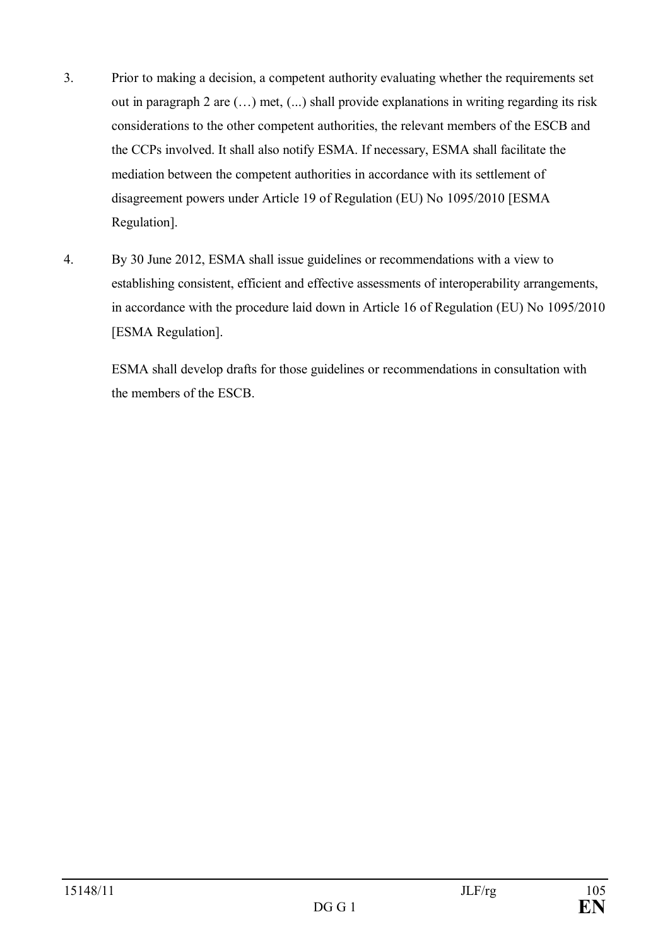- 3. Prior to making a decision, a competent authority evaluating whether the requirements set out in paragraph 2 are (…) met, (...) shall provide explanations in writing regarding its risk considerations to the other competent authorities, the relevant members of the ESCB and the CCPs involved. It shall also notify ESMA. If necessary, ESMA shall facilitate the mediation between the competent authorities in accordance with its settlement of disagreement powers under Article 19 of Regulation (EU) No 1095/2010 [ESMA Regulation].
- 4. By 30 June 2012, ESMA shall issue guidelines or recommendations with a view to establishing consistent, efficient and effective assessments of interoperability arrangements, in accordance with the procedure laid down in Article 16 of Regulation (EU) No 1095/2010 [ESMA Regulation].

ESMA shall develop drafts for those guidelines or recommendations in consultation with the members of the ESCB.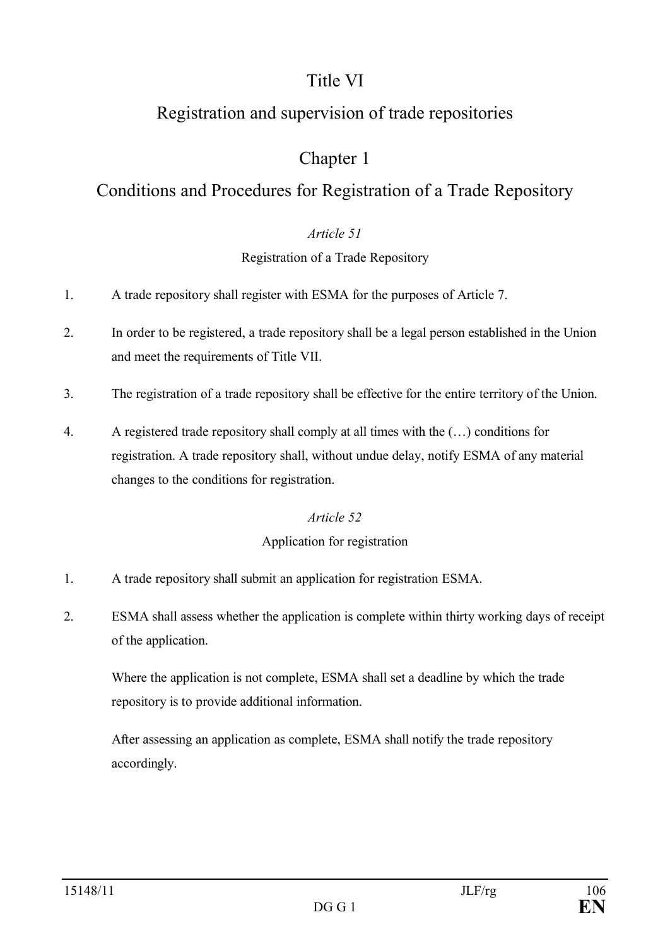# Title VI

# Registration and supervision of trade repositories

# Chapter 1

# Conditions and Procedures for Registration of a Trade Repository

# *Article 51*

# Registration of a Trade Repository

- 1. A trade repository shall register with ESMA for the purposes of Article 7.
- 2. In order to be registered, a trade repository shall be a legal person established in the Union and meet the requirements of Title VII.
- 3. The registration of a trade repository shall be effective for the entire territory of the Union.
- 4. A registered trade repository shall comply at all times with the (…) conditions for registration. A trade repository shall, without undue delay, notify ESMA of any material changes to the conditions for registration.

# *Article 52*

# Application for registration

- 1. A trade repository shall submit an application for registration ESMA.
- 2. ESMA shall assess whether the application is complete within thirty working days of receipt of the application.

Where the application is not complete, ESMA shall set a deadline by which the trade repository is to provide additional information.

After assessing an application as complete, ESMA shall notify the trade repository accordingly.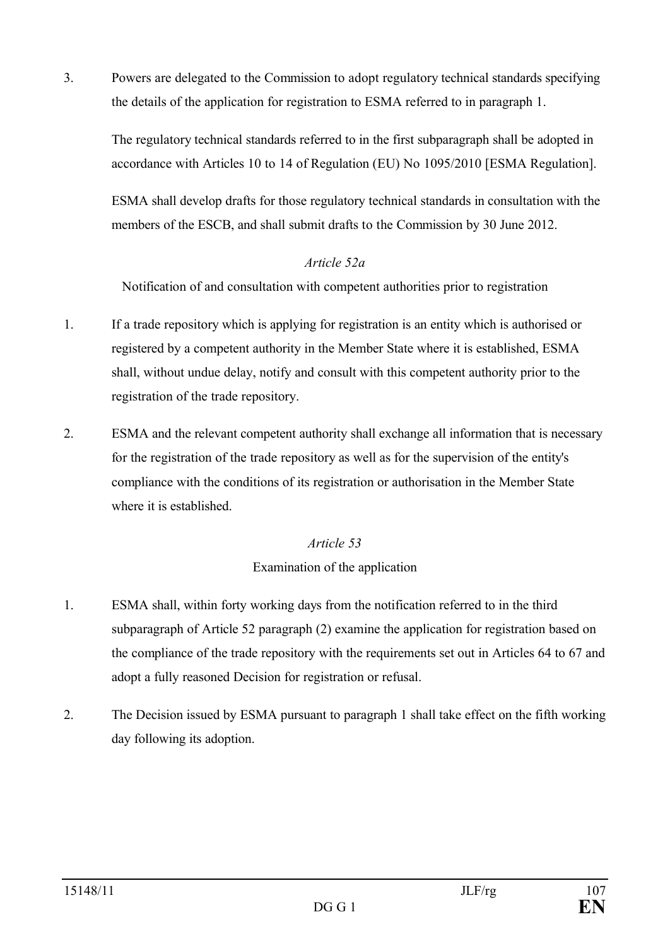3. Powers are delegated to the Commission to adopt regulatory technical standards specifying the details of the application for registration to ESMA referred to in paragraph 1.

The regulatory technical standards referred to in the first subparagraph shall be adopted in accordance with Articles 10 to 14 of Regulation (EU) No 1095/2010 [ESMA Regulation].

ESMA shall develop drafts for those regulatory technical standards in consultation with the members of the ESCB, and shall submit drafts to the Commission by 30 June 2012.

# *Article 52a*

Notification of and consultation with competent authorities prior to registration

- 1. If a trade repository which is applying for registration is an entity which is authorised or registered by a competent authority in the Member State where it is established, ESMA shall, without undue delay, notify and consult with this competent authority prior to the registration of the trade repository.
- 2. ESMA and the relevant competent authority shall exchange all information that is necessary for the registration of the trade repository as well as for the supervision of the entity's compliance with the conditions of its registration or authorisation in the Member State where it is established.

# *Article 53*

# Examination of the application

- 1. ESMA shall, within forty working days from the notification referred to in the third subparagraph of Article 52 paragraph (2) examine the application for registration based on the compliance of the trade repository with the requirements set out in Articles 64 to 67 and adopt a fully reasoned Decision for registration or refusal.
- 2. The Decision issued by ESMA pursuant to paragraph 1 shall take effect on the fifth working day following its adoption.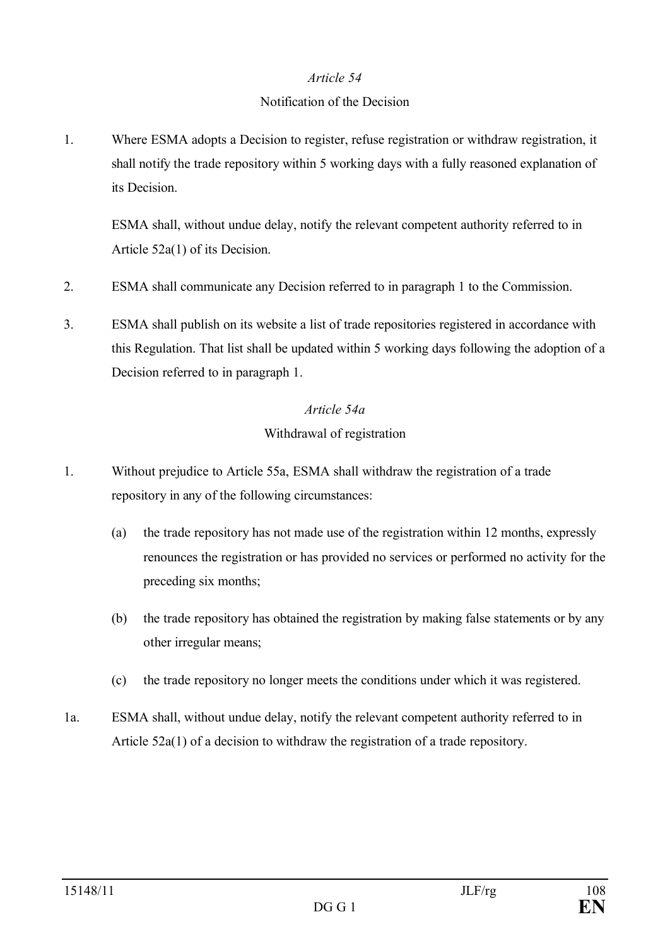#### Notification of the Decision

1. Where ESMA adopts a Decision to register, refuse registration or withdraw registration, it shall notify the trade repository within 5 working days with a fully reasoned explanation of its Decision.

ESMA shall, without undue delay, notify the relevant competent authority referred to in Article 52a(1) of its Decision.

- 2. ESMA shall communicate any Decision referred to in paragraph 1 to the Commission.
- 3. ESMA shall publish on its website a list of trade repositories registered in accordance with this Regulation. That list shall be updated within 5 working days following the adoption of a Decision referred to in paragraph 1.

#### *Article 54a*

# Withdrawal of registration

- 1. Without prejudice to Article 55a, ESMA shall withdraw the registration of a trade repository in any of the following circumstances:
	- (a) the trade repository has not made use of the registration within 12 months, expressly renounces the registration or has provided no services or performed no activity for the preceding six months;
	- (b) the trade repository has obtained the registration by making false statements or by any other irregular means;
	- (c) the trade repository no longer meets the conditions under which it was registered.
- 1a. ESMA shall, without undue delay, notify the relevant competent authority referred to in Article 52a(1) of a decision to withdraw the registration of a trade repository.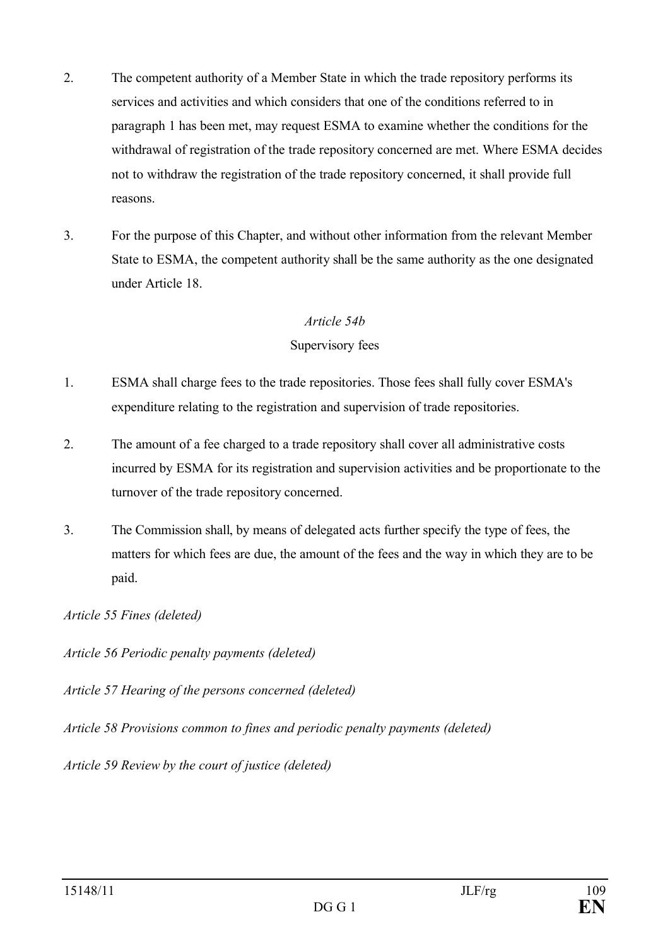- 2. The competent authority of a Member State in which the trade repository performs its services and activities and which considers that one of the conditions referred to in paragraph 1 has been met, may request ESMA to examine whether the conditions for the withdrawal of registration of the trade repository concerned are met. Where ESMA decides not to withdraw the registration of the trade repository concerned, it shall provide full reasons.
- 3. For the purpose of this Chapter, and without other information from the relevant Member State to ESMA, the competent authority shall be the same authority as the one designated under Article 18.

### *Article 54b*

### Supervisory fees

- 1. ESMA shall charge fees to the trade repositories. Those fees shall fully cover ESMA's expenditure relating to the registration and supervision of trade repositories.
- 2. The amount of a fee charged to a trade repository shall cover all administrative costs incurred by ESMA for its registration and supervision activities and be proportionate to the turnover of the trade repository concerned.
- 3. The Commission shall, by means of delegated acts further specify the type of fees, the matters for which fees are due, the amount of the fees and the way in which they are to be paid.

*Article 57 Hearing of the persons concerned (deleted)*

*Article 58 Provisions common to fines and periodic penalty payments (deleted)*

*Article 59 Review by the court of justice (deleted)*

*Article 55 Fines (deleted)*

*Article 56 Periodic penalty payments (deleted)*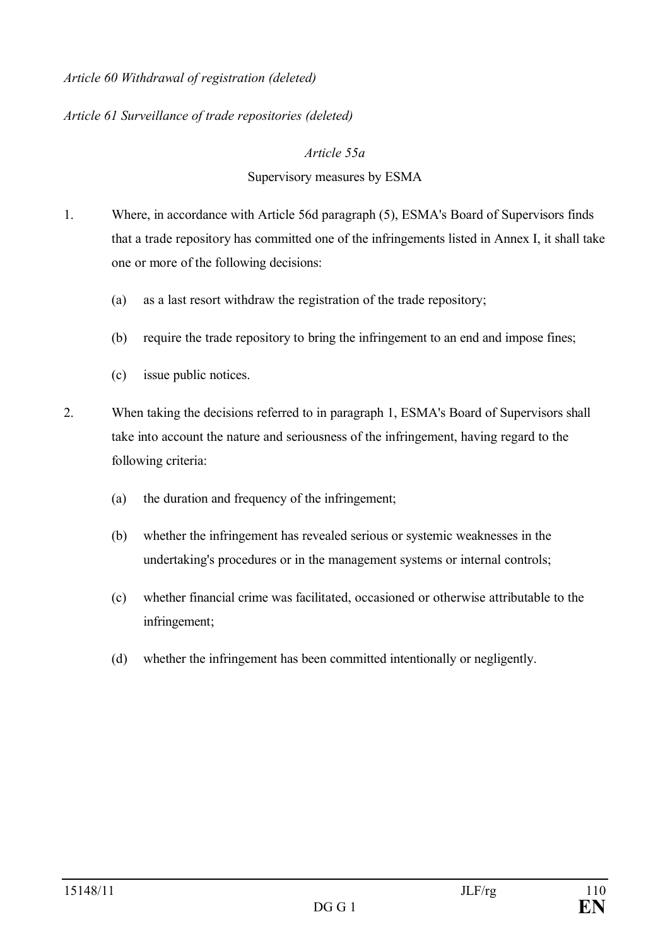### *Article 60 Withdrawal of registration (deleted)*

### *Article 61 Surveillance of trade repositories (deleted)*

### *Article 55a*

### Supervisory measures by ESMA

- 1. Where, in accordance with Article 56d paragraph (5), ESMA's Board of Supervisors finds that a trade repository has committed one of the infringements listed in Annex I, it shall take one or more of the following decisions:
	- (a) as a last resort withdraw the registration of the trade repository;
	- (b) require the trade repository to bring the infringement to an end and impose fines;
	- (c) issue public notices.
- 2. When taking the decisions referred to in paragraph 1, ESMA's Board of Supervisors shall take into account the nature and seriousness of the infringement, having regard to the following criteria:
	- (a) the duration and frequency of the infringement;
	- (b) whether the infringement has revealed serious or systemic weaknesses in the undertaking's procedures or in the management systems or internal controls;
	- (c) whether financial crime was facilitated, occasioned or otherwise attributable to the infringement;
	- (d) whether the infringement has been committed intentionally or negligently.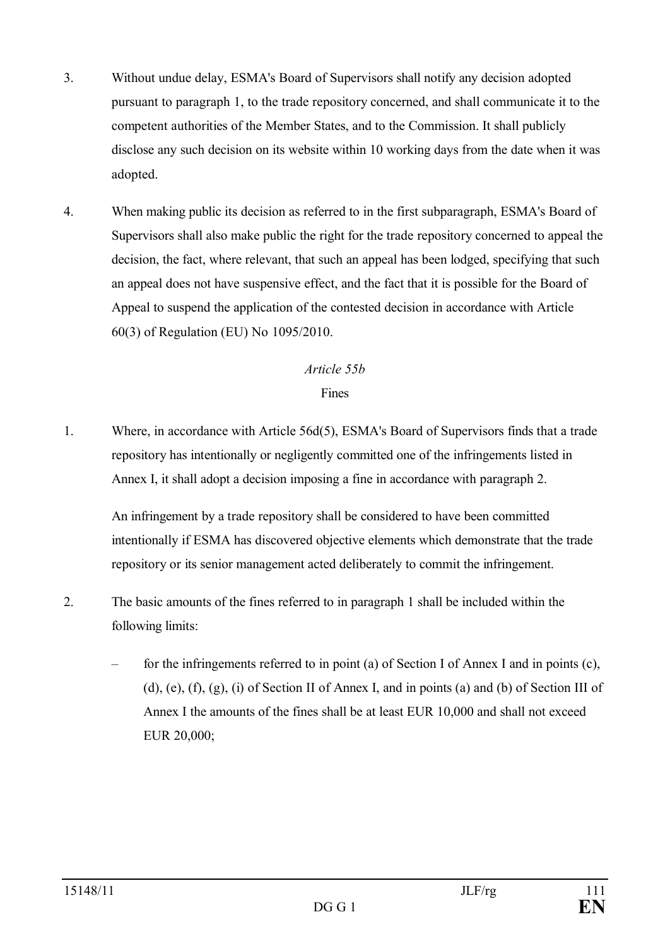- 3. Without undue delay, ESMA's Board of Supervisors shall notify any decision adopted pursuant to paragraph 1, to the trade repository concerned, and shall communicate it to the competent authorities of the Member States, and to the Commission. It shall publicly disclose any such decision on its website within 10 working days from the date when it was adopted.
- 4. When making public its decision as referred to in the first subparagraph, ESMA's Board of Supervisors shall also make public the right for the trade repository concerned to appeal the decision, the fact, where relevant, that such an appeal has been lodged, specifying that such an appeal does not have suspensive effect, and the fact that it is possible for the Board of Appeal to suspend the application of the contested decision in accordance with Article 60(3) of Regulation (EU) No 1095/2010.

### *Article 55b*

### Fines

1. Where, in accordance with Article 56d(5), ESMA's Board of Supervisors finds that a trade repository has intentionally or negligently committed one of the infringements listed in Annex I, it shall adopt a decision imposing a fine in accordance with paragraph 2.

An infringement by a trade repository shall be considered to have been committed intentionally if ESMA has discovered objective elements which demonstrate that the trade repository or its senior management acted deliberately to commit the infringement.

- 2. The basic amounts of the fines referred to in paragraph 1 shall be included within the following limits:
	- for the infringements referred to in point (a) of Section I of Annex I and in points (c), (d), (e), (f), (g), (i) of Section II of Annex I, and in points (a) and (b) of Section III of Annex I the amounts of the fines shall be at least EUR 10,000 and shall not exceed EUR 20,000;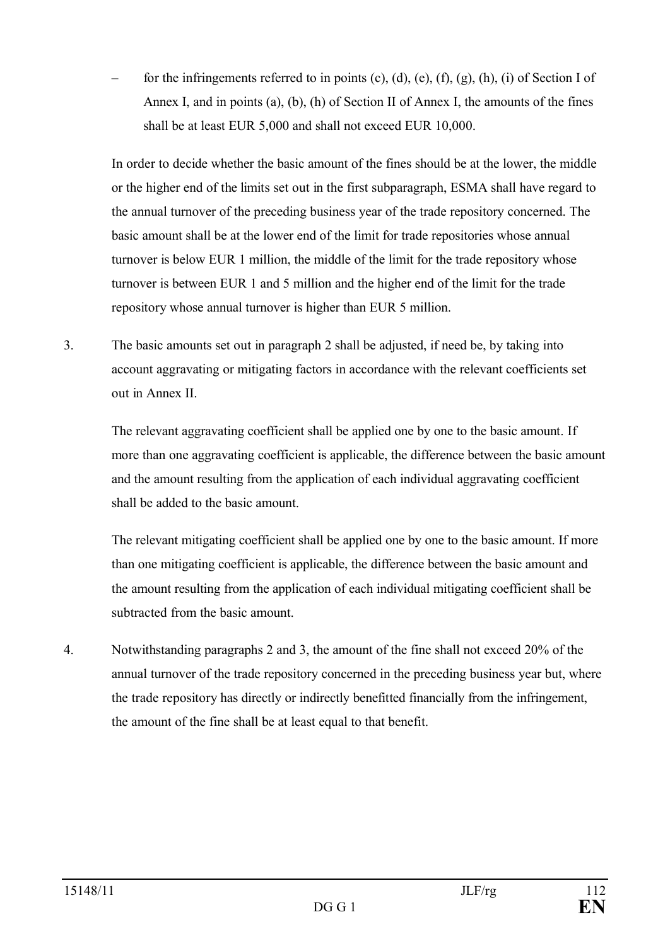for the infringements referred to in points  $(c)$ ,  $(d)$ ,  $(e)$ ,  $(f)$ ,  $(g)$ ,  $(h)$ ,  $(i)$  of Section I of Annex I, and in points (a), (b), (h) of Section II of Annex I, the amounts of the fines shall be at least EUR 5,000 and shall not exceed EUR 10,000.

In order to decide whether the basic amount of the fines should be at the lower, the middle or the higher end of the limits set out in the first subparagraph, ESMA shall have regard to the annual turnover of the preceding business year of the trade repository concerned. The basic amount shall be at the lower end of the limit for trade repositories whose annual turnover is below EUR 1 million, the middle of the limit for the trade repository whose turnover is between EUR 1 and 5 million and the higher end of the limit for the trade repository whose annual turnover is higher than EUR 5 million.

3. The basic amounts set out in paragraph 2 shall be adjusted, if need be, by taking into account aggravating or mitigating factors in accordance with the relevant coefficients set out in Annex II.

The relevant aggravating coefficient shall be applied one by one to the basic amount. If more than one aggravating coefficient is applicable, the difference between the basic amount and the amount resulting from the application of each individual aggravating coefficient shall be added to the basic amount.

The relevant mitigating coefficient shall be applied one by one to the basic amount. If more than one mitigating coefficient is applicable, the difference between the basic amount and the amount resulting from the application of each individual mitigating coefficient shall be subtracted from the basic amount.

4. Notwithstanding paragraphs 2 and 3, the amount of the fine shall not exceed 20% of the annual turnover of the trade repository concerned in the preceding business year but, where the trade repository has directly or indirectly benefitted financially from the infringement, the amount of the fine shall be at least equal to that benefit.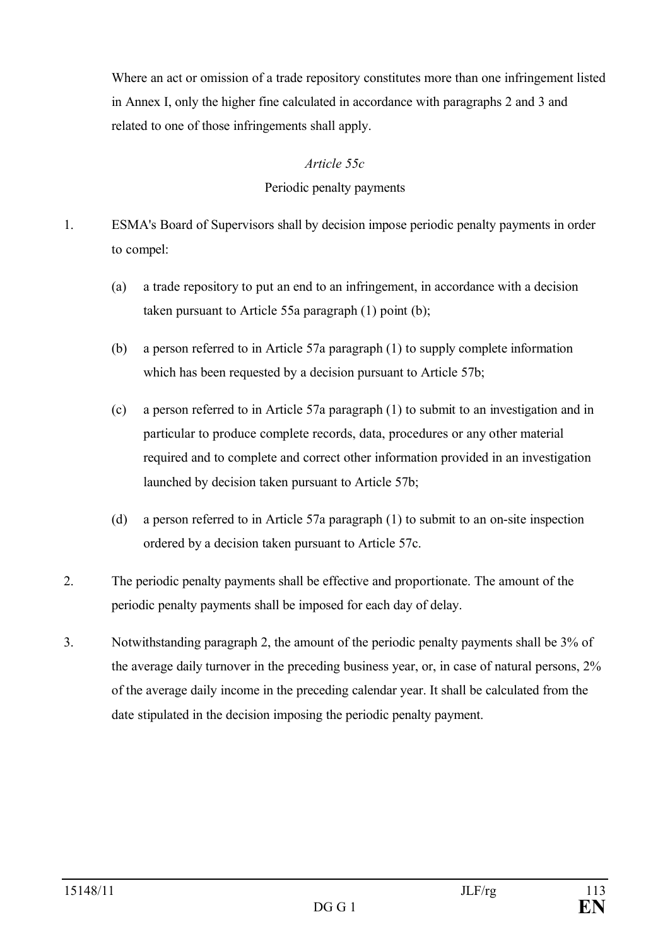Where an act or omission of a trade repository constitutes more than one infringement listed in Annex I, only the higher fine calculated in accordance with paragraphs 2 and 3 and related to one of those infringements shall apply.

### *Article 55c*

### Periodic penalty payments

- 1. ESMA's Board of Supervisors shall by decision impose periodic penalty payments in order to compel:
	- (a) a trade repository to put an end to an infringement, in accordance with a decision taken pursuant to Article 55a paragraph (1) point (b);
	- (b) a person referred to in Article 57a paragraph (1) to supply complete information which has been requested by a decision pursuant to Article 57b;
	- (c) a person referred to in Article 57a paragraph (1) to submit to an investigation and in particular to produce complete records, data, procedures or any other material required and to complete and correct other information provided in an investigation launched by decision taken pursuant to Article 57b;
	- (d) a person referred to in Article 57a paragraph (1) to submit to an on-site inspection ordered by a decision taken pursuant to Article 57c.
- 2. The periodic penalty payments shall be effective and proportionate. The amount of the periodic penalty payments shall be imposed for each day of delay.
- 3. Notwithstanding paragraph 2, the amount of the periodic penalty payments shall be 3% of the average daily turnover in the preceding business year, or, in case of natural persons, 2% of the average daily income in the preceding calendar year. It shall be calculated from the date stipulated in the decision imposing the periodic penalty payment.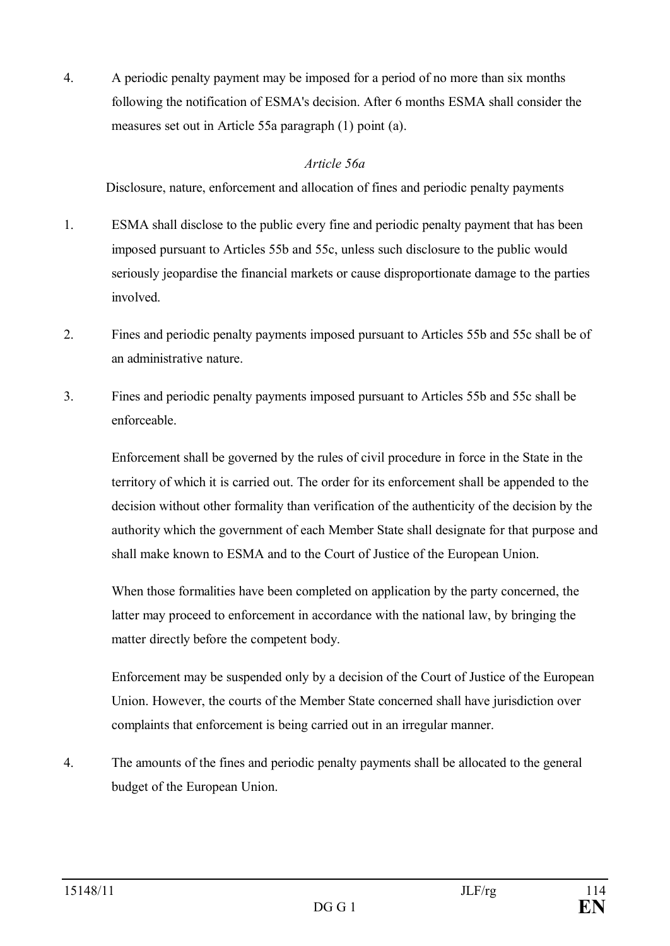4. A periodic penalty payment may be imposed for a period of no more than six months following the notification of ESMA's decision. After 6 months ESMA shall consider the measures set out in Article 55a paragraph (1) point (a).

### *Article 56a*

Disclosure, nature, enforcement and allocation of fines and periodic penalty payments

- 1. ESMA shall disclose to the public every fine and periodic penalty payment that has been imposed pursuant to Articles 55b and 55c, unless such disclosure to the public would seriously jeopardise the financial markets or cause disproportionate damage to the parties involved.
- 2. Fines and periodic penalty payments imposed pursuant to Articles 55b and 55c shall be of an administrative nature.
- 3. Fines and periodic penalty payments imposed pursuant to Articles 55b and 55c shall be enforceable.

Enforcement shall be governed by the rules of civil procedure in force in the State in the territory of which it is carried out. The order for its enforcement shall be appended to the decision without other formality than verification of the authenticity of the decision by the authority which the government of each Member State shall designate for that purpose and shall make known to ESMA and to the Court of Justice of the European Union.

When those formalities have been completed on application by the party concerned, the latter may proceed to enforcement in accordance with the national law, by bringing the matter directly before the competent body.

Enforcement may be suspended only by a decision of the Court of Justice of the European Union. However, the courts of the Member State concerned shall have jurisdiction over complaints that enforcement is being carried out in an irregular manner.

4. The amounts of the fines and periodic penalty payments shall be allocated to the general budget of the European Union.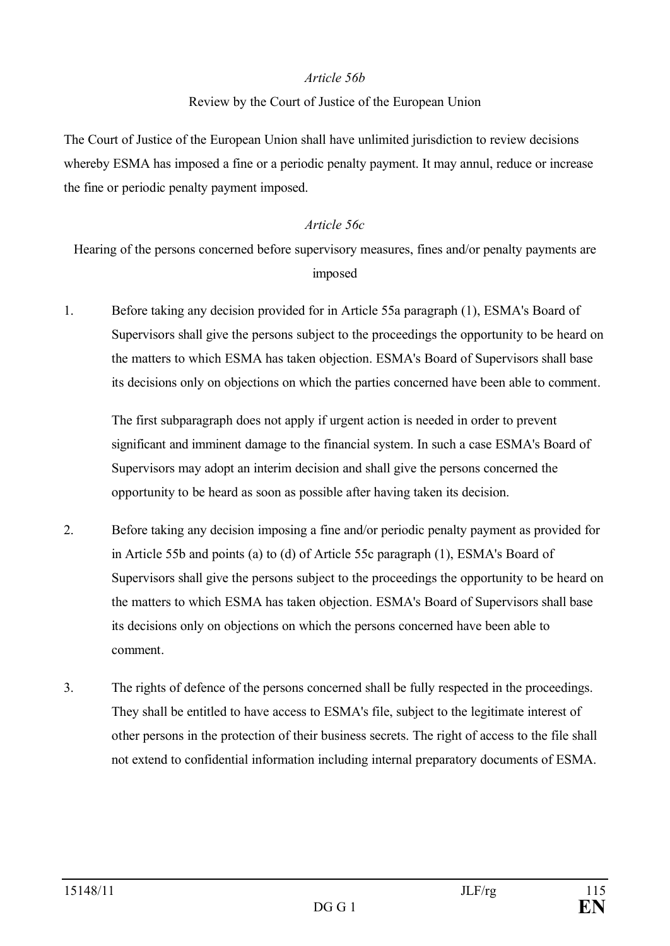### *Article 56b*

### Review by the Court of Justice of the European Union

The Court of Justice of the European Union shall have unlimited jurisdiction to review decisions whereby ESMA has imposed a fine or a periodic penalty payment. It may annul, reduce or increase the fine or periodic penalty payment imposed.

### *Article 56c*

Hearing of the persons concerned before supervisory measures, fines and/or penalty payments are imposed

1. Before taking any decision provided for in Article 55a paragraph (1), ESMA's Board of Supervisors shall give the persons subject to the proceedings the opportunity to be heard on the matters to which ESMA has taken objection. ESMA's Board of Supervisors shall base its decisions only on objections on which the parties concerned have been able to comment.

The first subparagraph does not apply if urgent action is needed in order to prevent significant and imminent damage to the financial system. In such a case ESMA's Board of Supervisors may adopt an interim decision and shall give the persons concerned the opportunity to be heard as soon as possible after having taken its decision.

- 2. Before taking any decision imposing a fine and/or periodic penalty payment as provided for in Article 55b and points (a) to (d) of Article 55c paragraph (1), ESMA's Board of Supervisors shall give the persons subject to the proceedings the opportunity to be heard on the matters to which ESMA has taken objection. ESMA's Board of Supervisors shall base its decisions only on objections on which the persons concerned have been able to comment.
- 3. The rights of defence of the persons concerned shall be fully respected in the proceedings. They shall be entitled to have access to ESMA's file, subject to the legitimate interest of other persons in the protection of their business secrets. The right of access to the file shall not extend to confidential information including internal preparatory documents of ESMA.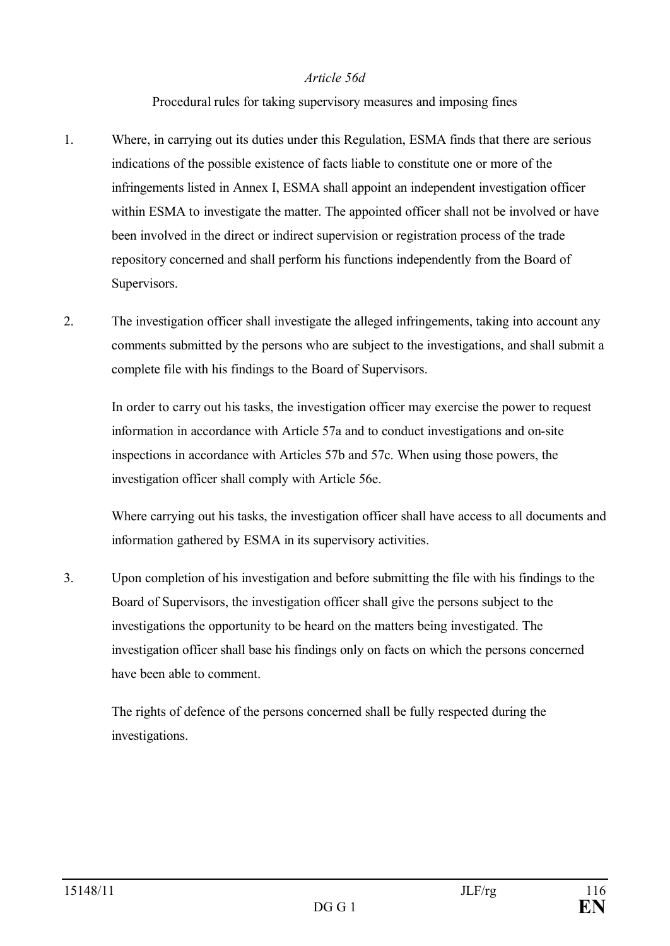### *Article 56d*

### Procedural rules for taking supervisory measures and imposing fines

- 1. Where, in carrying out its duties under this Regulation, ESMA finds that there are serious indications of the possible existence of facts liable to constitute one or more of the infringements listed in Annex I, ESMA shall appoint an independent investigation officer within ESMA to investigate the matter. The appointed officer shall not be involved or have been involved in the direct or indirect supervision or registration process of the trade repository concerned and shall perform his functions independently from the Board of Supervisors.
- 2. The investigation officer shall investigate the alleged infringements, taking into account any comments submitted by the persons who are subject to the investigations, and shall submit a complete file with his findings to the Board of Supervisors.

In order to carry out his tasks, the investigation officer may exercise the power to request information in accordance with Article 57a and to conduct investigations and on-site inspections in accordance with Articles 57b and 57c. When using those powers, the investigation officer shall comply with Article 56e.

Where carrying out his tasks, the investigation officer shall have access to all documents and information gathered by ESMA in its supervisory activities.

3. Upon completion of his investigation and before submitting the file with his findings to the Board of Supervisors, the investigation officer shall give the persons subject to the investigations the opportunity to be heard on the matters being investigated. The investigation officer shall base his findings only on facts on which the persons concerned have been able to comment.

The rights of defence of the persons concerned shall be fully respected during the investigations.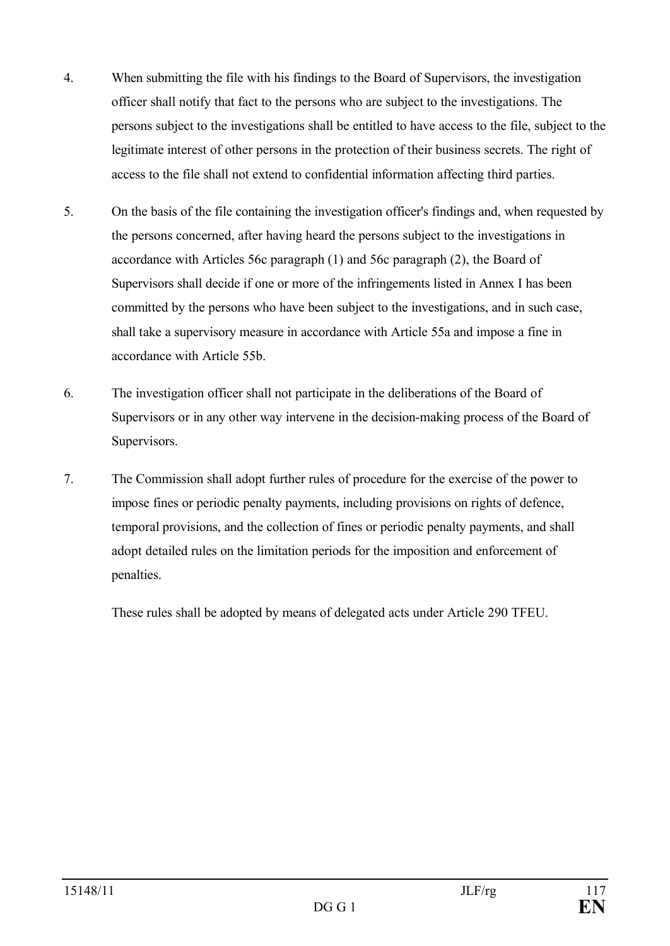- 4. When submitting the file with his findings to the Board of Supervisors, the investigation officer shall notify that fact to the persons who are subject to the investigations. The persons subject to the investigations shall be entitled to have access to the file, subject to the legitimate interest of other persons in the protection of their business secrets. The right of access to the file shall not extend to confidential information affecting third parties.
- 5. On the basis of the file containing the investigation officer's findings and, when requested by the persons concerned, after having heard the persons subject to the investigations in accordance with Articles 56c paragraph (1) and 56c paragraph (2), the Board of Supervisors shall decide if one or more of the infringements listed in Annex I has been committed by the persons who have been subject to the investigations, and in such case, shall take a supervisory measure in accordance with Article 55a and impose a fine in accordance with Article 55b.
- 6. The investigation officer shall not participate in the deliberations of the Board of Supervisors or in any other way intervene in the decision-making process of the Board of Supervisors.
- 7. The Commission shall adopt further rules of procedure for the exercise of the power to impose fines or periodic penalty payments, including provisions on rights of defence, temporal provisions, and the collection of fines or periodic penalty payments, and shall adopt detailed rules on the limitation periods for the imposition and enforcement of penalties.

These rules shall be adopted by means of delegated acts under Article 290 TFEU.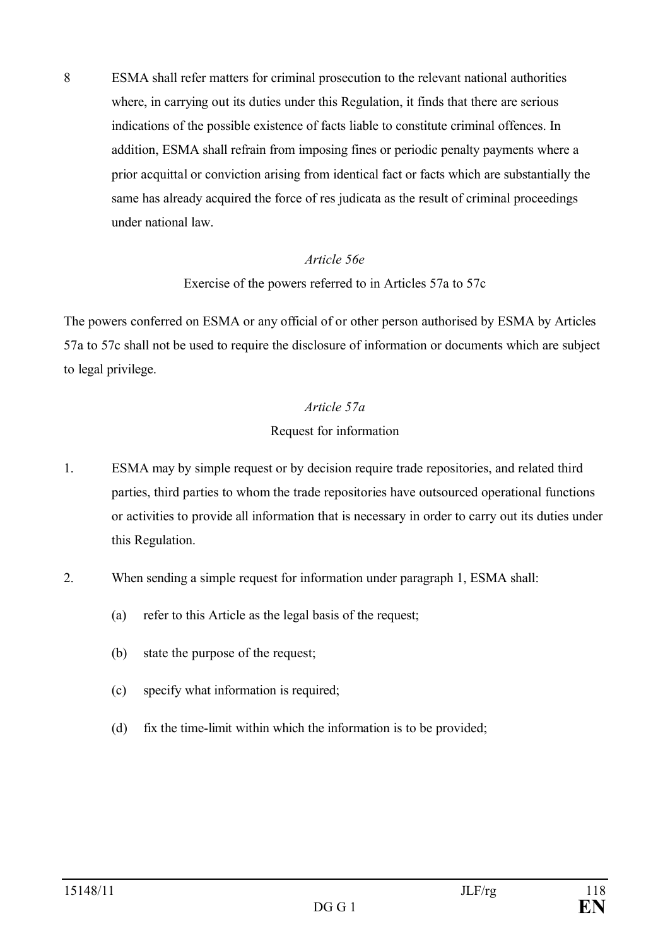8 ESMA shall refer matters for criminal prosecution to the relevant national authorities where, in carrying out its duties under this Regulation, it finds that there are serious indications of the possible existence of facts liable to constitute criminal offences. In addition, ESMA shall refrain from imposing fines or periodic penalty payments where a prior acquittal or conviction arising from identical fact or facts which are substantially the same has already acquired the force of res judicata as the result of criminal proceedings under national law.

### *Article 56e*

### Exercise of the powers referred to in Articles 57a to 57c

The powers conferred on ESMA or any official of or other person authorised by ESMA by Articles 57a to 57c shall not be used to require the disclosure of information or documents which are subject to legal privilege.

### *Article 57a*

### Request for information

- 1. ESMA may by simple request or by decision require trade repositories, and related third parties, third parties to whom the trade repositories have outsourced operational functions or activities to provide all information that is necessary in order to carry out its duties under this Regulation.
- 2. When sending a simple request for information under paragraph 1, ESMA shall:
	- (a) refer to this Article as the legal basis of the request;
	- (b) state the purpose of the request;
	- (c) specify what information is required;
	- (d) fix the time-limit within which the information is to be provided;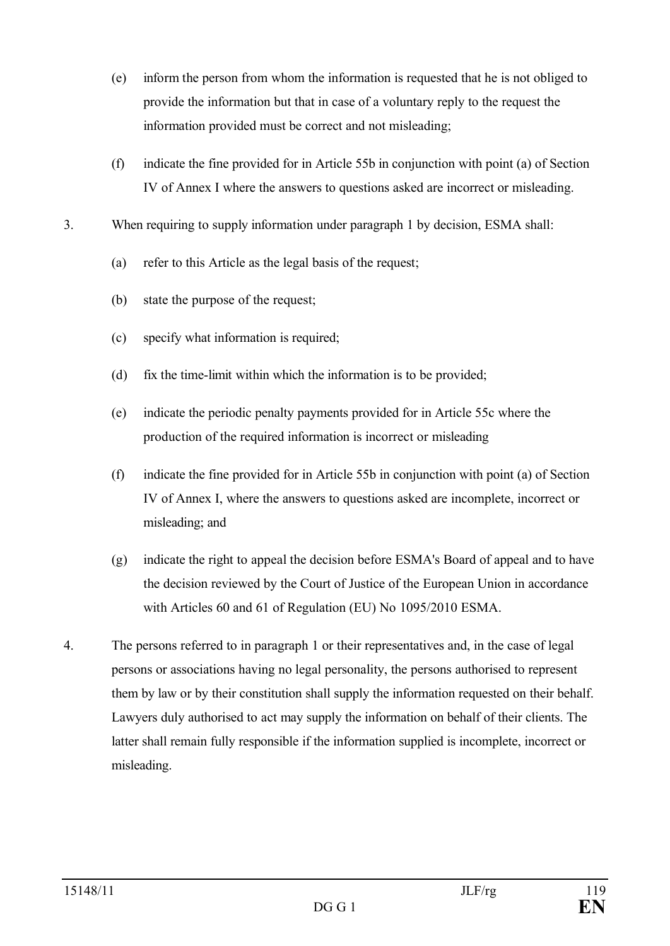- (e) inform the person from whom the information is requested that he is not obliged to provide the information but that in case of a voluntary reply to the request the information provided must be correct and not misleading;
- (f) indicate the fine provided for in Article 55b in conjunction with point (a) of Section IV of Annex I where the answers to questions asked are incorrect or misleading.
- 3. When requiring to supply information under paragraph 1 by decision, ESMA shall:
	- (a) refer to this Article as the legal basis of the request;
	- (b) state the purpose of the request;
	- (c) specify what information is required;
	- (d) fix the time-limit within which the information is to be provided;
	- (e) indicate the periodic penalty payments provided for in Article 55c where the production of the required information is incorrect or misleading
	- (f) indicate the fine provided for in Article 55b in conjunction with point (a) of Section IV of Annex I, where the answers to questions asked are incomplete, incorrect or misleading; and
	- (g) indicate the right to appeal the decision before ESMA's Board of appeal and to have the decision reviewed by the Court of Justice of the European Union in accordance with Articles 60 and 61 of Regulation (EU) No 1095/2010 ESMA.
- 4. The persons referred to in paragraph 1 or their representatives and, in the case of legal persons or associations having no legal personality, the persons authorised to represent them by law or by their constitution shall supply the information requested on their behalf. Lawyers duly authorised to act may supply the information on behalf of their clients. The latter shall remain fully responsible if the information supplied is incomplete, incorrect or misleading.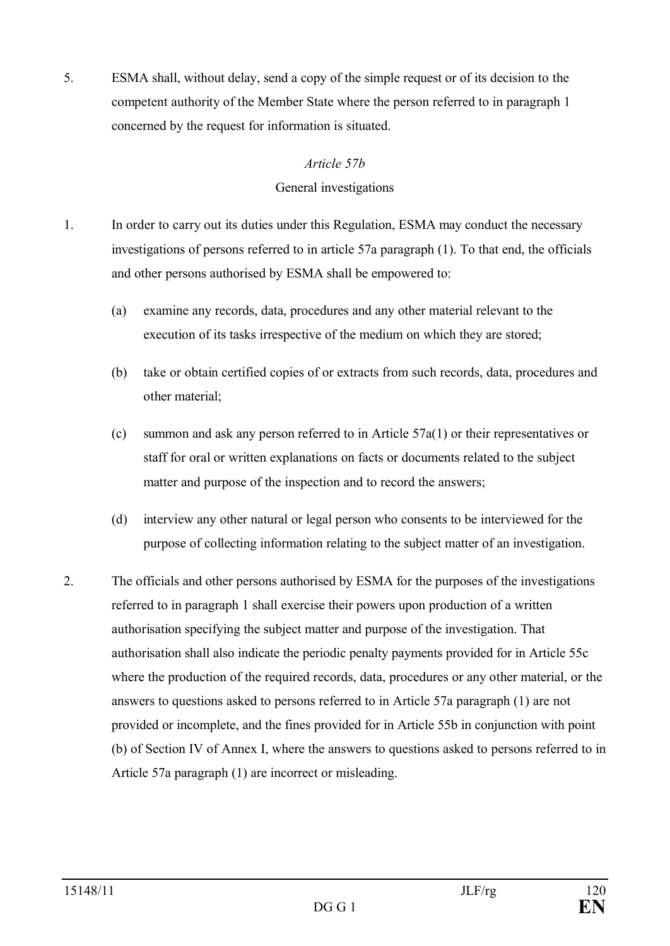5. ESMA shall, without delay, send a copy of the simple request or of its decision to the competent authority of the Member State where the person referred to in paragraph 1 concerned by the request for information is situated.

### *Article 57b*

### General investigations

- 1. In order to carry out its duties under this Regulation, ESMA may conduct the necessary investigations of persons referred to in article 57a paragraph (1). To that end, the officials and other persons authorised by ESMA shall be empowered to:
	- (a) examine any records, data, procedures and any other material relevant to the execution of its tasks irrespective of the medium on which they are stored;
	- (b) take or obtain certified copies of or extracts from such records, data, procedures and other material;
	- (c) summon and ask any person referred to in Article 57a(1) or their representatives or staff for oral or written explanations on facts or documents related to the subject matter and purpose of the inspection and to record the answers;
	- (d) interview any other natural or legal person who consents to be interviewed for the purpose of collecting information relating to the subject matter of an investigation.
- 2. The officials and other persons authorised by ESMA for the purposes of the investigations referred to in paragraph 1 shall exercise their powers upon production of a written authorisation specifying the subject matter and purpose of the investigation. That authorisation shall also indicate the periodic penalty payments provided for in Article 55c where the production of the required records, data, procedures or any other material, or the answers to questions asked to persons referred to in Article 57a paragraph (1) are not provided or incomplete, and the fines provided for in Article 55b in conjunction with point (b) of Section IV of Annex I, where the answers to questions asked to persons referred to in Article 57a paragraph (1) are incorrect or misleading.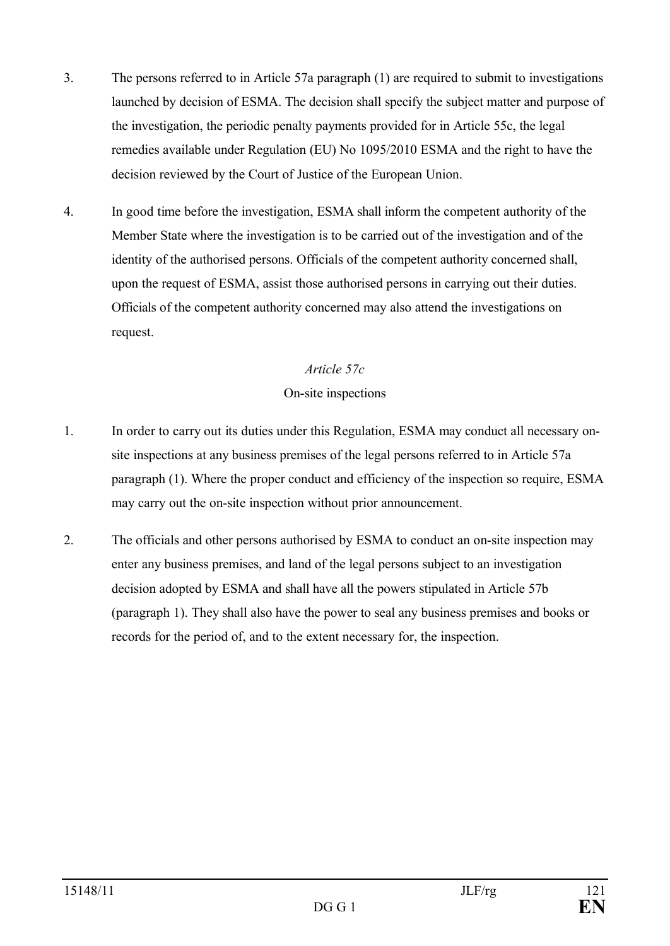- 3. The persons referred to in Article 57a paragraph (1) are required to submit to investigations launched by decision of ESMA. The decision shall specify the subject matter and purpose of the investigation, the periodic penalty payments provided for in Article 55c, the legal remedies available under Regulation (EU) No 1095/2010 ESMA and the right to have the decision reviewed by the Court of Justice of the European Union.
- 4. In good time before the investigation, ESMA shall inform the competent authority of the Member State where the investigation is to be carried out of the investigation and of the identity of the authorised persons. Officials of the competent authority concerned shall, upon the request of ESMA, assist those authorised persons in carrying out their duties. Officials of the competent authority concerned may also attend the investigations on request.

### *Article 57c*

### On-site inspections

- 1. In order to carry out its duties under this Regulation, ESMA may conduct all necessary onsite inspections at any business premises of the legal persons referred to in Article 57a paragraph (1). Where the proper conduct and efficiency of the inspection so require, ESMA may carry out the on-site inspection without prior announcement.
- 2. The officials and other persons authorised by ESMA to conduct an on-site inspection may enter any business premises, and land of the legal persons subject to an investigation decision adopted by ESMA and shall have all the powers stipulated in Article 57b (paragraph 1). They shall also have the power to seal any business premises and books or records for the period of, and to the extent necessary for, the inspection.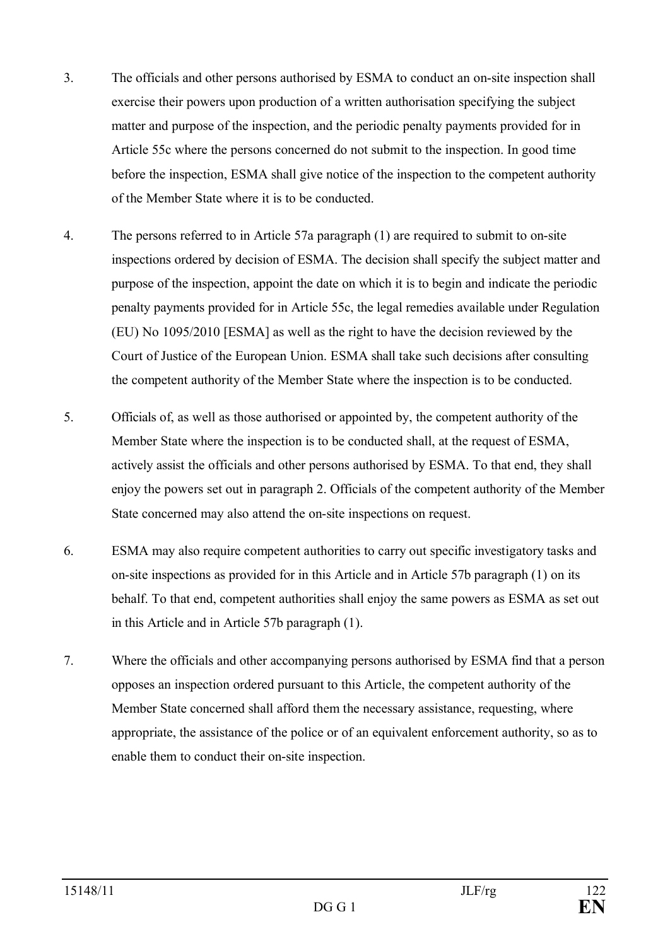- 3. The officials and other persons authorised by ESMA to conduct an on-site inspection shall exercise their powers upon production of a written authorisation specifying the subject matter and purpose of the inspection, and the periodic penalty payments provided for in Article 55c where the persons concerned do not submit to the inspection. In good time before the inspection, ESMA shall give notice of the inspection to the competent authority of the Member State where it is to be conducted.
- 4. The persons referred to in Article 57a paragraph (1) are required to submit to on-site inspections ordered by decision of ESMA. The decision shall specify the subject matter and purpose of the inspection, appoint the date on which it is to begin and indicate the periodic penalty payments provided for in Article 55c, the legal remedies available under Regulation (EU) No 1095/2010 [ESMA] as well as the right to have the decision reviewed by the Court of Justice of the European Union. ESMA shall take such decisions after consulting the competent authority of the Member State where the inspection is to be conducted.
- 5. Officials of, as well as those authorised or appointed by, the competent authority of the Member State where the inspection is to be conducted shall, at the request of ESMA, actively assist the officials and other persons authorised by ESMA. To that end, they shall enjoy the powers set out in paragraph 2. Officials of the competent authority of the Member State concerned may also attend the on-site inspections on request.
- 6. ESMA may also require competent authorities to carry out specific investigatory tasks and on-site inspections as provided for in this Article and in Article 57b paragraph (1) on its behalf. To that end, competent authorities shall enjoy the same powers as ESMA as set out in this Article and in Article 57b paragraph (1).
- 7. Where the officials and other accompanying persons authorised by ESMA find that a person opposes an inspection ordered pursuant to this Article, the competent authority of the Member State concerned shall afford them the necessary assistance, requesting, where appropriate, the assistance of the police or of an equivalent enforcement authority, so as to enable them to conduct their on-site inspection.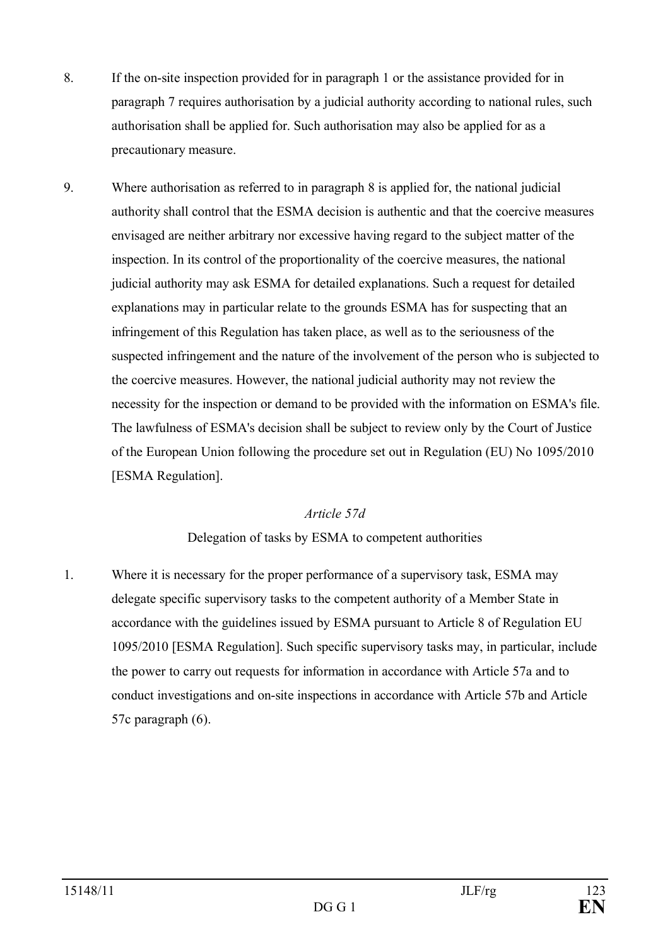- 8. If the on-site inspection provided for in paragraph 1 or the assistance provided for in paragraph 7 requires authorisation by a judicial authority according to national rules, such authorisation shall be applied for. Such authorisation may also be applied for as a precautionary measure.
- 9. Where authorisation as referred to in paragraph 8 is applied for, the national judicial authority shall control that the ESMA decision is authentic and that the coercive measures envisaged are neither arbitrary nor excessive having regard to the subject matter of the inspection. In its control of the proportionality of the coercive measures, the national judicial authority may ask ESMA for detailed explanations. Such a request for detailed explanations may in particular relate to the grounds ESMA has for suspecting that an infringement of this Regulation has taken place, as well as to the seriousness of the suspected infringement and the nature of the involvement of the person who is subjected to the coercive measures. However, the national judicial authority may not review the necessity for the inspection or demand to be provided with the information on ESMA's file. The lawfulness of ESMA's decision shall be subject to review only by the Court of Justice of the European Union following the procedure set out in Regulation (EU) No 1095/2010 [ESMA Regulation].

### *Article 57d*

### Delegation of tasks by ESMA to competent authorities

1. Where it is necessary for the proper performance of a supervisory task, ESMA may delegate specific supervisory tasks to the competent authority of a Member State in accordance with the guidelines issued by ESMA pursuant to Article 8 of Regulation EU 1095/2010 [ESMA Regulation]. Such specific supervisory tasks may, in particular, include the power to carry out requests for information in accordance with Article 57a and to conduct investigations and on-site inspections in accordance with Article 57b and Article 57c paragraph (6).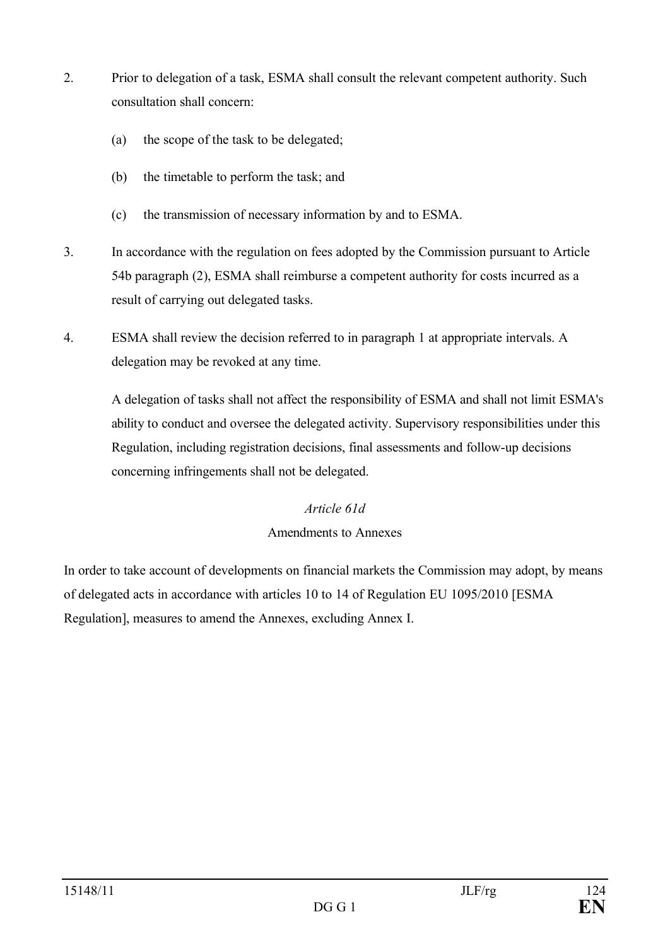- 2. Prior to delegation of a task, ESMA shall consult the relevant competent authority. Such consultation shall concern:
	- (a) the scope of the task to be delegated;
	- (b) the timetable to perform the task; and
	- (c) the transmission of necessary information by and to ESMA.
- 3. In accordance with the regulation on fees adopted by the Commission pursuant to Article 54b paragraph (2), ESMA shall reimburse a competent authority for costs incurred as a result of carrying out delegated tasks.
- 4. ESMA shall review the decision referred to in paragraph 1 at appropriate intervals. A delegation may be revoked at any time.

A delegation of tasks shall not affect the responsibility of ESMA and shall not limit ESMA's ability to conduct and oversee the delegated activity. Supervisory responsibilities under this Regulation, including registration decisions, final assessments and follow-up decisions concerning infringements shall not be delegated.

### *Article 61d*

### Amendments to Annexes

In order to take account of developments on financial markets the Commission may adopt, by means of delegated acts in accordance with articles 10 to 14 of Regulation EU 1095/2010 [ESMA Regulation], measures to amend the Annexes, excluding Annex I.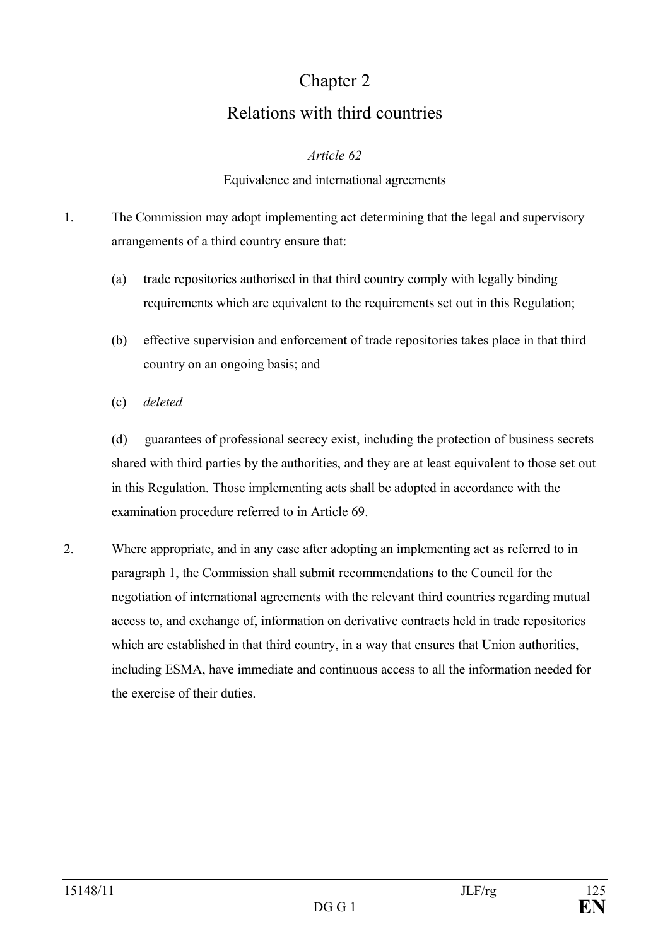# Chapter 2 Relations with third countries

### *Article 62*

### Equivalence and international agreements

- 1. The Commission may adopt implementing act determining that the legal and supervisory arrangements of a third country ensure that:
	- (a) trade repositories authorised in that third country comply with legally binding requirements which are equivalent to the requirements set out in this Regulation;
	- (b) effective supervision and enforcement of trade repositories takes place in that third country on an ongoing basis; and
	- (c) *deleted*

(d) guarantees of professional secrecy exist, including the protection of business secrets shared with third parties by the authorities, and they are at least equivalent to those set out in this Regulation. Those implementing acts shall be adopted in accordance with the examination procedure referred to in Article 69.

2. Where appropriate, and in any case after adopting an implementing act as referred to in paragraph 1, the Commission shall submit recommendations to the Council for the negotiation of international agreements with the relevant third countries regarding mutual access to, and exchange of, information on derivative contracts held in trade repositories which are established in that third country, in a way that ensures that Union authorities, including ESMA, have immediate and continuous access to all the information needed for the exercise of their duties.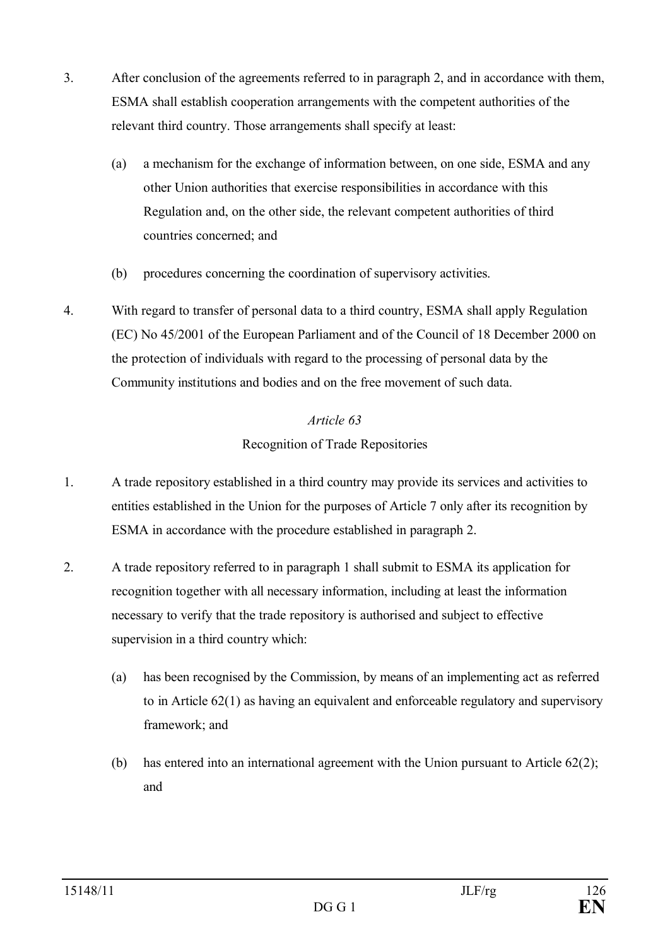- 3. After conclusion of the agreements referred to in paragraph 2, and in accordance with them, ESMA shall establish cooperation arrangements with the competent authorities of the relevant third country. Those arrangements shall specify at least:
	- (a) a mechanism for the exchange of information between, on one side, ESMA and any other Union authorities that exercise responsibilities in accordance with this Regulation and, on the other side, the relevant competent authorities of third countries concerned; and
	- (b) procedures concerning the coordination of supervisory activities.
- 4. With regard to transfer of personal data to a third country, ESMA shall apply Regulation (EC) No 45/2001 of the European Parliament and of the Council of 18 December 2000 on the protection of individuals with regard to the processing of personal data by the Community institutions and bodies and on the free movement of such data.

## *Article 63* Recognition of Trade Repositories

- 1. A trade repository established in a third country may provide its services and activities to entities established in the Union for the purposes of Article 7 only after its recognition by ESMA in accordance with the procedure established in paragraph 2.
- 2. A trade repository referred to in paragraph 1 shall submit to ESMA its application for recognition together with all necessary information, including at least the information necessary to verify that the trade repository is authorised and subject to effective supervision in a third country which:
	- (a) has been recognised by the Commission, by means of an implementing act as referred to in Article 62(1) as having an equivalent and enforceable regulatory and supervisory framework; and
	- (b) has entered into an international agreement with the Union pursuant to Article 62(2); and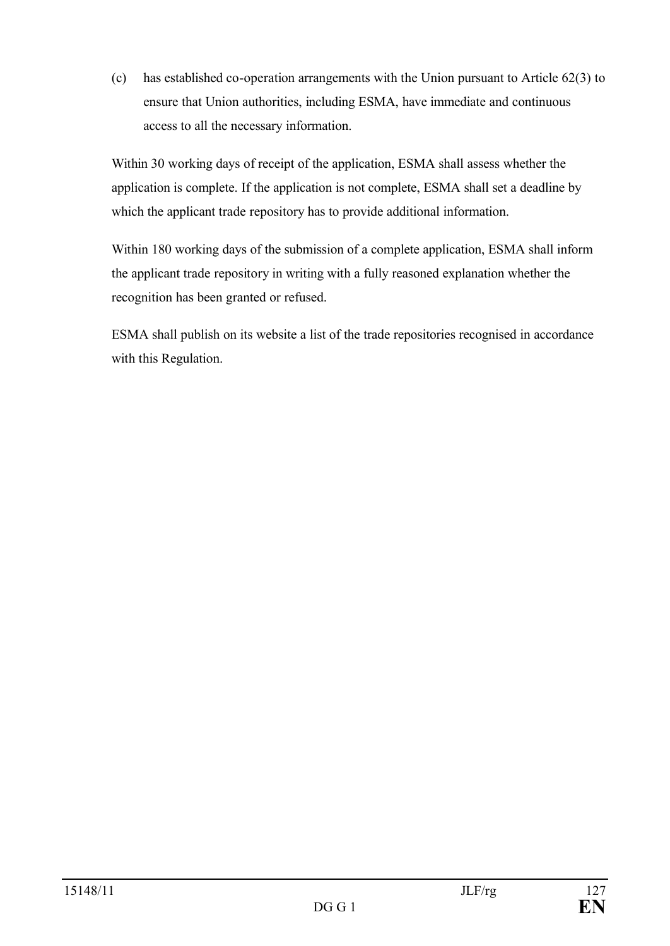(c) has established co-operation arrangements with the Union pursuant to Article 62(3) to ensure that Union authorities, including ESMA, have immediate and continuous access to all the necessary information.

Within 30 working days of receipt of the application, ESMA shall assess whether the application is complete. If the application is not complete, ESMA shall set a deadline by which the applicant trade repository has to provide additional information.

Within 180 working days of the submission of a complete application, ESMA shall inform the applicant trade repository in writing with a fully reasoned explanation whether the recognition has been granted or refused.

ESMA shall publish on its website a list of the trade repositories recognised in accordance with this Regulation.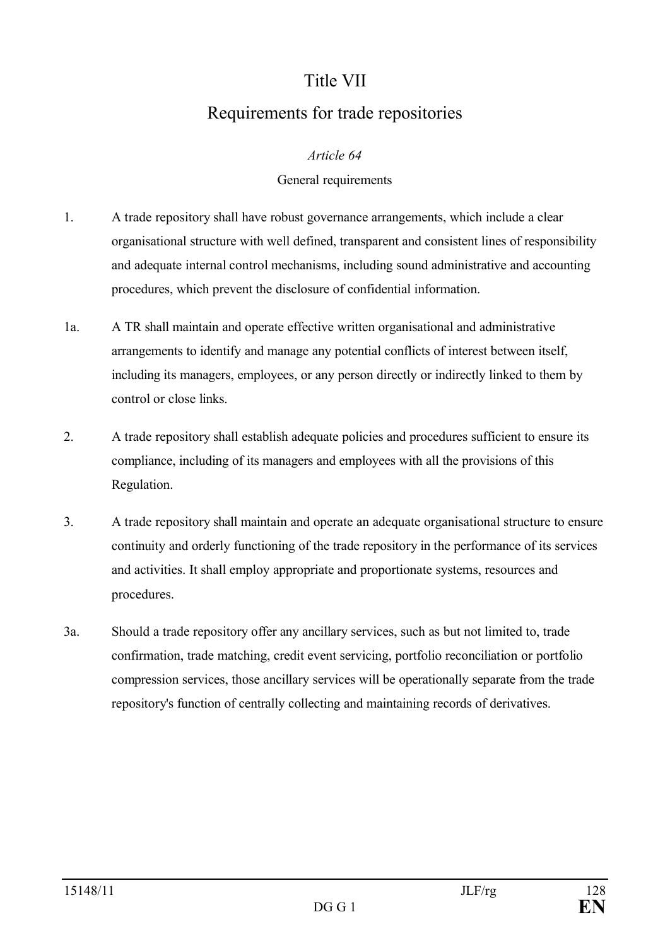## Title VII

## Requirements for trade repositories

### *Article 64*

### General requirements

- 1. A trade repository shall have robust governance arrangements, which include a clear organisational structure with well defined, transparent and consistent lines of responsibility and adequate internal control mechanisms, including sound administrative and accounting procedures, which prevent the disclosure of confidential information.
- 1a. A TR shall maintain and operate effective written organisational and administrative arrangements to identify and manage any potential conflicts of interest between itself, including its managers, employees, or any person directly or indirectly linked to them by control or close links.
- 2. A trade repository shall establish adequate policies and procedures sufficient to ensure its compliance, including of its managers and employees with all the provisions of this Regulation.
- 3. A trade repository shall maintain and operate an adequate organisational structure to ensure continuity and orderly functioning of the trade repository in the performance of its services and activities. It shall employ appropriate and proportionate systems, resources and procedures.
- 3a. Should a trade repository offer any ancillary services, such as but not limited to, trade confirmation, trade matching, credit event servicing, portfolio reconciliation or portfolio compression services, those ancillary services will be operationally separate from the trade repository's function of centrally collecting and maintaining records of derivatives.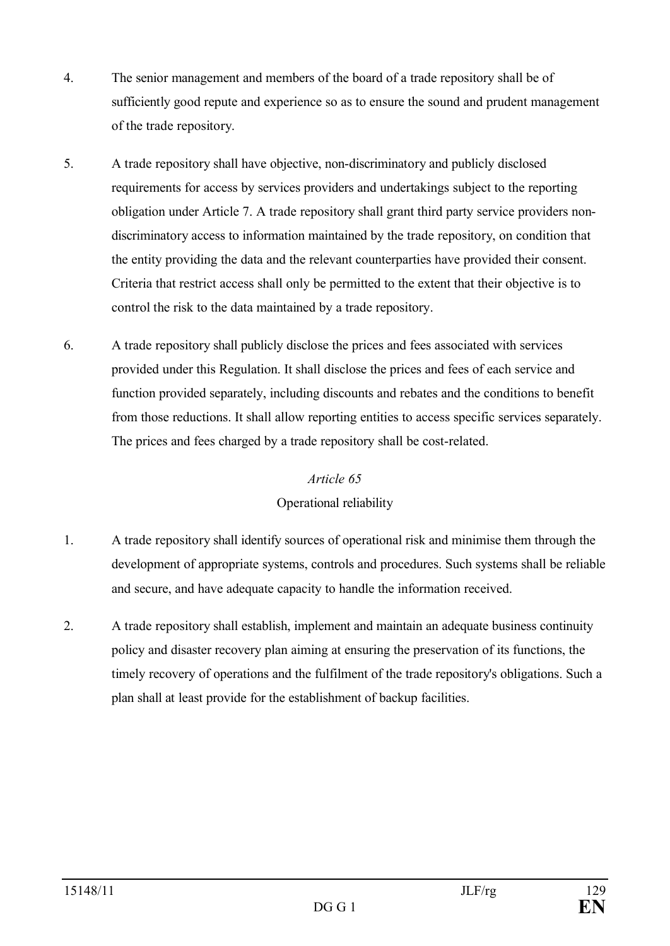- 4. The senior management and members of the board of a trade repository shall be of sufficiently good repute and experience so as to ensure the sound and prudent management of the trade repository.
- 5. A trade repository shall have objective, non-discriminatory and publicly disclosed requirements for access by services providers and undertakings subject to the reporting obligation under Article 7. A trade repository shall grant third party service providers nondiscriminatory access to information maintained by the trade repository, on condition that the entity providing the data and the relevant counterparties have provided their consent. Criteria that restrict access shall only be permitted to the extent that their objective is to control the risk to the data maintained by a trade repository.
- 6. A trade repository shall publicly disclose the prices and fees associated with services provided under this Regulation. It shall disclose the prices and fees of each service and function provided separately, including discounts and rebates and the conditions to benefit from those reductions. It shall allow reporting entities to access specific services separately. The prices and fees charged by a trade repository shall be cost-related.

### *Article 65*

### Operational reliability

- 1. A trade repository shall identify sources of operational risk and minimise them through the development of appropriate systems, controls and procedures. Such systems shall be reliable and secure, and have adequate capacity to handle the information received.
- 2. A trade repository shall establish, implement and maintain an adequate business continuity policy and disaster recovery plan aiming at ensuring the preservation of its functions, the timely recovery of operations and the fulfilment of the trade repository's obligations. Such a plan shall at least provide for the establishment of backup facilities.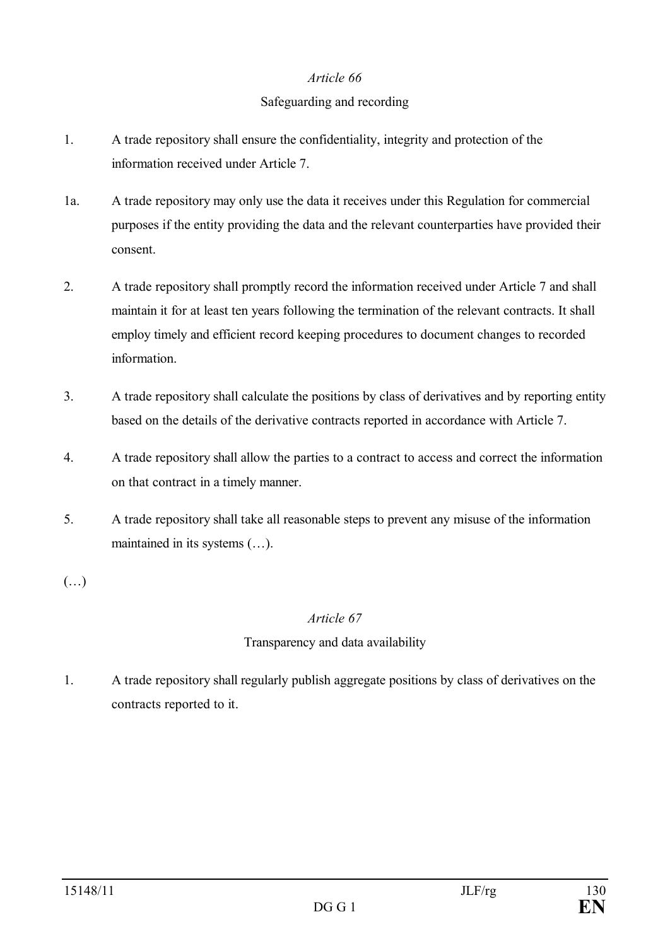### *Article 66*

### Safeguarding and recording

- 1. A trade repository shall ensure the confidentiality, integrity and protection of the information received under Article 7.
- 1a. A trade repository may only use the data it receives under this Regulation for commercial purposes if the entity providing the data and the relevant counterparties have provided their consent.
- 2. A trade repository shall promptly record the information received under Article 7 and shall maintain it for at least ten years following the termination of the relevant contracts. It shall employ timely and efficient record keeping procedures to document changes to recorded information.
- 3. A trade repository shall calculate the positions by class of derivatives and by reporting entity based on the details of the derivative contracts reported in accordance with Article 7.
- 4. A trade repository shall allow the parties to a contract to access and correct the information on that contract in a timely manner.
- 5. A trade repository shall take all reasonable steps to prevent any misuse of the information maintained in its systems (…).

(…)

### *Article 67*

### Transparency and data availability

1. A trade repository shall regularly publish aggregate positions by class of derivatives on the contracts reported to it.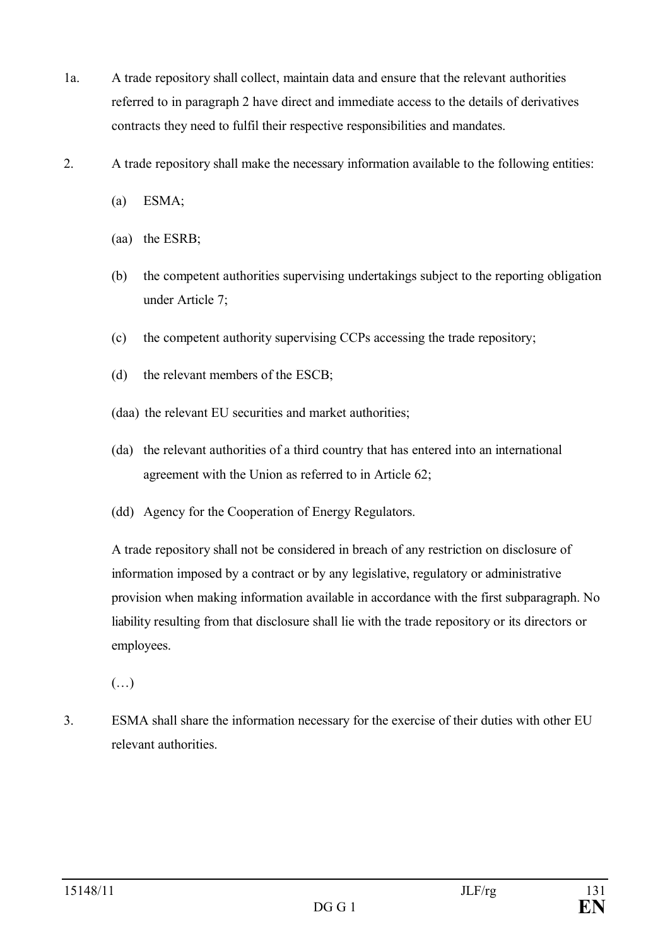- 1a. A trade repository shall collect, maintain data and ensure that the relevant authorities referred to in paragraph 2 have direct and immediate access to the details of derivatives contracts they need to fulfil their respective responsibilities and mandates.
- 2. A trade repository shall make the necessary information available to the following entities:
	- (a) ESMA;
	- (aa) the ESRB;
	- (b) the competent authorities supervising undertakings subject to the reporting obligation under Article 7;
	- (c) the competent authority supervising CCPs accessing the trade repository;
	- (d) the relevant members of the ESCB;
	- (daa) the relevant EU securities and market authorities;
	- (da) the relevant authorities of a third country that has entered into an international agreement with the Union as referred to in Article 62;
	- (dd) Agency for the Cooperation of Energy Regulators.

A trade repository shall not be considered in breach of any restriction on disclosure of information imposed by a contract or by any legislative, regulatory or administrative provision when making information available in accordance with the first subparagraph. No liability resulting from that disclosure shall lie with the trade repository or its directors or employees.

(…)

3. ESMA shall share the information necessary for the exercise of their duties with other EU relevant authorities.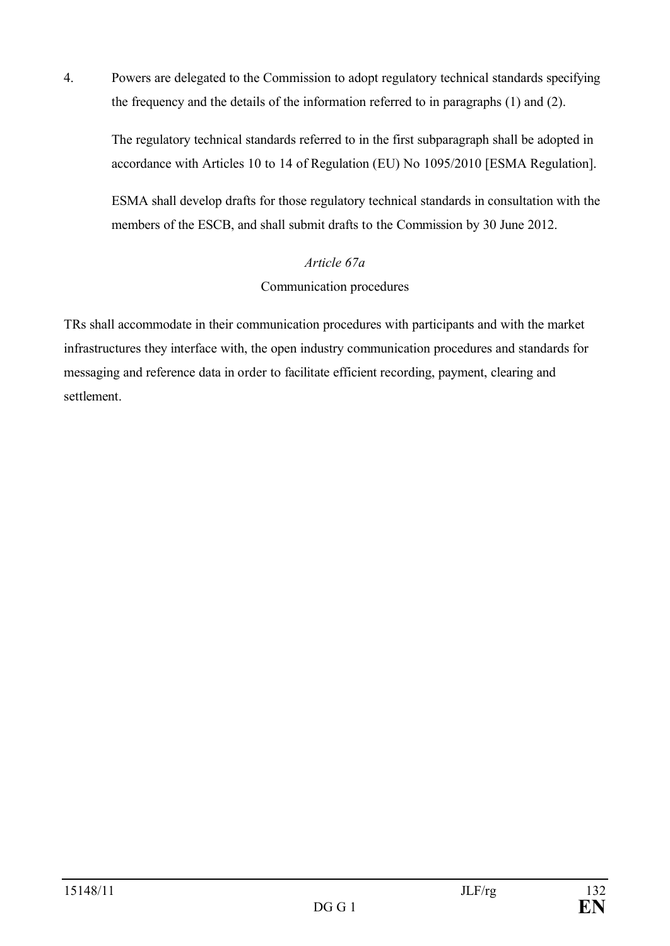4. Powers are delegated to the Commission to adopt regulatory technical standards specifying the frequency and the details of the information referred to in paragraphs (1) and (2).

The regulatory technical standards referred to in the first subparagraph shall be adopted in accordance with Articles 10 to 14 of Regulation (EU) No 1095/2010 [ESMA Regulation].

ESMA shall develop drafts for those regulatory technical standards in consultation with the members of the ESCB, and shall submit drafts to the Commission by 30 June 2012.

### *Article 67a*

Communication procedures

TRs shall accommodate in their communication procedures with participants and with the market infrastructures they interface with, the open industry communication procedures and standards for messaging and reference data in order to facilitate efficient recording, payment, clearing and settlement.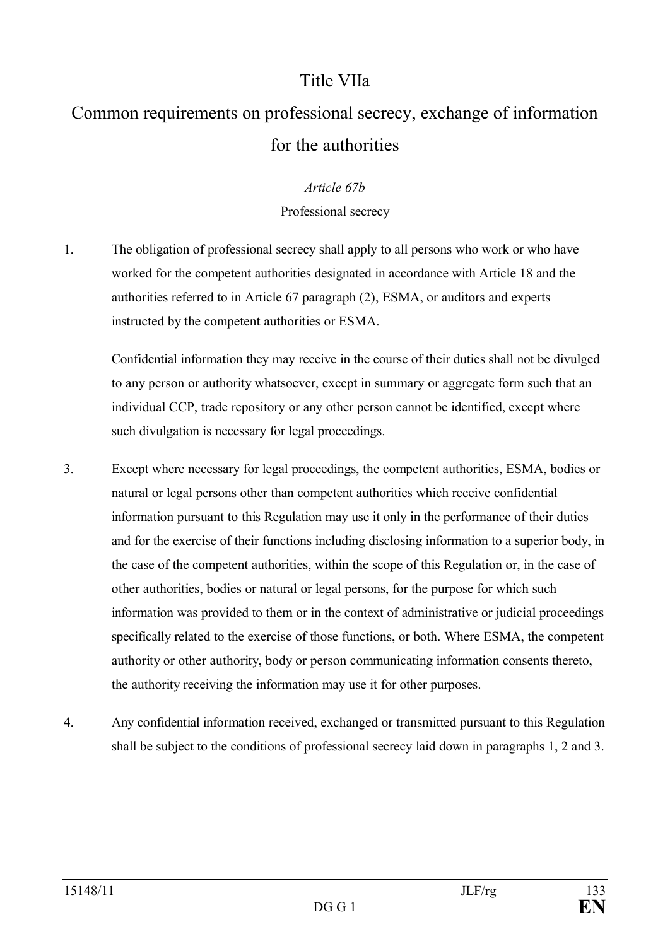## Title VIIa

# Common requirements on professional secrecy, exchange of information for the authorities

### *Article 67b*

### Professional secrecy

1. The obligation of professional secrecy shall apply to all persons who work or who have worked for the competent authorities designated in accordance with Article 18 and the authorities referred to in Article 67 paragraph (2), ESMA, or auditors and experts instructed by the competent authorities or ESMA.

Confidential information they may receive in the course of their duties shall not be divulged to any person or authority whatsoever, except in summary or aggregate form such that an individual CCP, trade repository or any other person cannot be identified, except where such divulgation is necessary for legal proceedings.

- 3. Except where necessary for legal proceedings, the competent authorities, ESMA, bodies or natural or legal persons other than competent authorities which receive confidential information pursuant to this Regulation may use it only in the performance of their duties and for the exercise of their functions including disclosing information to a superior body, in the case of the competent authorities, within the scope of this Regulation or, in the case of other authorities, bodies or natural or legal persons, for the purpose for which such information was provided to them or in the context of administrative or judicial proceedings specifically related to the exercise of those functions, or both. Where ESMA, the competent authority or other authority, body or person communicating information consents thereto, the authority receiving the information may use it for other purposes.
- 4. Any confidential information received, exchanged or transmitted pursuant to this Regulation shall be subject to the conditions of professional secrecy laid down in paragraphs 1, 2 and 3.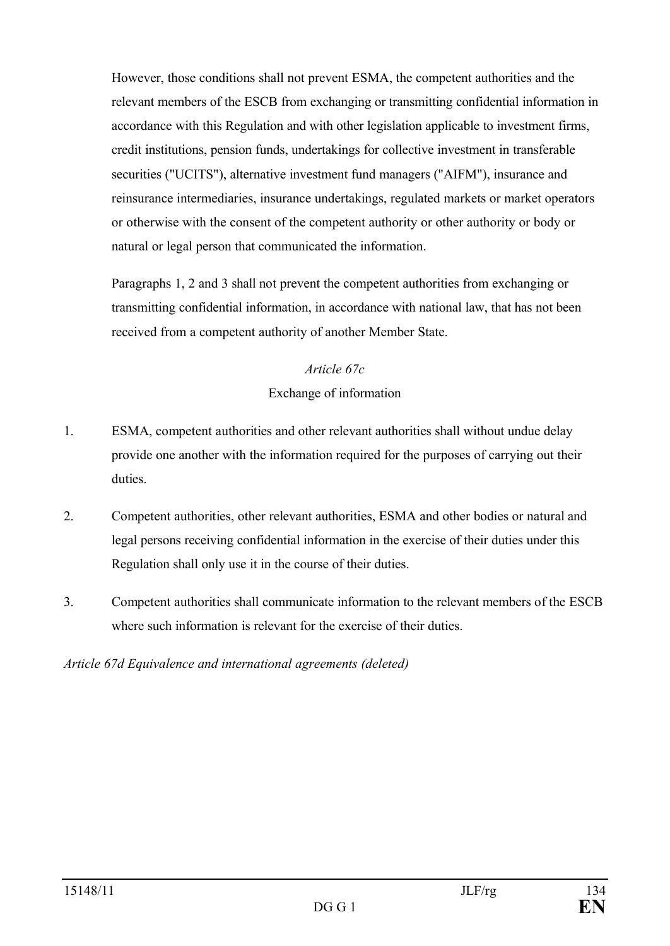However, those conditions shall not prevent ESMA, the competent authorities and the relevant members of the ESCB from exchanging or transmitting confidential information in accordance with this Regulation and with other legislation applicable to investment firms, credit institutions, pension funds, undertakings for collective investment in transferable securities ("UCITS"), alternative investment fund managers ("AIFM"), insurance and reinsurance intermediaries, insurance undertakings, regulated markets or market operators or otherwise with the consent of the competent authority or other authority or body or natural or legal person that communicated the information.

Paragraphs 1, 2 and 3 shall not prevent the competent authorities from exchanging or transmitting confidential information, in accordance with national law, that has not been received from a competent authority of another Member State.

### *Article 67c*

### Exchange of information

- 1. ESMA, competent authorities and other relevant authorities shall without undue delay provide one another with the information required for the purposes of carrying out their duties.
- 2. Competent authorities, other relevant authorities, ESMA and other bodies or natural and legal persons receiving confidential information in the exercise of their duties under this Regulation shall only use it in the course of their duties.
- 3. Competent authorities shall communicate information to the relevant members of the ESCB where such information is relevant for the exercise of their duties.

### *Article 67d Equivalence and international agreements (deleted)*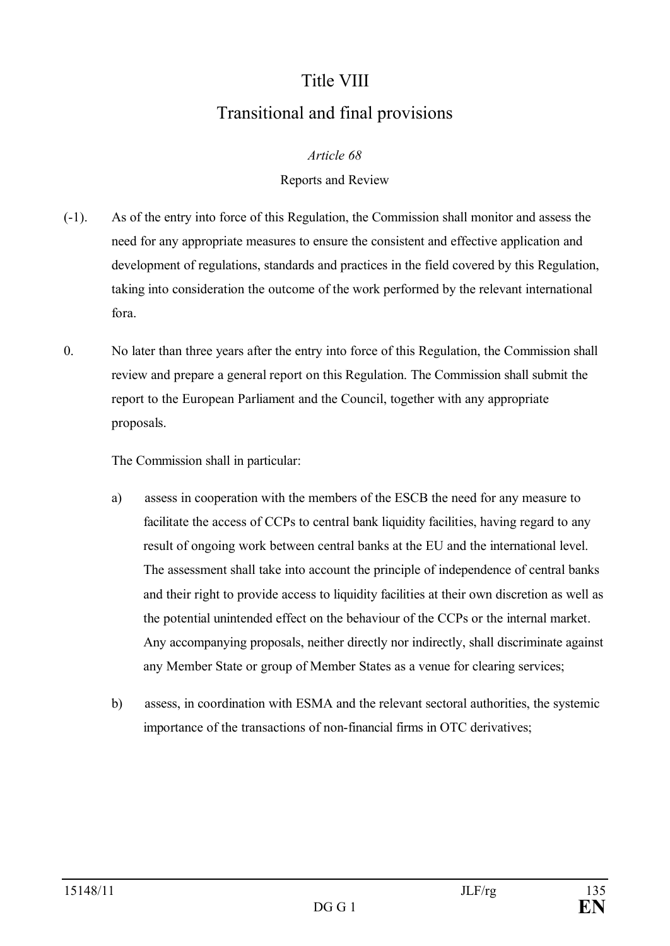# Title VIII Transitional and final provisions

### *Article 68*

### Reports and Review

- (-1). As of the entry into force of this Regulation, the Commission shall monitor and assess the need for any appropriate measures to ensure the consistent and effective application and development of regulations, standards and practices in the field covered by this Regulation, taking into consideration the outcome of the work performed by the relevant international fora.
- 0. No later than three years after the entry into force of this Regulation, the Commission shall review and prepare a general report on this Regulation. The Commission shall submit the report to the European Parliament and the Council, together with any appropriate proposals.

The Commission shall in particular:

- a) assess in cooperation with the members of the ESCB the need for any measure to facilitate the access of CCPs to central bank liquidity facilities, having regard to any result of ongoing work between central banks at the EU and the international level. The assessment shall take into account the principle of independence of central banks and their right to provide access to liquidity facilities at their own discretion as well as the potential unintended effect on the behaviour of the CCPs or the internal market. Any accompanying proposals, neither directly nor indirectly, shall discriminate against any Member State or group of Member States as a venue for clearing services;
- b) assess, in coordination with ESMA and the relevant sectoral authorities, the systemic importance of the transactions of non-financial firms in OTC derivatives;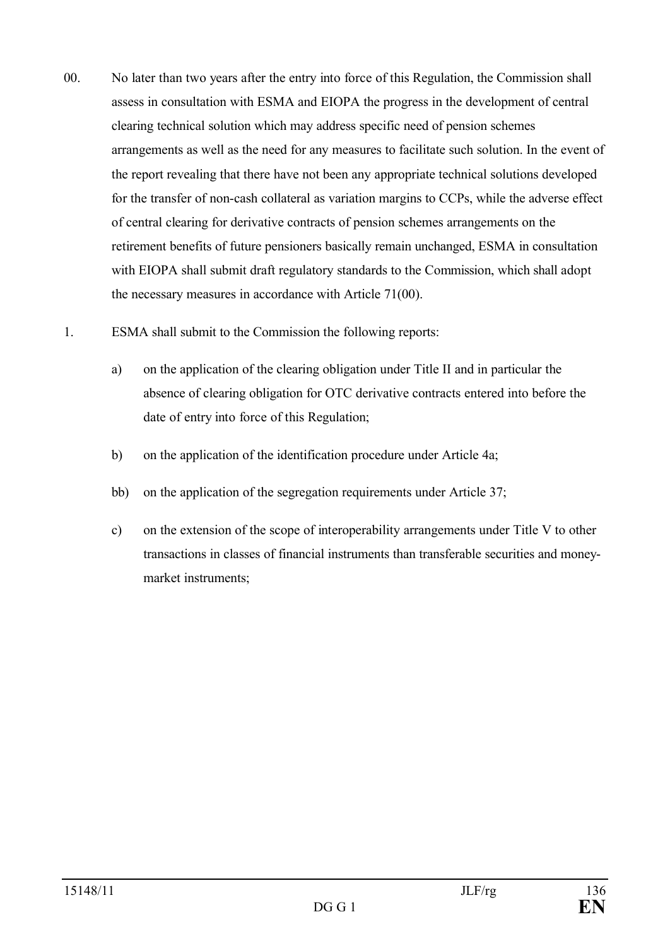- 00. No later than two years after the entry into force of this Regulation, the Commission shall assess in consultation with ESMA and EIOPA the progress in the development of central clearing technical solution which may address specific need of pension schemes arrangements as well as the need for any measures to facilitate such solution. In the event of the report revealing that there have not been any appropriate technical solutions developed for the transfer of non-cash collateral as variation margins to CCPs, while the adverse effect of central clearing for derivative contracts of pension schemes arrangements on the retirement benefits of future pensioners basically remain unchanged, ESMA in consultation with EIOPA shall submit draft regulatory standards to the Commission, which shall adopt the necessary measures in accordance with Article 71(00).
- 1. ESMA shall submit to the Commission the following reports:
	- a) on the application of the clearing obligation under Title II and in particular the absence of clearing obligation for OTC derivative contracts entered into before the date of entry into force of this Regulation;
	- b) on the application of the identification procedure under Article 4a;
	- bb) on the application of the segregation requirements under Article 37;
	- c) on the extension of the scope of interoperability arrangements under Title V to other transactions in classes of financial instruments than transferable securities and moneymarket instruments;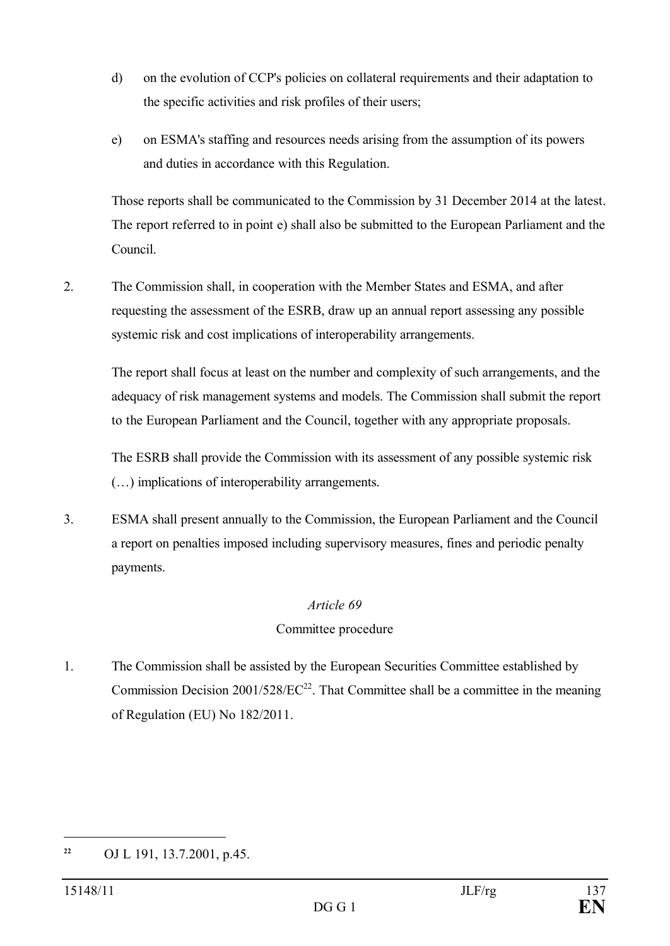- d) on the evolution of CCP's policies on collateral requirements and their adaptation to the specific activities and risk profiles of their users;
- e) on ESMA's staffing and resources needs arising from the assumption of its powers and duties in accordance with this Regulation.

Those reports shall be communicated to the Commission by 31 December 2014 at the latest. The report referred to in point e) shall also be submitted to the European Parliament and the Council.

2. The Commission shall, in cooperation with the Member States and ESMA, and after requesting the assessment of the ESRB, draw up an annual report assessing any possible systemic risk and cost implications of interoperability arrangements.

The report shall focus at least on the number and complexity of such arrangements, and the adequacy of risk management systems and models. The Commission shall submit the report to the European Parliament and the Council, together with any appropriate proposals.

The ESRB shall provide the Commission with its assessment of any possible systemic risk (…) implications of interoperability arrangements.

3. ESMA shall present annually to the Commission, the European Parliament and the Council a report on penalties imposed including supervisory measures, fines and periodic penalty payments.

### *Article 69*

### Committee procedure

1. The Commission shall be assisted by the European Securities Committee established by Commission Decision  $2001/528/EC^{22}$ . That Committee shall be a committee in the meaning of Regulation (EU) No 182/2011.

**<sup>22</sup>** OJ L 191, 13.7.2001, p.45.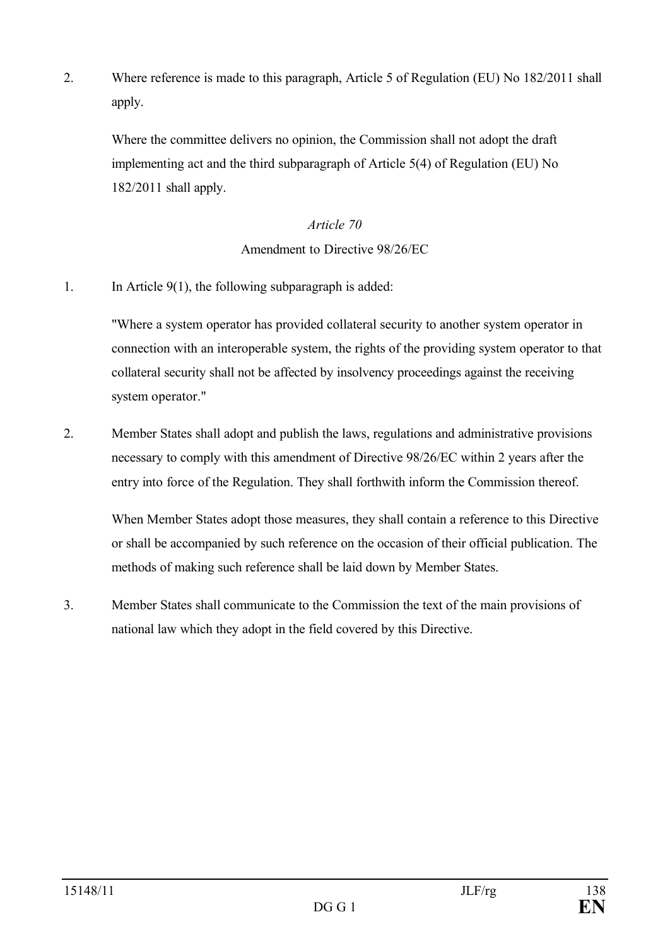2. Where reference is made to this paragraph, Article 5 of Regulation (EU) No 182/2011 shall apply.

Where the committee delivers no opinion, the Commission shall not adopt the draft implementing act and the third subparagraph of Article 5(4) of Regulation (EU) No 182/2011 shall apply.

### *Article 70*

### Amendment to Directive 98/26/EC

1. In Article 9(1), the following subparagraph is added:

"Where a system operator has provided collateral security to another system operator in connection with an interoperable system, the rights of the providing system operator to that collateral security shall not be affected by insolvency proceedings against the receiving system operator."

2. Member States shall adopt and publish the laws, regulations and administrative provisions necessary to comply with this amendment of Directive 98/26/EC within 2 years after the entry into force of the Regulation. They shall forthwith inform the Commission thereof.

When Member States adopt those measures, they shall contain a reference to this Directive or shall be accompanied by such reference on the occasion of their official publication. The methods of making such reference shall be laid down by Member States.

3. Member States shall communicate to the Commission the text of the main provisions of national law which they adopt in the field covered by this Directive.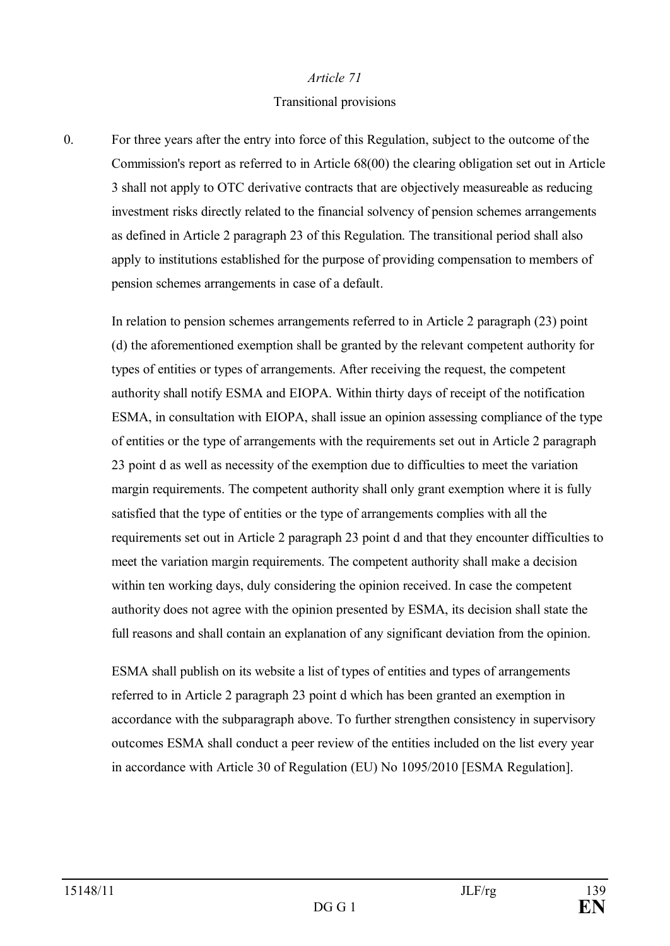#### *Article 71*

### Transitional provisions

0. For three years after the entry into force of this Regulation, subject to the outcome of the Commission's report as referred to in Article 68(00) the clearing obligation set out in Article 3 shall not apply to OTC derivative contracts that are objectively measureable as reducing investment risks directly related to the financial solvency of pension schemes arrangements as defined in Article 2 paragraph 23 of this Regulation. The transitional period shall also apply to institutions established for the purpose of providing compensation to members of pension schemes arrangements in case of a default.

In relation to pension schemes arrangements referred to in Article 2 paragraph (23) point (d) the aforementioned exemption shall be granted by the relevant competent authority for types of entities or types of arrangements. After receiving the request, the competent authority shall notify ESMA and EIOPA. Within thirty days of receipt of the notification ESMA, in consultation with EIOPA, shall issue an opinion assessing compliance of the type of entities or the type of arrangements with the requirements set out in Article 2 paragraph 23 point d as well as necessity of the exemption due to difficulties to meet the variation margin requirements. The competent authority shall only grant exemption where it is fully satisfied that the type of entities or the type of arrangements complies with all the requirements set out in Article 2 paragraph 23 point d and that they encounter difficulties to meet the variation margin requirements. The competent authority shall make a decision within ten working days, duly considering the opinion received. In case the competent authority does not agree with the opinion presented by ESMA, its decision shall state the full reasons and shall contain an explanation of any significant deviation from the opinion.

ESMA shall publish on its website a list of types of entities and types of arrangements referred to in Article 2 paragraph 23 point d which has been granted an exemption in accordance with the subparagraph above. To further strengthen consistency in supervisory outcomes ESMA shall conduct a peer review of the entities included on the list every year in accordance with Article 30 of Regulation (EU) No 1095/2010 [ESMA Regulation].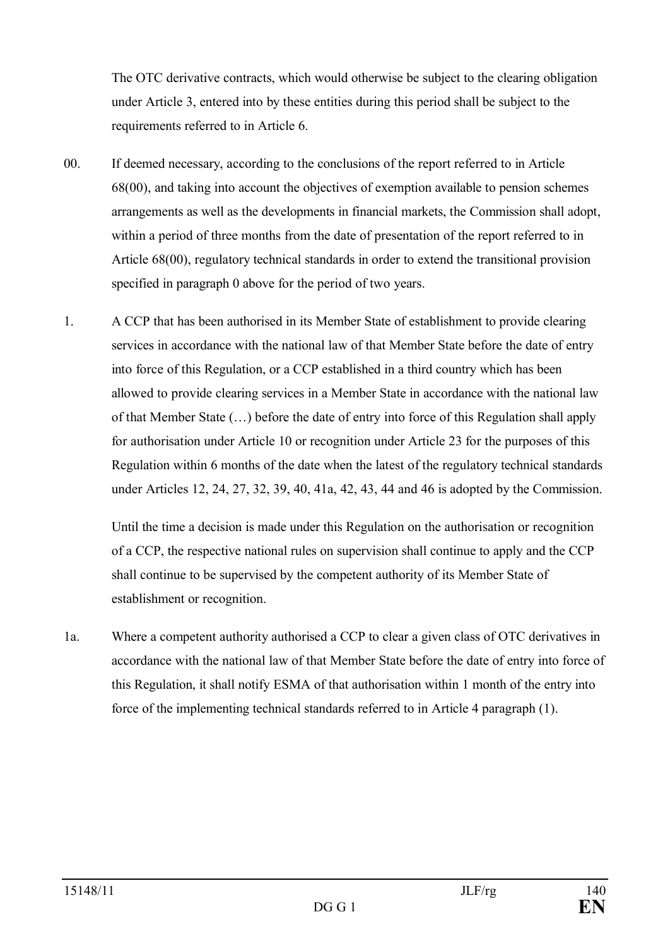The OTC derivative contracts, which would otherwise be subject to the clearing obligation under Article 3, entered into by these entities during this period shall be subject to the requirements referred to in Article 6.

- 00. If deemed necessary, according to the conclusions of the report referred to in Article 68(00), and taking into account the objectives of exemption available to pension schemes arrangements as well as the developments in financial markets, the Commission shall adopt, within a period of three months from the date of presentation of the report referred to in Article 68(00), regulatory technical standards in order to extend the transitional provision specified in paragraph 0 above for the period of two years.
- 1. A CCP that has been authorised in its Member State of establishment to provide clearing services in accordance with the national law of that Member State before the date of entry into force of this Regulation, or a CCP established in a third country which has been allowed to provide clearing services in a Member State in accordance with the national law of that Member State (…) before the date of entry into force of this Regulation shall apply for authorisation under Article 10 or recognition under Article 23 for the purposes of this Regulation within 6 months of the date when the latest of the regulatory technical standards under Articles 12, 24, 27, 32, 39, 40, 41a, 42, 43, 44 and 46 is adopted by the Commission.

Until the time a decision is made under this Regulation on the authorisation or recognition of a CCP, the respective national rules on supervision shall continue to apply and the CCP shall continue to be supervised by the competent authority of its Member State of establishment or recognition.

1a. Where a competent authority authorised a CCP to clear a given class of OTC derivatives in accordance with the national law of that Member State before the date of entry into force of this Regulation, it shall notify ESMA of that authorisation within 1 month of the entry into force of the implementing technical standards referred to in Article 4 paragraph (1).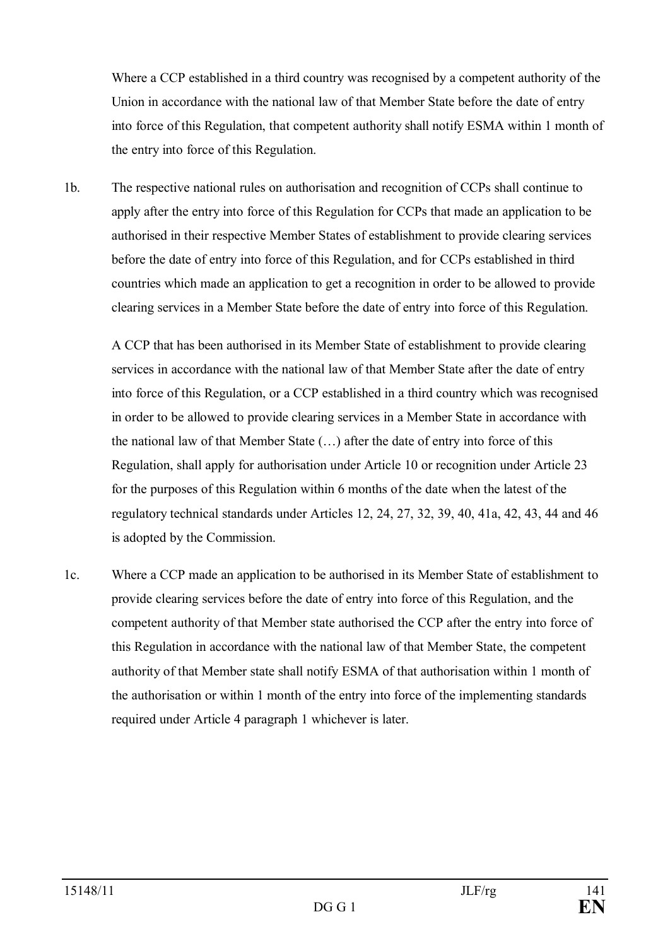Where a CCP established in a third country was recognised by a competent authority of the Union in accordance with the national law of that Member State before the date of entry into force of this Regulation, that competent authority shall notify ESMA within 1 month of the entry into force of this Regulation.

1b. The respective national rules on authorisation and recognition of CCPs shall continue to apply after the entry into force of this Regulation for CCPs that made an application to be authorised in their respective Member States of establishment to provide clearing services before the date of entry into force of this Regulation, and for CCPs established in third countries which made an application to get a recognition in order to be allowed to provide clearing services in a Member State before the date of entry into force of this Regulation.

A CCP that has been authorised in its Member State of establishment to provide clearing services in accordance with the national law of that Member State after the date of entry into force of this Regulation, or a CCP established in a third country which was recognised in order to be allowed to provide clearing services in a Member State in accordance with the national law of that Member State (…) after the date of entry into force of this Regulation, shall apply for authorisation under Article 10 or recognition under Article 23 for the purposes of this Regulation within 6 months of the date when the latest of the regulatory technical standards under Articles 12, 24, 27, 32, 39, 40, 41a, 42, 43, 44 and 46 is adopted by the Commission.

1c. Where a CCP made an application to be authorised in its Member State of establishment to provide clearing services before the date of entry into force of this Regulation, and the competent authority of that Member state authorised the CCP after the entry into force of this Regulation in accordance with the national law of that Member State, the competent authority of that Member state shall notify ESMA of that authorisation within 1 month of the authorisation or within 1 month of the entry into force of the implementing standards required under Article 4 paragraph 1 whichever is later.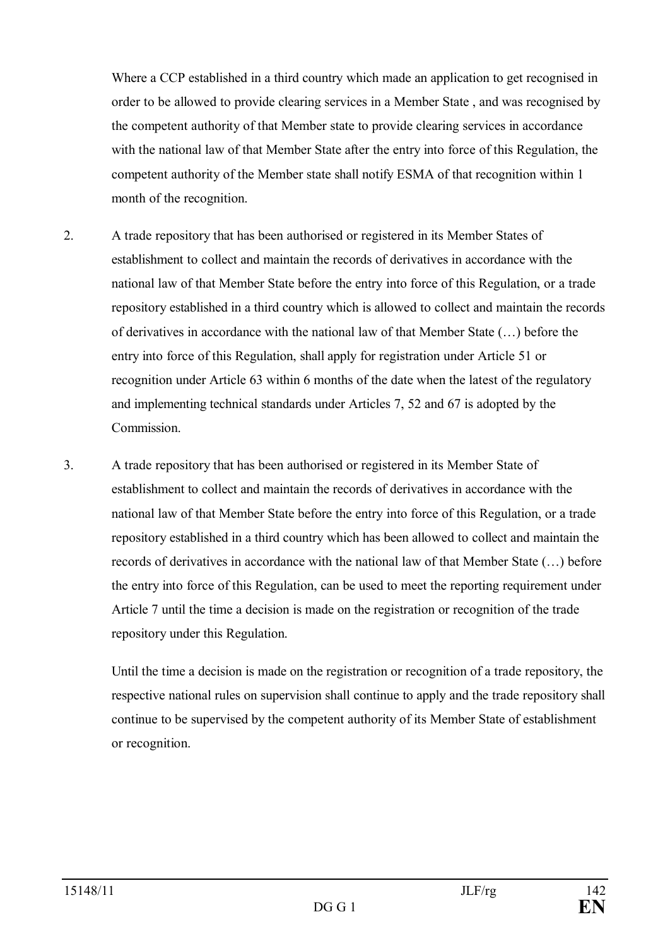Where a CCP established in a third country which made an application to get recognised in order to be allowed to provide clearing services in a Member State , and was recognised by the competent authority of that Member state to provide clearing services in accordance with the national law of that Member State after the entry into force of this Regulation, the competent authority of the Member state shall notify ESMA of that recognition within 1 month of the recognition.

- 2. A trade repository that has been authorised or registered in its Member States of establishment to collect and maintain the records of derivatives in accordance with the national law of that Member State before the entry into force of this Regulation, or a trade repository established in a third country which is allowed to collect and maintain the records of derivatives in accordance with the national law of that Member State (…) before the entry into force of this Regulation, shall apply for registration under Article 51 or recognition under Article 63 within 6 months of the date when the latest of the regulatory and implementing technical standards under Articles 7, 52 and 67 is adopted by the Commission.
- 3. A trade repository that has been authorised or registered in its Member State of establishment to collect and maintain the records of derivatives in accordance with the national law of that Member State before the entry into force of this Regulation, or a trade repository established in a third country which has been allowed to collect and maintain the records of derivatives in accordance with the national law of that Member State (…) before the entry into force of this Regulation, can be used to meet the reporting requirement under Article 7 until the time a decision is made on the registration or recognition of the trade repository under this Regulation.

Until the time a decision is made on the registration or recognition of a trade repository, the respective national rules on supervision shall continue to apply and the trade repository shall continue to be supervised by the competent authority of its Member State of establishment or recognition.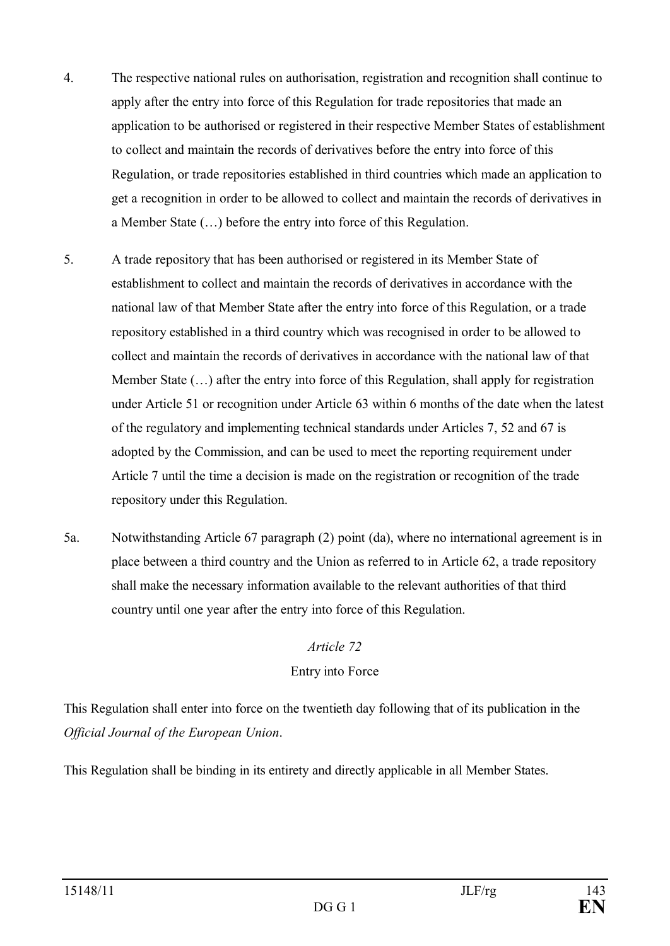- 4. The respective national rules on authorisation, registration and recognition shall continue to apply after the entry into force of this Regulation for trade repositories that made an application to be authorised or registered in their respective Member States of establishment to collect and maintain the records of derivatives before the entry into force of this Regulation, or trade repositories established in third countries which made an application to get a recognition in order to be allowed to collect and maintain the records of derivatives in a Member State (…) before the entry into force of this Regulation.
- 5. A trade repository that has been authorised or registered in its Member State of establishment to collect and maintain the records of derivatives in accordance with the national law of that Member State after the entry into force of this Regulation, or a trade repository established in a third country which was recognised in order to be allowed to collect and maintain the records of derivatives in accordance with the national law of that Member State (…) after the entry into force of this Regulation, shall apply for registration under Article 51 or recognition under Article 63 within 6 months of the date when the latest of the regulatory and implementing technical standards under Articles 7, 52 and 67 is adopted by the Commission, and can be used to meet the reporting requirement under Article 7 until the time a decision is made on the registration or recognition of the trade repository under this Regulation.
- 5a. Notwithstanding Article 67 paragraph (2) point (da), where no international agreement is in place between a third country and the Union as referred to in Article 62, a trade repository shall make the necessary information available to the relevant authorities of that third country until one year after the entry into force of this Regulation.

### *Article 72* Entry into Force

This Regulation shall enter into force on the twentieth day following that of its publication in the *Official Journal of the European Union*.

This Regulation shall be binding in its entirety and directly applicable in all Member States.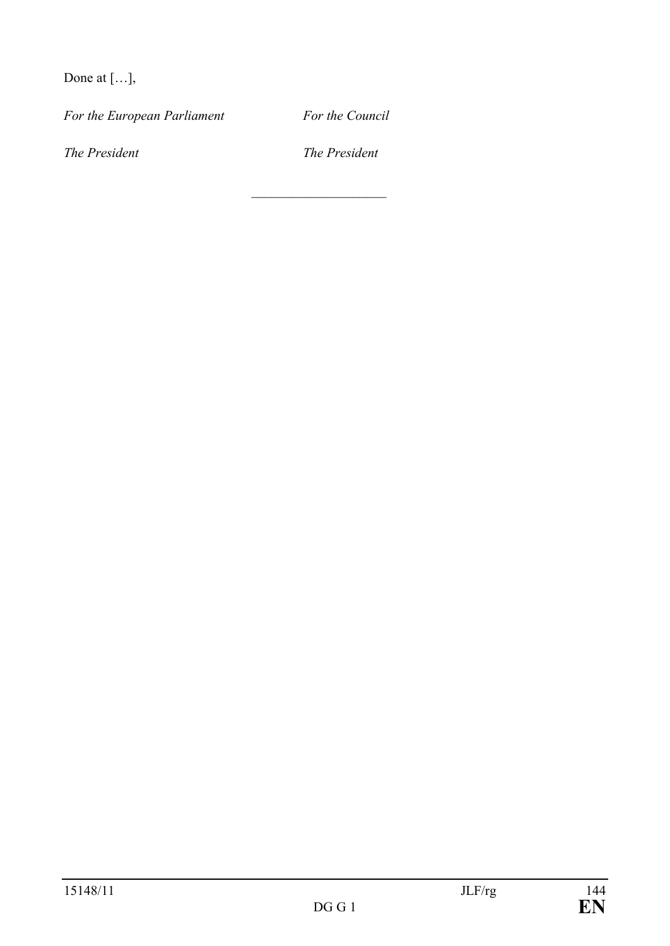Done at […],

*For the European Parliament For the Council*

*The President The President* 

 $\overline{\phantom{a}}$  , where  $\overline{\phantom{a}}$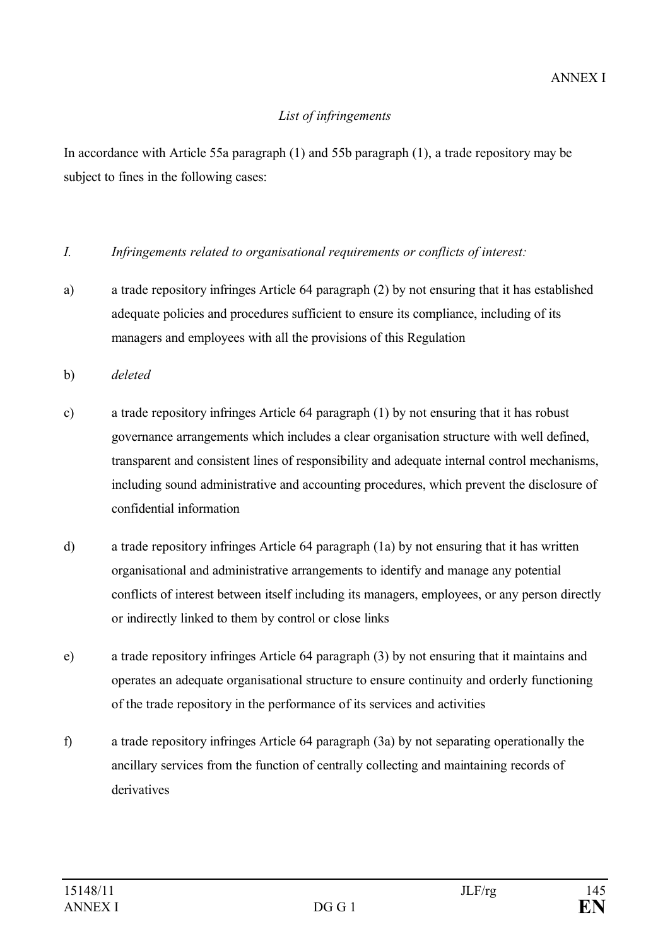### *List of infringements*

In accordance with Article 55a paragraph (1) and 55b paragraph (1), a trade repository may be subject to fines in the following cases:

### *I. Infringements related to organisational requirements or conflicts of interest:*

- a) a trade repository infringes Article 64 paragraph (2) by not ensuring that it has established adequate policies and procedures sufficient to ensure its compliance, including of its managers and employees with all the provisions of this Regulation
- b) *deleted*
- c) a trade repository infringes Article 64 paragraph (1) by not ensuring that it has robust governance arrangements which includes a clear organisation structure with well defined, transparent and consistent lines of responsibility and adequate internal control mechanisms, including sound administrative and accounting procedures, which prevent the disclosure of confidential information
- d) a trade repository infringes Article 64 paragraph (1a) by not ensuring that it has written organisational and administrative arrangements to identify and manage any potential conflicts of interest between itself including its managers, employees, or any person directly or indirectly linked to them by control or close links
- e) a trade repository infringes Article 64 paragraph (3) by not ensuring that it maintains and operates an adequate organisational structure to ensure continuity and orderly functioning of the trade repository in the performance of its services and activities
- f) a trade repository infringes Article 64 paragraph (3a) by not separating operationally the ancillary services from the function of centrally collecting and maintaining records of derivatives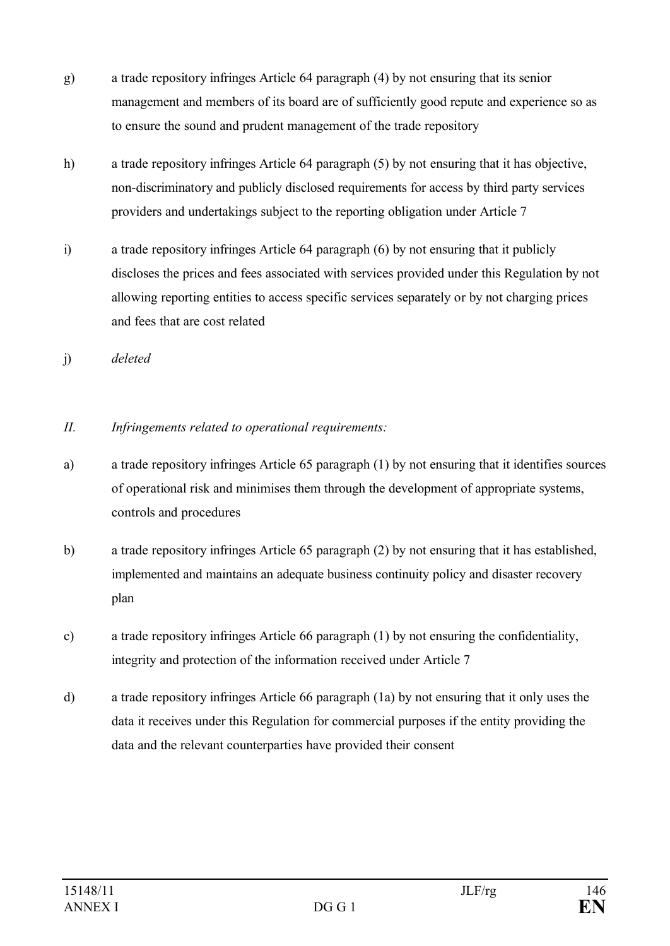- g) a trade repository infringes Article 64 paragraph (4) by not ensuring that its senior management and members of its board are of sufficiently good repute and experience so as to ensure the sound and prudent management of the trade repository
- h) a trade repository infringes Article 64 paragraph (5) by not ensuring that it has objective, non-discriminatory and publicly disclosed requirements for access by third party services providers and undertakings subject to the reporting obligation under Article 7
- i) a trade repository infringes Article 64 paragraph (6) by not ensuring that it publicly discloses the prices and fees associated with services provided under this Regulation by not allowing reporting entities to access specific services separately or by not charging prices and fees that are cost related
- j) *deleted*
- *II. Infringements related to operational requirements:*
- a) a trade repository infringes Article 65 paragraph (1) by not ensuring that it identifies sources of operational risk and minimises them through the development of appropriate systems, controls and procedures
- b) a trade repository infringes Article 65 paragraph (2) by not ensuring that it has established, implemented and maintains an adequate business continuity policy and disaster recovery plan
- c) a trade repository infringes Article 66 paragraph (1) by not ensuring the confidentiality, integrity and protection of the information received under Article 7
- d) a trade repository infringes Article 66 paragraph (1a) by not ensuring that it only uses the data it receives under this Regulation for commercial purposes if the entity providing the data and the relevant counterparties have provided their consent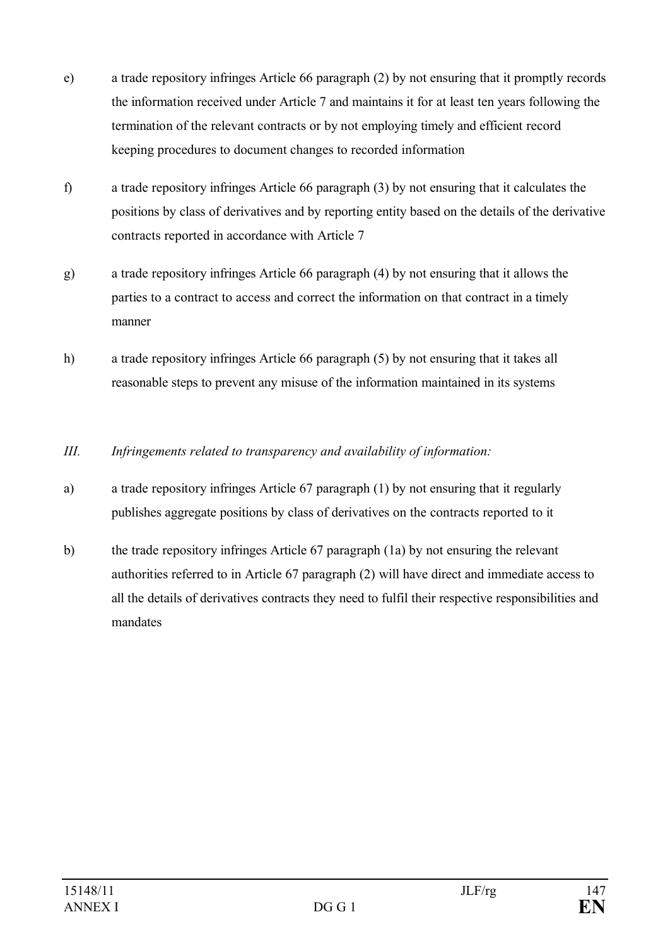- e) a trade repository infringes Article 66 paragraph (2) by not ensuring that it promptly records the information received under Article 7 and maintains it for at least ten years following the termination of the relevant contracts or by not employing timely and efficient record keeping procedures to document changes to recorded information
- f) a trade repository infringes Article 66 paragraph (3) by not ensuring that it calculates the positions by class of derivatives and by reporting entity based on the details of the derivative contracts reported in accordance with Article 7
- g) a trade repository infringes Article 66 paragraph (4) by not ensuring that it allows the parties to a contract to access and correct the information on that contract in a timely manner
- h) a trade repository infringes Article 66 paragraph (5) by not ensuring that it takes all reasonable steps to prevent any misuse of the information maintained in its systems
- *III. Infringements related to transparency and availability of information:*
- a) a trade repository infringes Article 67 paragraph (1) by not ensuring that it regularly publishes aggregate positions by class of derivatives on the contracts reported to it
- b) the trade repository infringes Article 67 paragraph (1a) by not ensuring the relevant authorities referred to in Article 67 paragraph (2) will have direct and immediate access to all the details of derivatives contracts they need to fulfil their respective responsibilities and mandates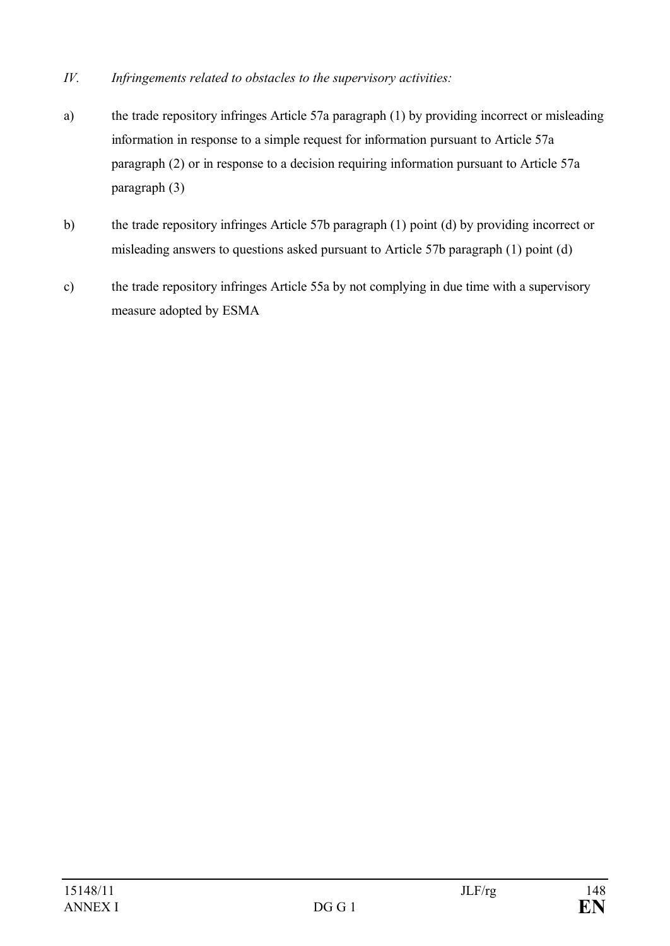- *IV. Infringements related to obstacles to the supervisory activities:*
- a) the trade repository infringes Article 57a paragraph (1) by providing incorrect or misleading information in response to a simple request for information pursuant to Article 57a paragraph (2) or in response to a decision requiring information pursuant to Article 57a paragraph (3)
- b) the trade repository infringes Article 57b paragraph (1) point (d) by providing incorrect or misleading answers to questions asked pursuant to Article 57b paragraph (1) point (d)
- c) the trade repository infringes Article 55a by not complying in due time with a supervisory measure adopted by ESMA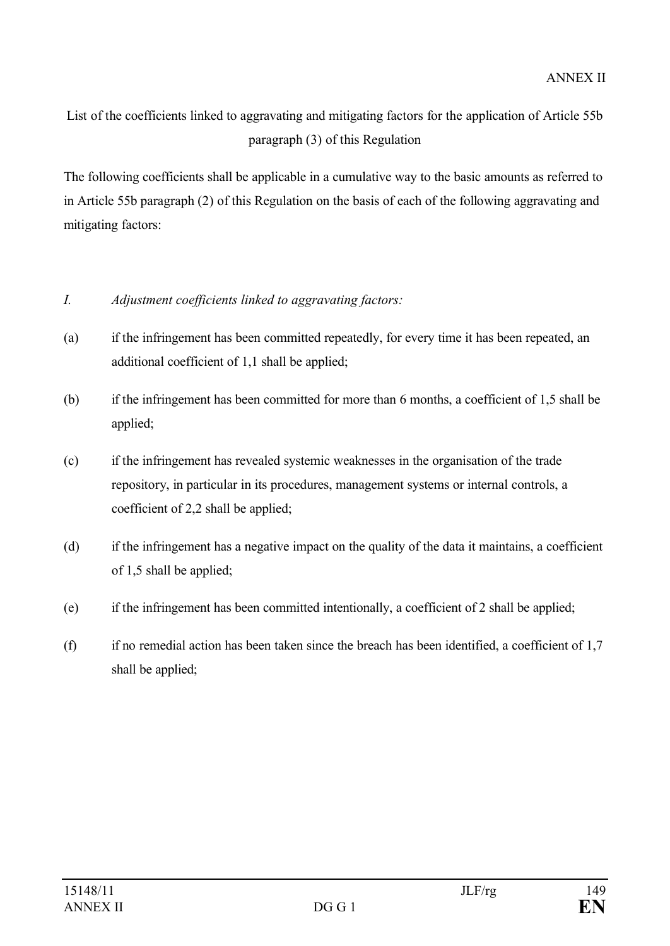List of the coefficients linked to aggravating and mitigating factors for the application of Article 55b paragraph (3) of this Regulation

The following coefficients shall be applicable in a cumulative way to the basic amounts as referred to in Article 55b paragraph (2) of this Regulation on the basis of each of the following aggravating and mitigating factors:

# *I. Adjustment coefficients linked to aggravating factors:*

- (a) if the infringement has been committed repeatedly, for every time it has been repeated, an additional coefficient of 1,1 shall be applied;
- (b) if the infringement has been committed for more than 6 months, a coefficient of 1,5 shall be applied;
- (c) if the infringement has revealed systemic weaknesses in the organisation of the trade repository, in particular in its procedures, management systems or internal controls, a coefficient of 2,2 shall be applied;
- (d) if the infringement has a negative impact on the quality of the data it maintains, a coefficient of 1,5 shall be applied;
- (e) if the infringement has been committed intentionally, a coefficient of 2 shall be applied;
- (f) if no remedial action has been taken since the breach has been identified, a coefficient of 1,7 shall be applied;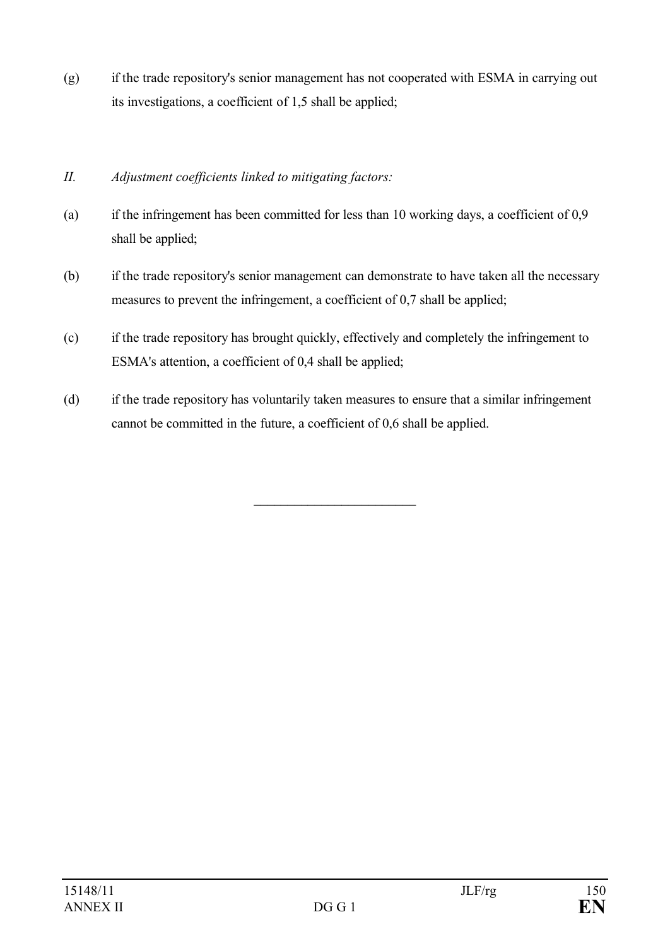- (g) if the trade repository's senior management has not cooperated with ESMA in carrying out its investigations, a coefficient of 1,5 shall be applied;
- *II. Adjustment coefficients linked to mitigating factors:*
- (a) if the infringement has been committed for less than 10 working days, a coefficient of 0,9 shall be applied;
- (b) if the trade repository's senior management can demonstrate to have taken all the necessary measures to prevent the infringement, a coefficient of 0,7 shall be applied;
- (c) if the trade repository has brought quickly, effectively and completely the infringement to ESMA's attention, a coefficient of 0,4 shall be applied;
- (d) if the trade repository has voluntarily taken measures to ensure that a similar infringement cannot be committed in the future, a coefficient of 0,6 shall be applied.

\_\_\_\_\_\_\_\_\_\_\_\_\_\_\_\_\_\_\_\_\_\_\_\_